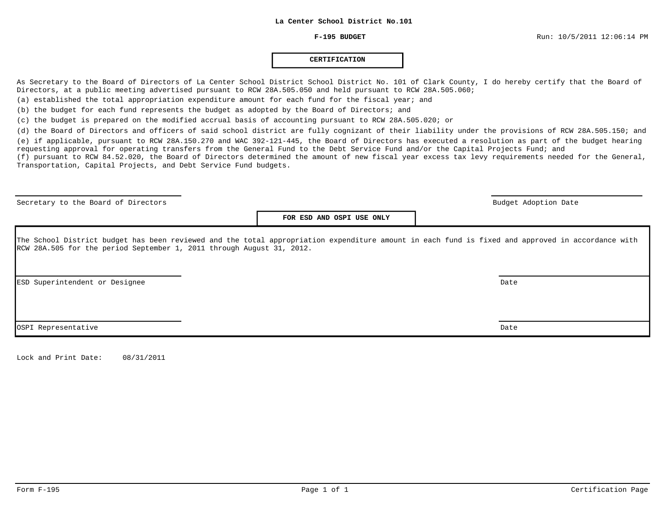#### **CERTIFICATION**

As Secretary to the Board of Directors of La Center School District School District No. 101 of Clark County, I do hereby certify that the Board of Directors, at a public meeting advertised pursuant to RCW 28A.505.050 and held pursuant to RCW 28A.505.060;

(a) established the total appropriation expenditure amount for each fund for the fiscal year; and

(b) the budget for each fund represents the budget as adopted by the Board of Directors; and

(c) the budget is prepared on the modified accrual basis of accounting pursuant to RCW 28A.505.020; or

(d) the Board of Directors and officers of said school district are fully cognizant of their liability under the provisions of RCW 28A.505.150; and (e) if applicable, pursuant to RCW 28A.150.270 and WAC 392-121-445, the Board of Directors has executed a resolution as part of the budget hearing requesting approval for operating transfers from the General Fund to the Debt Service Fund and/or the Capital Projects Fund; and

(f) pursuant to RCW 84.52.020, the Board of Directors determined the amount of new fiscal year excess tax levy requirements needed for the General, Transportation, Capital Projects, and Debt Service Fund budgets.

Secretary to the Board of Directors and the Board of Directors and the Budget Adoption Date budget Adoption Date

**FOR ESD AND OSPI USE ONLY**

The School District budget has been reviewed and the total appropriation expenditure amount in each fund is fixed and approved in accordance with RCW 28A.505 for the period September 1, 2011 through August 31, 2012.

ESD Superintendent or Designee Date

OSPI Representative Date

Lock and Print Date: 08/31/2011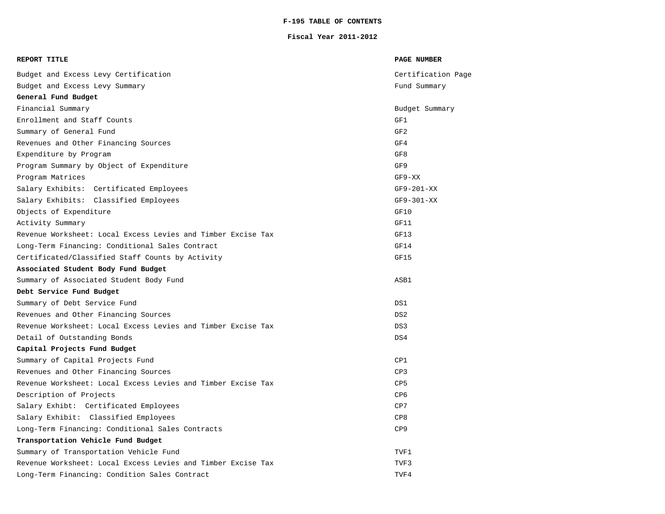# **F-195 TABLE OF CONTENTS**

#### **Fiscal Year 2011-2012**

| REPORT TITLE                                                 | <b>PAGE NUMBER</b> |
|--------------------------------------------------------------|--------------------|
| Budget and Excess Levy Certification                         | Certification Page |
| Budget and Excess Levy Summary                               | Fund Summary       |
| General Fund Budget                                          |                    |
| Financial Summary                                            | Budget Summary     |
| Enrollment and Staff Counts                                  | GF1                |
| Summary of General Fund                                      | GF <sub>2</sub>    |
| Revenues and Other Financing Sources                         | GF4                |
| Expenditure by Program                                       | GF8                |
| Program Summary by Object of Expenditure                     | GF9                |
| Program Matrices                                             | $GF9-XX$           |
| Salary Exhibits: Certificated Employees                      | $GF9-201-XX$       |
| Salary Exhibits: Classified Employees                        | $GF9-301-XX$       |
| Objects of Expenditure                                       | GF10               |
| Activity Summary                                             | GF11               |
| Revenue Worksheet: Local Excess Levies and Timber Excise Tax | GF13               |
| Long-Term Financing: Conditional Sales Contract              | GF14               |
| Certificated/Classified Staff Counts by Activity             | GF15               |
| Associated Student Body Fund Budget                          |                    |
| Summary of Associated Student Body Fund                      | ASB1               |
| Debt Service Fund Budget                                     |                    |
| Summary of Debt Service Fund                                 | DS1                |
| Revenues and Other Financing Sources                         | DS <sub>2</sub>    |
| Revenue Worksheet: Local Excess Levies and Timber Excise Tax | DS3                |
| Detail of Outstanding Bonds                                  | DS4                |
| Capital Projects Fund Budget                                 |                    |
| Summary of Capital Projects Fund                             | CP1                |
| Revenues and Other Financing Sources                         | CP3                |
| Revenue Worksheet: Local Excess Levies and Timber Excise Tax | CP5                |
| Description of Projects                                      | CP <sub>6</sub>    |
| Salary Exhibt: Certificated Employees                        | CP7                |
| Salary Exhibit: Classified Employees                         | CP8                |
| Long-Term Financing: Conditional Sales Contracts             | CP9                |
| Transportation Vehicle Fund Budget                           |                    |
| Summary of Transportation Vehicle Fund                       | TVF1               |
| Revenue Worksheet: Local Excess Levies and Timber Excise Tax | TVF3               |
| Long-Term Financing: Condition Sales Contract                | TVF4               |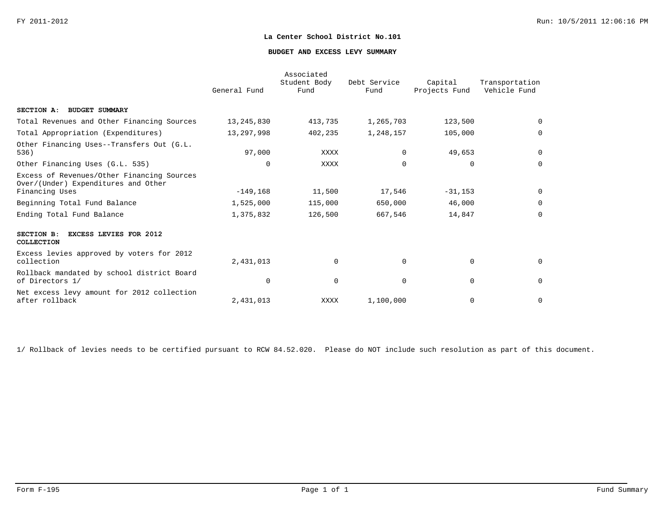#### **BUDGET AND EXCESS LEVY SUMMARY**

|                                                                                                     | General Fund | Associated<br>Student Body<br>Fund | Debt Service<br>Fund | Capital<br>Projects Fund | Transportation<br>Vehicle Fund |
|-----------------------------------------------------------------------------------------------------|--------------|------------------------------------|----------------------|--------------------------|--------------------------------|
| SECTION A: BUDGET SUMMARY                                                                           |              |                                    |                      |                          |                                |
| Total Revenues and Other Financing Sources                                                          | 13,245,830   | 413,735                            | 1,265,703            | 123,500                  | $\Omega$                       |
| Total Appropriation (Expenditures)                                                                  | 13,297,998   | 402,235                            | 1,248,157            | 105,000                  | $\Omega$                       |
| Other Financing Uses--Transfers Out (G.L.<br>536)                                                   | 97,000       | XXXX                               | $\Omega$             | 49,653                   | 0                              |
| Other Financing Uses (G.L. 535)                                                                     | $\Omega$     | XXXX                               | $\Omega$             | $\Omega$                 | $\Omega$                       |
| Excess of Revenues/Other Financing Sources<br>Over/(Under) Expenditures and Other<br>Financing Uses | $-149,168$   | 11,500                             | 17,546               | $-31, 153$               | 0                              |
| Beginning Total Fund Balance                                                                        | 1,525,000    | 115,000                            | 650,000              | 46,000                   | $\Omega$                       |
| Ending Total Fund Balance                                                                           | 1,375,832    | 126,500                            | 667,546              | 14,847                   | $\mathbf 0$                    |
| SECTION B:<br><b>EXCESS LEVIES FOR 2012</b><br>COLLECTION                                           |              |                                    |                      |                          |                                |
| Excess levies approved by voters for 2012<br>collection                                             | 2,431,013    | $\mathbf 0$                        | $\Omega$             | $\mathbf 0$              | 0                              |
| Rollback mandated by school district Board<br>of Directors 1/                                       | $\Omega$     | $\mathbf 0$                        | $\Omega$             | $\mathbf 0$              | $\mathbf 0$                    |
| Net excess levy amount for 2012 collection<br>after rollback                                        | 2,431,013    | XXXX                               | 1,100,000            | $\mathbf 0$              | $\mathbf 0$                    |

1/ Rollback of levies needs to be certified pursuant to RCW 84.52.020. Please do NOT include such resolution as part of this document.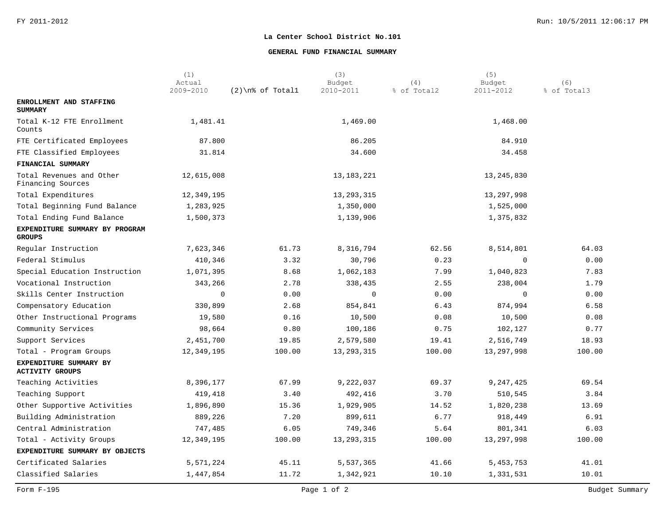#### **GENERAL FUND FINANCIAL SUMMARY**

|                                                  | (1)<br>Actual |                   | (3)<br>Budget | (4)         | (5)<br>Budget | (6)         |
|--------------------------------------------------|---------------|-------------------|---------------|-------------|---------------|-------------|
|                                                  | 2009-2010     | $(2)\n$ of Totall | 2010-2011     | % of Total2 | 2011-2012     | % of Total3 |
| ENROLLMENT AND STAFFING<br><b>SUMMARY</b>        |               |                   |               |             |               |             |
| Total K-12 FTE Enrollment<br>Counts              | 1,481.41      |                   | 1,469.00      |             | 1,468.00      |             |
| FTE Certificated Employees                       | 87.800        |                   | 86.205        |             | 84.910        |             |
| FTE Classified Employees                         | 31.814        |                   | 34.600        |             | 34.458        |             |
| FINANCIAL SUMMARY                                |               |                   |               |             |               |             |
| Total Revenues and Other<br>Financing Sources    | 12,615,008    |                   | 13, 183, 221  |             | 13, 245, 830  |             |
| Total Expenditures                               | 12,349,195    |                   | 13, 293, 315  |             | 13,297,998    |             |
| Total Beginning Fund Balance                     | 1,283,925     |                   | 1,350,000     |             | 1,525,000     |             |
| Total Ending Fund Balance                        | 1,500,373     |                   | 1,139,906     |             | 1,375,832     |             |
| EXPENDITURE SUMMARY BY PROGRAM<br><b>GROUPS</b>  |               |                   |               |             |               |             |
| Regular Instruction                              | 7,623,346     | 61.73             | 8,316,794     | 62.56       | 8,514,801     | 64.03       |
| Federal Stimulus                                 | 410,346       | 3.32              | 30,796        | 0.23        | $\Omega$      | 0.00        |
| Special Education Instruction                    | 1,071,395     | 8.68              | 1,062,183     | 7.99        | 1,040,823     | 7.83        |
| Vocational Instruction                           | 343,266       | 2.78              | 338,435       | 2.55        | 238,004       | 1.79        |
| Skills Center Instruction                        | $\mathbf 0$   | 0.00              | $\mathbf 0$   | 0.00        | $\Omega$      | 0.00        |
| Compensatory Education                           | 330,899       | 2.68              | 854,841       | 6.43        | 874,994       | 6.58        |
| Other Instructional Programs                     | 19,580        | 0.16              | 10,500        | 0.08        | 10,500        | 0.08        |
| Community Services                               | 98,664        | 0.80              | 100,186       | 0.75        | 102,127       | 0.77        |
| Support Services                                 | 2,451,700     | 19.85             | 2,579,580     | 19.41       | 2,516,749     | 18.93       |
| Total - Program Groups                           | 12,349,195    | 100.00            | 13, 293, 315  | 100.00      | 13,297,998    | 100.00      |
| EXPENDITURE SUMMARY BY<br><b>ACTIVITY GROUPS</b> |               |                   |               |             |               |             |
| Teaching Activities                              | 8,396,177     | 67.99             | 9,222,037     | 69.37       | 9,247,425     | 69.54       |
| Teaching Support                                 | 419,418       | 3.40              | 492,416       | 3.70        | 510,545       | 3.84        |
| Other Supportive Activities                      | 1,896,890     | 15.36             | 1,929,905     | 14.52       | 1,820,238     | 13.69       |
| Building Administration                          | 889,226       | 7.20              | 899,611       | 6.77        | 918,449       | 6.91        |
| Central Administration                           | 747,485       | 6.05              | 749,346       | 5.64        | 801,341       | 6.03        |
| Total - Activity Groups                          | 12,349,195    | 100.00            | 13, 293, 315  | 100.00      | 13,297,998    | 100.00      |
| EXPENDITURE SUMMARY BY OBJECTS                   |               |                   |               |             |               |             |
| Certificated Salaries                            | 5,571,224     | 45.11             | 5,537,365     | 41.66       | 5,453,753     | 41.01       |
| Classified Salaries                              | 1,447,854     | 11.72             | 1,342,921     | 10.10       | 1,331,531     | 10.01       |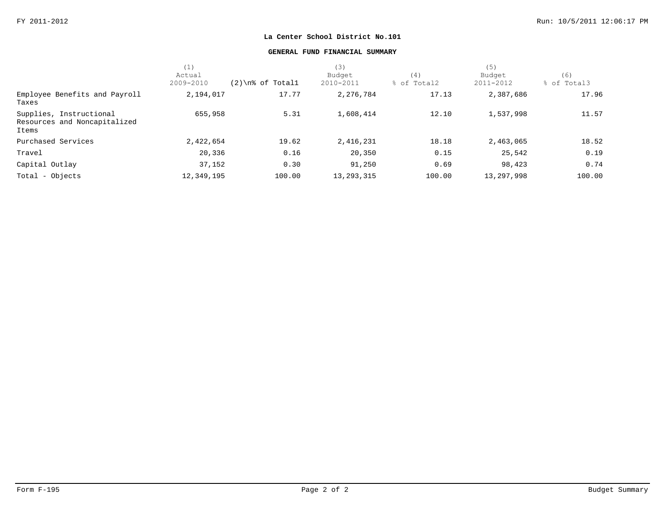#### **GENERAL FUND FINANCIAL SUMMARY**

|                                                                  | (1)        |                     | (3)          |             | (5)          |             |
|------------------------------------------------------------------|------------|---------------------|--------------|-------------|--------------|-------------|
|                                                                  | Actual     |                     | Budget       | (4)         | Budget       | (6)         |
|                                                                  | 2009-2010  | $(2)$ \n% of Totall | 2010-2011    | % of Total2 | 2011-2012    | % of Total3 |
| Employee Benefits and Payroll<br>Taxes                           | 2,194,017  | 17.77               | 2,276,784    | 17.13       | 2,387,686    | 17.96       |
| Supplies, Instructional<br>Resources and Noncapitalized<br>Items | 655,958    | 5.31                | 1,608,414    | 12.10       | 1,537,998    | 11.57       |
| Purchased Services                                               | 2,422,654  | 19.62               | 2,416,231    | 18.18       | 2,463,065    | 18.52       |
| Travel                                                           | 20,336     | 0.16                | 20,350       | 0.15        | 25,542       | 0.19        |
| Capital Outlay                                                   | 37,152     | 0.30                | 91,250       | 0.69        | 98,423       | 0.74        |
| Total - Objects                                                  | 12,349,195 | 100.00              | 13, 293, 315 | 100.00      | 13, 297, 998 | 100.00      |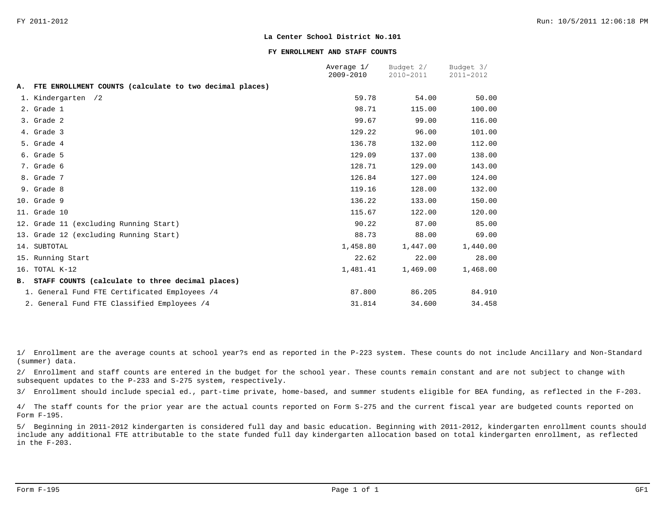#### **FY ENROLLMENT AND STAFF COUNTS**

|           |                                                         | Average 1/<br>2009-2010 | Budget 2/<br>2010-2011 | Budget 3/<br>2011-2012 |
|-----------|---------------------------------------------------------|-------------------------|------------------------|------------------------|
| Α.        | FTE ENROLLMENT COUNTS (calculate to two decimal places) |                         |                        |                        |
|           |                                                         |                         |                        |                        |
|           | 1. Kindergarten /2                                      | 59.78                   | 54.00                  | 50.00                  |
|           | 2. Grade 1                                              | 98.71                   | 115.00                 | 100.00                 |
|           | 3. Grade 2                                              | 99.67                   | 99.00                  | 116.00                 |
|           | 4. Grade 3                                              | 129.22                  | 96.00                  | 101.00                 |
|           | 5. Grade 4                                              | 136.78                  | 132.00                 | 112.00                 |
|           | 6. Grade 5                                              | 129.09                  | 137.00                 | 138.00                 |
|           | 7. Grade 6                                              | 128.71                  | 129.00                 | 143.00                 |
|           | 8. Grade 7                                              | 126.84                  | 127.00                 | 124.00                 |
|           | 9. Grade 8                                              | 119.16                  | 128.00                 | 132.00                 |
|           | 10. Grade 9                                             | 136.22                  | 133.00                 | 150.00                 |
|           | 11. Grade 10                                            | 115.67                  | 122.00                 | 120.00                 |
|           | 12. Grade 11 (excluding Running Start)                  | 90.22                   | 87.00                  | 85.00                  |
|           | 13. Grade 12 (excluding Running Start)                  | 88.73                   | 88.00                  | 69.00                  |
|           | 14. SUBTOTAL                                            | 1,458.80                | 1,447.00               | 1,440.00               |
|           | 15. Running Start                                       | 22.62                   | 22.00                  | 28.00                  |
|           | 16. TOTAL K-12                                          | 1,481.41                | 1,469.00               | 1,468.00               |
| <b>B.</b> | STAFF COUNTS (calculate to three decimal places)        |                         |                        |                        |
|           | 1. General Fund FTE Certificated Employees /4           | 87.800                  | 86.205                 | 84.910                 |
|           | 2. General Fund FTE Classified Employees /4             | 31.814                  | 34.600                 | 34.458                 |

1/ Enrollment are the average counts at school year?s end as reported in the P-223 system. These counts do not include Ancillary and Non-Standard (summer) data.

2/ Enrollment and staff counts are entered in the budget for the school year. These counts remain constant and are not subject to change with subsequent updates to the P-233 and S-275 system, respectively.

3/ Enrollment should include special ed., part-time private, home-based, and summer students eligible for BEA funding, as reflected in the F-203.

4/ The staff counts for the prior year are the actual counts reported on Form S-275 and the current fiscal year are budgeted counts reported on Form F-195.

5/ Beginning in 2011-2012 kindergarten is considered full day and basic education. Beginning with 2011-2012, kindergarten enrollment counts should include any additional FTE attributable to the state funded full day kindergarten allocation based on total kindergarten enrollment, as reflected in the F-203.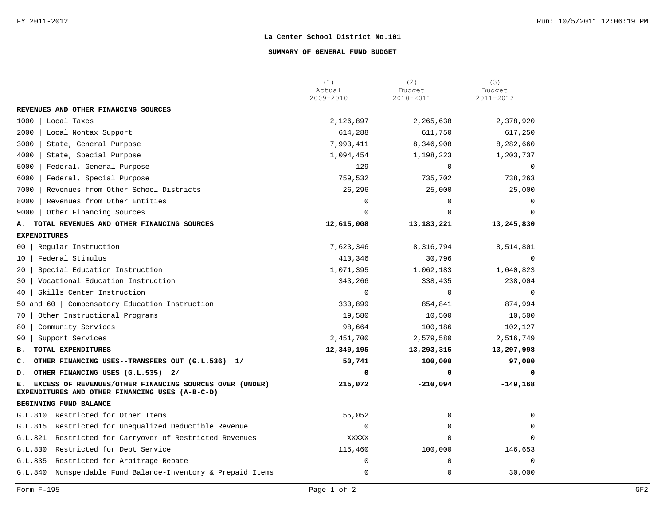#### **SUMMARY OF GENERAL FUND BUDGET**

|                                                                                                                  | (1)<br>Actual | (2)<br>Budget | (3)<br>Budget  |
|------------------------------------------------------------------------------------------------------------------|---------------|---------------|----------------|
|                                                                                                                  | 2009-2010     | 2010-2011     | 2011-2012      |
| REVENUES AND OTHER FINANCING SOURCES                                                                             |               |               |                |
| 1000<br>Local Taxes                                                                                              | 2,126,897     | 2,265,638     | 2,378,920      |
| 2000<br>Local Nontax Support                                                                                     | 614,288       | 611,750       | 617,250        |
| 3000<br>State, General Purpose                                                                                   | 7,993,411     | 8,346,908     | 8,282,660      |
| 4000<br>State, Special Purpose                                                                                   | 1,094,454     | 1,198,223     | 1,203,737      |
| 5000<br>Federal, General Purpose                                                                                 | 129           | $\Omega$      | $\mathbf 0$    |
| 6000<br>Federal, Special Purpose                                                                                 | 759,532       | 735,702       | 738,263        |
| 7000<br>Revenues from Other School Districts                                                                     | 26,296        | 25,000        | 25,000         |
| 8000<br>Revenues from Other Entities                                                                             | 0             | 0             | $\Omega$       |
| 9000<br>Other Financing Sources                                                                                  | 0             | $\Omega$      |                |
| TOTAL REVENUES AND OTHER FINANCING SOURCES<br>А.                                                                 | 12,615,008    | 13,183,221    | 13,245,830     |
| <b>EXPENDITURES</b>                                                                                              |               |               |                |
| Regular Instruction<br>00                                                                                        | 7,623,346     | 8,316,794     | 8,514,801      |
| Federal Stimulus<br>10                                                                                           | 410,346       | 30,796        | $\Omega$       |
| Special Education Instruction<br>20                                                                              | 1,071,395     | 1,062,183     | 1,040,823      |
| Vocational Education Instruction<br>30                                                                           | 343,266       | 338,435       | 238,004        |
| Skills Center Instruction<br>40                                                                                  | $\mathbf 0$   | $\mathbf 0$   | $\overline{0}$ |
| 50 and 60   Compensatory Education Instruction                                                                   | 330,899       | 854,841       | 874,994        |
| Other Instructional Programs<br>70                                                                               | 19,580        | 10,500        | 10,500         |
| Community Services<br>80                                                                                         | 98,664        | 100,186       | 102,127        |
| Support Services<br>90                                                                                           | 2,451,700     | 2,579,580     | 2,516,749      |
| TOTAL EXPENDITURES<br>в.                                                                                         | 12,349,195    | 13,293,315    | 13,297,998     |
| OTHER FINANCING USES--TRANSFERS OUT (G.L.536) 1/<br>$\mathbf{C}$ .                                               | 50,741        | 100,000       | 97,000         |
| OTHER FINANCING USES (G.L.535) 2/<br>D.                                                                          | 0             | 0             | $\Omega$       |
| EXCESS OF REVENUES/OTHER FINANCING SOURCES OVER (UNDER)<br>Е.<br>EXPENDITURES AND OTHER FINANCING USES (A-B-C-D) | 215,072       | $-210,094$    | $-149,168$     |
| BEGINNING FUND BALANCE                                                                                           |               |               |                |
| G.L.810 Restricted for Other Items                                                                               | 55,052        | 0             | $\Omega$       |
| Restricted for Unequalized Deductible Revenue<br>G.L.815                                                         | $\mathbf 0$   | 0             | $\Omega$       |
| Restricted for Carryover of Restricted Revenues<br>G.L.821                                                       | XXXXX         | $\Omega$      | $\Omega$       |
| Restricted for Debt Service<br>G.L.830                                                                           | 115,460       | 100,000       | 146,653        |
| G.L.835<br>Restricted for Arbitrage Rebate                                                                       | 0             | $\Omega$      | $\Omega$       |
| G.L.840 Nonspendable Fund Balance-Inventory & Prepaid Items                                                      | 0             | $\mathbf 0$   | 30,000         |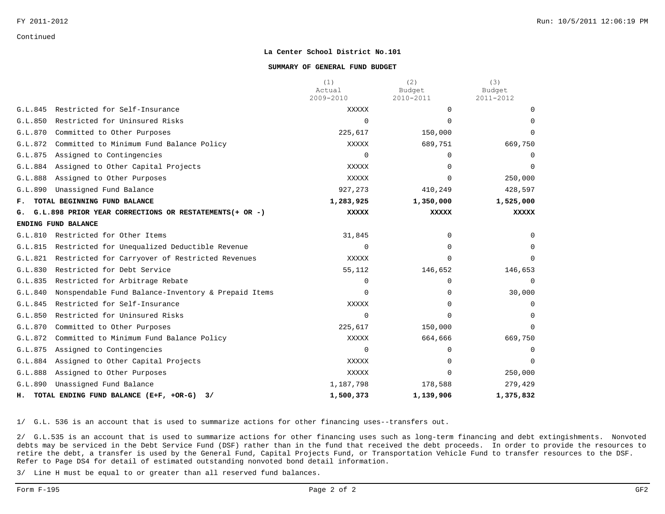#### **SUMMARY OF GENERAL FUND BUDGET**

|         |                                                         | (1)<br>Actual<br>2009-2010 | (2)<br>Budget<br>2010-2011 | (3)<br>Budget<br>2011-2012 |
|---------|---------------------------------------------------------|----------------------------|----------------------------|----------------------------|
| G.L.845 | Restricted for Self-Insurance                           | XXXXX                      | $\Omega$                   |                            |
| G.L.850 | Restricted for Uninsured Risks                          | $\Omega$                   | $\Omega$                   |                            |
| G.L.870 | Committed to Other Purposes                             | 225,617                    | 150,000                    | $\Omega$                   |
| G.L.872 | Committed to Minimum Fund Balance Policy                | XXXXX                      | 689,751                    | 669,750                    |
| G.L.875 | Assigned to Contingencies                               | $\Omega$                   | $\Omega$                   | $\Omega$                   |
| G.L.884 | Assigned to Other Capital Projects                      | XXXXX                      | $\Omega$                   | $\Omega$                   |
| G.L.888 | Assigned to Other Purposes                              | XXXXX                      | $\Omega$                   | 250,000                    |
| G.L.890 | Unassigned Fund Balance                                 | 927,273                    | 410,249                    | 428,597                    |
| F.      | TOTAL BEGINNING FUND BALANCE                            | 1,283,925                  | 1,350,000                  | 1,525,000                  |
| G.      | G.L.898 PRIOR YEAR CORRECTIONS OR RESTATEMENTS (+ OR -) | <b>XXXXX</b>               | <b>XXXXX</b>               | <b>XXXXX</b>               |
|         | ENDING FUND BALANCE                                     |                            |                            |                            |
| G.L.810 | Restricted for Other Items                              | 31,845                     | $\Omega$                   | <sup>n</sup>               |
| G.L.815 | Restricted for Unequalized Deductible Revenue           | $\Omega$                   | 0                          |                            |
| G.L.821 | Restricted for Carryover of Restricted Revenues         | XXXXX                      | $\Omega$                   | $\Omega$                   |
| G.L.830 | Restricted for Debt Service                             | 55,112                     | 146,652                    | 146,653                    |
| G.L.835 | Restricted for Arbitrage Rebate                         | 0                          | $\Omega$                   |                            |
| G.L.840 | Nonspendable Fund Balance-Inventory & Prepaid Items     | $\Omega$                   | $\Omega$                   | 30,000                     |
| G.L.845 | Restricted for Self-Insurance                           | XXXXX                      | $\Omega$                   | $\Omega$                   |
| G.L.850 | Restricted for Uninsured Risks                          | $\Omega$                   | 0                          |                            |
| G.L.870 | Committed to Other Purposes                             | 225,617                    | 150,000                    | $\Omega$                   |
| G.L.872 | Committed to Minimum Fund Balance Policy                | XXXXX                      | 664,666                    | 669,750                    |
| G.L.875 | Assigned to Contingencies                               | 0                          | $\Omega$                   |                            |
| G.L.884 | Assigned to Other Capital Projects                      | XXXXX                      | $\Omega$                   | $\Omega$                   |
| G.L.888 | Assigned to Other Purposes                              | XXXXX                      | 0                          | 250,000                    |
| G.L.890 | Unassigned Fund Balance                                 | 1,187,798                  | 178,588                    | 279,429                    |
| н.      | TOTAL ENDING FUND BALANCE (E+F, +OR-G)<br>3/            | 1,500,373                  | 1,139,906                  | 1,375,832                  |

1/ G.L. 536 is an account that is used to summarize actions for other financing uses--transfers out.

2/ G.L.535 is an account that is used to summarize actions for other financing uses such as long-term financing and debt extingishments. Nonvoted debts may be serviced in the Debt Service Fund (DSF) rather than in the fund that received the debt proceeds. In order to provide the resources to retire the debt, a transfer is used by the General Fund, Capital Projects Fund, or Transportation Vehicle Fund to transfer resources to the DSF. Refer to Page DS4 for detail of estimated outstanding nonvoted bond detail information.

3/ Line H must be equal to or greater than all reserved fund balances.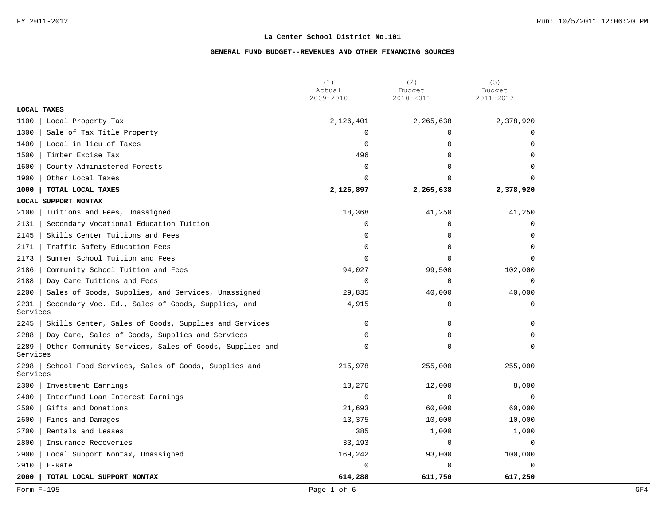|                  |                                                        | (1)<br>Actual<br>2009-2010 | (2)<br>Budget<br>2010-2011 | (3)<br>Budget<br>2011-2012 |
|------------------|--------------------------------------------------------|----------------------------|----------------------------|----------------------------|
| LOCAL TAXES      |                                                        |                            |                            |                            |
| 1100             | Local Property Tax                                     | 2,126,401                  | 2,265,638                  | 2,378,920                  |
| 1300             | Sale of Tax Title Property                             | $\mathbf 0$                | $\Omega$                   | $\Omega$                   |
| 1400             | Local in lieu of Taxes                                 | 0                          | $\mathbf 0$                | 0                          |
| 1500             | Timber Excise Tax                                      | 496                        | $\mathbf 0$                | $\Omega$                   |
| 1600             | County-Administered Forests                            | $\mathsf 0$                | $\Omega$                   | $\Omega$                   |
| 1900             | Other Local Taxes                                      | $\Omega$                   | $\Omega$                   | $\Omega$                   |
| 1000             | TOTAL LOCAL TAXES                                      | 2,126,897                  | 2,265,638                  | 2,378,920                  |
|                  | LOCAL SUPPORT NONTAX                                   |                            |                            |                            |
| 2100             | Tuitions and Fees, Unassigned                          | 18,368                     | 41,250                     | 41,250                     |
| 2131             | Secondary Vocational Education Tuition                 | 0                          | 0                          | 0                          |
| 2145             | Skills Center Tuitions and Fees                        | 0                          | $\mathbf 0$                | 0                          |
| 2171             | Traffic Safety Education Fees                          | 0                          | $\Omega$                   | $\Omega$                   |
| 2173             | Summer School Tuition and Fees                         | 0                          | $\mathbf 0$                | $\Omega$                   |
| 2186             | Community School Tuition and Fees                      | 94,027                     | 99,500                     | 102,000                    |
| 2188             | Day Care Tuitions and Fees                             | $\Omega$                   | $\Omega$                   | $\Omega$                   |
| 2200             | Sales of Goods, Supplies, and Services, Unassigned     | 29,835                     | 40,000                     | 40,000                     |
| 2231<br>Services | Secondary Voc. Ed., Sales of Goods, Supplies, and      | 4,915                      | $\mathbf 0$                | $\mathbf 0$                |
| 2245             | Skills Center, Sales of Goods, Supplies and Services   | $\mathbf 0$                | 0                          | $\Omega$                   |
| 2288             | Day Care, Sales of Goods, Supplies and Services        | 0                          | $\mathbf 0$                | $\Omega$                   |
| 2289<br>Services | Other Community Services, Sales of Goods, Supplies and | 0                          | $\Omega$                   | $\Omega$                   |
| 2298<br>Services | School Food Services, Sales of Goods, Supplies and     | 215,978                    | 255,000                    | 255,000                    |
| 2300             | Investment Earnings                                    | 13,276                     | 12,000                     | 8,000                      |
| 2400             | Interfund Loan Interest Earnings                       | 0                          | 0                          | $\Omega$                   |
| 2500             | Gifts and Donations                                    | 21,693                     | 60,000                     | 60,000                     |
| 2600             | Fines and Damages                                      | 13,375                     | 10,000                     | 10,000                     |
| 2700             | Rentals and Leases                                     | 385                        | 1,000                      | 1,000                      |
| 2800             | Insurance Recoveries                                   | 33,193                     | $\Omega$                   | $\Omega$                   |
| 2900             | Local Support Nontax, Unassigned                       | 169,242                    | 93,000                     | 100,000                    |
| 2910             | E-Rate                                                 | $\Omega$                   | $\Omega$                   | $\Omega$                   |
| 2000             | TOTAL LOCAL SUPPORT NONTAX                             | 614,288                    | 611,750                    | 617,250                    |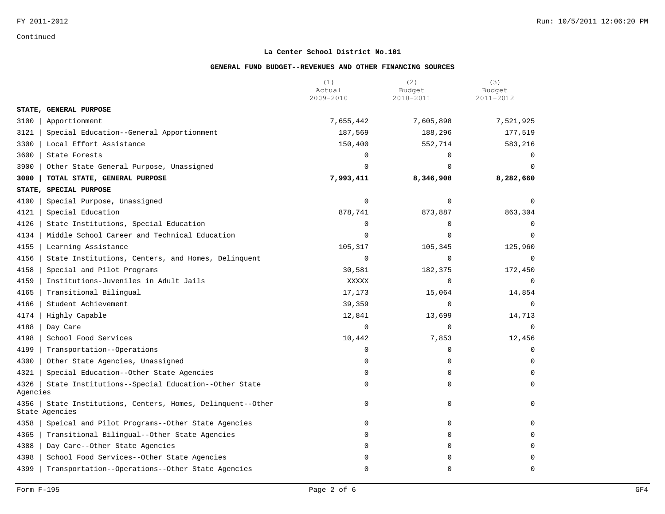#### **La Center School District No.101**

|                  |                                                                         | (1)<br>Actual | (2)<br>Budget | (3)<br>Budget |
|------------------|-------------------------------------------------------------------------|---------------|---------------|---------------|
|                  |                                                                         | 2009-2010     | 2010-2011     | 2011-2012     |
|                  | STATE, GENERAL PURPOSE                                                  |               |               |               |
| 3100             | Apportionment                                                           | 7,655,442     | 7,605,898     | 7,521,925     |
| 3121             | Special Education--General Apportionment                                | 187,569       | 188,296       | 177,519       |
| 3300             | Local Effort Assistance                                                 | 150,400       | 552,714       | 583,216       |
| 3600             | State Forests                                                           | $\Omega$      | $\Omega$      | $\Omega$      |
| 3900             | Other State General Purpose, Unassigned                                 | $\Omega$      | $\Omega$      | $\Omega$      |
| 3000             | TOTAL STATE, GENERAL PURPOSE                                            | 7,993,411     | 8,346,908     | 8,282,660     |
| STATE,           | SPECIAL PURPOSE                                                         |               |               |               |
| 4100             | Special Purpose, Unassigned                                             | 0             | 0             | $\Omega$      |
| 4121             | Special Education                                                       | 878,741       | 873,887       | 863,304       |
| 4126             | State Institutions, Special Education                                   | $\Omega$      | $\Omega$      | $\Omega$      |
| 4134             | Middle School Career and Technical Education                            | $\Omega$      | $\Omega$      | $\Omega$      |
| 4155             | Learning Assistance                                                     | 105,317       | 105,345       | 125,960       |
| 4156             | State Institutions, Centers, and Homes, Delinquent                      | 0             | $\mathbf 0$   | $\mathbf 0$   |
| 4158             | Special and Pilot Programs                                              | 30,581        | 182,375       | 172,450       |
| 4159             | Institutions-Juveniles in Adult Jails                                   | XXXXX         | 0             | $\mathbf 0$   |
| 4165             | Transitional Bilingual                                                  | 17,173        | 15,064        | 14,854        |
| 4166             | Student Achievement                                                     | 39,359        | $\mathbf 0$   | $\Omega$      |
| 4174             | Highly Capable                                                          | 12,841        | 13,699        | 14,713        |
| 4188             | Day Care                                                                | $\mathbf 0$   | $\Omega$      | $\Omega$      |
| 4198             | School Food Services                                                    | 10,442        | 7,853         | 12,456        |
| 4199             | Transportation--Operations                                              | 0             | 0             | 0             |
| 4300             | Other State Agencies, Unassigned                                        | $\Omega$      | $\Omega$      | $\Omega$      |
| 4321             | Special Education--Other State Agencies                                 | 0             | $\Omega$      | $\Omega$      |
| 4326<br>Agencies | State Institutions--Special Education--Other State                      | 0             | 0             | $\Omega$      |
| 4356             | State Institutions, Centers, Homes, Delinquent--Other<br>State Agencies | 0             | $\Omega$      | $\Omega$      |
| 4358             | Speical and Pilot Programs--Other State Agencies                        | 0             | 0             | $\Omega$      |
| 4365             | Transitional Bilingual--Other State Agencies                            | 0             | $\Omega$      | $\Omega$      |
| 4388             | Day Care--Other State Agencies                                          | $\Omega$      | $\Omega$      | $\Omega$      |
| 4398             | School Food Services--Other State Agencies                              | 0             | 0             | $\Omega$      |
| 4399             | Transportation--Operations--Other State Agencies                        | 0             | $\Omega$      | $\mathbf 0$   |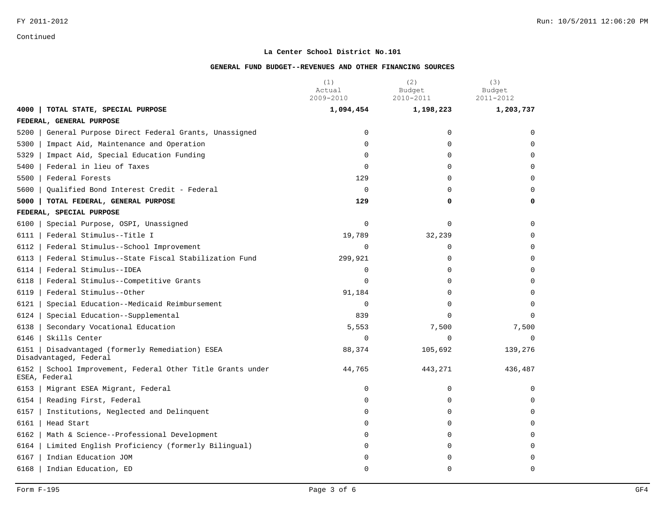#### **La Center School District No.101**

|      |                                                                       | (1)<br>Actual<br>2009-2010 | (2)<br>Budget<br>2010-2011 | (3)<br>Budget<br>2011-2012 |
|------|-----------------------------------------------------------------------|----------------------------|----------------------------|----------------------------|
| 4000 | TOTAL STATE, SPECIAL PURPOSE                                          | 1,094,454                  | 1,198,223                  | 1,203,737                  |
|      | FEDERAL, GENERAL PURPOSE                                              |                            |                            |                            |
| 5200 | General Purpose Direct Federal Grants, Unassigned                     | 0                          | 0                          | 0                          |
| 5300 | Impact Aid, Maintenance and Operation                                 | $\Omega$                   | $\Omega$                   | $\Omega$                   |
| 5329 | Impact Aid, Special Education Funding                                 | $\mathbf 0$                | $\Omega$                   | $\Omega$                   |
| 5400 | Federal in lieu of Taxes                                              | $\mathbf 0$                | 0                          | $\Omega$                   |
| 5500 | Federal Forests                                                       | 129                        | $\Omega$                   | $\Omega$                   |
| 5600 | Qualified Bond Interest Credit - Federal                              | $\mathbf 0$                | 0                          | 0                          |
| 5000 | TOTAL FEDERAL, GENERAL PURPOSE                                        | 129                        | 0                          | 0                          |
|      | FEDERAL, SPECIAL PURPOSE                                              |                            |                            |                            |
| 6100 | Special Purpose, OSPI, Unassigned                                     | $\mathbf 0$                | $\Omega$                   | $\Omega$                   |
| 6111 | Federal Stimulus--Title I                                             | 19,789                     | 32,239                     | $\Omega$                   |
| 6112 | Federal Stimulus--School Improvement                                  | $\mathbf 0$                | 0                          | $\mathbf 0$                |
| 6113 | Federal Stimulus--State Fiscal Stabilization Fund                     | 299,921                    | 0                          | 0                          |
| 6114 | Federal Stimulus--IDEA                                                | 0                          | $\Omega$                   | $\Omega$                   |
| 6118 | Federal Stimulus--Competitive Grants                                  | $\Omega$                   | $\Omega$                   | $\Omega$                   |
| 6119 | Federal Stimulus--Other                                               | 91,184                     | $\Omega$                   | $\Omega$                   |
| 6121 | Special Education--Medicaid Reimbursement                             | $\mathbf 0$                | $\Omega$                   | $\Omega$                   |
| 6124 | Special Education--Supplemental                                       | 839                        | $\Omega$                   | $\Omega$                   |
| 6138 | Secondary Vocational Education                                        | 5,553                      | 7,500                      | 7,500                      |
| 6146 | Skills Center                                                         | $\Omega$                   | $\Omega$                   | $\Omega$                   |
| 6151 | Disadvantaged (formerly Remediation) ESEA<br>Disadvantaged, Federal   | 88,374                     | 105,692                    | 139,276                    |
| 6152 | School Improvement, Federal Other Title Grants under<br>ESEA, Federal | 44,765                     | 443,271                    | 436,487                    |
| 6153 | Migrant ESEA Migrant, Federal                                         | 0                          | 0                          | $\Omega$                   |
| 6154 | Reading First, Federal                                                | 0                          | $\mathbf 0$                | $\Omega$                   |
| 6157 | Institutions, Neglected and Delinquent                                | 0                          | 0                          | 0                          |
| 6161 | Head Start                                                            | 0                          | 0                          | $\Omega$                   |
| 6162 | Math & Science--Professional Development                              | $\Omega$                   | $\Omega$                   | $\Omega$                   |
| 6164 | Limited English Proficiency (formerly Bilingual)                      | $\Omega$                   | $\Omega$                   | $\Omega$                   |
| 6167 | Indian Education JOM                                                  | 0                          | $\Omega$                   | $\Omega$                   |
| 6168 | Indian Education, ED                                                  | $\Omega$                   | $\Omega$                   | $\Omega$                   |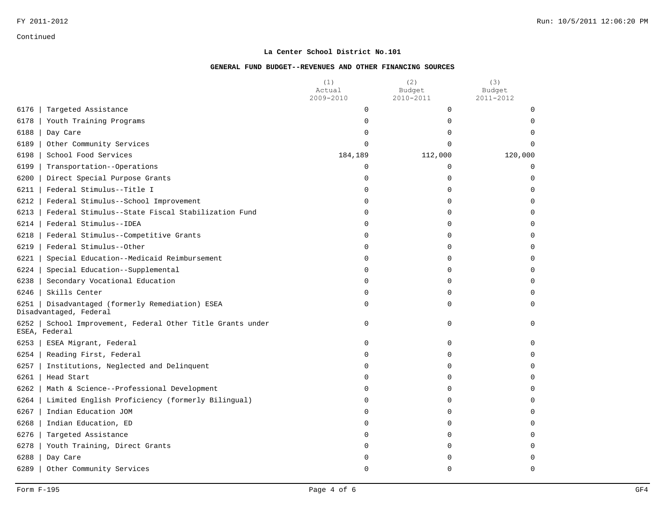#### **La Center School District No.101**

|                                                                               | (1)<br>Actual<br>2009-2010 | (2)<br>Budget<br>2010-2011 | (3)<br>Budget<br>2011-2012 |
|-------------------------------------------------------------------------------|----------------------------|----------------------------|----------------------------|
| Targeted Assistance<br>6176                                                   | 0                          | 0                          | 0                          |
| 6178<br>Youth Training Programs                                               | 0                          | $\Omega$                   | $\Omega$                   |
| 6188<br>Day Care                                                              | $\Omega$                   | $\Omega$                   | $\Omega$                   |
| 6189<br>Other Community Services                                              | 0                          | $\Omega$                   | $\Omega$                   |
| 6198<br>School Food Services                                                  | 184,189                    | 112,000                    | 120,000                    |
| 6199<br>Transportation--Operations                                            | 0                          | $\Omega$                   | $\Omega$                   |
| 6200<br>Direct Special Purpose Grants                                         | 0                          | 0                          | 0                          |
| 6211<br>Federal Stimulus--Title I                                             | 0                          | $\Omega$                   | $\Omega$                   |
| 6212<br>Federal Stimulus--School Improvement                                  | $\Omega$                   | $\Omega$                   | $\Omega$                   |
| 6213<br>Federal Stimulus--State Fiscal Stabilization Fund                     | 0                          | $\Omega$                   | $\mathbf 0$                |
| Federal Stimulus--IDEA<br>6214                                                | 0                          | $\Omega$                   | $\Omega$                   |
| 6218<br>Federal Stimulus--Competitive Grants                                  | 0                          | $\Omega$                   | $\Omega$                   |
| 6219<br>Federal Stimulus--Other                                               | 0                          | 0                          | $\mathbf 0$                |
| Special Education--Medicaid Reimbursement<br>6221                             | 0                          | $\Omega$                   | $\Omega$                   |
| 6224<br>Special Education--Supplemental                                       | 0                          | $\Omega$                   | $\Omega$                   |
| Secondary Vocational Education<br>6238                                        | 0                          | 0                          | $\mathbf 0$                |
| 6246<br>Skills Center                                                         | 0                          | $\Omega$                   | $\Omega$                   |
| Disadvantaged (formerly Remediation) ESEA<br>6251<br>Disadvantaged, Federal   | 0                          | 0                          | $\Omega$                   |
| 6252<br>School Improvement, Federal Other Title Grants under<br>ESEA, Federal | 0                          | $\Omega$                   | $\Omega$                   |
| 6253<br>ESEA Migrant, Federal                                                 | 0                          | 0                          | $\mathbf 0$                |
| Reading First, Federal<br>6254                                                | $\Omega$                   | $\Omega$                   | $\Omega$                   |
| 6257<br>Institutions, Neglected and Delinquent                                | 0                          | $\Omega$                   | $\Omega$                   |
| 6261<br>Head Start                                                            | 0                          | 0                          | $\mathbf 0$                |
| Math & Science--Professional Development<br>6262                              | 0                          | 0                          | 0                          |
| 6264<br>Limited English Proficiency (formerly Bilingual)                      | 0                          | $\Omega$                   | $\Omega$                   |
| 6267<br>Indian Education JOM                                                  | 0                          | 0                          | $\Omega$                   |
| Indian Education, ED<br>6268                                                  | 0                          | $\Omega$                   | $\Omega$                   |
| 6276<br>Targeted Assistance                                                   | 0                          | $\Omega$                   | $\Omega$                   |
| 6278<br>Youth Training, Direct Grants                                         | 0                          | $\Omega$                   | $\Omega$                   |
| 6288<br>Day Care                                                              | 0                          | U                          | 0                          |
| 6289<br>Other Community Services                                              | $\Omega$                   | $\Omega$                   | $\Omega$                   |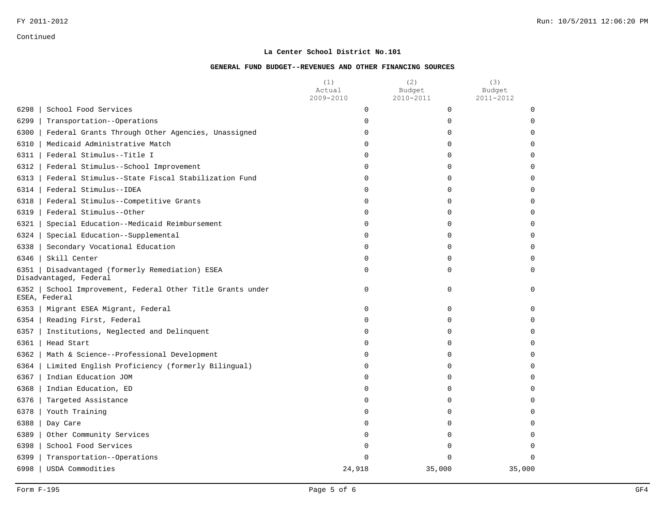#### **La Center School District No.101**

|        |                                                                            | (1)<br>Actual<br>2009-2010 | (2)<br>Budget<br>2010-2011 | (3)<br>Budget<br>2011-2012 |
|--------|----------------------------------------------------------------------------|----------------------------|----------------------------|----------------------------|
| $6298$ | School Food Services                                                       | 0                          | $\mathbf 0$                | 0                          |
| 6299   | Transportation--Operations                                                 | 0                          | 0                          | $\Omega$                   |
| 6300   | Federal Grants Through Other Agencies, Unassigned                          | 0                          | $\Omega$                   | $\Omega$                   |
| 6310   | Medicaid Administrative Match                                              | $\Omega$                   | $\Omega$                   | $\Omega$                   |
| 6311   | Federal Stimulus--Title I                                                  | 0                          | 0                          | $\Omega$                   |
| 6312   | Federal Stimulus--School Improvement                                       | 0                          | $\mathbf 0$                | 0                          |
| 6313   | Federal Stimulus--State Fiscal Stabilization Fund                          | $\Omega$                   | $\Omega$                   | $\Omega$                   |
| 6314   | Federal Stimulus--IDEA                                                     | 0                          | $\mathbf 0$                | $\Omega$                   |
| 6318   | Federal Stimulus--Competitive Grants                                       | 0                          | 0                          | $\Omega$                   |
| 6319   | Federal Stimulus--Other                                                    | 0                          | 0                          | $\Omega$                   |
| 6321   | Special Education--Medicaid Reimbursement                                  | $\Omega$                   | $\Omega$                   | $\Omega$                   |
| 6324   | Special Education--Supplemental                                            | 0                          | $\Omega$                   | $\Omega$                   |
| 6338   | Secondary Vocational Education                                             | 0                          | $\mathbf 0$                | $\Omega$                   |
| 6346   | Skill Center                                                               | 0                          | $\mathbf 0$                | $\Omega$                   |
| 6351   | Disadvantaged (formerly Remediation) ESEA<br>Disadvantaged, Federal        | 0                          | $\Omega$                   | $\Omega$                   |
|        | 6352 School Improvement, Federal Other Title Grants under<br>ESEA, Federal | 0                          | $\mathbf 0$                | $\Omega$                   |
| $6353$ | Migrant ESEA Migrant, Federal                                              | 0                          | $\Omega$                   | $\Omega$                   |
| 6354   | Reading First, Federal                                                     | 0                          | $\Omega$                   | $\Omega$                   |
| 6357   | Institutions, Neglected and Delinquent                                     | 0                          | $\mathbf 0$                | $\Omega$                   |
|        | $6361$   Head Start                                                        | 0                          | $\mathbf 0$                | $\Omega$                   |
| 6362   | Math & Science--Professional Development                                   | $\Omega$                   | $\Omega$                   | $\Omega$                   |
| 6364   | Limited English Proficiency (formerly Bilingual)                           | $\Omega$                   | $\Omega$                   | $\Omega$                   |
| 6367   | Indian Education JOM                                                       | 0                          | 0                          | $\Omega$                   |
| 6368   | Indian Education, ED                                                       | 0                          | $\mathbf 0$                | 0                          |
| 6376   | Targeted Assistance                                                        | $\Omega$                   | $\Omega$                   | $\Omega$                   |
| 6378   | Youth Training                                                             | 0                          | $\Omega$                   | $\Omega$                   |
| 6388   | Day Care                                                                   | 0                          | $\Omega$                   | $\Omega$                   |
| 6389   | Other Community Services                                                   | 0                          | 0                          | $\Omega$                   |
| 6398   | School Food Services                                                       | $\Omega$                   | $\Omega$                   | $\Omega$                   |
| 6399   | Transportation--Operations                                                 | U                          | $\Omega$                   | $\Omega$                   |
| 6998   | USDA Commodities                                                           | 24,918                     | 35,000                     | 35,000                     |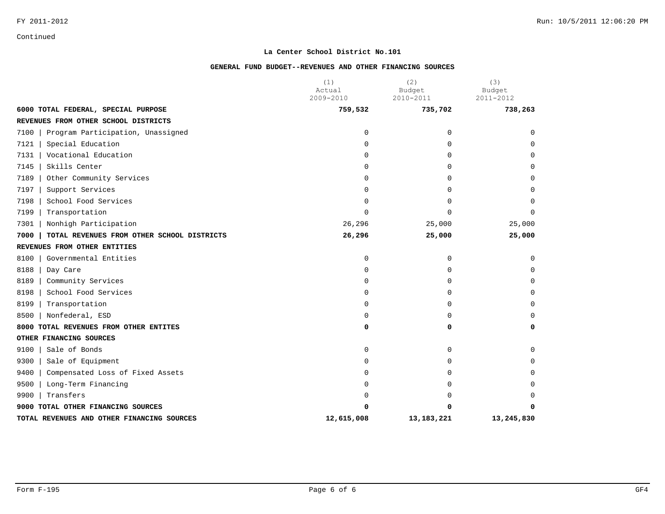#### **La Center School District No.101**

|                                                    | (1)<br>Actual | (2)<br>Budget | (3)<br>Budget |
|----------------------------------------------------|---------------|---------------|---------------|
|                                                    | 2009-2010     | 2010-2011     | 2011-2012     |
| 6000 TOTAL FEDERAL, SPECIAL PURPOSE                | 759,532       | 735,702       | 738,263       |
| REVENUES FROM OTHER SCHOOL DISTRICTS               |               |               |               |
| 7100<br>Program Participation, Unassigned          | 0             | $\Omega$      | $\Omega$      |
| 7121<br>Special Education                          | $\Omega$      | $\Omega$      | $\Omega$      |
| Vocational Education<br>7131                       | $\mathbf 0$   | 0             | $\Omega$      |
| 7145<br>Skills Center                              | $\Omega$      | $\Omega$      | $\Omega$      |
| 7189<br>Other Community Services                   | 0             | 0             | $\Omega$      |
| 7197<br>Support Services                           | $\Omega$      | 0             | $\Omega$      |
| School Food Services<br>7198                       | $\Omega$      | $\Omega$      | $\Omega$      |
| 7199<br>Transportation                             | 0             | $\Omega$      | $\Omega$      |
| 7301<br>Nonhigh Participation                      | 26,296        | 25,000        | 25,000        |
| 7000<br>TOTAL REVENUES FROM OTHER SCHOOL DISTRICTS | 26,296        | 25,000        | 25,000        |
| REVENUES FROM OTHER ENTITIES                       |               |               |               |
| 8100<br>Governmental Entities                      | 0             | 0             | 0             |
| 8188<br>Day Care                                   | $\mathbf 0$   | 0             | $\Omega$      |
| 8189<br>Community Services                         | 0             | $\Omega$      | 0             |
| School Food Services<br>8198                       | 0             | $\Omega$      | 0             |
| 8199<br>Transportation                             | 0             | 0             | $\Omega$      |
| 8500<br>Nonfederal, ESD                            | $\mathbf 0$   | 0             | $\Omega$      |
| TOTAL REVENUES FROM OTHER ENTITES<br>8000          | 0             | 0             | 0             |
| OTHER FINANCING SOURCES                            |               |               |               |
| 9100<br>Sale of Bonds                              | 0             | 0             | 0             |
| 9300<br>Sale of Equipment                          | 0             | $\Omega$      | $\Omega$      |
| 9400<br>Compensated Loss of Fixed Assets           | 0             | 0             | 0             |
| 9500<br>Long-Term Financing                        | $\Omega$      | <sup>0</sup>  | $\Omega$      |
| Transfers<br>9900                                  | 0             | <sup>0</sup>  | $\Omega$      |
| 9000 TOTAL OTHER FINANCING SOURCES                 | ი             | 0             | 0             |
| TOTAL REVENUES AND OTHER FINANCING SOURCES         | 12,615,008    | 13, 183, 221  | 13,245,830    |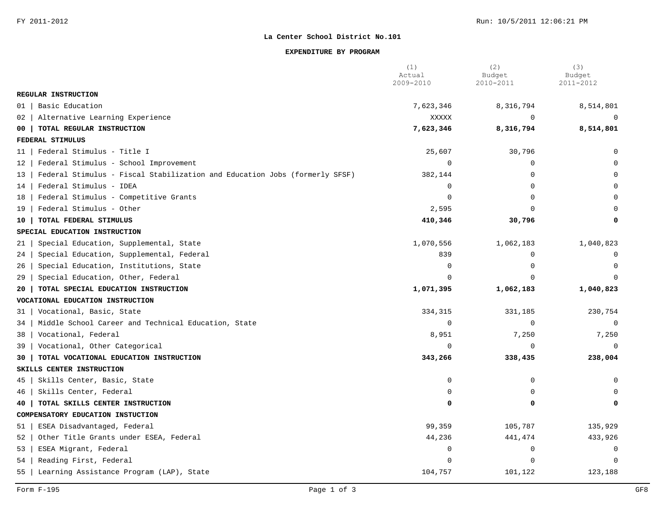#### **EXPENDITURE BY PROGRAM**

|                                                                                  | (1)<br>Actual<br>2009-2010 | (2)<br>Budget<br>2010-2011 | (3)<br>Budget<br>2011-2012 |
|----------------------------------------------------------------------------------|----------------------------|----------------------------|----------------------------|
| REGULAR INSTRUCTION                                                              |                            |                            |                            |
| Basic Education<br>01                                                            | 7,623,346                  | 8,316,794                  | 8,514,801                  |
| Alternative Learning Experience<br>02                                            | XXXXX                      | $\Omega$                   | $\Omega$                   |
| TOTAL REGULAR INSTRUCTION<br>00                                                  | 7,623,346                  | 8,316,794                  | 8,514,801                  |
| FEDERAL STIMULUS                                                                 |                            |                            |                            |
| Federal Stimulus - Title I<br>11                                                 | 25,607                     | 30,796                     | $\Omega$                   |
| Federal Stimulus - School Improvement<br>12                                      | $\overline{0}$             | $\Omega$                   | $\cap$                     |
| Federal Stimulus - Fiscal Stabilization and Education Jobs (formerly SFSF)<br>13 | 382,144                    | $\Omega$                   |                            |
| Federal Stimulus - IDEA<br>14                                                    | $\overline{0}$             | $\Omega$                   |                            |
| Federal Stimulus - Competitive Grants<br>18                                      | $\overline{0}$             |                            |                            |
| Federal Stimulus - Other<br>19                                                   | 2,595                      | $\cap$                     |                            |
| TOTAL FEDERAL STIMULUS<br>10                                                     | 410,346                    | 30,796                     |                            |
| SPECIAL EDUCATION INSTRUCTION                                                    |                            |                            |                            |
| Special Education, Supplemental, State<br>21                                     | 1,070,556                  | 1,062,183                  | 1,040,823                  |
| Special Education, Supplemental, Federal<br>24                                   | 839                        | $\Omega$                   | $\mathbf 0$                |
| Special Education, Institutions, State<br>26                                     | $\overline{0}$             | $\Omega$                   | $\Omega$                   |
| Special Education, Other, Federal<br>29                                          | $\Omega$                   | $\cap$                     | $\mathbf 0$                |
| TOTAL SPECIAL EDUCATION INSTRUCTION<br>20                                        | 1,071,395                  | 1,062,183                  | 1,040,823                  |
| VOCATIONAL EDUCATION INSTRUCTION                                                 |                            |                            |                            |
| Vocational, Basic, State<br>31                                                   | 334,315                    | 331,185                    | 230,754                    |
| Middle School Career and Technical Education, State<br>34                        | $\overline{0}$             | $\mathbf 0$                | $\Omega$                   |
| Vocational, Federal<br>38                                                        | 8,951                      | 7,250                      | 7,250                      |
| Vocational, Other Categorical<br>39                                              | $\overline{0}$             | $\Omega$                   | $\Omega$                   |
| TOTAL VOCATIONAL EDUCATION INSTRUCTION<br>30                                     | 343,266                    | 338,435                    | 238,004                    |
| SKILLS CENTER INSTRUCTION                                                        |                            |                            |                            |
| Skills Center, Basic, State<br>45                                                | $\mathbf 0$                | $\mathbf 0$                | $\mathbf 0$                |
| Skills Center, Federal<br>46                                                     | $\overline{0}$             | $\mathbf 0$                |                            |
| TOTAL SKILLS CENTER INSTRUCTION<br>40                                            | $\Omega$                   | 0                          |                            |
| COMPENSATORY EDUCATION INSTUCTION                                                |                            |                            |                            |
| ESEA Disadvantaged, Federal<br>51                                                | 99,359                     | 105,787                    | 135,929                    |
| Other Title Grants under ESEA, Federal<br>52                                     | 44,236                     | 441,474                    | 433,926                    |
| 53<br>ESEA Migrant, Federal                                                      | $\overline{0}$             | $\mathbf 0$                | 0                          |
| Reading First, Federal<br>54                                                     | $\Omega$                   | $\Omega$                   | $\Omega$                   |
| 55<br>Learning Assistance Program (LAP), State                                   | 104,757                    | 101,122                    | 123,188                    |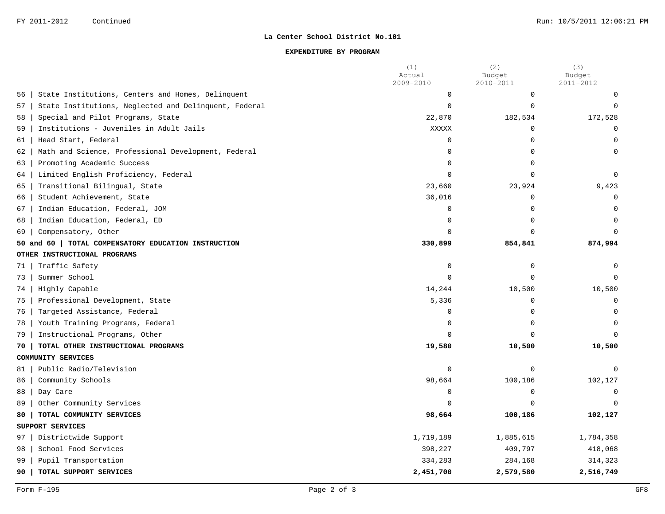#### **EXPENDITURE BY PROGRAM**

|    |                                                       | (1)<br>Actual | (2)<br>Budget | (3)<br>Budget |
|----|-------------------------------------------------------|---------------|---------------|---------------|
|    |                                                       | 2009-2010     | 2010-2011     | 2011-2012     |
| 56 | State Institutions, Centers and Homes, Delinquent     | $\mathsf 0$   | $\mathbf 0$   | 0             |
| 57 | State Institutions, Neglected and Delinquent, Federal | $\Omega$      | $\Omega$      | $\Omega$      |
| 58 | Special and Pilot Programs, State                     | 22,870        | 182,534       | 172,528       |
| 59 | Institutions - Juveniles in Adult Jails               | XXXXX         | $\mathbf 0$   | $\mathbf 0$   |
| 61 | Head Start, Federal                                   | $\mathbf 0$   | $\Omega$      | $\mathbf 0$   |
| 62 | Math and Science, Professional Development, Federal   | $\Omega$      | $\Omega$      | 0             |
| 63 | Promoting Academic Success                            | $\Omega$      | $\Omega$      |               |
| 64 | Limited English Proficiency, Federal                  | $\Omega$      | $\Omega$      | $\mathbf 0$   |
| 65 | Transitional Bilingual, State                         | 23,660        | 23,924        | 9,423         |
| 66 | Student Achievement, State                            | 36,016        | 0             | $\Omega$      |
| 67 | Indian Education, Federal, JOM                        | $\mathbf 0$   | $\mathbf 0$   | $\mathbf 0$   |
| 68 | Indian Education, Federal, ED                         | $\mathbf 0$   | $\Omega$      | $\Omega$      |
| 69 | Compensatory, Other                                   | $\Omega$      | $\cap$        | $\Omega$      |
|    | 50 and 60<br>TOTAL COMPENSATORY EDUCATION INSTRUCTION | 330,899       | 854,841       | 874,994       |
|    | OTHER INSTRUCTIONAL PROGRAMS                          |               |               |               |
| 71 | Traffic Safety                                        | $\mathbf 0$   | 0             | $\Omega$      |
| 73 | Summer School                                         | $\Omega$      | $\cap$        | $\Omega$      |
| 74 | Highly Capable                                        | 14,244        | 10,500        | 10,500        |
| 75 | Professional Development, State                       | 5,336         | $\mathbf 0$   | $\mathbf 0$   |
| 76 | Targeted Assistance, Federal                          | $\mathbf 0$   | $\Omega$      | $\Omega$      |
| 78 | Youth Training Programs, Federal                      | $\Omega$      | $\cap$        | $\Omega$      |
| 79 | Instructional Programs, Other                         | $\Omega$      | $\cap$        | $\Omega$      |
| 70 | TOTAL OTHER INSTRUCTIONAL PROGRAMS                    | 19,580        | 10,500        | 10,500        |
|    | COMMUNITY SERVICES                                    |               |               |               |
| 81 | Public Radio/Television                               | $\mathbf 0$   | $\mathbf 0$   | $\Omega$      |
| 86 | Community Schools                                     | 98,664        | 100,186       | 102,127       |
| 88 | Day Care                                              | $\mathbf 0$   | $\Omega$      | $\Omega$      |
| 89 | Other Community Services                              | $\Omega$      | $\Omega$      |               |
| 80 | TOTAL COMMUNITY SERVICES                              | 98,664        | 100,186       | 102,127       |
|    | SUPPORT SERVICES                                      |               |               |               |
| 97 | Districtwide Support                                  | 1,719,189     | 1,885,615     | 1,784,358     |
| 98 | School Food Services                                  | 398,227       | 409,797       | 418,068       |
| 99 | Pupil Transportation                                  | 334,283       | 284,168       | 314,323       |
| 90 | TOTAL SUPPORT SERVICES                                | 2,451,700     | 2,579,580     | 2,516,749     |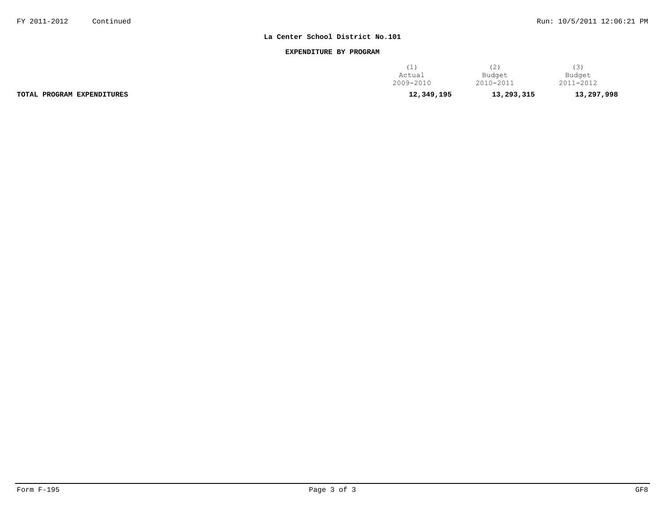#### **EXPENDITURE BY PROGRAM**

|                            | (1)        | ے          |            |
|----------------------------|------------|------------|------------|
|                            | Actual     | Budget     | Budget     |
|                            | 2009-2010  | 2010-2011  | 2011-2012  |
| TOTAL PROGRAM EXPENDITURES | 12,349,195 | 13,293,315 | 13,297,998 |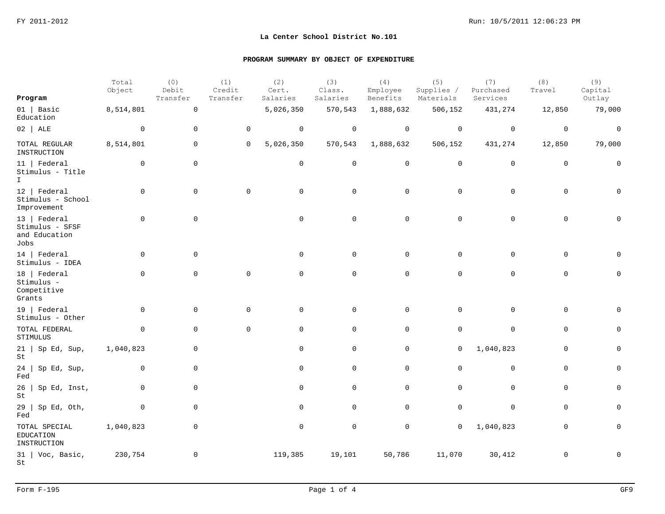|                                                          | Total<br>Object | (0)<br>Debit<br>Transfer | (1)<br>Credit<br>Transfer | (2)<br>Cert.<br>Salaries | (3)<br>Class.<br>Salaries | (4)<br>Employee<br>Benefits | (5)<br>Supplies /<br>Materials | (7)<br>Purchased<br>Services | (8)<br>Travel | (9)<br>Capital<br>Outlay |
|----------------------------------------------------------|-----------------|--------------------------|---------------------------|--------------------------|---------------------------|-----------------------------|--------------------------------|------------------------------|---------------|--------------------------|
| Program                                                  |                 |                          |                           |                          |                           |                             |                                |                              |               |                          |
| $01$   Basic<br>Education                                | 8,514,801       | $\mathsf{O}\xspace$      |                           | 5,026,350                | 570,543                   | 1,888,632                   | 506,152                        | 431,274                      | 12,850        | 79,000                   |
| $02$ ALE                                                 | $\mathbf 0$     | $\mathsf{O}\xspace$      | $\mathsf{O}$              | $\mathsf{O}$             | $\mathbf 0$               | $\mathsf{O}$                | $\mathsf{O}$                   | $\mathsf 0$                  | $\mathbf 0$   | $\mathsf{O}$             |
| TOTAL REGULAR<br>INSTRUCTION                             | 8,514,801       | $\mathsf{O}$             | 0                         | 5,026,350                | 570,543                   | 1,888,632                   | 506,152                        | 431,274                      | 12,850        | 79,000                   |
| $11$   Federal<br>Stimulus - Title<br>$\mathbf{I}$       | $\mathbf 0$     | $\mathsf 0$              |                           | $\mathsf{O}$             | $\mathbf 0$               | $\mathsf{O}$                | $\mathsf{O}\xspace$            | $\mathsf{O}\xspace$          | $\mathbf 0$   | $\mathsf{O}\xspace$      |
| 12   Federal<br>Stimulus - School<br>Improvement         | $\mathbf 0$     | $\mathbf 0$              | $\mathbf 0$               | 0                        | 0                         | $\mathbf 0$                 | 0                              | 0                            | $\mathbf 0$   | $\mathbf 0$              |
| 13   Federal<br>Stimulus - SFSF<br>and Education<br>Jobs | $\mathbf 0$     | $\mathsf 0$              |                           | $\mathsf{O}$             | $\mathbf 0$               | 0                           | $\mathbf 0$                    | $\mathbf 0$                  | $\mathbf 0$   | $\Omega$                 |
| 14   Federal<br>Stimulus - IDEA                          | 0               | 0                        |                           | 0                        | 0                         | 0                           | 0                              | 0                            | $\mathbf 0$   | $\Omega$                 |
| 18   Federal<br>Stimulus -<br>Competitive<br>Grants      | $\mathbf 0$     | $\mathsf 0$              | $\mathbf 0$               | $\mathsf{O}$             | 0                         | 0                           | 0                              | 0                            | $\mathbf 0$   | 0                        |
| 19   Federal<br>Stimulus - Other                         | 0               | $\mathbf 0$              | 0                         | 0                        | 0                         | 0                           | $\mathbf 0$                    | $\mathbf 0$                  | $\mathbf 0$   | $\Omega$                 |
| TOTAL FEDERAL<br>STIMULUS                                | 0               | $\mathbf 0$              | 0                         | 0                        | 0                         | 0                           | $\mathbf 0$                    | $\mathbf 0$                  | 0             | 0                        |
| $21$   Sp Ed, Sup,<br>$\operatorname{\mathsf{St}}$       | 1,040,823       | $\mathbf 0$              |                           | 0                        | 0                         | $\mathsf{O}$                | $\mathbf 0$                    | 1,040,823                    | 0             | 0                        |
| 24<br>Sp Ed, Sup,<br>Fed                                 | 0               | $\mathsf{O}$             |                           | 0                        | 0                         | 0                           | 0                              | $\mathsf{O}\xspace$          | 0             | 0                        |
| 26<br>Sp Ed, Inst,<br>St                                 | 0               | $\mathbf 0$              |                           | 0                        | 0                         | 0                           | 0                              | $\mathbf 0$                  | $\mathbf 0$   | 0                        |
| 29<br>Sp Ed, Oth,<br>Fed                                 | $\mathbf 0$     | $\mathbf 0$              |                           | 0                        | $\mathbf 0$               | 0                           | 0                              | 0                            | 0             | 0                        |
| TOTAL SPECIAL<br>EDUCATION<br>INSTRUCTION                | 1,040,823       | 0                        |                           | 0                        | $\mathbf 0$               | 0                           | 0                              | 1,040,823                    | 0             | 0                        |
| $31$   Voc, Basic,<br>St                                 | 230,754         | $\mathbf 0$              |                           | 119,385                  | 19,101                    | 50,786                      | 11,070                         | 30,412                       | $\mathbf 0$   | 0                        |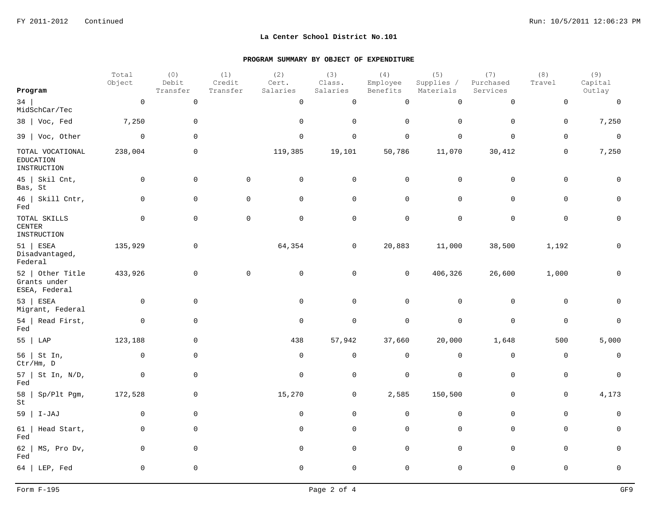|                                                     | Total<br>Object | (0)<br>Debit | (1)<br>Credit | (2)<br>Cert. | (3)<br>Class. | (4)<br>Employee     | (5)<br>Supplies / | (7)<br>Purchased    | (8)<br>Travel  | (9)<br>Capital      |
|-----------------------------------------------------|-----------------|--------------|---------------|--------------|---------------|---------------------|-------------------|---------------------|----------------|---------------------|
| Program                                             |                 | Transfer     | Transfer      | Salaries     | Salaries      | Benefits            | Materials         | Services            |                | Outlay              |
| 34<br>MidSchCar/Tec                                 | $\mathbf 0$     | $\mathsf 0$  |               | $\mathsf{O}$ | $\mathsf 0$   | $\mathsf{O}\xspace$ | $\mathsf 0$       | $\mathsf{O}\xspace$ | $\mathbf 0$    | $\mathbf 0$         |
| 38   Voc, Fed                                       | 7,250           | $\mathbf 0$  |               | $\mathbf 0$  | $\mathbf 0$   | $\mathbf 0$         | $\mathbf 0$       | $\mathbf 0$         | $\mathbf 0$    | 7,250               |
| 39   Voc, Other                                     | $\overline{0}$  | $\mathbf 0$  |               | $\mathbf 0$  | $\mathbf 0$   | $\mathbf 0$         | $\mathbf 0$       | $\mathbf 0$         | $\mathbf 0$    | $\mathbb O$         |
| TOTAL VOCATIONAL<br><b>EDUCATION</b><br>INSTRUCTION | 238,004         | 0            |               | 119,385      | 19,101        | 50,786              | 11,070            | 30,412              | 0              | 7,250               |
| $45$   Skil Cnt,<br>Bas, St                         | 0               | $\mathbf 0$  | 0             | $\mathbf 0$  | $\mathbf 0$   | $\mathbf 0$         | $\mathbf 0$       | 0                   | $\overline{0}$ | $\mathbf 0$         |
| 46   Skill Cntr,<br>Fed                             | $\mathsf{O}$    | $\mathbf 0$  | $\mathbf 0$   | $\mathbf 0$  | $\mathbf 0$   | $\mathsf{O}$        | $\mathsf 0$       | $\mathbf 0$         | $\mathbf 0$    | $\mathsf{O}$        |
| TOTAL SKILLS<br>$\sf CENTER$<br>INSTRUCTION         | $\mathbf 0$     | $\mathbf 0$  | $\mathbf 0$   | $\mathbf 0$  | $\mathbf 0$   | $\mathbf 0$         | $\mathsf 0$       | $\mathbf 0$         | $\mathbf 0$    | $\mathsf{O}\xspace$ |
| $51$ ESEA<br>Disadvantaged,<br>Federal              | 135,929         | 0            |               | 64,354       | 0             | 20,883              | 11,000            | 38,500              | 1,192          | $\mathbf 0$         |
| 52   Other Title<br>Grants under<br>ESEA, Federal   | 433,926         | $\mathbf 0$  | $\mathbf 0$   | $\mathbf 0$  | 0             | $\mathsf{O}$        | 406,326           | 26,600              | 1,000          | $\mathbf 0$         |
| 53   ESEA<br>Migrant, Federal                       | $\overline{0}$  | $\mathbf 0$  |               | $\mathsf 0$  | $\mathbf 0$   | $\mathsf{O}$        | $\mathsf 0$       | $\mathsf{O}$        | $\mathbf 0$    | $\mathbf 0$         |
| 54   Read First,<br>Fed                             | 0               | 0            |               | $\mathbf 0$  | 0             | $\mathsf 0$         | $\mathsf 0$       | $\mathbf 0$         | $\overline{0}$ | $\mathbf 0$         |
| 55   LAP                                            | 123,188         | $\mathbf 0$  |               | 438          | 57,942        | 37,660              | 20,000            | 1,648               | 500            | 5,000               |
| 56   St In,<br>Ctr/Hm, D                            | 0               | $\mathsf{O}$ |               | $\mathbf 0$  | $\mathbf 0$   | $\mathbf 0$         | $\mathbf 0$       | $\mathsf{O}$        | 0              | 0                   |
| 57   St In, N/D,<br>Fed                             | 0               | 0            |               | $\mathbf 0$  | $\mathbf 0$   | $\mathsf 0$         | 0                 | $\mathbf 0$         | $\mathbf 0$    | $\mathsf 0$         |
| $58$   Sp/Plt Pgm,<br>St                            | 172,528         | $\mathsf{O}$ |               | 15,270       | $\mathsf{O}$  | 2,585               | 150,500           | $\mathsf{O}$        | $\mathsf 0$    | 4,173               |
| $59$   I-JAJ                                        | $\mathbf 0$     | $\mathbf 0$  |               | $\mathbf 0$  | $\mathbf 0$   | $\mathsf{O}$        | $\mathbf 0$       | $\mathbf 0$         | $\mathbf 0$    | $\mathbf 0$         |
| Head Start,<br>61  <br>Fed                          | 0               | 0            |               | $\mathbf 0$  | 0             | $\mathsf{O}$        | $\mathsf 0$       | $\mathbf 0$         | $\mathsf 0$    | $\mathbf 0$         |
| 62  <br>MS, Pro Dv,<br>Fed                          | 0               | $\mathbf 0$  |               | $\mathbf 0$  | $\mathbf 0$   | $\mathsf{O}$        | $\mathsf 0$       | $\mathbf 0$         | $\mathbf 0$    | $\mathbf 0$         |
| $64$   LEP, Fed                                     | $\mathsf{O}$    | $\mathbf 0$  |               | $\mathbf 0$  | $\mathbf 0$   | $\mathsf 0$         | $\mathsf 0$       | $\mathsf 0$         | $\mathbf 0$    | $\mathbf 0$         |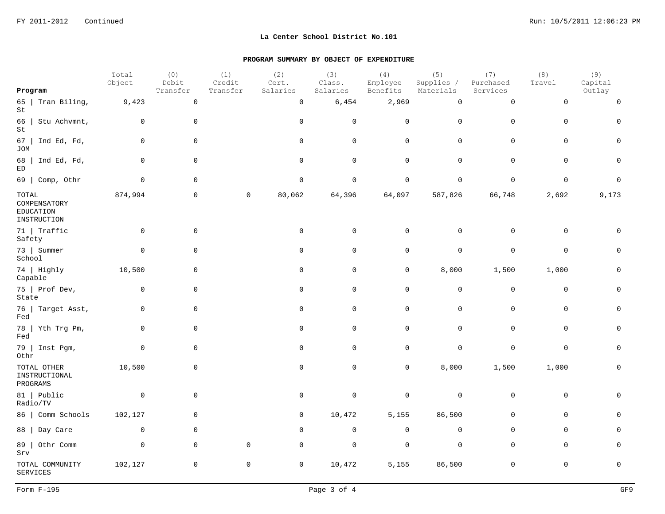|                                                   | Total<br>Object | (0)<br>Debit        | (1)<br>Credit | (2)<br>Cert.        | (3)<br>Class.     | (4)<br>Employee | (5)<br>Supplies /   | (7)<br>Purchased    | (8)<br>Travel | (9)<br>Capital |
|---------------------------------------------------|-----------------|---------------------|---------------|---------------------|-------------------|-----------------|---------------------|---------------------|---------------|----------------|
| Program                                           |                 | Transfer            | Transfer      | Salaries            | Salaries          | Benefits        | Materials           | Services            |               | Outlay         |
| 65   Tran Biling,<br>St                           | 9,423           | $\mathsf 0$         |               | $\mathsf{O}\xspace$ | $\,$ 6 , 454 $\,$ | 2,969           | $\mathsf{O}\xspace$ | $\mathsf{O}\xspace$ | $\mathbf 0$   | $\mathbf 0$    |
| 66<br>Stu Achvmnt,<br>St                          | $\mathbf 0$     | $\mathbf 0$         |               | $\mathbf 0$         | $\mathbf 0$       | $\mathbf 0$     | $\mathbf 0$         | $\mathbf 0$         | $\mathbf 0$   | $\mathbf 0$    |
| 67<br>Ind Ed, Fd,<br><b>JOM</b>                   | $\mathbf 0$     | $\mathsf{O}\xspace$ |               | $\mathsf{O}$        | $\mathsf 0$       | $\mathsf{O}$    | $\mathbf 0$         | $\mathsf{O}\xspace$ | $\mathbf 0$   | $\mathbf 0$    |
| Ind Ed, Fd,<br>68<br>$\mathop{\rm ED}\nolimits$   | $\mathbf 0$     | $\mathbf 0$         |               | $\mathbf 0$         | $\mathbf 0$       | $\mathbf 0$     | $\mathbf 0$         | $\mathbf 0$         | $\mathbf 0$   | $\mathbf 0$    |
| $69$   Comp, Othr                                 | $\mathbf 0$     | $\mathsf{O}$        |               | $\mathsf 0$         | $\mathbf 0$       | $\mathsf 0$     | $\mathbf 0$         | $\mathbf 0$         | $\mathsf 0$   | $\Omega$       |
| TOTAL<br>COMPENSATORY<br>EDUCATION<br>INSTRUCTION | 874,994         | $\mathbf 0$         | $\mathbf 0$   | 80,062              | 64,396            | 64,097          | 587,826             | 66,748              | 2,692         | 9,173          |
| 71   Traffic<br>Safety                            | $\mathbf 0$     | $\mathbf 0$         |               | $\mathbf 0$         | $\mathbf 0$       | $\mathbf 0$     | $\mathbf 0$         | $\mathbf 0$         | $\mathbf 0$   | $\Omega$       |
| 73   Summer<br>School                             | $\mathbf 0$     | $\mathbf 0$         |               | 0                   | $\mathbf 0$       | $\mathbf 0$     | $\mathbf 0$         | $\mathbf 0$         | $\mathbf 0$   | $\mathbf 0$    |
| 74   Highly<br>Capable                            | 10,500          | $\mathsf{O}\xspace$ |               | $\mathsf{O}$        | $\mathbf 0$       | $\mathsf{O}$    | 8,000               | 1,500               | 1,000         | $\Omega$       |
| 75   Prof Dev,<br>State                           | 0               | $\mathbf 0$         |               | 0                   | $\mathbf 0$       | $\mathbf 0$     | $\mathbf 0$         | $\mathbf 0$         | $\mathbf 0$   | $\mathbf 0$    |
| 76   Target Asst,<br>Fed                          | $\mathbf 0$     | $\mathbf 0$         |               | $\mathbf 0$         | $\mathbf 0$       | $\mathsf{O}$    | $\mathbf 0$         | $\mathsf{O}\xspace$ | $\mathbf 0$   | $\Omega$       |
| 78   Yth Trg Pm,<br>Fed                           | $\mathbf 0$     | $\mathsf{O}\xspace$ |               | $\mathsf{O}$        | $\mathbf 0$       | $\mathbf 0$     | $\mathbf 0$         | $\mathbf 0$         | $\mathbf 0$   | $\mathbf 0$    |
| 79   Inst Pgm,<br>Othr                            | $\mathbf 0$     | 0                   |               | $\mathbf 0$         | $\overline{0}$    | $\mathbf 0$     | $\mathbf 0$         | $\mathbf 0$         | $\mathbf 0$   | $\Omega$       |
| TOTAL OTHER<br>INSTRUCTIONAL<br>PROGRAMS          | 10,500          | $\mathbf 0$         |               | $\mathbf 0$         | $\mathbf 0$       | $\mathsf{O}$    | 8,000               | 1,500               | 1,000         | $\mathbf 0$    |
| 81   Public<br>Radio/TV                           | $\mathbf 0$     | $\mathbf 0$         |               | $\mathbf 0$         | $\mathbf 0$       | $\mathbf 0$     | $\mathbf 0$         | $\mathsf{O}\xspace$ | $\mathbf 0$   | $\Omega$       |
| 86   Comm Schools                                 | 102,127         | $\mathsf{O}$        |               | $\mathbf 0$         | 10,472            | 5,155           | 86,500              | $\mathbf 0$         | $\mathbf 0$   | 0              |
| 88  <br>Day Care                                  | $\mathbf 0$     | $\mathbf 0$         |               | $\mathbf 0$         | $\mathbf 0$       | $\mathbf 0$     | $\mathbf 0$         | $\mathbf 0$         | $\mathbf 0$   | $\Omega$       |
| Othr Comm<br>89  <br>Srv                          | $\mathbf 0$     | $\mathbf 0$         | $\mathbf 0$   | $\mathbf 0$         | $\mathbf 0$       | $\mathbf 0$     | $\mathbf 0$         | $\mathbf 0$         | $\mathbf 0$   | $\cap$         |
| TOTAL COMMUNITY<br><b>SERVICES</b>                | 102,127         | $\mathsf{O}$        | 0             | $\mathbf 0$         | 10,472            | 5,155           | 86,500              | $\mathbf 0$         | $\mathbf 0$   | $\Omega$       |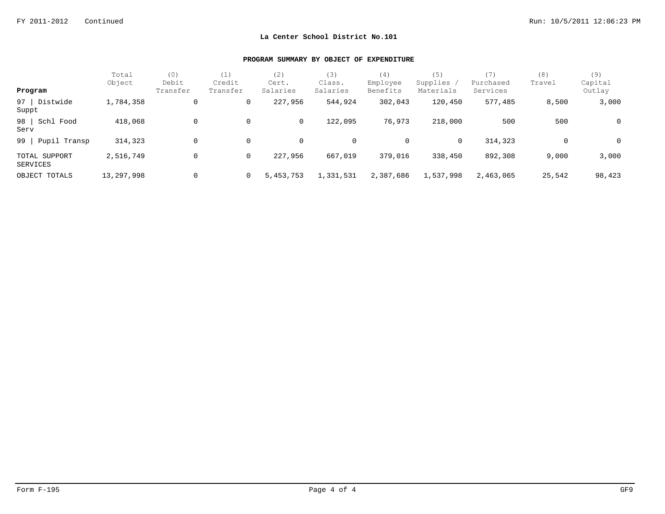| Program                   | Total<br>Object | (0)<br>Debit<br>Transfer | (1)<br>Credit<br>Transfer | (2)<br>Cert.<br>Salaries | (3)<br>Class.<br>Salaries | (4)<br>Employee<br>Benefits | (5)<br>Supplies /<br>Materials | (7)<br>Purchased<br>Services | (8)<br>Travel | (9)<br>Capital<br>Outlay |
|---------------------------|-----------------|--------------------------|---------------------------|--------------------------|---------------------------|-----------------------------|--------------------------------|------------------------------|---------------|--------------------------|
|                           |                 |                          |                           |                          |                           |                             |                                |                              |               |                          |
| Distwide<br>97  <br>Suppt | 1,784,358       | 0                        | 0                         | 227,956                  | 544,924                   | 302,043                     | 120,450                        | 577,485                      | 8,500         | 3,000                    |
| 98 Schl Food<br>Serv      | 418,068         | 0                        | 0                         | 0                        | 122,095                   | 76,973                      | 218,000                        | 500                          | 500           | $\mathbf 0$              |
| 99  <br>Pupil Transp      | 314,323         | 0                        | 0                         | 0                        | 0                         | 0                           | $\mathbf{0}$                   | 314,323                      | 0             | 0                        |
| TOTAL SUPPORT<br>SERVICES | 2,516,749       | 0                        | 0                         | 227,956                  | 667,019                   | 379,016                     | 338,450                        | 892,308                      | 9,000         | 3,000                    |
| OBJECT TOTALS             | 13,297,998      | 0                        | $\mathbf{0}$              | 5,453,753                | 1,331,531                 | 2,387,686                   | 1,537,998                      | 2,463,065                    | 25,542        | 98,423                   |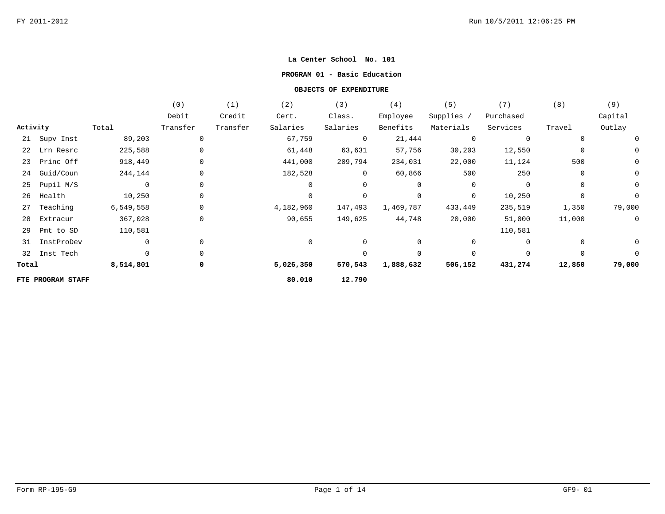#### **PROGRAM 01 - Basic Education**

|          |                   |             | (0)         | (1)      | (2)         | (3)            | (4)            | (5)            | (7)         | (8)            | (9)            |
|----------|-------------------|-------------|-------------|----------|-------------|----------------|----------------|----------------|-------------|----------------|----------------|
|          |                   |             | Debit       | Credit   | Cert.       | Class.         | Employee       | Supplies /     | Purchased   |                | Capital        |
| Activity |                   | Total       | Transfer    | Transfer | Salaries    | Salaries       | Benefits       | Materials      | Services    | Travel         | Outlay         |
|          | 21 Supv Inst      | 89,203      | 0           |          | 67,759      | $\overline{0}$ | 21,444         | $\overline{0}$ | $\mathbf 0$ |                | $\overline{0}$ |
| 22       | Lrn Resrc         | 225,588     | $\Omega$    |          | 61,448      | 63,631         | 57,756         | 30,203         | 12,550      | $\mathbf 0$    | $\overline{0}$ |
| 23       | Princ Off         | 918,449     | $\mathbf 0$ |          | 441,000     | 209,794        | 234,031        | 22,000         | 11,124      | 500            | $\mathsf{O}$   |
| 24       | Guid/Coun         | 244,144     |             |          | 182,528     | $\overline{0}$ | 60,866         | 500            | 250         | $\mathbf 0$    | $\mathsf{O}$   |
| 25       | Pupil M/S         | $\mathbf 0$ | $\Omega$    |          | $\Omega$    | $\Omega$       | $\overline{0}$ | $\overline{0}$ | $\Omega$    | $\Omega$       | $\mathsf{O}$   |
| 26       | Health            | 10,250      | $\mathbf 0$ |          | $\mathbf 0$ | $\mathbf 0$    | 0              | 0              | 10,250      | $\overline{0}$ | $\mathbf 0$    |
| 27       | Teaching          | 6,549,558   | 0           |          | 4,182,960   | 147,493        | 1,469,787      | 433,449        | 235,519     | 1,350          | 79,000         |
| 28       | Extracur          | 367,028     | 0           |          | 90,655      | 149,625        | 44,748         | 20,000         | 51,000      | 11,000         | $\overline{0}$ |
| 29       | Pmt to SD         | 110,581     |             |          |             |                |                |                | 110,581     |                |                |
| 31       | InstProDev        | $\mathbf 0$ | 0           |          | 0           | 0              | 0              | 0              | 0           |                | $\overline{0}$ |
| 32       | Inst Tech         | $\Omega$    | $\Omega$    |          |             | $\Omega$       | 0              | $\Omega$       | $\Omega$    | $\Omega$       | $\Omega$       |
| Total    |                   | 8,514,801   | 0           |          | 5,026,350   | 570,543        | 1,888,632      | 506,152        | 431,274     | 12,850         | 79,000         |
|          | FTE PROGRAM STAFF |             |             |          | 80.010      | 12.790         |                |                |             |                |                |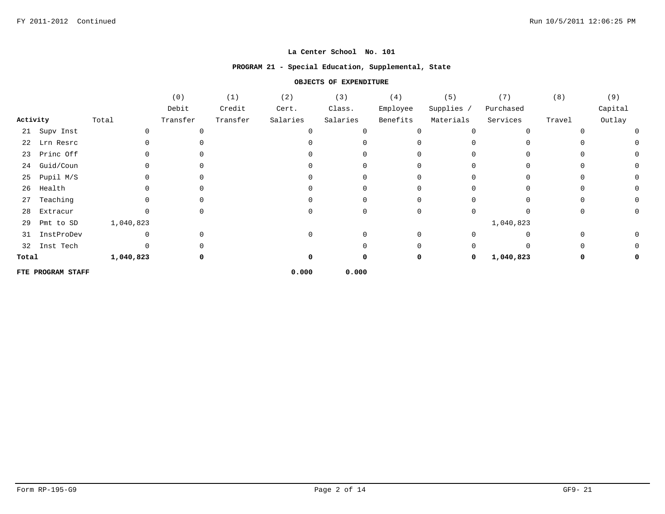## **PROGRAM 21 - Special Education, Supplemental, State**

|          |                   |           | (0)      | (1)      | (2)      | (3)      | (4)      | (5)          | (7)       | (8)          | (9)     |
|----------|-------------------|-----------|----------|----------|----------|----------|----------|--------------|-----------|--------------|---------|
|          |                   |           | Debit    | Credit   | Cert.    | Class.   | Employee | Supplies /   | Purchased |              | Capital |
| Activity |                   | Total     | Transfer | Transfer | Salaries | Salaries | Benefits | Materials    | Services  | Travel       | Outlay  |
|          | 21 Supv Inst      |           |          |          |          |          | 0        | 0            | $\Omega$  |              | 0       |
| 22       | Lrn Resrc         |           |          |          |          |          | 0        | U            | U         |              |         |
|          | 23 Princ Off      |           |          |          |          |          | U        |              |           |              | 0       |
| 24       | Guid/Coun         |           |          |          |          |          | 0        |              | 0         | 0            | 0       |
| 25       | Pupil M/S         |           |          |          |          |          | $\Omega$ | <sup>0</sup> | $\Omega$  | <sup>0</sup> | 0       |
| 26       | Health            |           |          |          |          |          | 0        |              | U         | U            | 0       |
| 27       | Teaching          |           |          |          |          |          | 0        |              | 0         |              | 0       |
| 28       | Extracur          |           |          |          |          |          | 0        | U            | U         | 0            | 0       |
| 29       | Pmt to SD         | 1,040,823 |          |          |          |          |          |              | 1,040,823 |              |         |
| 31       | InstProDev        |           |          |          |          |          | $\Omega$ |              | 0         |              | 0       |
|          | 32 Inst Tech      |           |          |          |          |          | $\Omega$ |              | O         |              | 0       |
| Total    |                   | 1,040,823 |          |          |          |          | 0        | $\mathbf 0$  | 1,040,823 | 0            | 0       |
|          | FTE PROGRAM STAFF |           |          |          | 0.000    | 0.000    |          |              |           |              |         |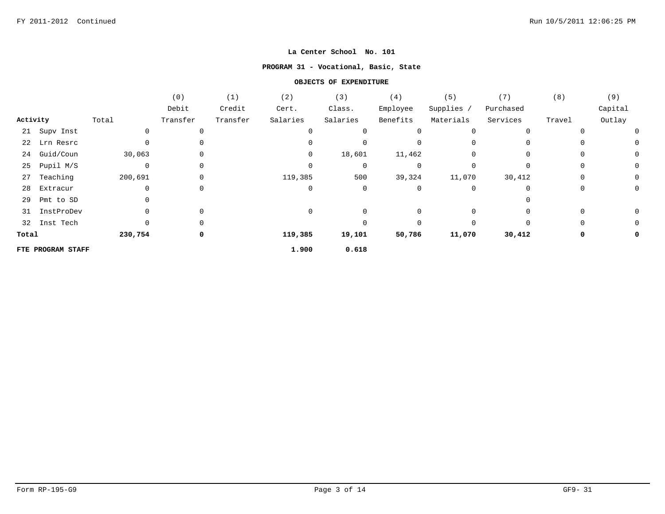# **PROGRAM 31 - Vocational, Basic, State**

|          |                   |             | (0)         | (1)      | (2)      | (3)      | (4)      | (5)        | (7)       | (8)         | (9)     |
|----------|-------------------|-------------|-------------|----------|----------|----------|----------|------------|-----------|-------------|---------|
|          |                   |             | Debit       | Credit   | Cert.    | Class.   | Employee | Supplies / | Purchased |             | Capital |
| Activity |                   | Total       | Transfer    | Transfer | Salaries | Salaries | Benefits | Materials  | Services  | Travel      | Outlay  |
|          | 21 Supv Inst      |             | 0           |          |          |          | 0        | $\Omega$   | $\Omega$  |             |         |
|          | 22 Lrn Resrc      |             | 0           |          |          |          |          |            |           |             |         |
|          | 24 Guid/Coun      | 30,063      | $\mathbf 0$ |          | $\Omega$ | 18,601   | 11,462   |            | $\Omega$  | $\Omega$    | 0       |
| 25       | Pupil M/S         | $\mathbf 0$ | 0           |          | 0        | 0        | 0        |            | 0         | 0           | 0       |
| 27       | Teaching          | 200,691     | 0           |          | 119,385  | 500      | 39,324   | 11,070     | 30,412    | $\Omega$    |         |
| 28       | Extracur          |             | 0           |          | $\Omega$ | 0        | 0        | $\Omega$   | 0         | 0           | 0       |
| 29       | Pmt to SD         |             |             |          |          |          |          |            |           |             |         |
| 31       | InstProDev        |             | 0           |          |          |          | $\Omega$ | $\Omega$   |           | 0           | 0       |
|          | 32 Inst Tech      |             | 0           |          |          |          | $\Omega$ | $\Omega$   | $\Omega$  | $\mathbf 0$ |         |
| Total    |                   | 230,754     | 0           |          | 119,385  | 19,101   | 50,786   | 11,070     | 30,412    | 0           |         |
|          | FTE PROGRAM STAFF |             |             |          | 1.900    | 0.618    |          |            |           |             |         |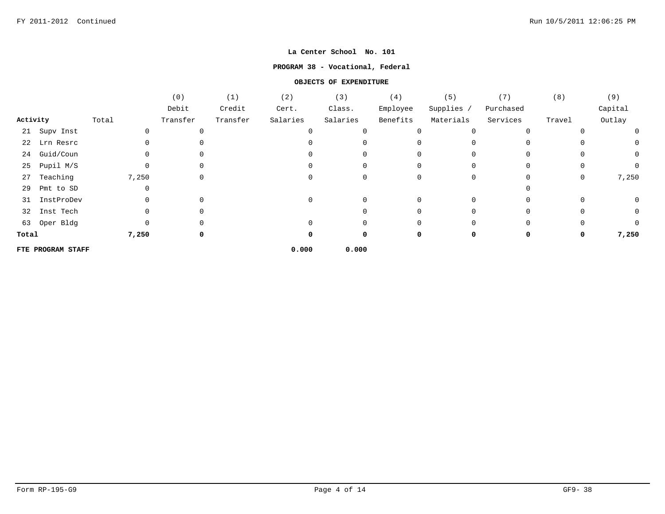## **PROGRAM 38 - Vocational, Federal**

|          |                   |          | (0)      | (1)      | (2)      | (3)      | (4)          | (5)        | (7)       | (8)      | (9)          |
|----------|-------------------|----------|----------|----------|----------|----------|--------------|------------|-----------|----------|--------------|
|          |                   |          | Debit    | Credit   | Cert.    | Class.   | Employee     | Supplies / | Purchased |          | Capital      |
| Activity |                   | Total    | Transfer | Transfer | Salaries | Salaries | Benefits     | Materials  | Services  | Travel   | Outlay       |
| 21       | Supv Inst         | $\Omega$ |          |          |          |          |              | $\Omega$   |           |          | 0            |
|          | 22 Lrn Resrc      |          |          |          |          |          |              |            |           |          | 0            |
| 24       | Guid/Coun         |          |          |          |          |          |              |            |           |          | $\mathsf{O}$ |
| 25       | Pupil M/S         | $\Omega$ |          |          |          |          | <sup>0</sup> |            | $\Omega$  | $\Omega$ | $\mathbf 0$  |
| 27       | Teaching          | 7,250    |          |          |          |          |              |            |           | 0        | 7,250        |
| 29       | Pmt to SD         |          |          |          |          |          |              |            |           |          |              |
| 31       | InstProDev        |          |          |          |          |          |              |            |           |          | $\mathsf{O}$ |
| 32       | Inst Tech         |          |          |          |          |          |              |            |           |          | 0            |
|          | 63 Oper Bldg      |          |          |          |          |          |              |            | $\Omega$  | 0        | $\Omega$     |
| Total    |                   | 7,250    |          |          |          |          | 0            |            | $\Omega$  | 0        | 7,250        |
|          | FTE PROGRAM STAFF |          |          |          | 0.000    | 0.000    |              |            |           |          |              |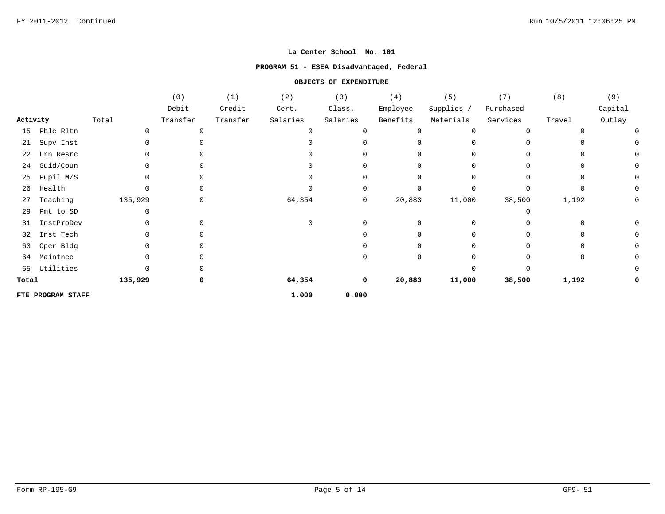# **PROGRAM 51 - ESEA Disadvantaged, Federal**

|          |                   |         | (0)      | (1)      | (2)      | (3)      | (4)      | (5)        | (7)          | (8)      | (9)     |
|----------|-------------------|---------|----------|----------|----------|----------|----------|------------|--------------|----------|---------|
|          |                   |         | Debit    | Credit   | Cert.    | Class.   | Employee | Supplies / | Purchased    |          | Capital |
| Activity |                   | Total   | Transfer | Transfer | Salaries | Salaries | Benefits | Materials  | Services     | Travel   | Outlay  |
| 15       | Pblc Rltn         |         |          |          | $\Omega$ |          | 0        | 0          | $\Omega$     |          |         |
| 21       | Supv Inst         | 0       |          |          | ∩        |          | $\Omega$ |            | <sup>n</sup> | $\Omega$ |         |
| 22       | Lrn Resrc         |         |          |          | ∩        |          | $\Omega$ |            | <sup>n</sup> | 0        |         |
| 24       | Guid/Coun         |         |          |          |          |          | 0        |            |              | $\Omega$ |         |
| 25       | Pupil M/S         |         | $\Omega$ |          | ∩        |          | 0        |            | $\Omega$     | $\Omega$ |         |
| 26       | Health            |         |          |          | U        |          | 0        | $\Omega$   | $\Omega$     | $\Omega$ |         |
| 27       | Teaching          | 135,929 | 0        |          | 64,354   | 0        | 20,883   | 11,000     | 38,500       | 1,192    | 0       |
| 29       | Pmt to SD         |         |          |          |          |          |          |            |              |          |         |
| 31       | InstProDev        |         |          |          | $\Omega$ |          | 0        |            |              | 0        |         |
| 32       | Inst Tech         |         |          |          |          |          | 0        |            |              | 0        |         |
| 63       | Oper Bldg         |         |          |          |          |          | 0        |            |              | $\Omega$ |         |
| 64       | Maintnce          |         |          |          |          |          | 0        |            |              | $\Omega$ |         |
| 65       | Utilities         |         |          |          |          |          |          |            |              |          |         |
| Total    |                   | 135,929 | 0        |          | 64,354   | 0        | 20,883   | 11,000     | 38,500       | 1,192    |         |
|          | FTE PROGRAM STAFF |         |          |          | 1.000    | 0.000    |          |            |              |          |         |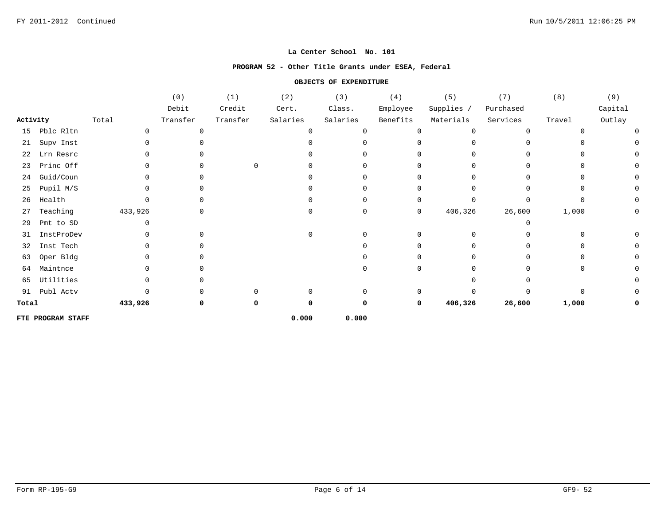#### **PROGRAM 52 - Other Title Grants under ESEA, Federal**

|          |                   |         | (0)      | (1)      | (2)      | (3)      | $(\;4\;)$    | $(\,5\,)$    | (7)       | (8)      | $(9)$   |
|----------|-------------------|---------|----------|----------|----------|----------|--------------|--------------|-----------|----------|---------|
|          |                   |         | Debit    | Credit   | Cert.    | Class.   | Employee     | Supplies /   | Purchased |          | Capital |
| Activity |                   | Total   | Transfer | Transfer | Salaries | Salaries | Benefits     | Materials    | Services  | Travel   | Outlay  |
| 15       | Pblc Rltn         |         | $\cap$   |          | $\Omega$ |          | $\Omega$     | <sup>0</sup> | $\Omega$  | n        |         |
| 21       | Supv Inst         |         |          |          |          |          |              |              |           |          |         |
| 22       | Lrn Resrc         |         |          |          |          |          |              |              |           |          |         |
| 23       | Princ Off         |         |          | $\Omega$ |          |          |              |              |           |          |         |
| 24       | Guid/Coun         |         |          |          |          |          |              |              |           |          |         |
| 25       | Pupil M/S         |         |          |          |          |          |              |              |           |          |         |
| 26       | Health            |         |          |          |          |          | $\Omega$     |              |           |          |         |
| 27       | Teaching          | 433,926 | $\Omega$ |          | $\Omega$ |          | 0            | 406,326      | 26,600    | 1,000    |         |
| 29       | Pmt to SD         |         |          |          |          |          |              |              | ∩         |          |         |
| 31       | InstProDev        |         |          |          | $\Omega$ |          |              |              |           | O        |         |
| 32       | Inst Tech         |         |          |          |          |          |              |              |           |          |         |
| 63       | Oper Bldg         |         |          |          |          |          |              |              |           |          |         |
| 64       | Maintnce          |         |          |          |          |          | <sup>0</sup> |              |           | $\Omega$ |         |
| 65       | Utilities         |         |          |          |          |          |              |              |           |          |         |
| 91       | Publ Actv         |         |          |          | $\cap$   |          | $\Omega$     |              |           | $\Omega$ |         |
| Total    |                   | 433,926 | ŋ        | 0        | O        |          | 0            | 406,326      | 26,600    | 1,000    |         |
|          | FTE PROGRAM STAFF |         |          |          | 0.000    | 0.000    |              |              |           |          |         |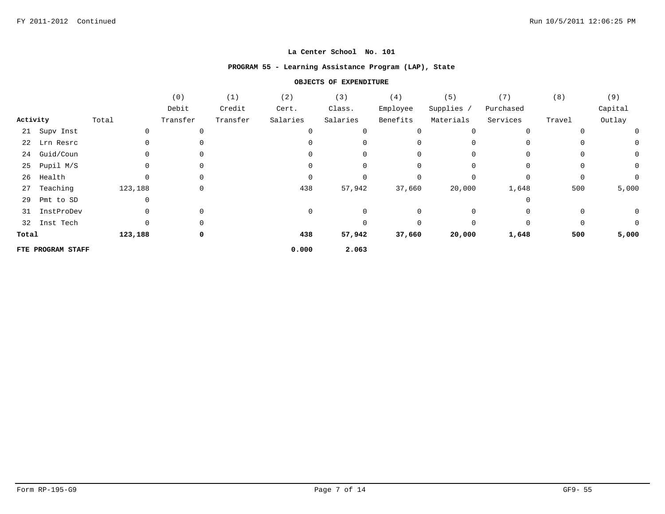# **PROGRAM 55 - Learning Assistance Program (LAP), State**

|          |                   |         | (0)          | (1)      | (2)      | (3)      | (4)      | (5)        | (7)       | (8)         | (9)          |
|----------|-------------------|---------|--------------|----------|----------|----------|----------|------------|-----------|-------------|--------------|
|          |                   |         | Debit        | Credit   | Cert.    | Class.   | Employee | Supplies / | Purchased |             | Capital      |
| Activity |                   | Total   | Transfer     | Transfer | Salaries | Salaries | Benefits | Materials  | Services  | Travel      | Outlay       |
|          | 21 Supv Inst      |         |              |          |          |          |          | $\Omega$   | $\Omega$  |             | 0            |
|          | 22 Lrn Resrc      |         |              |          |          |          |          |            | $\Omega$  |             | 0            |
| 24       | Guid/Coun         |         |              |          |          | $\Omega$ |          |            | $\Omega$  | $\Omega$    | $\mathsf{O}$ |
| 25       | Pupil M/S         |         |              |          |          |          |          |            |           |             | $\mathsf{O}$ |
| 26       | Health            |         |              |          |          |          |          |            |           | $\Omega$    | $\mathbf 0$  |
| 27       | Teaching          | 123,188 | 0            |          | 438      | 57,942   | 37,660   | 20,000     | 1,648     | 500         | 5,000        |
| 29       | Pmt to SD         |         |              |          |          |          |          |            |           |             |              |
| 31       | InstProDev        |         | 0            |          |          |          |          |            |           |             | 0            |
| 32       | Inst Tech         |         | <sup>0</sup> |          |          |          | $\Omega$ | $\Omega$   | $\Omega$  | $\mathbf 0$ | $\mathbf 0$  |
| Total    |                   | 123,188 | 0            |          | 438      | 57,942   | 37,660   | 20,000     | 1,648     | 500         | 5,000        |
|          | FTE PROGRAM STAFF |         |              |          | 0.000    | 2.063    |          |            |           |             |              |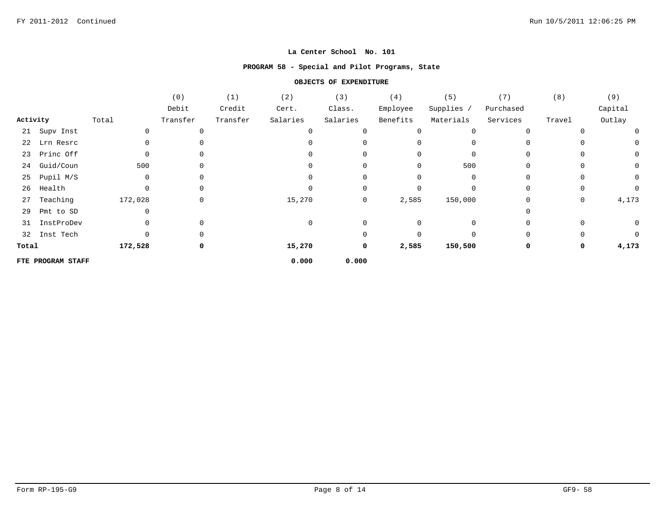## **PROGRAM 58 - Special and Pilot Programs, State**

|          |                   |         | (0)      | (1)      | (2)      | (3)            | (4)      | (5)        | (7)       | (8)    | (9)         |
|----------|-------------------|---------|----------|----------|----------|----------------|----------|------------|-----------|--------|-------------|
|          |                   |         | Debit    | Credit   | Cert.    | Class.         | Employee | Supplies / | Purchased |        | Capital     |
| Activity |                   | Total   | Transfer | Transfer | Salaries | Salaries       | Benefits | Materials  | Services  | Travel | Outlay      |
|          | 21 Supv Inst      |         |          |          |          |                |          |            |           |        | 0           |
| 22       | Lrn Resrc         |         |          |          |          |                |          |            |           |        | 0           |
|          | 23 Princ Off      | 0       |          |          |          |                |          |            |           |        | 0           |
| 24       | Guid/Coun         | 500     |          |          |          |                | 0        | 500        |           |        | 0           |
| 25       | Pupil M/S         |         |          |          |          |                |          |            |           |        | 0           |
| 26       | Health            |         | 0        |          |          |                |          |            |           |        | 0           |
| 27       | Teaching          | 172,028 | 0        |          | 15,270   | $\overline{0}$ | 2,585    | 150,000    |           | 0      | 4,173       |
| 29       | Pmt to SD         |         |          |          |          |                |          |            |           |        |             |
|          | 31 InstProDev     |         |          |          |          |                |          |            |           |        | $\mathbf 0$ |
|          | 32 Inst Tech      |         |          |          |          |                |          |            |           |        | 0           |
| Total    |                   | 172,528 | 0        |          | 15,270   | $\mathbf 0$    | 2,585    | 150,500    |           | 0      | 4,173       |
|          | FTE PROGRAM STAFF |         |          |          | 0.000    | 0.000          |          |            |           |        |             |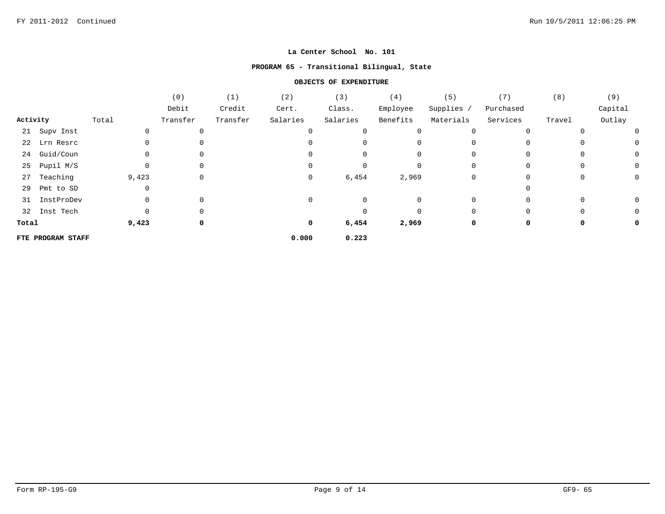## **PROGRAM 65 - Transitional Bilingual, State**

|          |                   |       | (0)      | (1)      | (2)      | (3)      | (4)      | (5)        | (7)       | (8)      | (9)     |
|----------|-------------------|-------|----------|----------|----------|----------|----------|------------|-----------|----------|---------|
|          |                   |       | Debit    | Credit   | Cert.    | Class.   | Employee | Supplies / | Purchased |          | Capital |
| Activity |                   | Total | Transfer | Transfer | Salaries | Salaries | Benefits | Materials  | Services  | Travel   | Outlay  |
|          | 21 Supv Inst      | 0     | 0        |          |          |          | 0        | 0          | 0         |          | 0       |
|          | 22 Lrn Resrc      | 0     | 0        |          |          |          | 0        |            | 0         |          | U       |
| 24       | Guid/Coun         | 0     | 0        |          |          | 0        | 0        |            | $\Omega$  | $\Omega$ | 0       |
| 25       | Pupil M/S         | 0     | 0        |          |          |          | 0        |            | $\Omega$  | 0        |         |
| 27       | Teaching          | 9,423 | 0        |          | 0        | 6,454    | 2,969    | 0          | $\Omega$  | 0        | 0       |
| 29       | Pmt to SD         | 0     |          |          |          |          |          |            |           |          |         |
|          | 31 InstProDev     | 0     | 0        |          | $\Omega$ | 0        | 0        | $\Omega$   | $\Omega$  | $\Omega$ |         |
|          | 32 Inst Tech      |       | 0        |          |          |          | 0        |            | 0         |          |         |
| Total    |                   | 9,423 | 0        |          | 0        | 6,454    | 2,969    | 0          | 0         | 0        | 0       |
|          | FTE PROGRAM STAFF |       |          |          | 0.000    | 0.223    |          |            |           |          |         |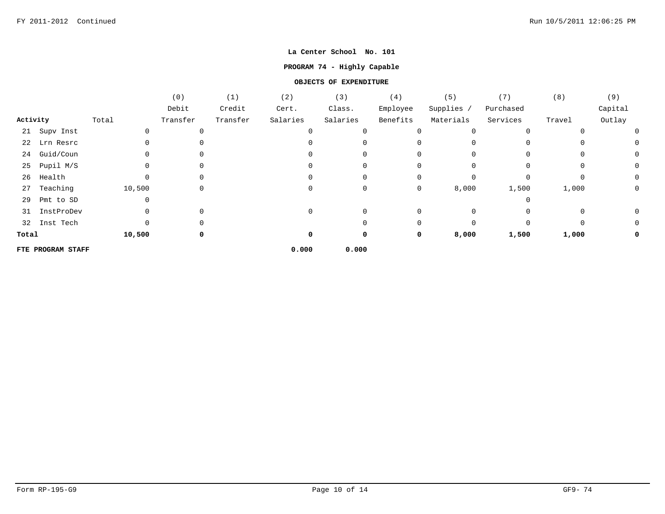## **PROGRAM 74 - Highly Capable**

|          |                   |        | (0)      | (1)      | (2)      | (3)      | (4)      | (5)          | (7)       | (8)      | (9)      |
|----------|-------------------|--------|----------|----------|----------|----------|----------|--------------|-----------|----------|----------|
|          |                   |        | Debit    | Credit   | Cert.    | Class.   | Employee | Supplies /   | Purchased |          | Capital  |
| Activity |                   | Total  | Transfer | Transfer | Salaries | Salaries | Benefits | Materials    | Services  | Travel   | Outlay   |
|          | 21 Supv Inst      |        | 0        |          |          |          | $\Omega$ |              | $\Omega$  |          | $\Omega$ |
|          | 22 Lrn Resrc      |        | 0        |          |          |          |          |              |           |          |          |
| 24       | Guid/Coun         |        | 0        |          |          |          | 0        | <sup>0</sup> | $\Omega$  | $\Omega$ | 0        |
| 25       | Pupil M/S         |        | 0        |          |          |          | 0        |              | 0         | 0        |          |
| 26       | Health            |        | 0        |          |          |          | 0        |              | $\Omega$  |          | 0        |
| 27       | Teaching          | 10,500 | 0        |          |          | 0        | 0        | 8,000        | 1,500     | 1,000    | 0        |
| 29       | Pmt to SD         |        |          |          |          |          |          |              |           |          |          |
| 31       | InstProDev        |        | 0        |          |          | 0        | 0        | $\Omega$     |           | 0        |          |
| 32       | Inst Tech         |        | 0        |          |          |          | 0        | U            | $\Omega$  | $\Omega$ |          |
| Total    |                   | 10,500 | 0        |          | 0        | 0        | 0        | 8,000        | 1,500     | 1,000    |          |
|          | FTE PROGRAM STAFF |        |          |          | 0.000    | 0.000    |          |              |           |          |          |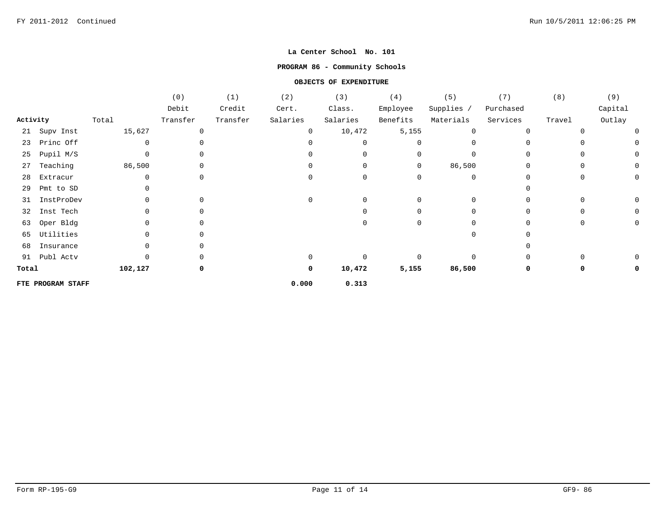#### **PROGRAM 86 - Community Schools**

|          |                   |         | (0)          | (1)      | (2)      | (3)          | (4)         | (5)        | (7)       | (8)    | (9)     |
|----------|-------------------|---------|--------------|----------|----------|--------------|-------------|------------|-----------|--------|---------|
|          |                   |         | Debit        | Credit   | Cert.    | Class.       | Employee    | Supplies / | Purchased |        | Capital |
| Activity |                   | Total   | Transfer     | Transfer | Salaries | Salaries     | Benefits    | Materials  | Services  | Travel | Outlay  |
|          | 21 Supv Inst      | 15,627  | $\mathbf 0$  |          | 0        | 10,472       | 5,155       | $\Omega$   | $\Omega$  |        |         |
| 23       | Princ Off         |         | $\Omega$     |          | U        | <sup>0</sup> | $\Omega$    |            |           |        | 0       |
| 25       | Pupil M/S         |         | 0            |          | U        | 0            | 0           |            |           |        | 0       |
| 27       | Teaching          | 86,500  | $\mathsf{O}$ |          | $\Omega$ | 0            | $\mathbf 0$ | 86,500     | $\Omega$  |        | U<br>0  |
| 28       | Extracur          |         | 0            |          | 0        | $\Omega$     | $\Omega$    | 0          |           |        | 0       |
| 29       | Pmt to SD         |         |              |          |          |              |             |            |           |        |         |
| 31       | InstProDev        |         | 0            |          | $\Omega$ |              |             |            |           |        | 0       |
| 32       | Inst Tech         |         | 0            |          |          |              | O           |            |           |        |         |
| 63       | Oper Bldg         |         | 0            |          |          | <sup>n</sup> | 0           |            |           |        |         |
| 65       | Utilities         |         | 0            |          |          |              |             |            |           |        |         |
| 68       | Insurance         |         | 0            |          |          |              |             |            |           |        |         |
|          | 91 Publ Actv      |         | O            |          | $\Omega$ |              | $\Omega$    |            |           |        |         |
| Total    |                   | 102,127 | $\mathbf 0$  |          | 0        | 10,472       | 5,155       | 86,500     | 0         |        | υ       |
|          | FTE PROGRAM STAFF |         |              |          | 0.000    | 0.313        |             |            |           |        |         |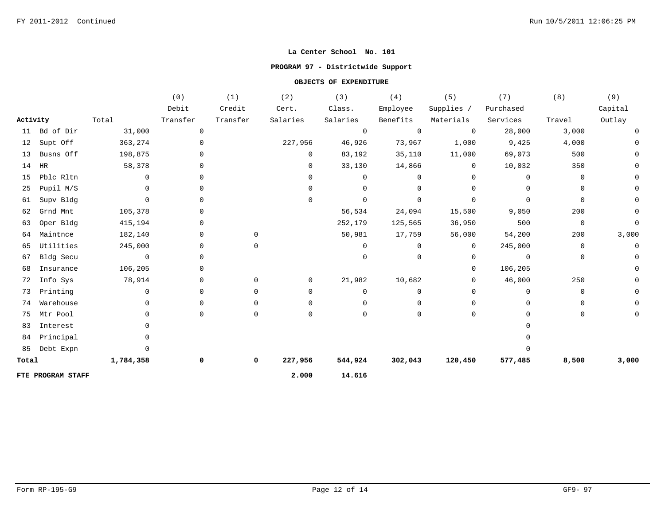## **PROGRAM 97 - Districtwide Support**

|          |                   |                | (0)            | (1)         | (2)            | (3)            | (4)            | (5)            | (7)            | (8)         | (9)      |
|----------|-------------------|----------------|----------------|-------------|----------------|----------------|----------------|----------------|----------------|-------------|----------|
|          |                   |                | Debit          | Credit      | Cert.          | Class.         | Employee       | Supplies /     | Purchased      |             | Capital  |
| Activity |                   | Total          | Transfer       | Transfer    | Salaries       | Salaries       | Benefits       | Materials      | Services       | Travel      | Outlay   |
| 11       | Bd of Dir         | 31,000         | $\mathsf{O}$   |             |                | $\mathbf 0$    | $\overline{0}$ | $\mathbf 0$    | 28,000         | 3,000       |          |
| 12       | Supt Off          | 363,274        | $\overline{0}$ |             | 227,956        | 46,926         | 73,967         | 1,000          | 9,425          | 4,000       |          |
| 13       | Busns Off         | 198,875        | 0              |             | $\mathbf 0$    | 83,192         | 35,110         | 11,000         | 69,073         | 500         |          |
| 14       | $\rm{HR}$         | 58,378         | 0              |             | $\mathbf 0$    | 33,130         | 14,866         | $\overline{0}$ | 10,032         | 350         |          |
| 15       | Pblc Rltn         | $\Omega$       | 0              |             | $\mathbf 0$    | $\Omega$       | $\mathbf 0$    | 0              | $\mathbf 0$    | $\mathbf 0$ |          |
| 25       | Pupil M/S         | $\Omega$       | 0              |             | 0              | $\overline{0}$ | 0              | 0              | $\mathbf 0$    | 0           |          |
| 61       | Supv Bldg         | $\mathbf{0}$   | 0              |             | $\Omega$       | $\mathbf 0$    | $\mathbf 0$    | 0              | $\mathbf 0$    | 0           |          |
| 62       | Grnd Mnt          | 105,378        | 0              |             |                | 56,534         | 24,094         | 15,500         | 9,050          | 200         |          |
| 63       | Oper Bldg         | 415,194        | 0              |             |                | 252,179        | 125,565        | 36,950         | 500            | $\mathbf 0$ | $\Omega$ |
| 64       | Maintnce          | 182,140        | 0              | $\mathbf 0$ |                | 50,981         | 17,759         | 56,000         | 54,200         | 200         | 3,000    |
| 65       | Utilities         | 245,000        | 0              | $\Omega$    |                | $\Omega$       | $\mathbf 0$    | $\overline{0}$ | 245,000        | $\mathbf 0$ | 0        |
| 67       | Bldg Secu         | $\overline{0}$ | 0              |             |                | $\Omega$       | $\mathbf 0$    | 0              | $\overline{0}$ | $\mathbf 0$ |          |
| 68       | Insurance         | 106,205        | 0              |             |                |                |                | 0              | 106,205        |             |          |
| 72       | Info Sys          | 78,914         | 0              | $\mathbf 0$ | $\overline{0}$ | 21,982         | 10,682         | $\mathbf{0}$   | 46,000         | 250         |          |
| 73       | Printing          | $\Omega$       | 0              | $\mathbf 0$ | $\mathbf{0}$   | $\Omega$       | $\mathbf 0$    | 0              | $\Omega$       | $\mathbf 0$ |          |
| 74       | Warehouse         | $\Omega$       | 0              | $\Omega$    | $\Omega$       | $\Omega$       | $\Omega$       | 0              | $\Omega$       | 0           |          |
| 75       | Mtr Pool          | 0              | 0              | 0           | $\mathbf 0$    | $\Omega$       | 0              | 0              | $\Omega$       | 0           |          |
| 83       | Interest          |                |                |             |                |                |                |                |                |             |          |
| 84       | Principal         |                |                |             |                |                |                |                |                |             |          |
| 85       | Debt Expn         |                |                |             |                |                |                |                |                |             |          |
| Total    |                   | 1,784,358      | 0              | $\mathbf 0$ | 227,956        | 544,924        | 302,043        | 120,450        | 577,485        | 8,500       | 3,000    |
|          | FTE PROGRAM STAFF |                |                |             | 2.000          | 14.616         |                |                |                |             |          |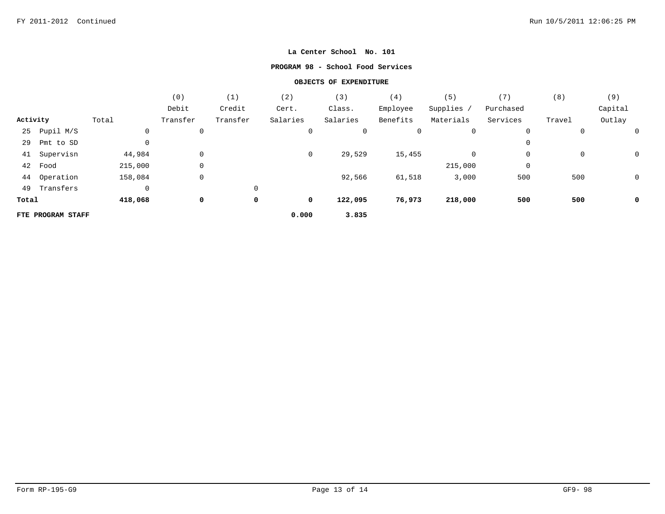#### **PROGRAM 98 - School Food Services**

|          |                   |             | (0)          | (1)      | (2)      | (3)      | (4)      | (5)        | (7)         | (8)    | (9)     |
|----------|-------------------|-------------|--------------|----------|----------|----------|----------|------------|-------------|--------|---------|
|          |                   |             | Debit        | Credit   | Cert.    | Class.   | Employee | Supplies / | Purchased   |        | Capital |
| Activity |                   | Total       | Transfer     | Transfer | Salaries | Salaries | Benefits | Materials  | Services    | Travel | Outlay  |
| 25       | Pupil M/S         | $\mathbf 0$ | 0            |          | 0        | 0        | 0        | 0          | $\mathbf 0$ | 0      |         |
| 29       | Pmt to SD         | $\mathbf 0$ |              |          |          |          |          |            | 0           |        |         |
| 41       | Supervisn         | 44,984      | $\mathbf 0$  |          | 0        | 29,529   | 15,455   | 0          | 0           | 0      | 0       |
| 42       | Food              | 215,000     | 0            |          |          |          |          | 215,000    | 0           |        |         |
| 44       | Operation         | 158,084     | $\mathsf{O}$ |          |          | 92,566   | 61,518   | 3,000      | 500         | 500    | 0       |
| 49       | Transfers         | $\mathbf 0$ |              | 0        |          |          |          |            |             |        |         |
| Total    |                   | 418,068     | 0            | 0        | 0        | 122,095  | 76,973   | 218,000    | 500         | 500    | 0       |
|          | FTE PROGRAM STAFF |             |              |          | 0.000    | 3.835    |          |            |             |        |         |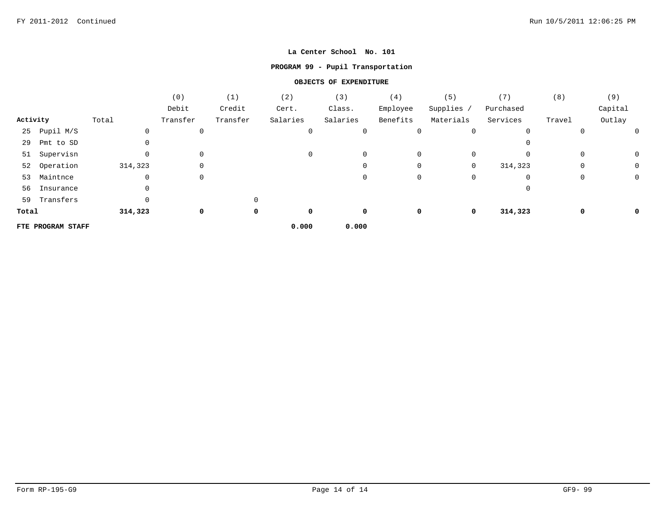## **PROGRAM 99 - Pupil Transportation**

|          |                   |         | (0)      | (1)      | (2)      | (3)      | (4)      | (5)        | (7)       | (8)    | (9)     |
|----------|-------------------|---------|----------|----------|----------|----------|----------|------------|-----------|--------|---------|
|          |                   |         | Debit    | Credit   | Cert.    | Class.   | Employee | Supplies / | Purchased |        | Capital |
| Activity |                   | Total   | Transfer | Transfer | Salaries | Salaries | Benefits | Materials  | Services  | Travel | Outlay  |
| 25       | Pupil M/S         | 0       | 0        |          | 0        | 0        | 0        | 0          | 0         | 0      |         |
| 29       | Pmt to SD         |         |          |          |          |          |          |            | 0         |        |         |
| 51       | Supervisn         | 0       | 0        |          | 0        | 0        | 0        | 0          | 0         | 0      | 0       |
| 52       | Operation         | 314,323 | 0        |          |          | 0        | 0        | 0          | 314,323   | 0      | 0       |
| 53       | Maintnce          | 0       | 0        |          |          | 0        | 0        | 0          | 0         | 0      | 0       |
| 56       | Insurance         |         |          |          |          |          |          |            | O         |        |         |
| 59       | Transfers         |         |          |          |          |          |          |            |           |        |         |
| Total    |                   | 314,323 | 0        | 0        | 0        | 0        | 0        | 0          | 314,323   | 0      | 0       |
|          | FTE PROGRAM STAFF |         |          |          | 0.000    | 0.000    |          |            |           |        |         |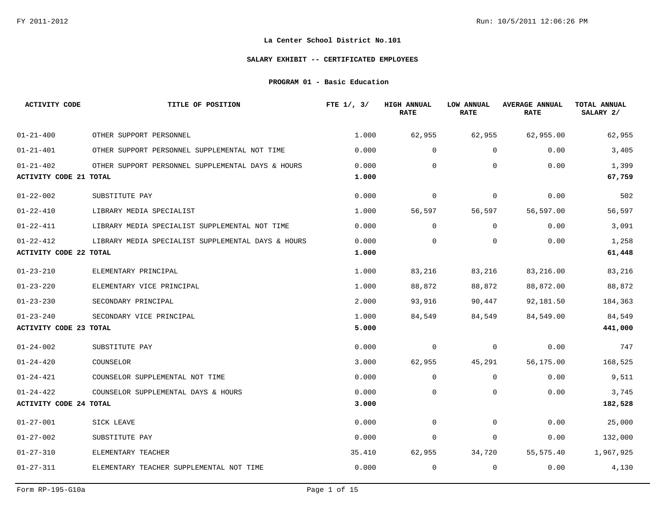#### **SALARY EXHIBIT -- CERTIFICATED EMPLOYEES**

**PROGRAM 01 - Basic Education**

| <b>ACTIVITY CODE</b>                             | TITLE OF POSITION                                  | FTE $1/$ , $3/$ | <b>HIGH ANNUAL</b><br><b>RATE</b> | LOW ANNUAL<br><b>RATE</b> | <b>AVERAGE ANNUAL</b><br><b>RATE</b> | TOTAL ANNUAL<br>SALARY 2/ |
|--------------------------------------------------|----------------------------------------------------|-----------------|-----------------------------------|---------------------------|--------------------------------------|---------------------------|
| $01 - 21 - 400$                                  | OTHER SUPPORT PERSONNEL                            | 1,000           | 62,955                            | 62,955                    | 62,955.00                            | 62,955                    |
| $01 - 21 - 401$                                  | OTHER SUPPORT PERSONNEL SUPPLEMENTAL NOT TIME      | 0.000           | $\mathbf 0$                       | $\mathbf 0$               | 0.00                                 | 3,405                     |
| $01 - 21 - 402$<br><b>ACTIVITY CODE 21 TOTAL</b> | OTHER SUPPORT PERSONNEL SUPPLEMENTAL DAYS & HOURS  | 0.000<br>1.000  | $\Omega$                          | $\Omega$                  | 0.00                                 | 1,399<br>67,759           |
| $01 - 22 - 002$                                  | SUBSTITUTE PAY                                     | 0.000           | $\mathbf 0$                       | $\mathbf 0$               | 0.00                                 | 502                       |
| $01 - 22 - 410$                                  | LIBRARY MEDIA SPECIALIST                           | 1.000           | 56,597                            | 56,597                    | 56,597.00                            | 56,597                    |
| $01 - 22 - 411$                                  | LIBRARY MEDIA SPECIALIST SUPPLEMENTAL NOT TIME     | 0.000           | $\Omega$                          | $\Omega$                  | 0.00                                 | 3,091                     |
| $01 - 22 - 412$<br><b>ACTIVITY CODE 22 TOTAL</b> | LIBRARY MEDIA SPECIALIST SUPPLEMENTAL DAYS & HOURS | 0.000<br>1.000  | $\mathbf 0$                       | $\mathbf 0$               | 0.00                                 | 1,258<br>61,448           |
| $01 - 23 - 210$                                  | ELEMENTARY PRINCIPAL                               | 1.000           | 83,216                            | 83,216                    | 83,216.00                            | 83,216                    |
| $01 - 23 - 220$                                  | ELEMENTARY VICE PRINCIPAL                          | 1,000           | 88,872                            | 88,872                    | 88,872.00                            | 88,872                    |
| $01 - 23 - 230$                                  | SECONDARY PRINCIPAL                                | 2.000           | 93,916                            | 90,447                    | 92,181.50                            | 184,363                   |
| $01 - 23 - 240$                                  | SECONDARY VICE PRINCIPAL                           | 1.000           | 84,549                            | 84,549                    | 84,549.00                            | 84,549                    |
| <b>ACTIVITY CODE 23 TOTAL</b>                    |                                                    | 5.000           |                                   |                           |                                      | 441,000                   |
| $01 - 24 - 002$                                  | SUBSTITUTE PAY                                     | 0.000           | 0                                 | 0                         | 0.00                                 | 747                       |
| $01 - 24 - 420$                                  | COUNSELOR                                          | 3.000           | 62,955                            | 45,291                    | 56,175.00                            | 168,525                   |
| $01 - 24 - 421$                                  | COUNSELOR SUPPLEMENTAL NOT TIME                    | 0.000           | $\mathbf 0$                       | 0                         | 0.00                                 | 9,511                     |
| $01 - 24 - 422$                                  | COUNSELOR SUPPLEMENTAL DAYS & HOURS                | 0.000           | $\mathbf 0$                       | $\mathbf 0$               | 0.00                                 | 3,745                     |
| <b>ACTIVITY CODE 24 TOTAL</b>                    |                                                    | 3.000           |                                   |                           |                                      | 182,528                   |
| $01 - 27 - 001$                                  | SICK LEAVE                                         | 0.000           | $\Omega$                          | $\Omega$                  | 0.00                                 | 25,000                    |
| $01 - 27 - 002$                                  | SUBSTITUTE PAY                                     | 0.000           | $\mathbf 0$                       | 0                         | 0.00                                 | 132,000                   |
| $01 - 27 - 310$                                  | ELEMENTARY TEACHER                                 | 35.410          | 62,955                            | 34,720                    | 55,575.40                            | 1,967,925                 |
| $01 - 27 - 311$                                  | ELEMENTARY TEACHER SUPPLEMENTAL NOT TIME           | 0.000           | 0                                 | 0                         | 0.00                                 | 4,130                     |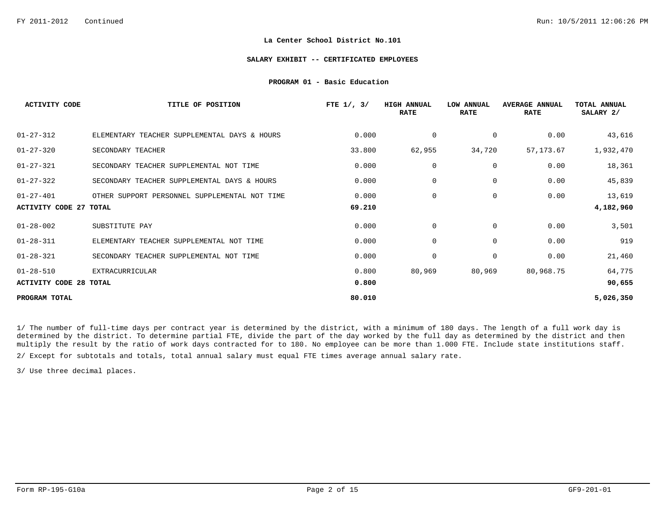#### **SALARY EXHIBIT -- CERTIFICATED EMPLOYEES**

#### **PROGRAM 01 - Basic Education**

| <b>ACTIVITY CODE</b>          | TITLE OF POSITION                             | FTE $1/$ , $3/$ | <b>HIGH ANNUAL</b><br><b>RATE</b> | LOW ANNUAL<br><b>RATE</b> | <b>AVERAGE ANNUAL</b><br><b>RATE</b> | <b>TOTAL ANNUAL</b><br>SALARY 2/ |
|-------------------------------|-----------------------------------------------|-----------------|-----------------------------------|---------------------------|--------------------------------------|----------------------------------|
| $01 - 27 - 312$               | ELEMENTARY TEACHER SUPPLEMENTAL DAYS & HOURS  | 0.000           | 0                                 | 0                         | 0.00                                 | 43,616                           |
| $01 - 27 - 320$               | SECONDARY TEACHER                             | 33.800          | 62,955                            | 34,720                    | 57,173.67                            | 1,932,470                        |
| $01 - 27 - 321$               | SECONDARY TEACHER SUPPLEMENTAL NOT TIME       | 0.000           | $\mathbf 0$                       | 0                         | 0.00                                 | 18,361                           |
| $01 - 27 - 322$               | SECONDARY TEACHER SUPPLEMENTAL DAYS & HOURS   | 0.000           | 0                                 | 0                         | 0.00                                 | 45,839                           |
| $01 - 27 - 401$               | OTHER SUPPORT PERSONNEL SUPPLEMENTAL NOT TIME | 0.000           | $\mathbf 0$                       | 0                         | 0.00                                 | 13,619                           |
| ACTIVITY CODE 27 TOTAL        |                                               | 69.210          |                                   |                           |                                      | 4,182,960                        |
| $01 - 28 - 002$               | SUBSTITUTE PAY                                | 0.000           | 0                                 | 0                         | 0.00                                 | 3,501                            |
| $01 - 28 - 311$               | ELEMENTARY TEACHER SUPPLEMENTAL NOT TIME      | 0.000           | $\mathbf 0$                       | 0                         | 0.00                                 | 919                              |
| $01 - 28 - 321$               | SECONDARY TEACHER SUPPLEMENTAL NOT TIME       | 0.000           | 0                                 | 0                         | 0.00                                 | 21,460                           |
| $01 - 28 - 510$               | EXTRACURRICULAR                               | 0.800           | 80,969                            | 80,969                    | 80,968.75                            | 64,775                           |
| <b>ACTIVITY CODE 28 TOTAL</b> |                                               | 0.800           |                                   |                           |                                      | 90,655                           |
| PROGRAM TOTAL                 |                                               | 80.010          |                                   |                           |                                      | 5,026,350                        |

1/ The number of full-time days per contract year is determined by the district, with a minimum of 180 days. The length of a full work day is determined by the district. To determine partial FTE, divide the part of the day worked by the full day as determined by the district and then multiply the result by the ratio of work days contracted for to 180. No employee can be more than 1.000 FTE. Include state institutions staff.

2/ Except for subtotals and totals, total annual salary must equal FTE times average annual salary rate.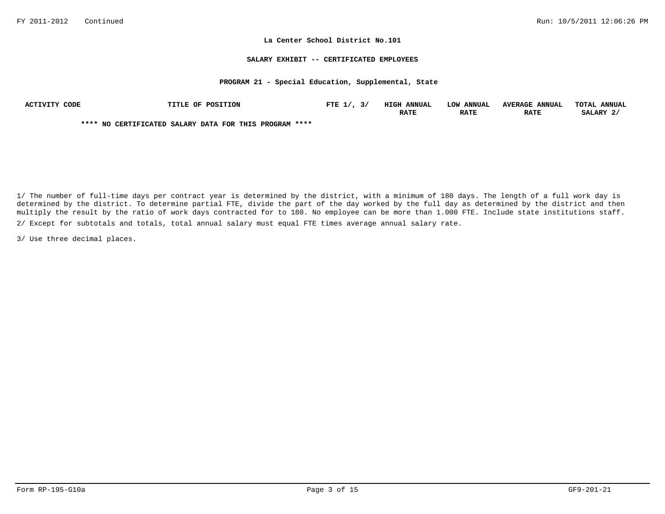#### **SALARY EXHIBIT -- CERTIFICATED EMPLOYEES**

# **PROGRAM 21 - Special Education, Supplemental, State**

| <b>ACTIVITY</b><br>CODE | TITLE OF POSITION                                      | FTE $1/$ ,<br>ັ | <b>HIGH ANNUAL</b> | <b>ANNUAL</b><br>LOW | <b>AVERAGE ANNUAL</b> | TOTAT.<br><b>ANNUAL</b> |
|-------------------------|--------------------------------------------------------|-----------------|--------------------|----------------------|-----------------------|-------------------------|
|                         |                                                        |                 | <b>RATE</b>        | <b>RATE</b>          | <b>RATE</b>           | SALARY 2                |
|                         | **** NO CERTIFICATED SALARY DATA FOR THIS PROGRAM **** |                 |                    |                      |                       |                         |

2/ Except for subtotals and totals, total annual salary must equal FTE times average annual salary rate. 1/ The number of full-time days per contract year is determined by the district, with a minimum of 180 days. The length of a full work day is determined by the district. To determine partial FTE, divide the part of the day worked by the full day as determined by the district and then multiply the result by the ratio of work days contracted for to 180. No employee can be more than 1.000 FTE. Include state institutions staff.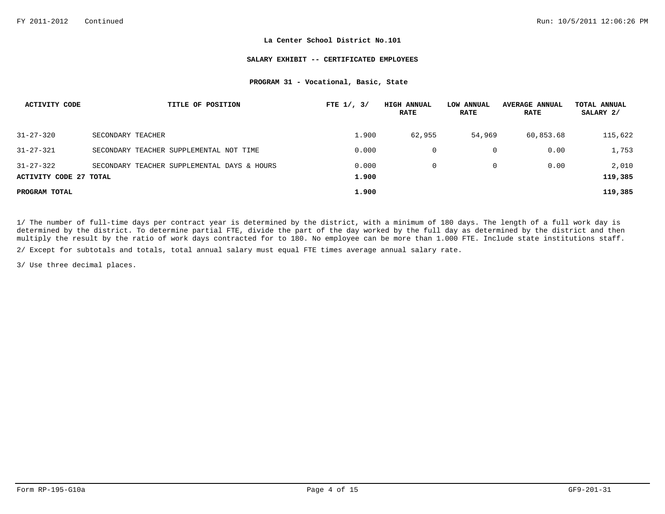#### **SALARY EXHIBIT -- CERTIFICATED EMPLOYEES**

# **PROGRAM 31 - Vocational, Basic, State**

| <b>ACTIVITY CODE</b>                      | TITLE OF POSITION                           | FTE $1/$ , $3/$ | <b>HIGH ANNUAL</b><br><b>RATE</b> | LOW ANNUAL<br><b>RATE</b> | <b>AVERAGE ANNUAL</b><br><b>RATE</b> | TOTAL ANNUAL<br>SALARY 2/ |
|-------------------------------------------|---------------------------------------------|-----------------|-----------------------------------|---------------------------|--------------------------------------|---------------------------|
| $31 - 27 - 320$                           | SECONDARY TEACHER                           | 1,900           | 62,955                            | 54,969                    | 60,853.68                            | 115,622                   |
| $31 - 27 - 321$                           | SECONDARY TEACHER SUPPLEMENTAL NOT TIME     | 0.000           |                                   |                           | 0.00                                 | 1,753                     |
| $31 - 27 - 322$<br>ACTIVITY CODE 27 TOTAL | SECONDARY TEACHER SUPPLEMENTAL DAYS & HOURS | 0.000<br>1,900  |                                   | 0                         | 0.00                                 | 2,010<br>119,385          |
| PROGRAM TOTAL                             |                                             | 1,900           |                                   |                           |                                      | 119,385                   |

1/ The number of full-time days per contract year is determined by the district, with a minimum of 180 days. The length of a full work day is determined by the district. To determine partial FTE, divide the part of the day worked by the full day as determined by the district and then multiply the result by the ratio of work days contracted for to 180. No employee can be more than 1.000 FTE. Include state institutions staff.

2/ Except for subtotals and totals, total annual salary must equal FTE times average annual salary rate.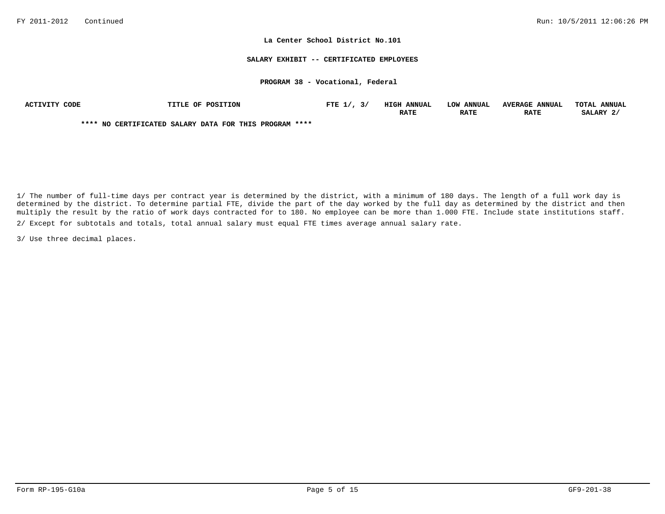#### **SALARY EXHIBIT -- CERTIFICATED EMPLOYEES**

## **PROGRAM 38 - Vocational, Federal**

| ACTIVITY CODE | <b>TITLE OF POSITION</b>                               | FTE $1/$ , $3/$ | <b>HIGH ANNUAL</b> | LOW ANNUAL  | <b>AVERAGE ANNUAL</b> | TOTAL ANNUAL |
|---------------|--------------------------------------------------------|-----------------|--------------------|-------------|-----------------------|--------------|
|               |                                                        |                 | <b>RATE</b>        | <b>RATE</b> | <b>RATE</b>           | SALARY 2.    |
|               | **** NO CERTIFICATED SALARY DATA FOR THIS PROGRAM **** |                 |                    |             |                       |              |

2/ Except for subtotals and totals, total annual salary must equal FTE times average annual salary rate. 1/ The number of full-time days per contract year is determined by the district, with a minimum of 180 days. The length of a full work day is determined by the district. To determine partial FTE, divide the part of the day worked by the full day as determined by the district and then multiply the result by the ratio of work days contracted for to 180. No employee can be more than 1.000 FTE. Include state institutions staff.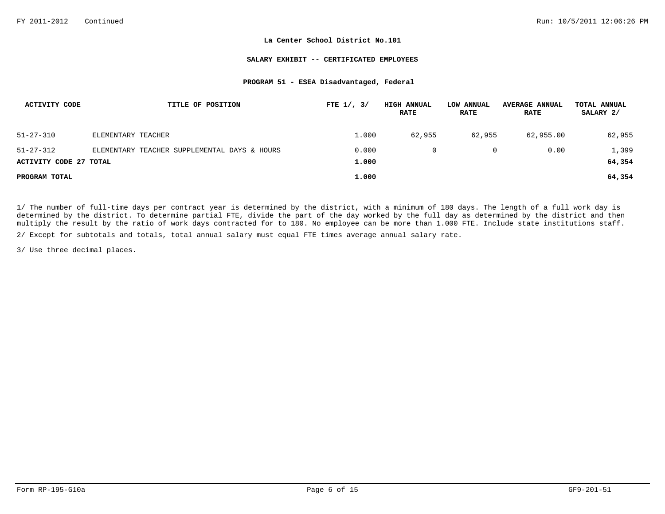#### **SALARY EXHIBIT -- CERTIFICATED EMPLOYEES**

## **PROGRAM 51 - ESEA Disadvantaged, Federal**

| ACTIVITY CODE                 | TITLE OF POSITION                            | FTE $1/$ , $3/$ | <b>HIGH ANNUAL</b><br><b>RATE</b> | LOW ANNUAL<br><b>RATE</b> | <b>AVERAGE ANNUAL</b><br><b>RATE</b> | TOTAL ANNUAL<br>SALARY 2/ |
|-------------------------------|----------------------------------------------|-----------------|-----------------------------------|---------------------------|--------------------------------------|---------------------------|
| $51 - 27 - 310$               | ELEMENTARY TEACHER                           | 1,000           | 62,955                            | 62,955                    | 62,955.00                            | 62,955                    |
| $51 - 27 - 312$               | ELEMENTARY TEACHER SUPPLEMENTAL DAYS & HOURS | 0.000           |                                   | 0                         | 0.00                                 | 1,399                     |
| <b>ACTIVITY CODE 27 TOTAL</b> |                                              | 1,000           |                                   |                           |                                      | 64,354                    |
| PROGRAM TOTAL                 |                                              | 1.000           |                                   |                           |                                      | 64,354                    |

1/ The number of full-time days per contract year is determined by the district, with a minimum of 180 days. The length of a full work day is determined by the district. To determine partial FTE, divide the part of the day worked by the full day as determined by the district and then multiply the result by the ratio of work days contracted for to 180. No employee can be more than 1.000 FTE. Include state institutions staff.

2/ Except for subtotals and totals, total annual salary must equal FTE times average annual salary rate.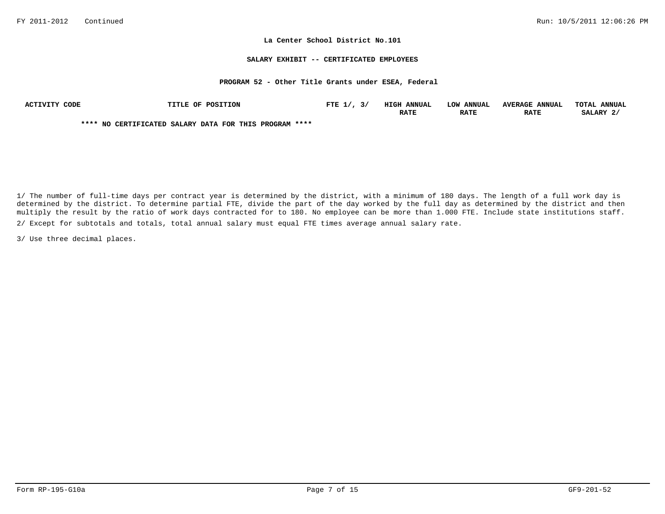### **SALARY EXHIBIT -- CERTIFICATED EMPLOYEES**

## **PROGRAM 52 - Other Title Grants under ESEA, Federal**

| <b>ACTIVITY</b><br>CODE | TITLE OF POSITION                                      | FTE $1/$ ,<br>ັ | <b>HIGH ANNUAL</b> | <b>ANNUAL</b><br>LOW | <b>AVERAGE ANNUAL</b> | TOTAT.<br><b>ANNUAL</b> |
|-------------------------|--------------------------------------------------------|-----------------|--------------------|----------------------|-----------------------|-------------------------|
|                         |                                                        |                 | <b>RATE</b>        | <b>RATE</b>          | <b>RATE</b>           | SALARY 2                |
|                         | **** NO CERTIFICATED SALARY DATA FOR THIS PROGRAM **** |                 |                    |                      |                       |                         |

2/ Except for subtotals and totals, total annual salary must equal FTE times average annual salary rate. 1/ The number of full-time days per contract year is determined by the district, with a minimum of 180 days. The length of a full work day is determined by the district. To determine partial FTE, divide the part of the day worked by the full day as determined by the district and then multiply the result by the ratio of work days contracted for to 180. No employee can be more than 1.000 FTE. Include state institutions staff.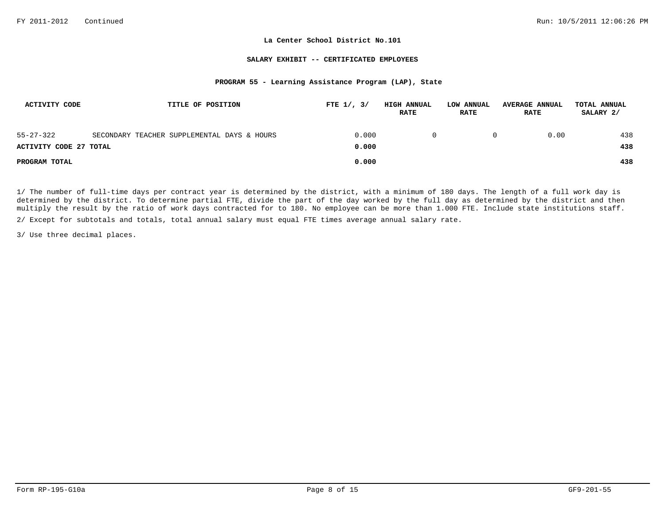## **SALARY EXHIBIT -- CERTIFICATED EMPLOYEES**

# **PROGRAM 55 - Learning Assistance Program (LAP), State**

| <b>ACTIVITY CODE</b>   | TITLE OF POSITION                           | FTE $1/$ , $3/$ | <b>HIGH ANNUAL</b><br><b>RATE</b> | LOW ANNUAL<br><b>RATE</b> | <b>AVERAGE ANNUAL</b><br><b>RATE</b> | TOTAL ANNUAL<br>SALARY 2/ |
|------------------------|---------------------------------------------|-----------------|-----------------------------------|---------------------------|--------------------------------------|---------------------------|
| $55 - 27 - 322$        | SECONDARY TEACHER SUPPLEMENTAL DAYS & HOURS | 0.000           |                                   |                           | 0.00                                 | 438                       |
| ACTIVITY CODE 27 TOTAL |                                             | 0.000           |                                   |                           |                                      | 438                       |
| PROGRAM TOTAL          |                                             | 0.000           |                                   |                           |                                      | 438                       |

1/ The number of full-time days per contract year is determined by the district, with a minimum of 180 days. The length of a full work day is determined by the district. To determine partial FTE, divide the part of the day worked by the full day as determined by the district and then multiply the result by the ratio of work days contracted for to 180. No employee can be more than 1.000 FTE. Include state institutions staff.

2/ Except for subtotals and totals, total annual salary must equal FTE times average annual salary rate.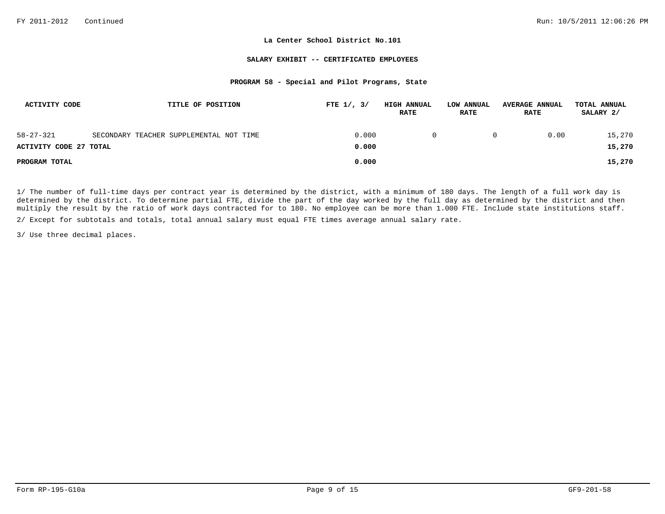#### **SALARY EXHIBIT -- CERTIFICATED EMPLOYEES**

# **PROGRAM 58 - Special and Pilot Programs, State**

| <b>ACTIVITY CODE</b>   | TITLE OF POSITION                       | FTE $1/$ , $3/$ | <b>HIGH ANNUAL</b><br><b>RATE</b> | LOW ANNUAL<br><b>RATE</b> | <b>AVERAGE ANNUAL</b><br><b>RATE</b> | TOTAL ANNUAL<br>SALARY 2/ |
|------------------------|-----------------------------------------|-----------------|-----------------------------------|---------------------------|--------------------------------------|---------------------------|
| $58 - 27 - 321$        | SECONDARY TEACHER SUPPLEMENTAL NOT TIME | 0.000           |                                   | 0                         | 0.00                                 | 15,270                    |
| ACTIVITY CODE 27 TOTAL |                                         | 0.000           |                                   |                           |                                      | 15,270                    |
| PROGRAM TOTAL          |                                         | 0.000           |                                   |                           |                                      | 15,270                    |

1/ The number of full-time days per contract year is determined by the district, with a minimum of 180 days. The length of a full work day is determined by the district. To determine partial FTE, divide the part of the day worked by the full day as determined by the district and then multiply the result by the ratio of work days contracted for to 180. No employee can be more than 1.000 FTE. Include state institutions staff.

2/ Except for subtotals and totals, total annual salary must equal FTE times average annual salary rate.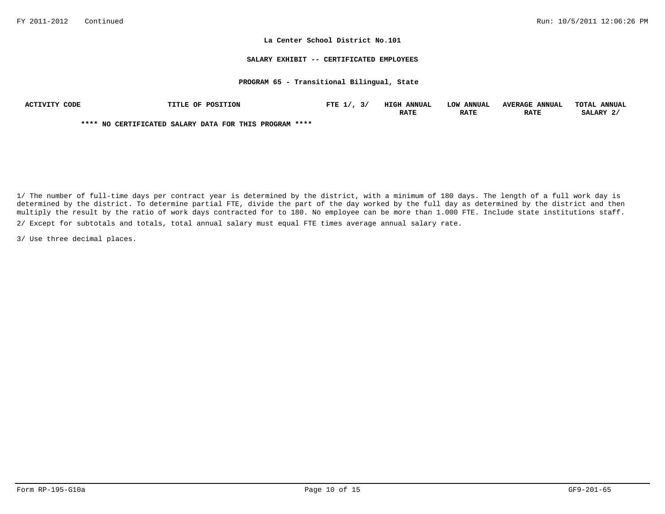#### **SALARY EXHIBIT -- CERTIFICATED EMPLOYEES**

## **PROGRAM 65 - Transitional Bilingual, State**

| CODE<br><b>ACTIVITY</b> | TITLE OF POSITION                                      | FTE $1/$ , | HIGH<br><b>ANNUAL</b> | LOW ANNUAL  | <b>AVERAGE ANNUAL</b> | TOTAT.<br><b>ANNUAL</b> |
|-------------------------|--------------------------------------------------------|------------|-----------------------|-------------|-----------------------|-------------------------|
|                         |                                                        |            | <b>RATE</b>           | <b>RATE</b> | <b>RATE</b>           | SALARY 2                |
|                         | **** NO CERTIFICATED SALARY DATA FOR THIS PROGRAM **** |            |                       |             |                       |                         |

2/ Except for subtotals and totals, total annual salary must equal FTE times average annual salary rate. 1/ The number of full-time days per contract year is determined by the district, with a minimum of 180 days. The length of a full work day is determined by the district. To determine partial FTE, divide the part of the day worked by the full day as determined by the district and then multiply the result by the ratio of work days contracted for to 180. No employee can be more than 1.000 FTE. Include state institutions staff.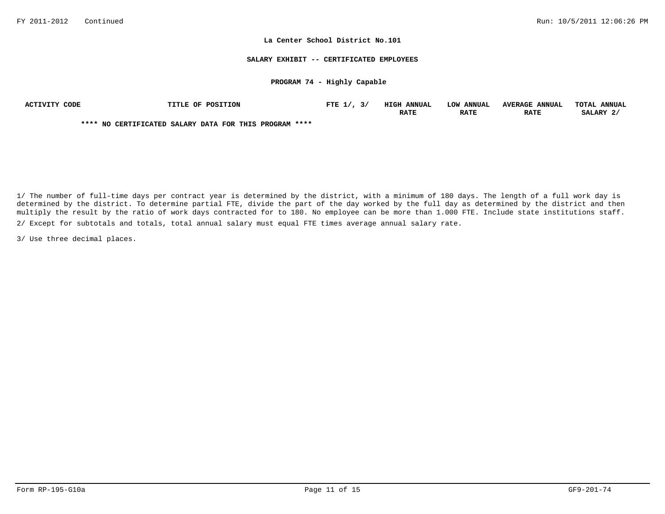#### **SALARY EXHIBIT -- CERTIFICATED EMPLOYEES**

## **PROGRAM 74 - Highly Capable**

| ACTIVITY CODE | <b>TITLE OF POSITION</b>                               | FTE $1/$ , $3/$ | <b>HIGH ANNUAL</b> | LOW ANNUAL  | <b>AVERAGE ANNUAL</b> | TOTAL ANNUAL |
|---------------|--------------------------------------------------------|-----------------|--------------------|-------------|-----------------------|--------------|
|               |                                                        |                 | <b>RATE</b>        | <b>RATE</b> | <b>RATE</b>           | SALARY 2/    |
|               | **** NO CERTIFICATED SALARY DATA FOR THIS PROGRAM **** |                 |                    |             |                       |              |

2/ Except for subtotals and totals, total annual salary must equal FTE times average annual salary rate. 1/ The number of full-time days per contract year is determined by the district, with a minimum of 180 days. The length of a full work day is determined by the district. To determine partial FTE, divide the part of the day worked by the full day as determined by the district and then multiply the result by the ratio of work days contracted for to 180. No employee can be more than 1.000 FTE. Include state institutions staff.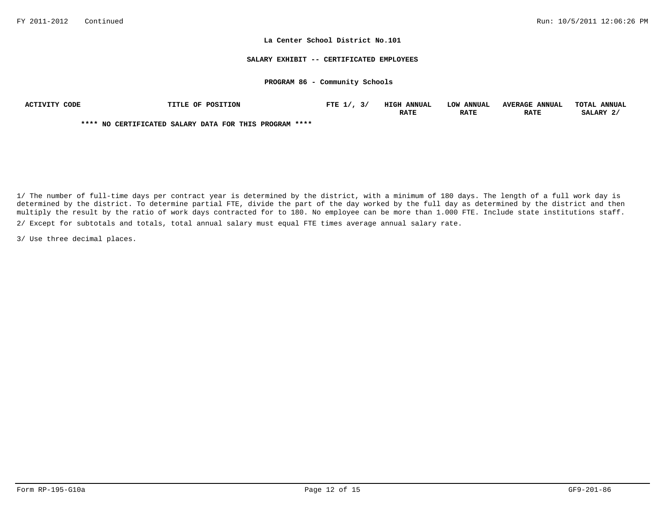#### **SALARY EXHIBIT -- CERTIFICATED EMPLOYEES**

#### **PROGRAM 86 - Community Schools**

| CODE<br>ACTIVITY | TITLE OF POSITION                                      | FTE $1/$ | HIGH<br><b>ANNUAI</b> | <b>LOW ANNUAL</b> | <b>AVERAGE</b><br><b>ANNUAL</b> | <b>TOTAT.</b><br><b>ANNUAL</b> |
|------------------|--------------------------------------------------------|----------|-----------------------|-------------------|---------------------------------|--------------------------------|
|                  |                                                        |          | RATE                  | <b>RATE</b>       | <b>RATE</b>                     | SALARY                         |
|                  | **** NO CERTIFICATED SALARY DATA FOR THIS PROGRAM **** |          |                       |                   |                                 |                                |

2/ Except for subtotals and totals, total annual salary must equal FTE times average annual salary rate. 1/ The number of full-time days per contract year is determined by the district, with a minimum of 180 days. The length of a full work day is determined by the district. To determine partial FTE, divide the part of the day worked by the full day as determined by the district and then multiply the result by the ratio of work days contracted for to 180. No employee can be more than 1.000 FTE. Include state institutions staff.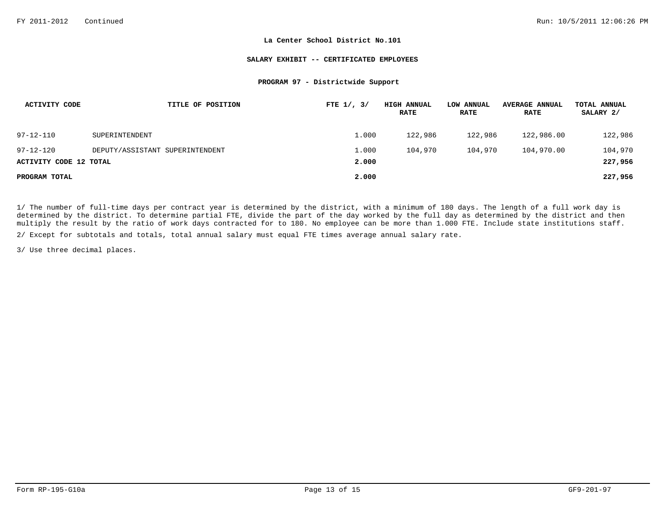#### **SALARY EXHIBIT -- CERTIFICATED EMPLOYEES**

## **PROGRAM 97 - Districtwide Support**

| ACTIVITY CODE          | TITLE OF POSITION               | FTE $1/$ , $3/$ | <b>HIGH ANNUAL</b><br><b>RATE</b> | LOW ANNUAL<br><b>RATE</b> | <b>AVERAGE ANNUAL</b><br><b>RATE</b> | TOTAL ANNUAL<br>SALARY 2/ |
|------------------------|---------------------------------|-----------------|-----------------------------------|---------------------------|--------------------------------------|---------------------------|
| $97 - 12 - 110$        | SUPERINTENDENT                  | 1,000           | 122,986                           | 122,986                   | 122,986.00                           | 122,986                   |
| $97 - 12 - 120$        | DEPUTY/ASSISTANT SUPERINTENDENT | 1.000           | 104,970                           | 104,970                   | 104,970.00                           | 104,970                   |
| ACTIVITY CODE 12 TOTAL |                                 | 2,000           |                                   |                           |                                      | 227,956                   |
| PROGRAM TOTAL          |                                 | 2,000           |                                   |                           |                                      | 227,956                   |

1/ The number of full-time days per contract year is determined by the district, with a minimum of 180 days. The length of a full work day is determined by the district. To determine partial FTE, divide the part of the day worked by the full day as determined by the district and then multiply the result by the ratio of work days contracted for to 180. No employee can be more than 1.000 FTE. Include state institutions staff.

2/ Except for subtotals and totals, total annual salary must equal FTE times average annual salary rate.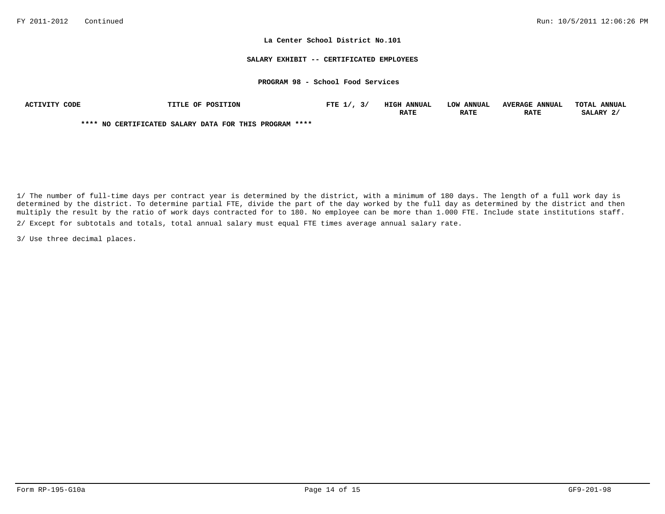#### **SALARY EXHIBIT -- CERTIFICATED EMPLOYEES**

## **PROGRAM 98 - School Food Services**

| ACTIVITY CODE | TITLE OF POSITION                                      | FTE $1/7$ , $3/7$ | <b>HIGH ANNUAL</b> | LOW ANNUAL  | <b>AVERAGE ANNUAL</b> | TOTAL ANNUAL |
|---------------|--------------------------------------------------------|-------------------|--------------------|-------------|-----------------------|--------------|
|               |                                                        |                   | <b>RATE</b>        | <b>RATE</b> | <b>RATE</b>           | SALARY 2/    |
|               | **** NO CERTIFICATED SALARY DATA FOR THIS PROGRAM **** |                   |                    |             |                       |              |

1/ The number of full-time days per contract year is determined by the district, with a minimum of 180 days. The length of a full work day is determined by the district. To determine partial FTE, divide the part of the day worked by the full day as determined by the district and then multiply the result by the ratio of work days contracted for to 180. No employee can be more than 1.000 FTE. Include state institutions staff. 2/ Except for subtotals and totals, total annual salary must equal FTE times average annual salary rate.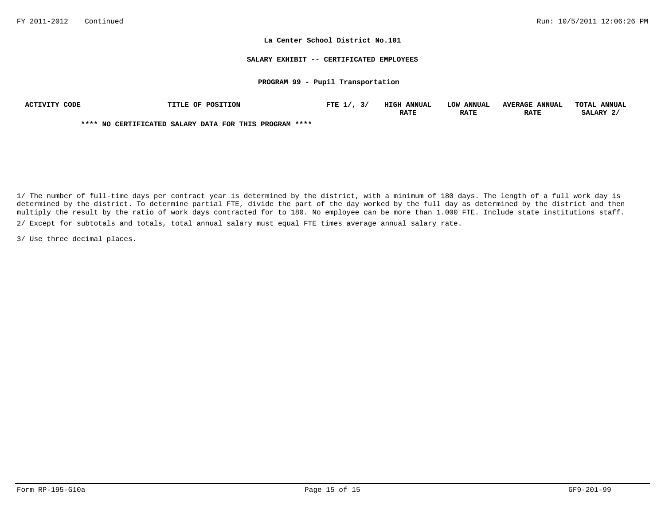#### **SALARY EXHIBIT -- CERTIFICATED EMPLOYEES**

## **PROGRAM 99 - Pupil Transportation**

| CODE<br>ACTIVITY | TITLE OF POSITION                                      | FTE $1/$ | HIGH<br><b>ANNUAI</b> | <b>LOW ANNUAL</b> | <b>AVERAGE</b><br><b>ANNUAL</b> | <b>TOTAT.</b><br><b>ANNUAL</b> |
|------------------|--------------------------------------------------------|----------|-----------------------|-------------------|---------------------------------|--------------------------------|
|                  |                                                        |          | RATE                  | <b>RATE</b>       | <b>RATE</b>                     | SALARY                         |
|                  | **** NO CERTIFICATED SALARY DATA FOR THIS PROGRAM **** |          |                       |                   |                                 |                                |

1/ The number of full-time days per contract year is determined by the district, with a minimum of 180 days. The length of a full work day is determined by the district. To determine partial FTE, divide the part of the day worked by the full day as determined by the district and then multiply the result by the ratio of work days contracted for to 180. No employee can be more than 1.000 FTE. Include state institutions staff. 2/ Except for subtotals and totals, total annual salary must equal FTE times average annual salary rate.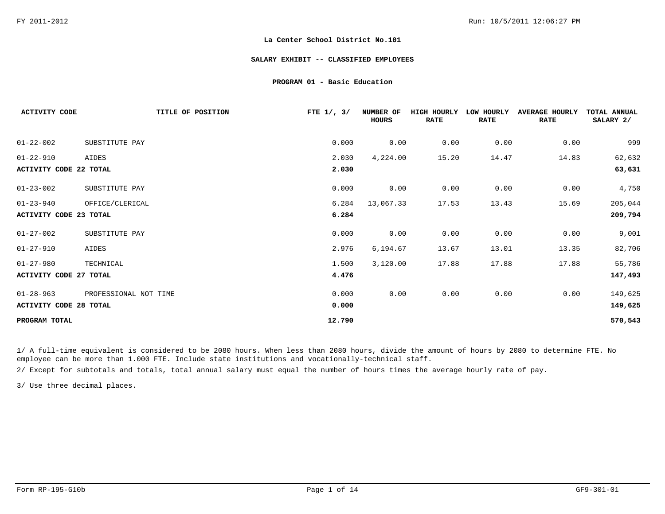#### **SALARY EXHIBIT -- CLASSIFIED EMPLOYEES**

## **PROGRAM 01 - Basic Education**

| <b>ACTIVITY CODE</b>   | TITLE OF POSITION     | FTE $1/$ , $3/$ | NUMBER OF<br><b>HOURS</b> | HIGH HOURLY<br><b>RATE</b> | LOW HOURLY<br><b>RATE</b> | <b>AVERAGE HOURLY</b><br><b>RATE</b> | TOTAL ANNUAL<br>SALARY 2/ |
|------------------------|-----------------------|-----------------|---------------------------|----------------------------|---------------------------|--------------------------------------|---------------------------|
| $01 - 22 - 002$        | SUBSTITUTE PAY        | 0.000           | 0.00                      | 0.00                       | 0.00                      | 0.00                                 | 999                       |
| $01 - 22 - 910$        | AIDES                 | 2.030           | 4,224.00                  | 15.20                      | 14.47                     | 14.83                                | 62,632                    |
| ACTIVITY CODE 22 TOTAL |                       | 2.030           |                           |                            |                           |                                      | 63,631                    |
| $01 - 23 - 002$        | SUBSTITUTE PAY        | 0.000           | 0.00                      | 0.00                       | 0.00                      | 0.00                                 | 4,750                     |
| $01 - 23 - 940$        | OFFICE/CLERICAL       | 6.284           | 13,067.33                 | 17.53                      | 13.43                     | 15.69                                | 205,044                   |
| ACTIVITY CODE 23 TOTAL |                       | 6.284           |                           |                            |                           |                                      | 209,794                   |
| $01 - 27 - 002$        | SUBSTITUTE PAY        | 0.000           | 0.00                      | 0.00                       | 0.00                      | 0.00                                 | 9,001                     |
| $01 - 27 - 910$        | AIDES                 | 2.976           | 6,194.67                  | 13.67                      | 13.01                     | 13.35                                | 82,706                    |
| $01 - 27 - 980$        | TECHNICAL             | 1.500           | 3,120.00                  | 17.88                      | 17.88                     | 17.88                                | 55,786                    |
| ACTIVITY CODE 27 TOTAL |                       | 4.476           |                           |                            |                           |                                      | 147,493                   |
| $01 - 28 - 963$        | PROFESSIONAL NOT TIME | 0.000           | 0.00                      | 0.00                       | 0.00                      | 0.00                                 | 149,625                   |
| ACTIVITY CODE 28 TOTAL |                       | 0.000           |                           |                            |                           |                                      | 149,625                   |
| PROGRAM TOTAL          |                       | 12.790          |                           |                            |                           |                                      | 570,543                   |

1/ A full-time equivalent is considered to be 2080 hours. When less than 2080 hours, divide the amount of hours by 2080 to determine FTE. No employee can be more than 1.000 FTE. Include state institutions and vocationally-technical staff.

2/ Except for subtotals and totals, total annual salary must equal the number of hours times the average hourly rate of pay.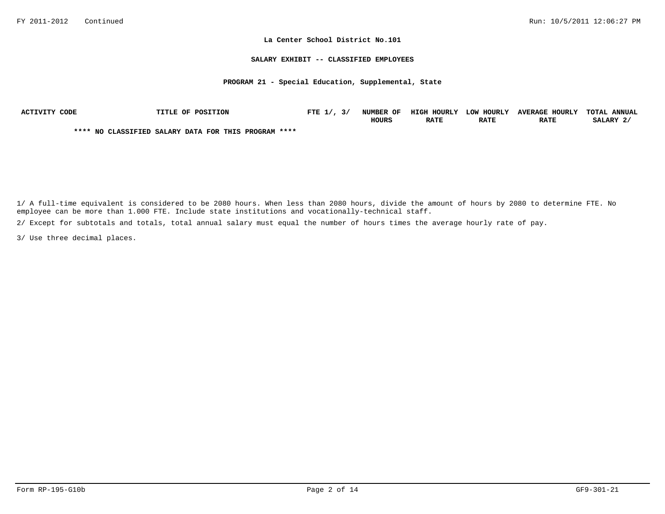#### **SALARY EXHIBIT -- CLASSIFIED EMPLOYEES**

## **PROGRAM 21 - Special Education, Supplemental, State**

| ACTIVITY CODE | TITLE OF POSITION                                    | FTE $1/$ , $3/$ | NUMBER OF    | HIGH HOURLY | LOW HOURLY  | <b>AVERAGE HOURLY</b> | TOTAL ANNUAL |
|---------------|------------------------------------------------------|-----------------|--------------|-------------|-------------|-----------------------|--------------|
|               |                                                      |                 | <b>HOURS</b> | <b>RATE</b> | <b>RATE</b> | <b>RATE</b>           | SALARY 2/    |
|               | **** NO CLASSIFIED SALARY DATA FOR THIS PROGRAM **** |                 |              |             |             |                       |              |

1/ A full-time equivalent is considered to be 2080 hours. When less than 2080 hours, divide the amount of hours by 2080 to determine FTE. No employee can be more than 1.000 FTE. Include state institutions and vocationally-technical staff.

2/ Except for subtotals and totals, total annual salary must equal the number of hours times the average hourly rate of pay.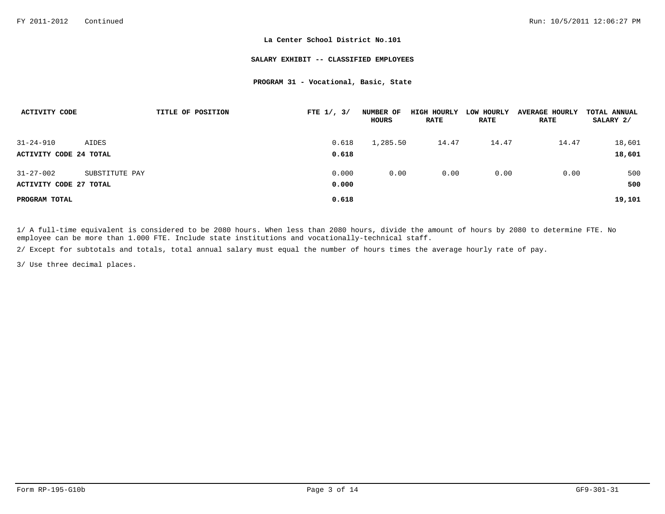#### **SALARY EXHIBIT -- CLASSIFIED EMPLOYEES**

## **PROGRAM 31 - Vocational, Basic, State**

| ACTIVITY CODE          |                | TITLE OF POSITION | FTE $1/$ , $3/$ | NUMBER OF<br>HOURS | HIGH HOURLY<br><b>RATE</b> | LOW HOURLY<br><b>RATE</b> | <b>AVERAGE HOURLY</b><br><b>RATE</b> | TOTAL ANNUAL<br>SALARY 2/ |
|------------------------|----------------|-------------------|-----------------|--------------------|----------------------------|---------------------------|--------------------------------------|---------------------------|
| $31 - 24 - 910$        | AIDES          |                   | 0.618           | 1,285.50           | 14.47                      | 14.47                     | 14.47                                | 18,601                    |
| ACTIVITY CODE 24 TOTAL |                |                   | 0.618           |                    |                            |                           |                                      | 18,601                    |
| $31 - 27 - 002$        | SUBSTITUTE PAY |                   | 0.000           | 0.00               | 0.00                       | 0.00                      | 0.00                                 | 500                       |
| ACTIVITY CODE 27 TOTAL |                |                   | 0.000           |                    |                            |                           |                                      | 500                       |
| PROGRAM TOTAL          |                |                   | 0.618           |                    |                            |                           |                                      | 19,101                    |

1/ A full-time equivalent is considered to be 2080 hours. When less than 2080 hours, divide the amount of hours by 2080 to determine FTE. No employee can be more than 1.000 FTE. Include state institutions and vocationally-technical staff.

2/ Except for subtotals and totals, total annual salary must equal the number of hours times the average hourly rate of pay.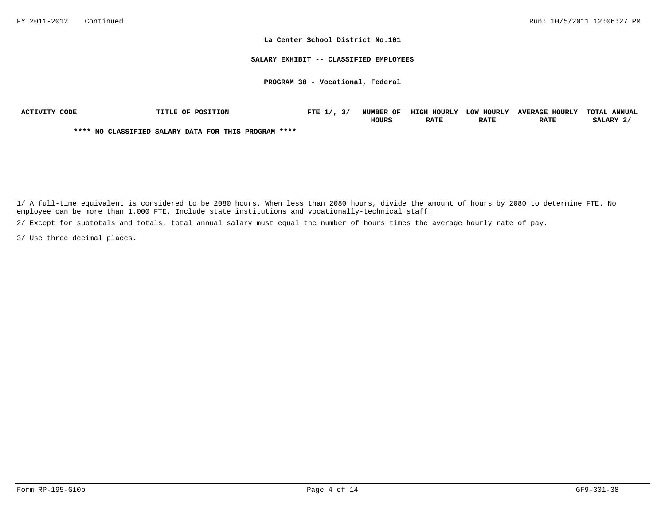#### **SALARY EXHIBIT -- CLASSIFIED EMPLOYEES**

### **PROGRAM 38 - Vocational, Federal**

| ACTIVITY CODE | <b>TITLE OF POSITION</b>                             | FTE $1/$ , $3/$ | NUMBER OF | HIGH HOURLY | LOW HOURLY  | <b>AVERAGE HOURLY</b> | TOTAL ANNUAL |
|---------------|------------------------------------------------------|-----------------|-----------|-------------|-------------|-----------------------|--------------|
|               |                                                      |                 | HOURS     | RATE        | <b>RATE</b> | <b>RATE</b>           | SALARY 2.    |
|               | **** NO CLASSIFIED SALARY DATA FOR THIS PROGRAM **** |                 |           |             |             |                       |              |

1/ A full-time equivalent is considered to be 2080 hours. When less than 2080 hours, divide the amount of hours by 2080 to determine FTE. No employee can be more than 1.000 FTE. Include state institutions and vocationally-technical staff.

2/ Except for subtotals and totals, total annual salary must equal the number of hours times the average hourly rate of pay.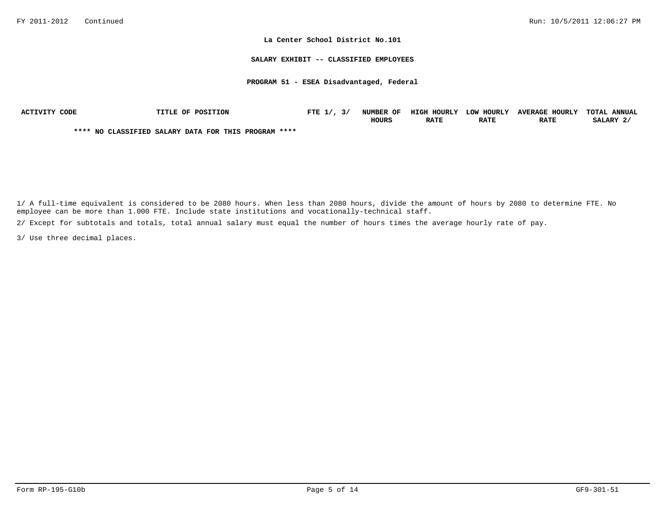**SALARY EXHIBIT -- CLASSIFIED EMPLOYEES**

**PROGRAM 51 - ESEA Disadvantaged, Federal**

| ACTIVITY CODE |  | <b>TITLE OF POSITION</b>                             | FTE $1/$ , $3/$ | NUMBER OF    | HIGH HOURLY | LOW HOURLY  | <b>AVERAGE HOURLY</b> | TOTAL ANNUAL |
|---------------|--|------------------------------------------------------|-----------------|--------------|-------------|-------------|-----------------------|--------------|
|               |  |                                                      |                 | <b>HOURS</b> | <b>RATE</b> | <b>RATE</b> | <b>RATE</b>           | SALARY 2/    |
|               |  | **** NO CLASSIFIED SALARY DATA FOR THIS PROGRAM **** |                 |              |             |             |                       |              |

1/ A full-time equivalent is considered to be 2080 hours. When less than 2080 hours, divide the amount of hours by 2080 to determine FTE. No employee can be more than 1.000 FTE. Include state institutions and vocationally-technical staff.

2/ Except for subtotals and totals, total annual salary must equal the number of hours times the average hourly rate of pay.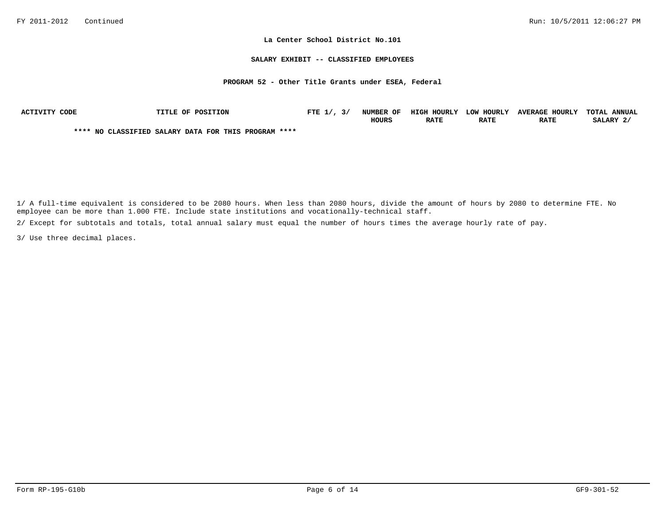#### **SALARY EXHIBIT -- CLASSIFIED EMPLOYEES**

#### **PROGRAM 52 - Other Title Grants under ESEA, Federal**

| ACTIVITY CODE | TITLE OF POSITION                                    | FTE $1/$ , $3/$ | <b>NUMBER OF</b> | HIGH HOURLY | LOW HOURLY  | <b>AVERAGE HOURLY</b> | TOTAL ANNUAL |
|---------------|------------------------------------------------------|-----------------|------------------|-------------|-------------|-----------------------|--------------|
|               |                                                      |                 | <b>HOURS</b>     | <b>RATE</b> | <b>RATE</b> | <b>RATE</b>           | SALARY 2     |
|               | **** NO CLASSIFIED SALARY DATA FOR THIS PROGRAM **** |                 |                  |             |             |                       |              |

1/ A full-time equivalent is considered to be 2080 hours. When less than 2080 hours, divide the amount of hours by 2080 to determine FTE. No employee can be more than 1.000 FTE. Include state institutions and vocationally-technical staff.

2/ Except for subtotals and totals, total annual salary must equal the number of hours times the average hourly rate of pay.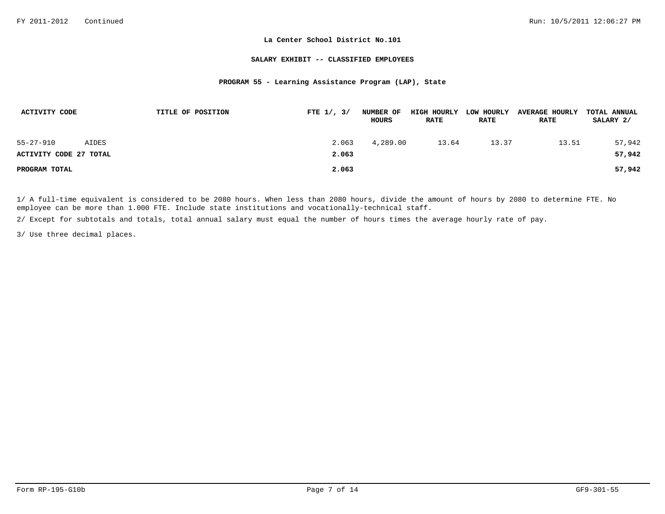#### **SALARY EXHIBIT -- CLASSIFIED EMPLOYEES**

### **PROGRAM 55 - Learning Assistance Program (LAP), State**

| ACTIVITY CODE          |       | TITLE OF POSITION | FTE $1/$ , $3/$ | NUMBER OF<br>HOURS | <b>HIGH HOURLY</b><br><b>RATE</b> | LOW HOURLY<br><b>RATE</b> | <b>AVERAGE HOURLY</b><br><b>RATE</b> | TOTAL ANNUAL<br>SALARY 2/ |
|------------------------|-------|-------------------|-----------------|--------------------|-----------------------------------|---------------------------|--------------------------------------|---------------------------|
| $55 - 27 - 910$        | AIDES |                   | 2.063           | 4,289.00           | 13.64                             | 13.37                     | 13.51                                | 57,942                    |
| ACTIVITY CODE 27 TOTAL |       |                   | 2.063           |                    |                                   |                           |                                      | 57,942                    |
| PROGRAM TOTAL          |       |                   | 2.063           |                    |                                   |                           |                                      | 57,942                    |

1/ A full-time equivalent is considered to be 2080 hours. When less than 2080 hours, divide the amount of hours by 2080 to determine FTE. No employee can be more than 1.000 FTE. Include state institutions and vocationally-technical staff.

2/ Except for subtotals and totals, total annual salary must equal the number of hours times the average hourly rate of pay.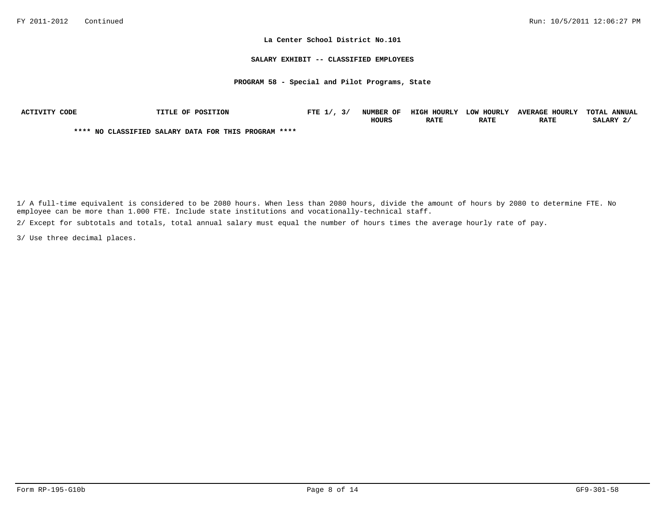#### **SALARY EXHIBIT -- CLASSIFIED EMPLOYEES**

#### **PROGRAM 58 - Special and Pilot Programs, State**

| ACTIVITY CODE | TITLE OF POSITION                                    | FTE $1/$ , $3/$ | NUMBER OF    | HIGH HOURLY | LOW HOURLY  | <b>AVERAGE HOURLY</b> | TOTAL ANNUAL |
|---------------|------------------------------------------------------|-----------------|--------------|-------------|-------------|-----------------------|--------------|
|               |                                                      |                 | <b>HOURS</b> | <b>RATE</b> | <b>RATE</b> | <b>RATE</b>           | SALARY 2/    |
|               | **** NO CLASSIFIED SALARY DATA FOR THIS PROGRAM **** |                 |              |             |             |                       |              |

1/ A full-time equivalent is considered to be 2080 hours. When less than 2080 hours, divide the amount of hours by 2080 to determine FTE. No employee can be more than 1.000 FTE. Include state institutions and vocationally-technical staff.

2/ Except for subtotals and totals, total annual salary must equal the number of hours times the average hourly rate of pay.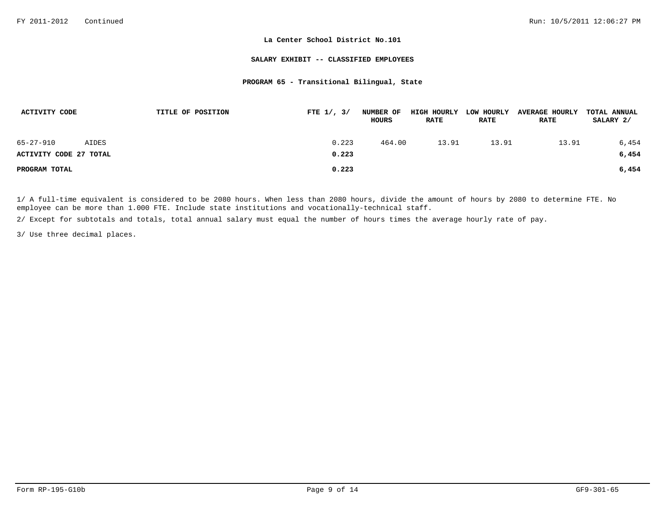#### **SALARY EXHIBIT -- CLASSIFIED EMPLOYEES**

#### **PROGRAM 65 - Transitional Bilingual, State**

| ACTIVITY CODE          |       | TITLE OF POSITION | FTE $1/$ , $3/$ | <b>NUMBER OF</b><br>HOURS | HIGH HOURLY<br><b>RATE</b> | LOW HOURLY<br><b>RATE</b> | <b>AVERAGE HOURLY</b><br><b>RATE</b> | TOTAL ANNUAL<br>SALARY 2/ |
|------------------------|-------|-------------------|-----------------|---------------------------|----------------------------|---------------------------|--------------------------------------|---------------------------|
| $65 - 27 - 910$        | AIDES |                   | 0.223           | 464.00                    | 13.91                      | 13.91                     | 13.91                                | 6,454                     |
| ACTIVITY CODE 27 TOTAL |       |                   | 0.223           |                           |                            |                           |                                      | 6,454                     |
| PROGRAM TOTAL          |       |                   | 0.223           |                           |                            |                           |                                      | 6,454                     |

1/ A full-time equivalent is considered to be 2080 hours. When less than 2080 hours, divide the amount of hours by 2080 to determine FTE. No employee can be more than 1.000 FTE. Include state institutions and vocationally-technical staff.

2/ Except for subtotals and totals, total annual salary must equal the number of hours times the average hourly rate of pay.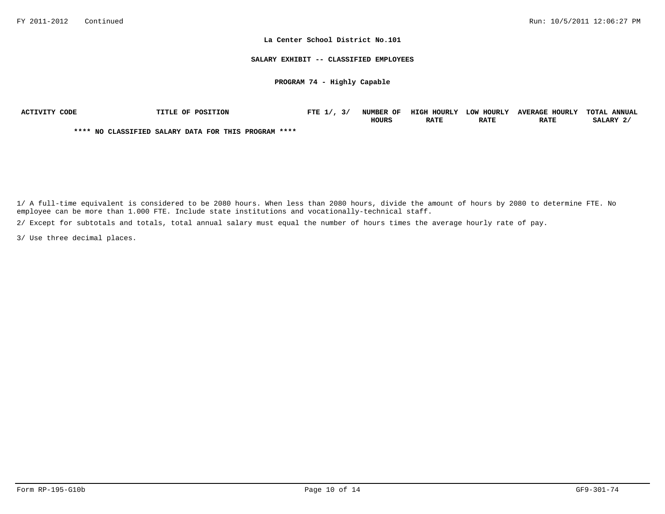#### **SALARY EXHIBIT -- CLASSIFIED EMPLOYEES**

### **PROGRAM 74 - Highly Capable**

| ACTIVITY CODE | TITLE OF POSITION                                    | FTE 1/,<br>3/ | <b>NUMBER OF</b> | HIGH HOURLY | <b>LOW HOURLY</b> | <b>AVERAGE HOURLY</b> | TOTAL ANNUAL |
|---------------|------------------------------------------------------|---------------|------------------|-------------|-------------------|-----------------------|--------------|
|               |                                                      |               | HOURS            | <b>RATE</b> | <b>RATE</b>       | <b>RATE</b>           | SALARY 2     |
|               | **** NO CLASSIFIED SALARY DATA FOR THIS PROGRAM **** |               |                  |             |                   |                       |              |

1/ A full-time equivalent is considered to be 2080 hours. When less than 2080 hours, divide the amount of hours by 2080 to determine FTE. No employee can be more than 1.000 FTE. Include state institutions and vocationally-technical staff.

2/ Except for subtotals and totals, total annual salary must equal the number of hours times the average hourly rate of pay.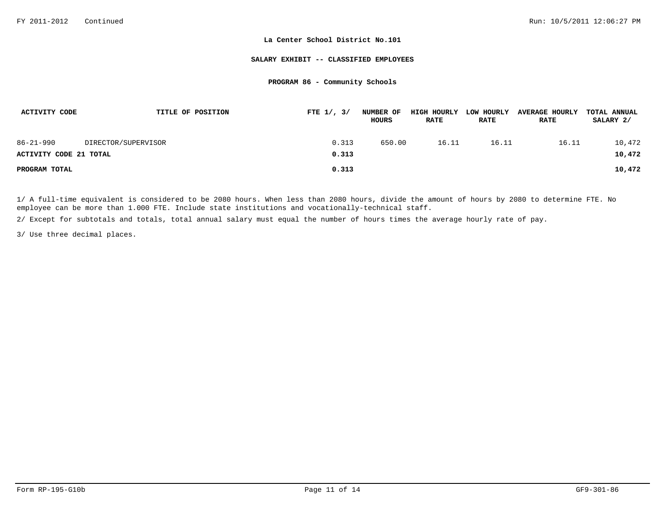#### **SALARY EXHIBIT -- CLASSIFIED EMPLOYEES**

# **PROGRAM 86 - Community Schools**

| ACTIVITY CODE          | TITLE OF POSITION   | FTE $1/$ , $3/$ | <b>NUMBER OF</b><br>HOURS | <b>HIGH HOURLY</b><br><b>RATE</b> | LOW HOURLY<br><b>RATE</b> | <b>AVERAGE HOURLY</b><br><b>RATE</b> | TOTAL ANNUAL<br>SALARY 2/ |
|------------------------|---------------------|-----------------|---------------------------|-----------------------------------|---------------------------|--------------------------------------|---------------------------|
| $86 - 21 - 990$        | DIRECTOR/SUPERVISOR | 0.313           | 650.00                    | 16.11                             | 16.11                     | 16.11                                | 10,472                    |
| ACTIVITY CODE 21 TOTAL |                     | 0.313           |                           |                                   |                           |                                      | 10,472                    |
| PROGRAM TOTAL          |                     | 0.313           |                           |                                   |                           |                                      | 10,472                    |

1/ A full-time equivalent is considered to be 2080 hours. When less than 2080 hours, divide the amount of hours by 2080 to determine FTE. No employee can be more than 1.000 FTE. Include state institutions and vocationally-technical staff.

2/ Except for subtotals and totals, total annual salary must equal the number of hours times the average hourly rate of pay.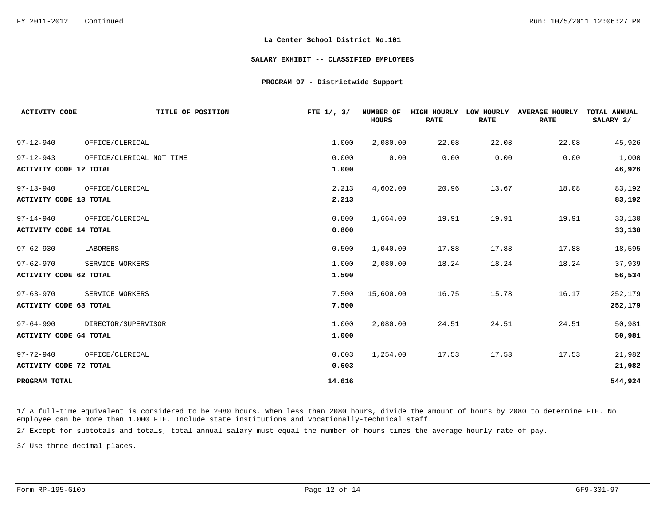#### **SALARY EXHIBIT -- CLASSIFIED EMPLOYEES**

#### **PROGRAM 97 - Districtwide Support**

| <b>ACTIVITY CODE</b>          | TITLE OF POSITION        | FTE $1/$ , $3/$ | NUMBER OF<br><b>HOURS</b> | HIGH HOURLY<br><b>RATE</b> | LOW HOURLY<br><b>RATE</b> | <b>AVERAGE HOURLY</b><br><b>RATE</b> | TOTAL ANNUAL<br>SALARY 2/ |
|-------------------------------|--------------------------|-----------------|---------------------------|----------------------------|---------------------------|--------------------------------------|---------------------------|
| $97 - 12 - 940$               | OFFICE/CLERICAL          | 1.000           | 2,080.00                  | 22.08                      | 22.08                     | 22.08                                | 45,926                    |
| $97 - 12 - 943$               | OFFICE/CLERICAL NOT TIME | 0.000           | 0.00                      | 0.00                       | 0.00                      | 0.00                                 | 1,000                     |
| <b>ACTIVITY CODE 12 TOTAL</b> |                          | 1.000           |                           |                            |                           |                                      | 46,926                    |
| $97 - 13 - 940$               | OFFICE/CLERICAL          | 2.213           | 4,602.00                  | 20.96                      | 13.67                     | 18.08                                | 83,192                    |
| ACTIVITY CODE 13 TOTAL        |                          | 2.213           |                           |                            |                           |                                      | 83,192                    |
| $97 - 14 - 940$               | OFFICE/CLERICAL          | 0.800           | 1,664.00                  | 19.91                      | 19.91                     | 19.91                                | 33,130                    |
| <b>ACTIVITY CODE 14 TOTAL</b> |                          | 0.800           |                           |                            |                           |                                      | 33,130                    |
| $97 - 62 - 930$               | LABORERS                 | 0.500           | 1,040.00                  | 17.88                      | 17.88                     | 17.88                                | 18,595                    |
| $97 - 62 - 970$               | SERVICE WORKERS          | 1.000           | 2,080.00                  | 18.24                      | 18.24                     | 18.24                                | 37,939                    |
| ACTIVITY CODE 62 TOTAL        |                          | 1.500           |                           |                            |                           |                                      | 56,534                    |
| $97 - 63 - 970$               | SERVICE WORKERS          | 7.500           | 15,600.00                 | 16.75                      | 15.78                     | 16.17                                | 252,179                   |
| ACTIVITY CODE 63 TOTAL        |                          | 7.500           |                           |                            |                           |                                      | 252,179                   |
| $97 - 64 - 990$               | DIRECTOR/SUPERVISOR      | 1.000           | 2,080.00                  | 24.51                      | 24.51                     | 24.51                                | 50,981                    |
| <b>ACTIVITY CODE 64 TOTAL</b> |                          | 1.000           |                           |                            |                           |                                      | 50,981                    |
| $97 - 72 - 940$               | OFFICE/CLERICAL          | 0.603           | 1,254.00                  | 17.53                      | 17.53                     | 17.53                                | 21,982                    |
| ACTIVITY CODE 72 TOTAL        |                          | 0.603           |                           |                            |                           |                                      | 21,982                    |
| PROGRAM TOTAL                 |                          | 14.616          |                           |                            |                           |                                      | 544,924                   |

1/ A full-time equivalent is considered to be 2080 hours. When less than 2080 hours, divide the amount of hours by 2080 to determine FTE. No employee can be more than 1.000 FTE. Include state institutions and vocationally-technical staff.

2/ Except for subtotals and totals, total annual salary must equal the number of hours times the average hourly rate of pay.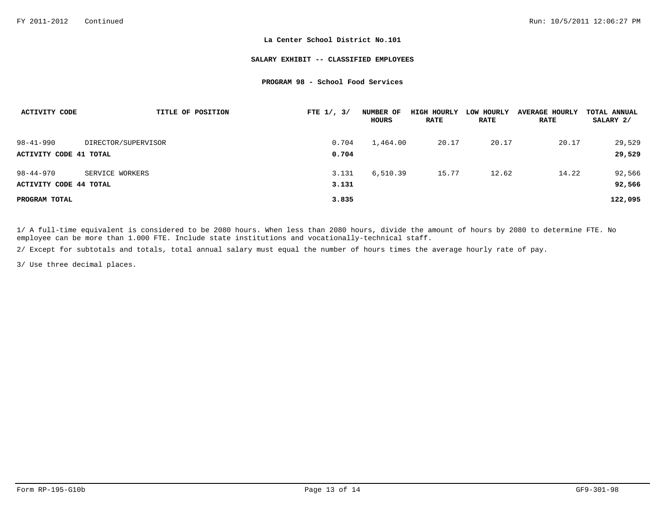#### **SALARY EXHIBIT -- CLASSIFIED EMPLOYEES**

#### **PROGRAM 98 - School Food Services**

| ACTIVITY CODE          | TITLE OF POSITION   | FTE $1/$ , $3/$ | NUMBER OF<br>HOURS | HIGH HOURLY<br><b>RATE</b> | LOW HOURLY<br><b>RATE</b> | <b>AVERAGE HOURLY</b><br><b>RATE</b> | TOTAL ANNUAL<br>SALARY 2/ |
|------------------------|---------------------|-----------------|--------------------|----------------------------|---------------------------|--------------------------------------|---------------------------|
| $98 - 41 - 990$        | DIRECTOR/SUPERVISOR | 0.704           | 1,464.00           | 20.17                      | 20.17                     | 20.17                                | 29,529                    |
| ACTIVITY CODE 41 TOTAL |                     | 0.704           |                    |                            |                           |                                      | 29,529                    |
| $98 - 44 - 970$        | SERVICE WORKERS     | 3.131           | 6,510.39           | 15.77                      | 12.62                     | 14.22                                | 92,566                    |
| ACTIVITY CODE 44 TOTAL |                     | 3.131           |                    |                            |                           |                                      | 92,566                    |
| PROGRAM TOTAL          |                     | 3.835           |                    |                            |                           |                                      | 122,095                   |

1/ A full-time equivalent is considered to be 2080 hours. When less than 2080 hours, divide the amount of hours by 2080 to determine FTE. No employee can be more than 1.000 FTE. Include state institutions and vocationally-technical staff.

2/ Except for subtotals and totals, total annual salary must equal the number of hours times the average hourly rate of pay.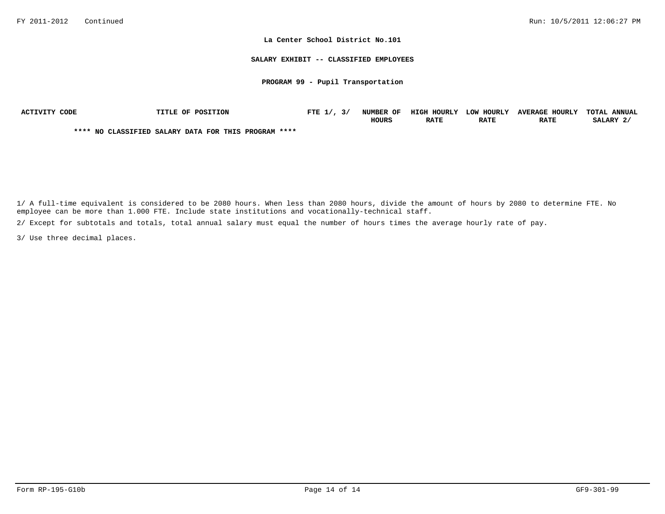#### **SALARY EXHIBIT -- CLASSIFIED EMPLOYEES**

### **PROGRAM 99 - Pupil Transportation**

| ACTIVITY CODE | <b>TITLE OF POSITION</b>                             | FTE $1/$ , $3/$ | NUMBER OF    | HIGH HOURLY | LOW HOURLY  | <b>AVERAGE HOURLY</b> | TOTAL ANNUAL |
|---------------|------------------------------------------------------|-----------------|--------------|-------------|-------------|-----------------------|--------------|
|               |                                                      |                 | <b>HOURS</b> | <b>RATE</b> | <b>RATE</b> | <b>RATE</b>           | SALARY 2.    |
|               | **** NO CLASSIFIED SALARY DATA FOR THIS PROGRAM **** |                 |              |             |             |                       |              |

1/ A full-time equivalent is considered to be 2080 hours. When less than 2080 hours, divide the amount of hours by 2080 to determine FTE. No employee can be more than 1.000 FTE. Include state institutions and vocationally-technical staff.

2/ Except for subtotals and totals, total annual salary must equal the number of hours times the average hourly rate of pay.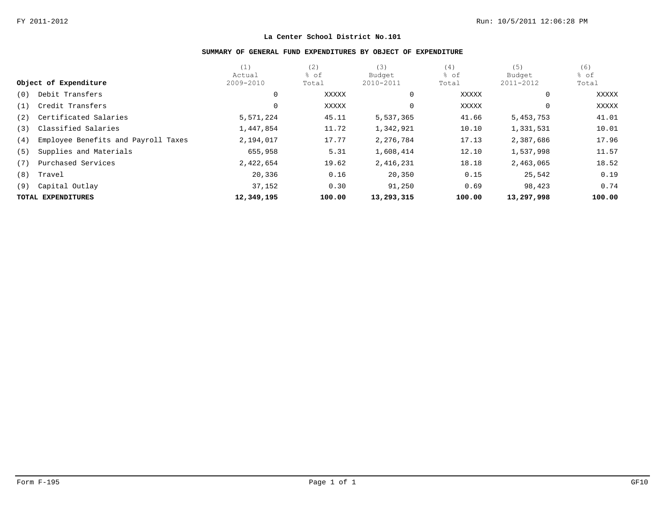# **SUMMARY OF GENERAL FUND EXPENDITURES BY OBJECT OF EXPENDITURE**

|     |                                     | (1)        | (2)    | (3)        | (4)    | (5)          | (6)    |
|-----|-------------------------------------|------------|--------|------------|--------|--------------|--------|
|     |                                     | Actual     | % of   | Budget     | % of   | Budget       | % of   |
|     | Object of Expenditure               | 2009-2010  | Total  | 2010-2011  | Total  | 2011-2012    | Total  |
| (0) | Debit Transfers                     | 0          | XXXXX  | 0          | XXXXX  | $\mathbf{0}$ | XXXXX  |
| (1) | Credit Transfers                    | 0          | XXXXX  |            | XXXXX  | $\mathbf{0}$ | XXXXX  |
| (2) | Certificated Salaries               | 5,571,224  | 45.11  | 5,537,365  | 41.66  | 5, 453, 753  | 41.01  |
| (3) | Classified Salaries                 | 1,447,854  | 11.72  | 1,342,921  | 10.10  | 1,331,531    | 10.01  |
| (4) | Employee Benefits and Payroll Taxes | 2,194,017  | 17.77  | 2,276,784  | 17.13  | 2,387,686    | 17.96  |
| (5) | Supplies and Materials              | 655,958    | 5.31   | 1,608,414  | 12.10  | 1,537,998    | 11.57  |
| (7) | Purchased Services                  | 2,422,654  | 19.62  | 2,416,231  | 18.18  | 2,463,065    | 18.52  |
| (8) | Travel                              | 20,336     | 0.16   | 20,350     | 0.15   | 25,542       | 0.19   |
| (9) | Capital Outlay                      | 37,152     | 0.30   | 91,250     | 0.69   | 98,423       | 0.74   |
|     | TOTAL EXPENDITURES                  | 12,349,195 | 100.00 | 13,293,315 | 100.00 | 13,297,998   | 100.00 |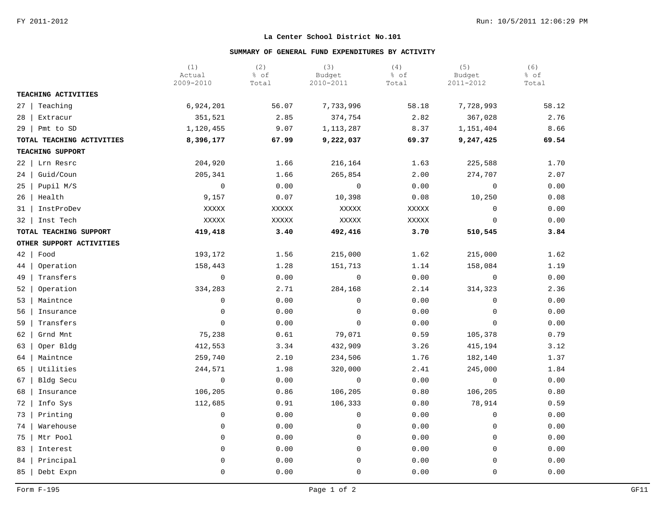# **SUMMARY OF GENERAL FUND EXPENDITURES BY ACTIVITY**

|                           | (1)<br>Actual<br>2009-2010 | (2)<br>% of<br>Total | (3)<br>Budget<br>2010-2011 | (4)<br>% of<br>Total | (5)<br>Budget<br>2011-2012 | (6)<br>% of<br>Total |
|---------------------------|----------------------------|----------------------|----------------------------|----------------------|----------------------------|----------------------|
| TEACHING ACTIVITIES       |                            |                      |                            |                      |                            |                      |
| Teaching<br>$27 \mid$     | 6,924,201                  | 56.07                | 7,733,996                  | 58.18                | 7,728,993                  | 58.12                |
| 28<br>Extracur            | 351,521                    | 2.85                 | 374,754                    | 2.82                 | 367,028                    | 2.76                 |
| $29$   Pmt to SD          | 1,120,455                  | 9.07                 | 1,113,287                  | 8.37                 | 1,151,404                  | 8.66                 |
| TOTAL TEACHING ACTIVITIES | 8,396,177                  | 67.99                | 9,222,037                  | 69.37                | 9,247,425                  | 69.54                |
| TEACHING SUPPORT          |                            |                      |                            |                      |                            |                      |
| Lrn Resrc<br>$22 \mid$    | 204,920                    | 1.66                 | 216,164                    | 1.63                 | 225,588                    | 1.70                 |
| Guid/Coun<br>24           | 205,341                    | 1.66                 | 265,854                    | 2.00                 | 274,707                    | 2.07                 |
| 25<br>Pupil M/S           | $\mathsf{O}$               | 0.00                 | $\mathbf 0$                | 0.00                 | $\mathbf 0$                | 0.00                 |
| 26<br>Health              | 9,157                      | 0.07                 | 10,398                     | 0.08                 | 10,250                     | 0.08                 |
| InstProDev<br>31          | XXXXX                      | XXXXX                | XXXXX                      | XXXXX                | $\mathbf 0$                | 0.00                 |
| 32<br>Inst Tech           | XXXXX                      | XXXXX                | XXXXX                      | XXXXX                | $\overline{0}$             | 0.00                 |
| TOTAL TEACHING SUPPORT    | 419,418                    | 3.40                 | 492,416                    | 3.70                 | 510,545                    | 3.84                 |
| OTHER SUPPORT ACTIVITIES  |                            |                      |                            |                      |                            |                      |
| $42 \mid$<br>Food         | 193,172                    | 1.56                 | 215,000                    | 1.62                 | 215,000                    | 1.62                 |
| 44<br>Operation           | 158,443                    | 1.28                 | 151,713                    | 1.14                 | 158,084                    | 1.19                 |
| 49<br>Transfers           | $\mathbf 0$                | 0.00                 | $\mathbf 0$                | 0.00                 | $\mathbf 0$                | 0.00                 |
| 52<br>Operation           | 334,283                    | 2.71                 | 284,168                    | 2.14                 | 314,323                    | 2.36                 |
| 53<br>Maintnce            | $\mathbf 0$                | 0.00                 | $\mathbf 0$                | 0.00                 | $\mathbf 0$                | 0.00                 |
| 56<br>Insurance           | 0                          | 0.00                 | 0                          | 0.00                 | $\mathbf 0$                | 0.00                 |
| Transfers<br>59           | $\mathsf 0$                | 0.00                 | $\mathbf 0$                | 0.00                 | $\mathbf 0$                | 0.00                 |
| 62<br>Grnd Mnt            | 75,238                     | 0.61                 | 79,071                     | 0.59                 | 105,378                    | 0.79                 |
| Oper Bldg<br>63           | 412,553                    | 3.34                 | 432,909                    | 3.26                 | 415,194                    | 3.12                 |
| Maintnce<br>64            | 259,740                    | 2.10                 | 234,506                    | 1.76                 | 182,140                    | 1.37                 |
| Utilities<br>65           | 244,571                    | 1.98                 | 320,000                    | 2.41                 | 245,000                    | 1.84                 |
| 67<br>Bldg Secu           | $\mathbf 0$                | 0.00                 | $\mathbf 0$                | 0.00                 | $\mathbf 0$                | 0.00                 |
| 68<br>Insurance           | 106,205                    | 0.86                 | 106,205                    | 0.80                 | 106,205                    | 0.80                 |
| 72<br>Info Sys            | 112,685                    | 0.91                 | 106,333                    | 0.80                 | 78,914                     | 0.59                 |
| 73<br>Printing            | $\mathsf{0}$               | 0.00                 | 0                          | 0.00                 | $\mathbf 0$                | 0.00                 |
| 74<br>Warehouse           | $\mathbf 0$                | 0.00                 | $\mathbf 0$                | 0.00                 | $\mathbf 0$                | 0.00                 |
| 75<br>Mtr Pool            | $\mathbf 0$                | 0.00                 | $\mathbf 0$                | 0.00                 | $\mathbf 0$                | 0.00                 |
| 83<br>Interest            | $\mathbf 0$                | 0.00                 | 0                          | 0.00                 | $\mathbf 0$                | 0.00                 |
| Principal<br>84           | $\mathbf 0$                | 0.00                 | $\Omega$                   | 0.00                 | $\Omega$                   | 0.00                 |
| 85<br>Debt Expn           | $\mathbf 0$                | 0.00                 | 0                          | 0.00                 | $\overline{0}$             | 0.00                 |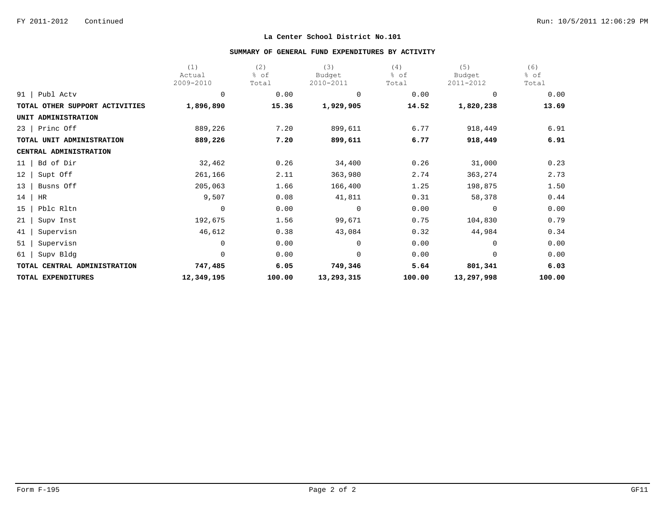# **SUMMARY OF GENERAL FUND EXPENDITURES BY ACTIVITY**

|                                | (1)         | (2)    | (3)         | (4)    | (5)        | (6)    |
|--------------------------------|-------------|--------|-------------|--------|------------|--------|
|                                | Actual      | % of   | Budget      | % of   | Budget     | % of   |
|                                | 2009-2010   | Total  | 2010-2011   | Total  | 2011-2012  | Total  |
| 91<br>Publ Actv                | $\mathbf 0$ | 0.00   | $\mathbf 0$ | 0.00   | $\Omega$   | 0.00   |
| TOTAL OTHER SUPPORT ACTIVITIES | 1,896,890   | 15.36  | 1,929,905   | 14.52  | 1,820,238  | 13.69  |
| UNIT ADMINISTRATION            |             |        |             |        |            |        |
| Princ Off<br>23                | 889,226     | 7.20   | 899,611     | 6.77   | 918,449    | 6.91   |
| TOTAL UNIT ADMINISTRATION      | 889,226     | 7.20   | 899,611     | 6.77   | 918,449    | 6.91   |
| CENTRAL ADMINISTRATION         |             |        |             |        |            |        |
| Bd of Dir<br>11                | 32,462      | 0.26   | 34,400      | 0.26   | 31,000     | 0.23   |
| 12<br>Supt Off                 | 261,166     | 2.11   | 363,980     | 2.74   | 363,274    | 2.73   |
| Busns Off<br>13                | 205,063     | 1.66   | 166,400     | 1.25   | 198,875    | 1.50   |
| 14<br>HR                       | 9,507       | 0.08   | 41,811      | 0.31   | 58,378     | 0.44   |
| Pblc Rltn<br>15                | $\mathbf 0$ | 0.00   | $\Omega$    | 0.00   | $\Omega$   | 0.00   |
| 21<br>Supv Inst                | 192,675     | 1.56   | 99,671      | 0.75   | 104,830    | 0.79   |
| 41<br>Supervisn                | 46,612      | 0.38   | 43,084      | 0.32   | 44,984     | 0.34   |
| 51<br>Supervisn                | 0           | 0.00   | $\Omega$    | 0.00   | $\Omega$   | 0.00   |
| Supv Bldg<br>61                | $\mathbf 0$ | 0.00   | $\mathbf 0$ | 0.00   | 0          | 0.00   |
| TOTAL CENTRAL ADMINISTRATION   | 747,485     | 6.05   | 749,346     | 5.64   | 801,341    | 6.03   |
| TOTAL EXPENDITURES             | 12,349,195  | 100.00 | 13,293,315  | 100.00 | 13,297,998 | 100.00 |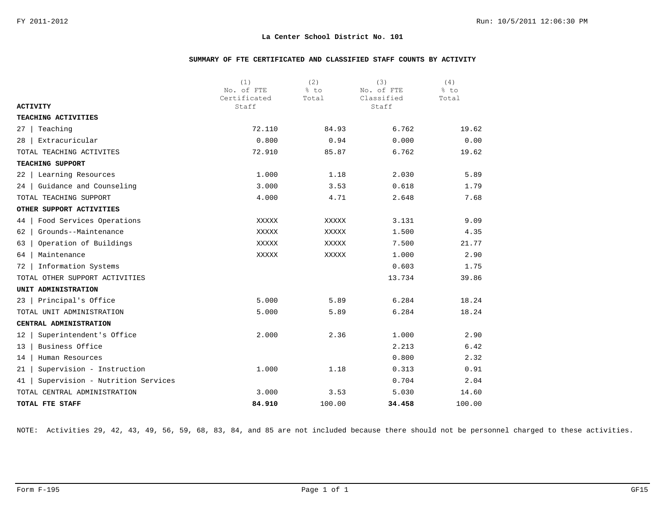# **SUMMARY OF FTE CERTIFICATED AND CLASSIFIED STAFF COUNTS BY ACTIVITY**

|                                        | (1)                   | (2)    | (3)                 | (4)    |
|----------------------------------------|-----------------------|--------|---------------------|--------|
|                                        | No. of FTE            | % to   | No. of FTE          | % to   |
| <b>ACTIVITY</b>                        | Certificated<br>Staff | Total  | Classified<br>Staff | Total  |
| TEACHING ACTIVITIES                    |                       |        |                     |        |
| Teaching<br>27                         | 72.110                | 84.93  | 6.762               | 19.62  |
| Extracuricular<br>28                   | 0.800                 | 0.94   | 0.000               | 0.00   |
| TOTAL TEACHING ACTIVITES               | 72.910                | 85.87  | 6.762               | 19.62  |
| TEACHING SUPPORT                       |                       |        |                     |        |
| Learning Resources<br>22               | 1.000                 | 1.18   | 2.030               | 5.89   |
| Guidance and Counseling<br>24          | 3.000                 | 3.53   | 0.618               | 1.79   |
| TOTAL TEACHING SUPPORT                 | 4.000                 | 4.71   | 2.648               | 7.68   |
| OTHER SUPPORT ACTIVITIES               |                       |        |                     |        |
| Food Services Operations<br>44         | XXXXX                 | XXXXX  | 3.131               | 9.09   |
| Grounds--Maintenance<br>62             | XXXXX                 | XXXXX  | 1.500               | 4.35   |
| Operation of Buildings<br>63           | XXXXX                 | XXXXX  | 7.500               | 21.77  |
| 64<br>Maintenance                      | XXXXX                 | XXXXX  | 1.000               | 2.90   |
| Information Systems<br>72              |                       |        | 0.603               | 1.75   |
| TOTAL OTHER SUPPORT ACTIVITIES         |                       |        | 13.734              | 39.86  |
| UNIT ADMINISTRATION                    |                       |        |                     |        |
| Principal's Office<br>23               | 5.000                 | 5.89   | 6.284               | 18.24  |
| TOTAL UNIT ADMINISTRATION              | 5.000                 | 5.89   | 6.284               | 18.24  |
| CENTRAL ADMINISTRATION                 |                       |        |                     |        |
| Superintendent's Office<br>12          | 2.000                 | 2.36   | 1.000               | 2.90   |
| Business Office<br>13                  |                       |        | 2.213               | 6.42   |
| Human Resources<br>14                  |                       |        | 0.800               | 2.32   |
| Supervision - Instruction<br>21        | 1.000                 | 1.18   | 0.313               | 0.91   |
| Supervision - Nutrition Services<br>41 |                       |        | 0.704               | 2.04   |
| TOTAL CENTRAL ADMINISTRATION           | 3.000                 | 3.53   | 5.030               | 14.60  |
| TOTAL FTE STAFF                        | 84.910                | 100.00 | 34.458              | 100.00 |

NOTE: Activities 29, 42, 43, 49, 56, 59, 68, 83, 84, and 85 are not included because there should not be personnel charged to these activities.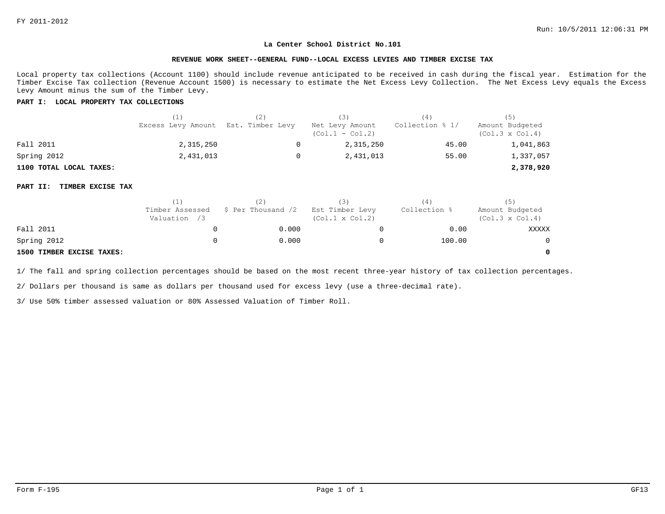#### **REVENUE WORK SHEET--GENERAL FUND--LOCAL EXCESS LEVIES AND TIMBER EXCISE TAX**

Local property tax collections (Account 1100) should include revenue anticipated to be received in cash during the fiscal year. Estimation for the Timber Excise Tax collection (Revenue Account 1500) is necessary to estimate the Net Excess Levy Collection. The Net Excess Levy equals the Excess Levy Amount minus the sum of the Timber Levy.

# **PART I: LOCAL PROPERTY TAX COLLECTIONS**

|                         | (1)                                 | (3)                                  | (4)             | (5)                                       |
|-------------------------|-------------------------------------|--------------------------------------|-----------------|-------------------------------------------|
|                         | Excess Levy Amount Est. Timber Levy | Net Levy Amount<br>$(Col.1 - Col.2)$ | Collection % 1/ | Amount Budgeted<br>$(Col.3 \times Col.4)$ |
| Fall 2011               | 2,315,250                           | 2,315,250                            | 45.00           | 1,041,863                                 |
| Spring 2012             | 2,431,013                           | 2,431,013                            | 55.00           | 1,337,057                                 |
| 1100 TOTAL LOCAL TAXES: |                                     |                                      |                 | 2,378,920                                 |

#### **PART II: TIMBER EXCISE TAX**

|                           |                                 |                    |                                           | (4)          |                                           |
|---------------------------|---------------------------------|--------------------|-------------------------------------------|--------------|-------------------------------------------|
|                           | Timber Assessed<br>Valuation /3 | \$ Per Thousand /2 | Est Timber Levy<br>$(Col.1 \times Col.2)$ | Collection % | Amount Budgeted<br>$(Col.3 \times Col.4)$ |
| Fall 2011                 |                                 | 0.000              |                                           | 0.00         | XXXXX                                     |
| Spring 2012               |                                 | 0.000              |                                           | 100.00       |                                           |
| 1500 TIMBER EXCISE TAXES: |                                 |                    |                                           |              |                                           |

1/ The fall and spring collection percentages should be based on the most recent three-year history of tax collection percentages.

2/ Dollars per thousand is same as dollars per thousand used for excess levy (use a three-decimal rate).

3/ Use 50% timber assessed valuation or 80% Assessed Valuation of Timber Roll.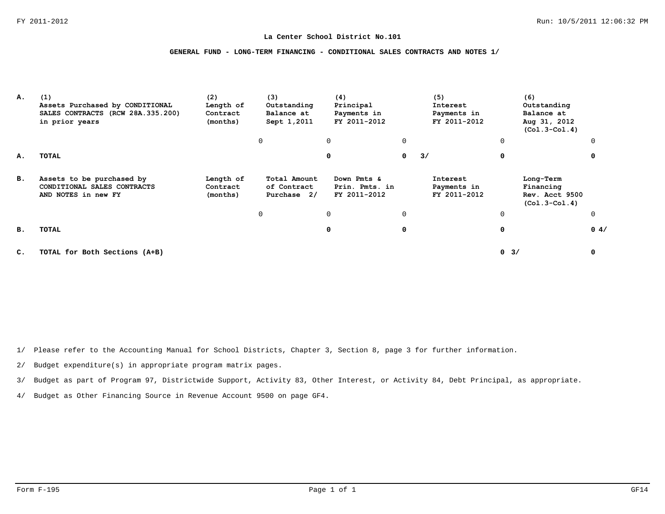# **GENERAL FUND - LONG-TERM FINANCING - CONDITIONAL SALES CONTRACTS AND NOTES 1/**

| А. | (1)<br>Assets Purchased by CONDITIONAL<br>SALES CONTRACTS (RCW 28A.335.200)<br>in prior years | (2)<br>Length of<br>Contract<br>(months) | (3)<br>Outstanding<br>Balance at<br>Sept 1,2011 | (4)<br>Principal<br>Payments in<br>FY 2011-2012 |              | (5)<br>Interest<br>Payments in<br>FY 2011-2012 |             | (6)<br>Outstanding<br>Balance at<br>Aug 31, 2012<br>$(Co1.3-Co1.4)$ |             |
|----|-----------------------------------------------------------------------------------------------|------------------------------------------|-------------------------------------------------|-------------------------------------------------|--------------|------------------------------------------------|-------------|---------------------------------------------------------------------|-------------|
|    |                                                                                               |                                          | 0                                               | 0                                               | 0            |                                                | $\mathbf 0$ |                                                                     | $\Omega$    |
| А. | TOTAL                                                                                         |                                          |                                                 | 0                                               | $\mathbf{0}$ | 3/                                             | 0           |                                                                     | 0           |
| в. | Assets to be purchased by<br>CONDITIONAL SALES CONTRACTS<br>AND NOTES in new FY               | Length of<br>Contract<br>(months)        | Total Amount<br>of Contract<br>Purchase 2/      | Down Pmts &<br>Prin. Pmts. in<br>FY 2011-2012   |              | Interest<br>Payments in<br>FY 2011-2012        |             | Long-Term<br>Financing<br>Rev. Acct 9500<br>$(Co1.3-Co1.4)$         |             |
|    |                                                                                               |                                          | 0                                               | 0                                               | $\Omega$     |                                                | $\mathbf 0$ |                                                                     | $\mathbf 0$ |
| в. | TOTAL                                                                                         |                                          |                                                 | 0                                               | 0            |                                                | 0           |                                                                     | 0.4/        |
| c. | TOTAL for Both Sections (A+B)                                                                 |                                          |                                                 |                                                 |              |                                                | 0<br>3/     |                                                                     | 0           |

1/ Please refer to the Accounting Manual for School Districts, Chapter 3, Section 8, page 3 for further information.

2/ Budget expenditure(s) in appropriate program matrix pages.

3/ Budget as part of Program 97, Districtwide Support, Activity 83, Other Interest, or Activity 84, Debt Principal, as appropriate.

4/ Budget as Other Financing Source in Revenue Account 9500 on page GF4.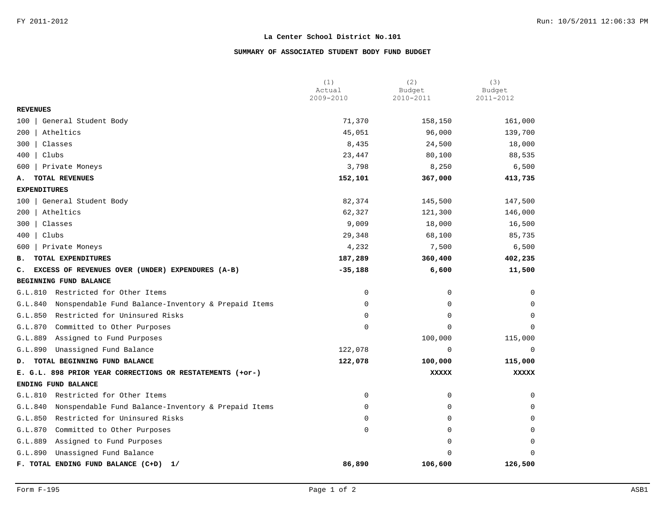# **SUMMARY OF ASSOCIATED STUDENT BODY FUND BUDGET**

|                                                                | (1)                 | (2)                 | (3)                 |
|----------------------------------------------------------------|---------------------|---------------------|---------------------|
|                                                                | Actual<br>2009-2010 | Budget<br>2010-2011 | Budget<br>2011-2012 |
| <b>REVENUES</b>                                                |                     |                     |                     |
| General Student Body<br>100                                    | 71,370              | 158,150             | 161,000             |
| Atheltics<br>200                                               | 45,051              | 96,000              | 139,700             |
| Classes<br>300                                                 | 8,435               | 24,500              | 18,000              |
| Clubs<br>400                                                   | 23,447              | 80,100              | 88,535              |
| Private Moneys<br>600                                          | 3,798               | 8,250               | 6,500               |
| TOTAL REVENUES<br>А.                                           | 152,101             | 367,000             | 413,735             |
| <b>EXPENDITURES</b>                                            |                     |                     |                     |
| 100   General Student Body                                     | 82,374              | 145,500             | 147,500             |
| Atheltics<br>200                                               | 62,327              | 121,300             | 146,000             |
| Classes<br>300                                                 | 9,009               | 18,000              | 16,500              |
| 400<br>  Clubs                                                 | 29,348              | 68,100              | 85,735              |
| Private Moneys<br>600                                          | 4,232               | 7,500               | 6,500               |
| TOTAL EXPENDITURES<br>в.                                       | 187,289             | 360,400             | 402,235             |
| EXCESS OF REVENUES OVER (UNDER) EXPENDURES (A-B)<br>c.         | $-35,188$           | 6,600               | 11,500              |
| BEGINNING FUND BALANCE                                         |                     |                     |                     |
| G.L.810 Restricted for Other Items                             | 0                   | $\Omega$            | $\Omega$            |
| Nonspendable Fund Balance-Inventory & Prepaid Items<br>G.L.840 | 0                   | 0                   | $\Omega$            |
| G.L.850<br>Restricted for Uninsured Risks                      | $\Omega$            | $\Omega$            | $\Omega$            |
| Committed to Other Purposes<br>G.L.870                         | 0                   | 0                   | $\Omega$            |
| Assigned to Fund Purposes<br>G.L.889                           |                     | 100,000             | 115,000             |
| G.L.890<br>Unassigned Fund Balance                             | 122,078             | 0                   | 0                   |
| TOTAL BEGINNING FUND BALANCE<br>D.                             | 122,078             | 100,000             | 115,000             |
| E. G.L. 898 PRIOR YEAR CORRECTIONS OR RESTATEMENTS (+or-)      |                     | XXXXX               | XXXXX               |
| ENDING FUND BALANCE                                            |                     |                     |                     |
| G.L.810 Restricted for Other Items                             | $\mathbf 0$         | 0                   | $\mathbf 0$         |
| Nonspendable Fund Balance-Inventory & Prepaid Items<br>G.L.840 | $\mathbf 0$         | 0                   | $\Omega$            |
| Restricted for Uninsured Risks<br>G.L.850                      | $\mathbf 0$         | 0                   | $\Omega$            |
| G.L.870<br>Committed to Other Purposes                         | 0                   | 0                   | $\Omega$            |
| G.L.889<br>Assigned to Fund Purposes                           |                     | $\Omega$            | $\Omega$            |
| Unassigned Fund Balance<br>G.L.890                             |                     | $\Omega$            | $\Omega$            |
| F. TOTAL ENDING FUND BALANCE (C+D)<br>1/                       | 86,890              | 106,600             | 126,500             |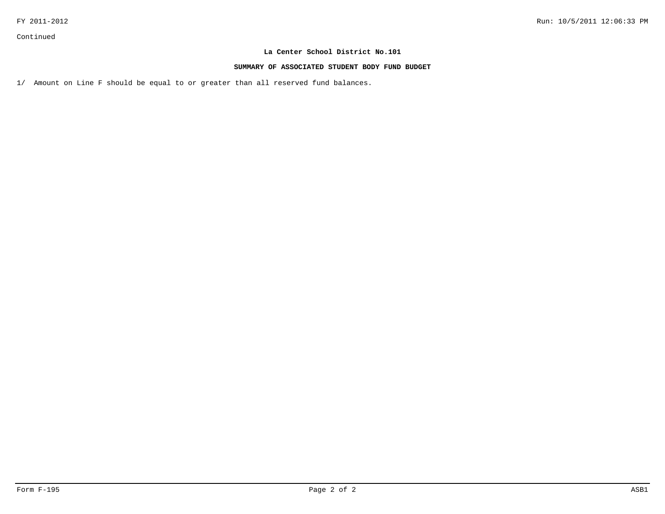# **SUMMARY OF ASSOCIATED STUDENT BODY FUND BUDGET**

1/ Amount on Line F should be equal to or greater than all reserved fund balances.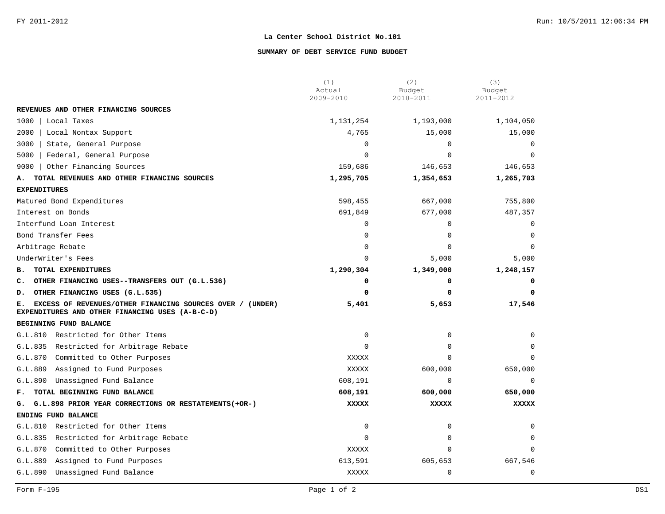### **SUMMARY OF DEBT SERVICE FUND BUDGET**

|                                                                                                                    | (1)<br>Actual | (2)<br>Budget | (3)<br>Budget |
|--------------------------------------------------------------------------------------------------------------------|---------------|---------------|---------------|
|                                                                                                                    | 2009-2010     | 2010-2011     | 2011-2012     |
| REVENUES AND OTHER FINANCING SOURCES                                                                               |               |               |               |
| 1000<br>Local Taxes                                                                                                | 1,131,254     | 1,193,000     | 1,104,050     |
| 2000<br>Local Nontax Support                                                                                       | 4,765         | 15,000        | 15,000        |
| 3000<br>State, General Purpose                                                                                     | $\mathbf 0$   | $\Omega$      | $\Omega$      |
| 5000<br>Federal, General Purpose                                                                                   | $\Omega$      | $\Omega$      | $\Omega$      |
| Other Financing Sources<br>9000                                                                                    | 159,686       | 146,653       | 146,653       |
| TOTAL REVENUES AND OTHER FINANCING SOURCES<br>Α.                                                                   | 1,295,705     | 1,354,653     | 1,265,703     |
| <b>EXPENDITURES</b>                                                                                                |               |               |               |
| Matured Bond Expenditures                                                                                          | 598,455       | 667,000       | 755,800       |
| Interest on Bonds                                                                                                  | 691,849       | 677,000       | 487,357       |
| Interfund Loan Interest                                                                                            | 0             | $\Omega$      | $\Omega$      |
| Bond Transfer Fees                                                                                                 | 0             | $\mathbf 0$   | $\Omega$      |
| Arbitrage Rebate                                                                                                   | $\Omega$      | $\Omega$      |               |
| UnderWriter's Fees                                                                                                 | $\Omega$      | 5,000         | 5,000         |
| TOTAL EXPENDITURES<br>в.                                                                                           | 1,290,304     | 1,349,000     | 1,248,157     |
| OTHER FINANCING USES--TRANSFERS OUT (G.L.536)<br>c.                                                                | 0             | 0             | 0             |
| OTHER FINANCING USES (G.L.535)<br>D.                                                                               | 0             | 0             | 0             |
| EXCESS OF REVENUES/OTHER FINANCING SOURCES OVER / (UNDER)<br>Е.<br>EXPENDITURES AND OTHER FINANCING USES (A-B-C-D) | 5,401         | 5,653         | 17,546        |
| BEGINNING FUND BALANCE                                                                                             |               |               |               |
| G.L.810<br>Restricted for Other Items                                                                              | 0             | 0             |               |
| G.L.835 Restricted for Arbitrage Rebate                                                                            | $\mathbf 0$   | 0             | <sup>0</sup>  |
| G.L.870<br>Committed to Other Purposes                                                                             | XXXXX         | $\Omega$      | $\Omega$      |
| G.L.889<br>Assigned to Fund Purposes                                                                               | XXXXX         | 600,000       | 650,000       |
| G.L.890<br>Unassigned Fund Balance                                                                                 | 608,191       | 0             | $\Omega$      |
| TOTAL BEGINNING FUND BALANCE<br>$F_{\infty}$                                                                       | 608,191       | 600,000       | 650,000       |
| G.L.898 PRIOR YEAR CORRECTIONS OR RESTATEMENTS (+OR-)<br>G.                                                        | <b>XXXXX</b>  | <b>XXXXX</b>  | <b>XXXXX</b>  |
| ENDING FUND BALANCE                                                                                                |               |               |               |
| Restricted for Other Items<br>G.L.810                                                                              | $\mathbf 0$   | $\Omega$      | $\Omega$      |
| G.L.835<br>Restricted for Arbitrage Rebate                                                                         | $\Omega$      | $\Omega$      | $\Omega$      |
| G.L.870<br>Committed to Other Purposes                                                                             | <b>XXXXX</b>  | 0             |               |
| G.L.889<br>Assigned to Fund Purposes                                                                               | 613,591       | 605,653       | 667,546       |
| G.L.890<br>Unassigned Fund Balance                                                                                 | <b>XXXXX</b>  | 0             | $\mathbf 0$   |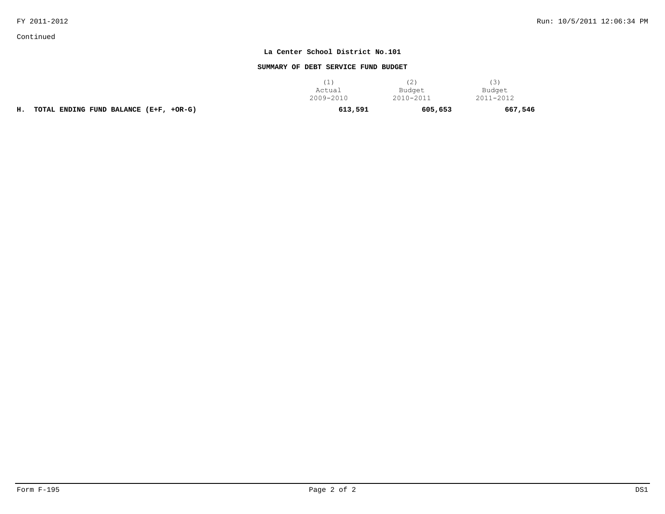Continued

## **La Center School District No.101**

## **SUMMARY OF DEBT SERVICE FUND BUDGET**

|                                              | Actual    | Budget    | Budget    |
|----------------------------------------------|-----------|-----------|-----------|
|                                              | 2009-2010 | 2010-2011 | 2011-2012 |
| TOTAL ENDING FUND BALANCE (E+F, +OR-G)<br>н. | 613,591   | 605,653   | 667,546   |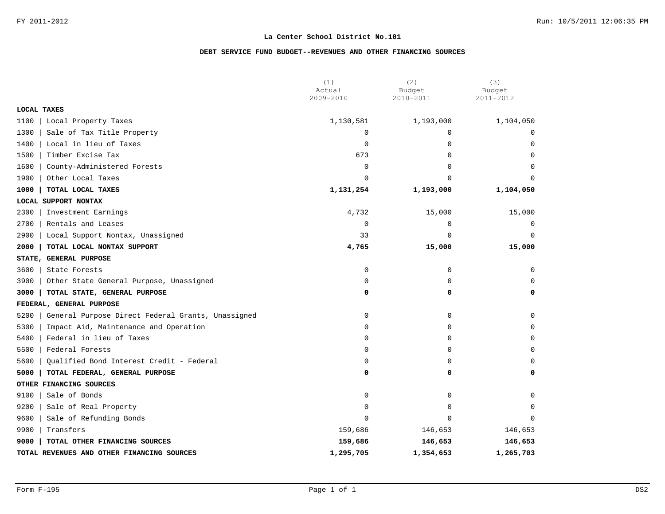## **DEBT SERVICE FUND BUDGET--REVENUES AND OTHER FINANCING SOURCES**

|                                                           | (1)<br>Actual | (2)<br>Budget | (3)<br>Budget  |
|-----------------------------------------------------------|---------------|---------------|----------------|
|                                                           | 2009-2010     | 2010-2011     | 2011-2012      |
| LOCAL TAXES                                               |               |               |                |
| 1100<br>Local Property Taxes                              | 1,130,581     | 1,193,000     | 1,104,050      |
| 1300<br>Sale of Tax Title Property                        | $\mathbf 0$   | $\Omega$      | 0              |
| 1400<br>Local in lieu of Taxes                            | $\Omega$      | $\Omega$      | $\Omega$       |
| 1500<br>Timber Excise Tax                                 | 673           | 0             | $\mathbf 0$    |
| 1600<br>County-Administered Forests                       | $\mathbf 0$   | 0             | $\Omega$       |
| 1900<br>Other Local Taxes                                 | $\Omega$      | 0             | $\Omega$       |
| TOTAL LOCAL TAXES<br>1000                                 | 1,131,254     | 1,193,000     | 1,104,050      |
| LOCAL SUPPORT NONTAX                                      |               |               |                |
| 2300<br>Investment Earnings                               | 4,732         | 15,000        | 15,000         |
| 2700<br>Rentals and Leases                                | $\mathbf 0$   | $\mathbf 0$   | $\overline{0}$ |
| 2900<br>Local Support Nontax, Unassigned                  | 33            | 0             | $\Omega$       |
| 2000<br>TOTAL LOCAL NONTAX SUPPORT                        | 4,765         | 15,000        | 15,000         |
| STATE, GENERAL PURPOSE                                    |               |               |                |
| 3600<br>State Forests                                     | 0             | 0             | $\mathbf 0$    |
| 3900<br>Other State General Purpose, Unassigned           | $\mathbf 0$   | 0             | $\Omega$       |
| 3000<br>TOTAL STATE, GENERAL PURPOSE                      | 0             | 0             | 0              |
| FEDERAL, GENERAL PURPOSE                                  |               |               |                |
| 5200<br>General Purpose Direct Federal Grants, Unassigned | 0             | 0             | $\mathbf 0$    |
| 5300<br>Impact Aid, Maintenance and Operation             | $\mathbf 0$   | 0             | $\mathbf 0$    |
| Federal in lieu of Taxes<br>5400                          | $\mathbf 0$   | 0             | $\Omega$       |
| 5500<br>Federal Forests                                   | $\Omega$      | $\Omega$      | $\Omega$       |
| 5600<br>Qualified Bond Interest Credit - Federal          | $\mathbf 0$   | $\Omega$      | $\Omega$       |
| 5000<br>TOTAL FEDERAL, GENERAL PURPOSE                    | 0             | 0             | 0              |
| OTHER FINANCING SOURCES                                   |               |               |                |
| Sale of Bonds<br>9100                                     | 0             | 0             | $\Omega$       |
| 9200<br>Sale of Real Property                             | $\mathbf 0$   | 0             | $\Omega$       |
| 9600<br>Sale of Refunding Bonds                           | $\mathbf 0$   | $\Omega$      | $\Omega$       |
| 9900<br>Transfers                                         | 159,686       | 146,653       | 146,653        |
| 9000<br>TOTAL OTHER FINANCING SOURCES                     | 159,686       | 146,653       | 146,653        |
| TOTAL REVENUES AND OTHER FINANCING SOURCES                | 1,295,705     | 1,354,653     | 1,265,703      |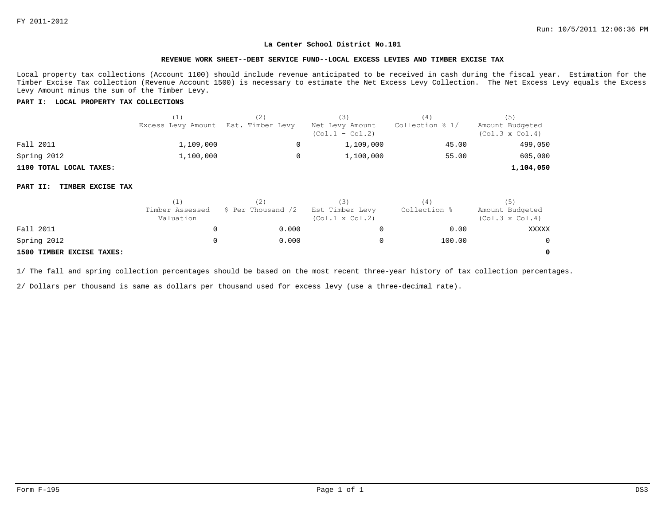#### **REVENUE WORK SHEET--DEBT SERVICE FUND--LOCAL EXCESS LEVIES AND TIMBER EXCISE TAX**

Local property tax collections (Account 1100) should include revenue anticipated to be received in cash during the fiscal year. Estimation for the Timber Excise Tax collection (Revenue Account 1500) is necessary to estimate the Net Excess Levy Collection. The Net Excess Levy equals the Excess Levy Amount minus the sum of the Timber Levy.

#### **PART I: LOCAL PROPERTY TAX COLLECTIONS**

|                         | (1)                                 | (3)                                  | (4)             | (5)                                       |
|-------------------------|-------------------------------------|--------------------------------------|-----------------|-------------------------------------------|
|                         | Excess Levy Amount Est. Timber Levy | Net Levy Amount<br>$(Col.1 - Col.2)$ | Collection % 1/ | Amount Budgeted<br>$(Col.3 \times Col.4)$ |
| Fall 2011               | 1,109,000                           | 1,109,000                            | 45.00           | 499,050                                   |
| Spring 2012             | 1,100,000                           | 1,100,000                            | 55.00           | 605,000                                   |
| 1100 TOTAL LOCAL TAXES: |                                     |                                      |                 | 1,104,050                                 |

#### **PART II: TIMBER EXCISE TAX**

|                           | (1)                          |                    |                                           | '4'          | (5)                                       |
|---------------------------|------------------------------|--------------------|-------------------------------------------|--------------|-------------------------------------------|
|                           | Timber Assessed<br>Valuation | \$ Per Thousand /2 | Est Timber Levy<br>$(Col.1 \times Col.2)$ | Collection % | Amount Budgeted<br>$(Col.3 \times Col.4)$ |
| Fall 2011                 |                              | 0.000              |                                           | 0.00         | XXXXX                                     |
| Spring 2012               |                              | 0.000              |                                           | 100.00       | $\overline{0}$                            |
| 1500 TIMBER EXCISE TAXES: |                              |                    |                                           |              | $\Omega$                                  |

1/ The fall and spring collection percentages should be based on the most recent three-year history of tax collection percentages.

2/ Dollars per thousand is same as dollars per thousand used for excess levy (use a three-decimal rate).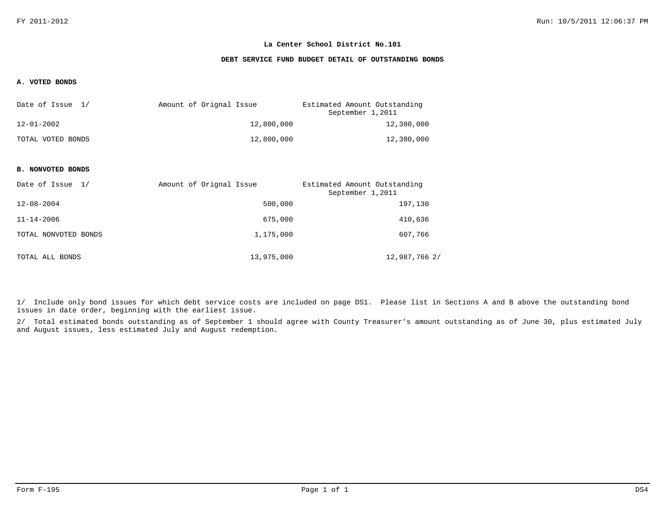#### **DEBT SERVICE FUND BUDGET DETAIL OF OUTSTANDING BONDS**

#### **A. VOTED BONDS**

| Date of Issue 1/  | Amount of Orignal Issue | Estimated Amount Outstanding<br>September 1,2011 |
|-------------------|-------------------------|--------------------------------------------------|
| 12-01-2002        | 12,800,000              | 12,380,000                                       |
| TOTAL VOTED BONDS | 12,800,000              | 12,380,000                                       |

#### **B. NONVOTED BONDS**

| Date of Issue 1/     | Amount of Orignal Issue | Estimated Amount Outstanding<br>September 1,2011 |
|----------------------|-------------------------|--------------------------------------------------|
| $12 - 08 - 2004$     | 500,000                 | 197,130                                          |
| $11 - 14 - 2006$     | 675,000                 | 410,636                                          |
| TOTAL NONVOTED BONDS | 1,175,000               | 607,766                                          |
| TOTAL ALL BONDS      | 13,975,000              | 12,987,766 2/                                    |

1/ Include only bond issues for which debt service costs are included on page DS1. Please list in Sections A and B above the outstanding bond issues in date order, beginning with the earliest issue.

2/ Total estimated bonds outstanding as of September 1 should agree with County Treasurer's amount outstanding as of June 30, plus estimated July and August issues, less estimated July and August redemption.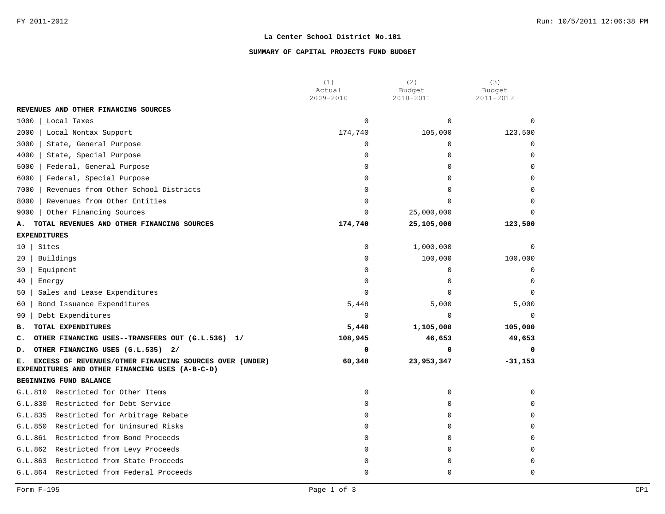### **SUMMARY OF CAPITAL PROJECTS FUND BUDGET**

|                                                                                                                  | (1)<br>Actual | (2)<br>Budget | (3)<br>Budget |
|------------------------------------------------------------------------------------------------------------------|---------------|---------------|---------------|
|                                                                                                                  | 2009-2010     | 2010-2011     | 2011-2012     |
| REVENUES AND OTHER FINANCING SOURCES                                                                             |               |               |               |
| 1000<br>Local Taxes                                                                                              | $\Omega$      | $\Omega$      | $\Omega$      |
| 2000<br>Local Nontax Support                                                                                     | 174,740       | 105,000       | 123,500       |
| 3000<br>State, General Purpose                                                                                   | 0             | 0             | $\mathbf 0$   |
| 4000<br>State, Special Purpose                                                                                   | $\Omega$      | $\Omega$      | $\Omega$      |
| 5000<br>Federal, General Purpose                                                                                 | $\mathbf 0$   | $\Omega$      | $\Omega$      |
| 6000<br>Federal, Special Purpose                                                                                 | $\Omega$      | $\Omega$      | $\Omega$      |
| 7000<br>Revenues from Other School Districts                                                                     | $\Omega$      | $\Omega$      | $\Omega$      |
| 8000<br>Revenues from Other Entities                                                                             | $\Omega$      | 0             | $\Omega$      |
| 9000<br>Other Financing Sources                                                                                  | $\Omega$      | 25,000,000    | $\Omega$      |
| TOTAL REVENUES AND OTHER FINANCING SOURCES<br>А.                                                                 | 174,740       | 25,105,000    | 123,500       |
| <b>EXPENDITURES</b>                                                                                              |               |               |               |
| Sites<br>10                                                                                                      | $\mathbf 0$   | 1,000,000     | $\Omega$      |
| Buildings<br>20                                                                                                  | $\mathbf 0$   | 100,000       | 100,000       |
| Equipment<br>30                                                                                                  | $\Omega$      | 0             | $\mathbf 0$   |
| 40<br>Energy                                                                                                     | $\mathbf 0$   | $\Omega$      | $\Omega$      |
| Sales and Lease Expenditures<br>50                                                                               | $\Omega$      | $\Omega$      | $\Omega$      |
| Bond Issuance Expenditures<br>60                                                                                 | 5,448         | 5,000         | 5,000         |
| Debt Expenditures<br>90                                                                                          | $\Omega$      | $\Omega$      | $\Omega$      |
| TOTAL EXPENDITURES<br>в.                                                                                         | 5,448         | 1,105,000     | 105,000       |
| OTHER FINANCING USES--TRANSFERS OUT (G.L.536) 1/<br>c.                                                           | 108,945       | 46,653        | 49,653        |
| OTHER FINANCING USES (G.L.535) 2/<br>D.                                                                          | 0             | 0             | 0             |
| EXCESS OF REVENUES/OTHER FINANCING SOURCES OVER (UNDER)<br>Е.<br>EXPENDITURES AND OTHER FINANCING USES (A-B-C-D) | 60,348        | 23,953,347    | $-31,153$     |
| BEGINNING FUND BALANCE                                                                                           |               |               |               |
| G.L.810 Restricted for Other Items                                                                               | $\mathbf 0$   | $\mathbf 0$   | $\Omega$      |
| Restricted for Debt Service<br>G.L.830                                                                           | $\mathbf 0$   | $\Omega$      | $\Omega$      |
| G.L.835<br>Restricted for Arbitrage Rebate                                                                       | $\Omega$      | $\Omega$      | $\Omega$      |
| Restricted for Uninsured Risks<br>G.L.850                                                                        | $\Omega$      | $\Omega$      | $\Omega$      |
| G.L.861<br>Restricted from Bond Proceeds                                                                         | 0             | 0             | $\Omega$      |
| G.L.862 Restricted from Levy Proceeds                                                                            | $\Omega$      | $\Omega$      | $\Omega$      |
| G.L.863<br>Restricted from State Proceeds                                                                        | $\Omega$      | $\Omega$      | $\Omega$      |
| G.L.864 Restricted from Federal Proceeds                                                                         | 0             | $\Omega$      | $\Omega$      |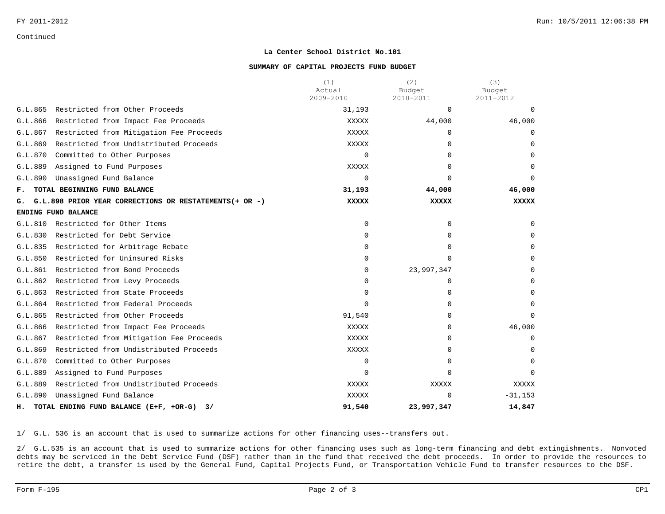Continued

#### **La Center School District No.101**

#### **SUMMARY OF CAPITAL PROJECTS FUND BUDGET**

|                                                              | (1)<br>Actual<br>2009-2010 | (2)<br>Budget<br>2010-2011 | (3)<br>Budget<br>2011-2012 |
|--------------------------------------------------------------|----------------------------|----------------------------|----------------------------|
| Restricted from Other Proceeds<br>G.L.865                    | 31,193                     | $\Omega$                   | $\Omega$                   |
| G.L.866<br>Restricted from Impact Fee Proceeds               | XXXXX                      | 44,000                     | 46,000                     |
| G.L.867<br>Restricted from Mitigation Fee Proceeds           | XXXXX                      | $\Omega$                   | 0                          |
| Restricted from Undistributed Proceeds<br>G.L.869            | XXXXX                      | <sup>n</sup>               | $\Omega$                   |
| G.L.870<br>Committed to Other Purposes                       | 0                          | <sup>n</sup>               | $\Omega$                   |
| G.L.889<br>Assigned to Fund Purposes                         | XXXXX                      |                            |                            |
| Unassigned Fund Balance<br>G.L.890                           | $\Omega$                   | ∩                          | <sup>n</sup>               |
| TOTAL BEGINNING FUND BALANCE<br>F.                           | 31,193                     | 44,000                     | 46,000                     |
| G.L.898 PRIOR YEAR CORRECTIONS OR RESTATEMENTS(+ OR -)<br>G. | <b>XXXXX</b>               | <b>XXXXX</b>               | <b>XXXXX</b>               |
| ENDING FUND BALANCE                                          |                            |                            |                            |
| Restricted for Other Items<br>G.L.810                        | $\Omega$                   | $\Omega$                   | $\Omega$                   |
| G.L.830<br>Restricted for Debt Service                       | $\Omega$                   | $\Omega$                   | $\Omega$                   |
| G.L.835<br>Restricted for Arbitrage Rebate                   | 0                          |                            | $\Omega$                   |
| Restricted for Uninsured Risks<br>G.L.850                    | 0                          | <sup>n</sup>               | $\Omega$                   |
| G.L.861<br>Restricted from Bond Proceeds                     | 0                          | 23,997,347                 | <sup>0</sup>               |
| G.L.862<br>Restricted from Levy Proceeds                     | $\Omega$                   | $\Omega$                   | $\Omega$                   |
| G.L.863<br>Restricted from State Proceeds                    | 0                          | <sup>n</sup>               | $\Omega$                   |
| Restricted from Federal Proceeds<br>G.L.864                  | $\Omega$                   | <sup>n</sup>               | $\Omega$                   |
| Restricted from Other Proceeds<br>G.L.865                    | 91,540                     | <sup>n</sup>               | <sup>n</sup>               |
| G.L.866<br>Restricted from Impact Fee Proceeds               | <b>XXXXX</b>               | 0                          | 46,000                     |
| Restricted from Mitigation Fee Proceeds<br>G.L.867           | XXXXX                      | <sup>n</sup>               | $\Omega$                   |
| G.L.869<br>Restricted from Undistributed Proceeds            | <b>XXXXX</b>               | $\Omega$                   | 0                          |
| G.L.870<br>Committed to Other Purposes                       | $\Omega$                   | ∩                          | <sup>0</sup>               |
| G.L.889<br>Assigned to Fund Purposes                         | 0                          | <sup>n</sup>               | $\Omega$                   |
| Restricted from Undistributed Proceeds<br>G.L.889            | XXXXX                      | XXXXX                      | XXXXX                      |
| Unassigned Fund Balance<br>G.L.890                           | XXXXX                      | $\Omega$                   | $-31,153$                  |
| TOTAL ENDING FUND BALANCE (E+F, +OR-G)<br>3/<br>н.           | 91,540                     | 23,997,347                 | 14,847                     |

1/ G.L. 536 is an account that is used to summarize actions for other financing uses--transfers out.

2/ G.L.535 is an account that is used to summarize actions for other financing uses such as long-term financing and debt extingishments. Nonvoted debts may be serviced in the Debt Service Fund (DSF) rather than in the fund that received the debt proceeds. In order to provide the resources to retire the debt, a transfer is used by the General Fund, Capital Projects Fund, or Transportation Vehicle Fund to transfer resources to the DSF.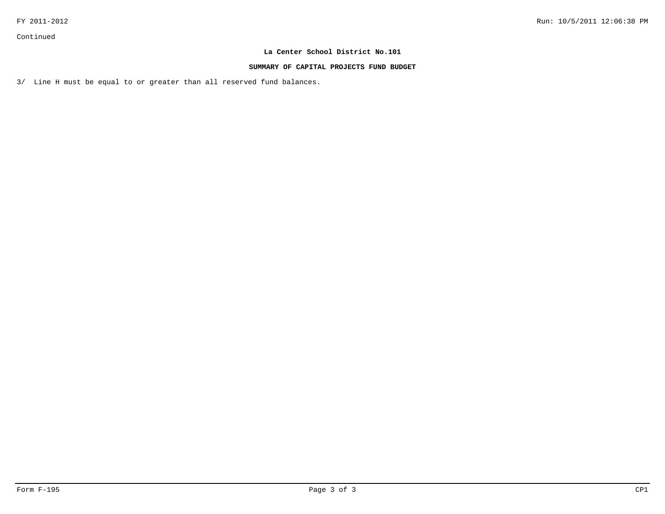Continued

## **La Center School District No.101**

#### **SUMMARY OF CAPITAL PROJECTS FUND BUDGET**

3/ Line H must be equal to or greater than all reserved fund balances.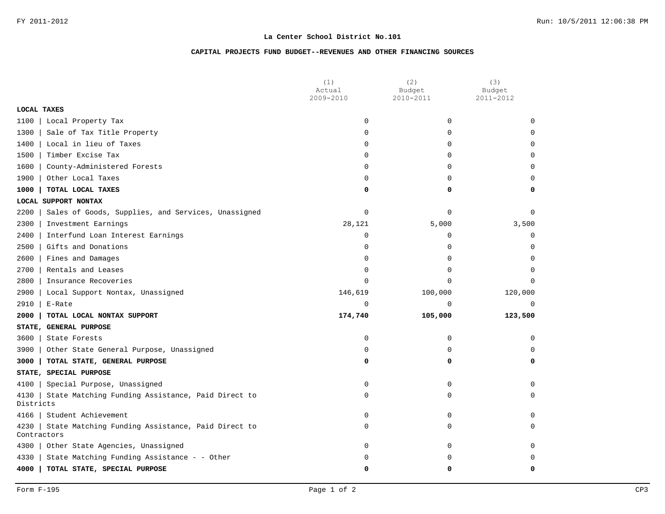## **CAPITAL PROJECTS FUND BUDGET--REVENUES AND OTHER FINANCING SOURCES**

|                     |                                                    | (1)<br>Actual | (2)<br>Budget | (3)<br>Budget |
|---------------------|----------------------------------------------------|---------------|---------------|---------------|
|                     |                                                    | 2009-2010     | 2010-2011     | 2011-2012     |
| <b>LOCAL TAXES</b>  |                                                    |               |               |               |
| 1100                | Local Property Tax                                 | $\mathbf 0$   | 0             | $\Omega$      |
| 1300                | Sale of Tax Title Property                         | $\mathbf 0$   | 0             | $\mathbf 0$   |
| 1400                | Local in lieu of Taxes                             | $\Omega$      | $\Omega$      | $\Omega$      |
| 1500                | Timber Excise Tax                                  | $\mathbf 0$   | 0             | $\Omega$      |
| 1600                | County-Administered Forests                        | $\mathbf 0$   | 0             | $\mathbf 0$   |
| 1900                | Other Local Taxes                                  | $\mathbf 0$   | 0             | 0             |
| 1000                | TOTAL LOCAL TAXES                                  | 0             | 0             | 0             |
|                     | LOCAL SUPPORT NONTAX                               |               |               |               |
| 2200                | Sales of Goods, Supplies, and Services, Unassigned | $\mathbf 0$   | 0             | $\Omega$      |
| 2300                | Investment Earnings                                | 28,121        | 5,000         | 3,500         |
| 2400                | Interfund Loan Interest Earnings                   | $\mathbf 0$   | 0             | $\mathbf 0$   |
| 2500                | Gifts and Donations                                | $\mathbf 0$   | 0             | $\mathbf 0$   |
| 2600                | Fines and Damages                                  | $\mathbf 0$   | 0             | $\mathbf 0$   |
| 2700                | Rentals and Leases                                 | $\mathbf 0$   | 0             | $\Omega$      |
| 2800                | Insurance Recoveries                               | $\mathbf 0$   | 0             | $\Omega$      |
| 2900                | Local Support Nontax, Unassigned                   | 146,619       | 100,000       | 120,000       |
| 2910                | E-Rate                                             | $\Omega$      | $\Omega$      | $\Omega$      |
| 2000                | TOTAL LOCAL NONTAX SUPPORT                         | 174,740       | 105,000       | 123,500       |
|                     | STATE, GENERAL PURPOSE                             |               |               |               |
| 3600                | State Forests                                      | $\mathbf 0$   | 0             | $\mathbf 0$   |
| 3900                | Other State General Purpose, Unassigned            | $\mathbf 0$   | 0             | $\Omega$      |
| 3000                | TOTAL STATE, GENERAL PURPOSE                       | 0             | 0             | 0             |
|                     | STATE, SPECIAL PURPOSE                             |               |               |               |
| 4100                | Special Purpose, Unassigned                        | $\mathbf 0$   | 0             | $\mathbf 0$   |
| 4130<br>Districts   | State Matching Funding Assistance, Paid Direct to  | 0             | 0             | $\mathbf 0$   |
| 4166                | Student Achievement                                | $\mathbf 0$   | 0             | $\Omega$      |
| 4230<br>Contractors | State Matching Funding Assistance, Paid Direct to  | 0             | 0             | 0             |
| 4300                | Other State Agencies, Unassigned                   | $\mathbf 0$   | 0             | $\Omega$      |
| 4330                | State Matching Funding Assistance - - Other        | 0             | 0             | $\Omega$      |
| 4000                | TOTAL STATE, SPECIAL PURPOSE                       | 0             | 0             | 0             |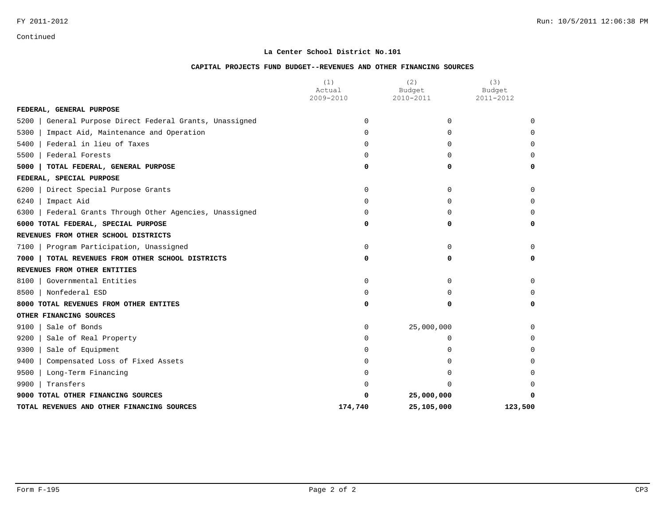Continued

## **La Center School District No.101**

#### **CAPITAL PROJECTS FUND BUDGET--REVENUES AND OTHER FINANCING SOURCES**

|                                                           | (1)<br>Actual<br>2009-2010 | (2)<br>Budget<br>2010-2011 | (3)<br>Budget<br>2011-2012 |
|-----------------------------------------------------------|----------------------------|----------------------------|----------------------------|
| FEDERAL, GENERAL PURPOSE                                  |                            |                            |                            |
| General Purpose Direct Federal Grants, Unassigned<br>5200 | $\Omega$                   | $\Omega$                   | $\Omega$                   |
| 5300<br>Impact Aid, Maintenance and Operation             | $\Omega$                   | $\Omega$                   | U                          |
| Federal in lieu of Taxes<br>5400                          | $\Omega$                   | $\Omega$                   | U                          |
| Federal Forests<br>5500                                   | $\Omega$                   | $\Omega$                   | U                          |
| TOTAL FEDERAL, GENERAL PURPOSE<br>5000                    | 0                          | 0                          | 0                          |
| FEDERAL, SPECIAL PURPOSE                                  |                            |                            |                            |
| Direct Special Purpose Grants<br>6200                     | $\Omega$                   | $\Omega$                   | <sup>0</sup>               |
| 6240<br>Impact Aid                                        | $\Omega$                   | $\Omega$                   | <sup>0</sup>               |
| Federal Grants Through Other Agencies, Unassigned<br>6300 | 0                          | $\Omega$                   | O                          |
| 6000 TOTAL FEDERAL, SPECIAL PURPOSE                       | 0                          | $\Omega$                   | 0                          |
| REVENUES FROM OTHER SCHOOL DISTRICTS                      |                            |                            |                            |
| 7100   Program Participation, Unassigned                  | 0                          | 0                          | 0                          |
| TOTAL REVENUES FROM OTHER SCHOOL DISTRICTS<br>7000        | 0                          | 0                          | 0                          |
| REVENUES FROM OTHER ENTITIES                              |                            |                            |                            |
| Governmental Entities<br>8100                             | 0                          | $\Omega$                   | $\Omega$                   |
| Nonfederal ESD<br>8500                                    | 0                          | 0                          | U                          |
| 8000 TOTAL REVENUES FROM OTHER ENTITES                    | 0                          | 0                          | 0                          |
| OTHER FINANCING SOURCES                                   |                            |                            |                            |
| Sale of Bonds<br>9100                                     | 0                          | 25,000,000                 | O                          |
| 9200<br>Sale of Real Property                             | 0                          | 0                          | O                          |
| Sale of Equipment<br>9300                                 | 0                          | U                          | U                          |
| 9400<br>Compensated Loss of Fixed Assets                  | 0                          | 0                          |                            |
| 9500<br>Long-Term Financing                               | 0                          | <sup>0</sup>               |                            |
| Transfers<br>9900                                         |                            | $\Omega$                   | U                          |
| 9000 TOTAL OTHER FINANCING SOURCES                        |                            | 25,000,000                 |                            |
| TOTAL REVENUES AND OTHER FINANCING SOURCES                | 174,740                    | 25,105,000                 | 123,500                    |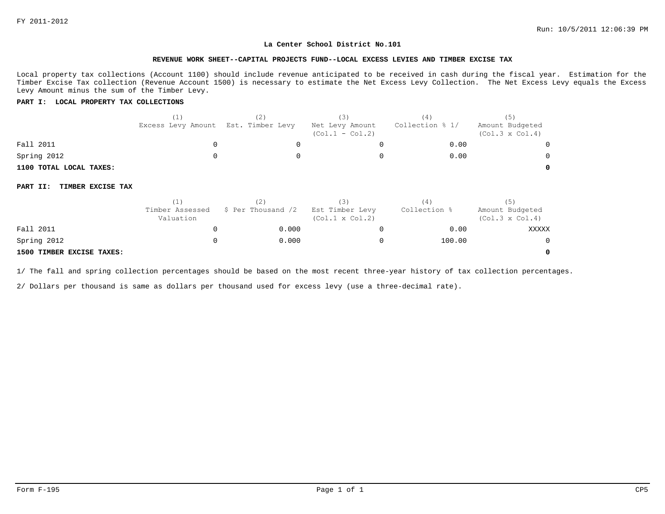**0**

#### **La Center School District No.101**

#### **REVENUE WORK SHEET--CAPITAL PROJECTS FUND--LOCAL EXCESS LEVIES AND TIMBER EXCISE TAX**

Local property tax collections (Account 1100) should include revenue anticipated to be received in cash during the fiscal year. Estimation for the Timber Excise Tax collection (Revenue Account 1500) is necessary to estimate the Net Excess Levy Collection. The Net Excess Levy equals the Excess Levy Amount minus the sum of the Timber Levy.

#### **PART I: LOCAL PROPERTY TAX COLLECTIONS**

|                               | (1)<br>Excess Levy Amount    | (2)<br>Est. Timber Levy | (3)<br>Net Levy Amount<br>$(Col.1 - Col.2)$ | (4)<br>Collection % 1/ | (5)<br>Amount Budgeted<br>$(Col.3 \times Col.4)$ |
|-------------------------------|------------------------------|-------------------------|---------------------------------------------|------------------------|--------------------------------------------------|
| Fall 2011                     |                              |                         |                                             | 0.00                   |                                                  |
| Spring 2012                   |                              |                         |                                             | 0.00                   |                                                  |
| 1100 TOTAL LOCAL TAXES:       |                              |                         |                                             |                        |                                                  |
| TIMBER EXCISE TAX<br>PART II: |                              |                         |                                             |                        |                                                  |
|                               | (1)                          | (2)                     | (3)                                         | (4)                    | (5)                                              |
|                               | Timber Assessed<br>Valuation | \$ Per Thousand /2      | Est Timber Levy<br>$(Col.1 \times Col.2)$   | Collection %           | Amount Budgeted<br>$(Col.3 \times Col.4)$        |
| Fall 2011                     |                              | 0.000                   |                                             | 0.00                   | <b>XXXXX</b>                                     |
| Spring 2012                   |                              | 0.000                   |                                             | 100.00                 |                                                  |

#### **1500 TIMBER EXCISE TAXES:**

1/ The fall and spring collection percentages should be based on the most recent three-year history of tax collection percentages.

2/ Dollars per thousand is same as dollars per thousand used for excess levy (use a three-decimal rate).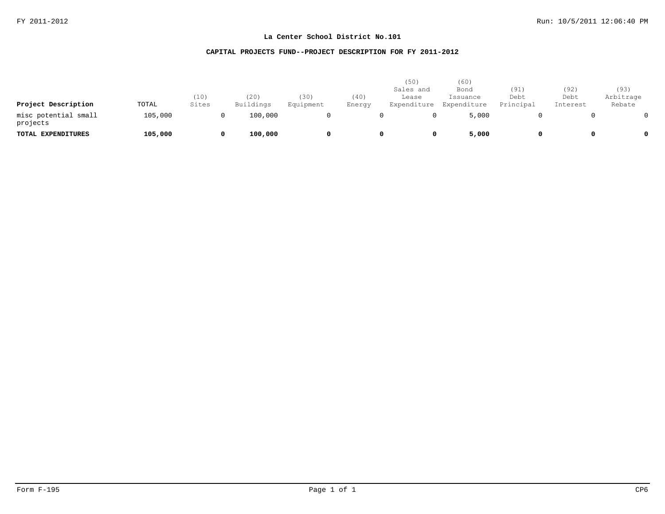## **CAPITAL PROJECTS FUND--PROJECT DESCRIPTION FOR FY 2011-2012**

| Project Description              | TOTAL   | (10)<br>Sites | (20)<br>Buildings | (30)<br>Equipment | (40)<br>Energy | (50)<br>Sales and<br>Lease<br>Expenditure | (60)<br>Bond<br>Issuance<br>Expenditure | (91)<br>Debt<br>Principal | (92)<br>Debt<br>Interest | (93)<br>Arbitrage<br>Rebate |
|----------------------------------|---------|---------------|-------------------|-------------------|----------------|-------------------------------------------|-----------------------------------------|---------------------------|--------------------------|-----------------------------|
| misc potential small<br>projects | 105,000 |               | 100,000           |                   |                |                                           | 5,000                                   |                           |                          |                             |
| TOTAL EXPENDITURES               | 105,000 |               | 100,000           | 0                 |                |                                           | 5,000                                   |                           |                          | $^{\circ}$                  |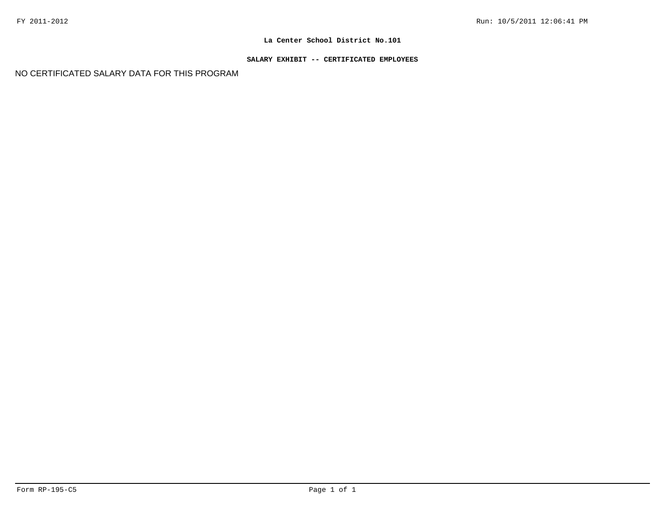## **SALARY EXHIBIT -- CERTIFICATED EMPLOYEES**

NO CERTIFICATED SALARY DATA FOR THIS PROGRAM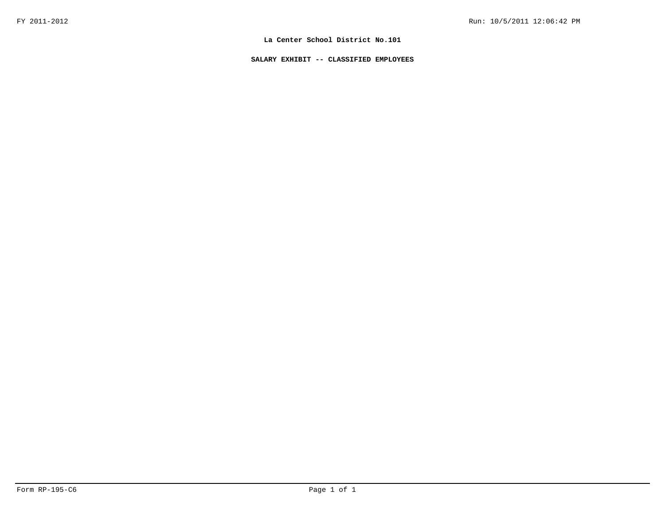**SALARY EXHIBIT -- CLASSIFIED EMPLOYEES**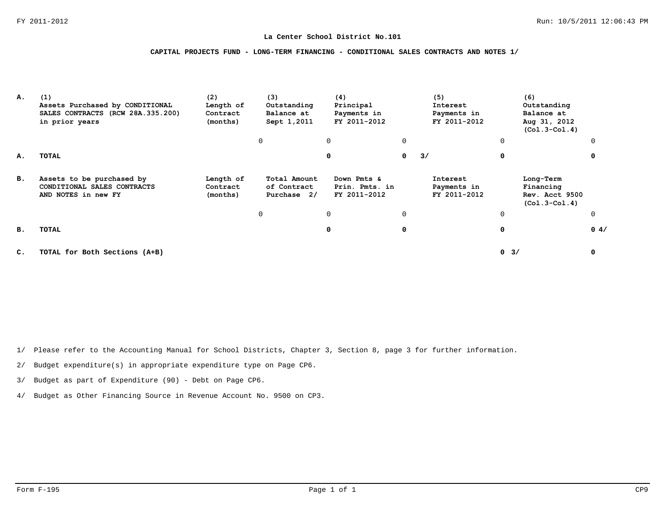### **CAPITAL PROJECTS FUND - LONG-TERM FINANCING - CONDITIONAL SALES CONTRACTS AND NOTES 1/**

| А. | (1)<br>Assets Purchased by CONDITIONAL<br>SALES CONTRACTS (RCW 28A.335.200)<br>in prior years | (2)<br>Length of<br>Contract<br>(months) | (3)<br>Outstanding<br>Balance at<br>Sept 1,2011 | (4)<br>Principal<br>Payments in<br>FY 2011-2012 |   | (5)<br>Interest<br>Payments in<br>FY 2011-2012 |             | (6)<br>Outstanding<br>Balance at<br>Aug 31, 2012<br>$(Co1.3-Co1.4)$ |          |
|----|-----------------------------------------------------------------------------------------------|------------------------------------------|-------------------------------------------------|-------------------------------------------------|---|------------------------------------------------|-------------|---------------------------------------------------------------------|----------|
|    |                                                                                               |                                          | 0                                               | 0                                               | 0 |                                                | $\mathbf 0$ |                                                                     | $\Omega$ |
| А. | TOTAL                                                                                         |                                          |                                                 | 0                                               | 0 | 3/                                             | 0           |                                                                     | $\Omega$ |
| в. | Assets to be purchased by<br>CONDITIONAL SALES CONTRACTS<br>AND NOTES in new FY               | Length of<br>Contract<br>(months)        | Total Amount<br>of Contract<br>Purchase 2/      | Down Pmts &<br>Prin. Pmts. in<br>FY 2011-2012   |   | Interest<br>Payments in<br>FY 2011-2012        |             | Long-Term<br>Financing<br>Rev. Acct 9500<br>$(Co1.3-Co1.4)$         |          |
|    |                                                                                               |                                          | 0                                               | 0                                               | 0 |                                                | $\mathbf 0$ |                                                                     | $\Omega$ |
| в. | TOTAL                                                                                         |                                          |                                                 | 0                                               | 0 |                                                | 0           |                                                                     | 0.4/     |
| c. | TOTAL for Both Sections (A+B)                                                                 |                                          |                                                 |                                                 |   |                                                | $0 \t3/$    |                                                                     | 0        |

1/ Please refer to the Accounting Manual for School Districts, Chapter 3, Section 8, page 3 for further information.

2/ Budget expenditure(s) in appropriate expenditure type on Page CP6.

3/ Budget as part of Expenditure (90) - Debt on Page CP6.

4/ Budget as Other Financing Source in Revenue Account No. 9500 on CP3.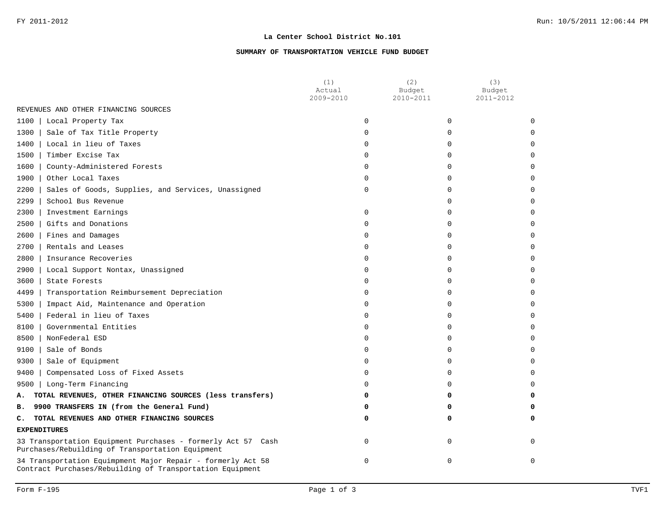### **SUMMARY OF TRANSPORTATION VEHICLE FUND BUDGET**

|                                                                                                                          | (1)<br>Actual<br>2009-2010 | (2)<br>Budget<br>2010-2011 | (3)<br>Budget<br>2011-2012 |
|--------------------------------------------------------------------------------------------------------------------------|----------------------------|----------------------------|----------------------------|
| REVENUES AND OTHER FINANCING SOURCES                                                                                     |                            |                            |                            |
| Local Property Tax<br>1100 l                                                                                             | $\Omega$                   | $\Omega$                   | ∩                          |
| 1300<br>Sale of Tax Title Property                                                                                       | $\Omega$                   | $\Omega$                   |                            |
| Local in lieu of Taxes<br>1400                                                                                           | 0                          | $\Omega$                   |                            |
| Timber Excise Tax<br>1500                                                                                                | 0                          | $\Omega$                   |                            |
| 1600<br>County-Administered Forests                                                                                      | 0                          | $\Omega$                   |                            |
| 1900<br>Other Local Taxes                                                                                                | $\Omega$                   | $\Omega$                   |                            |
| Sales of Goods, Supplies, and Services, Unassigned<br>2200                                                               | 0                          | $\Omega$                   |                            |
| 2299<br>School Bus Revenue                                                                                               |                            | $\Omega$                   |                            |
| 2300<br>Investment Earnings                                                                                              | $\Omega$                   | <sup>0</sup>               |                            |
| 2500<br>Gifts and Donations                                                                                              | $\Omega$                   | $\Omega$                   |                            |
| 2600<br>Fines and Damages                                                                                                | 0                          | $\Omega$                   |                            |
| $2700$  <br>Rentals and Leases                                                                                           | $\Omega$                   | $\Omega$                   |                            |
| 2800<br>Insurance Recoveries                                                                                             | 0                          | $\Omega$                   |                            |
| Local Support Nontax, Unassigned<br>2900                                                                                 | 0                          | $\Omega$                   |                            |
| 3600<br>State Forests                                                                                                    | 0                          | $\Omega$                   |                            |
| Transportation Reimbursement Depreciation<br>4499                                                                        | 0                          | $\Omega$                   |                            |
| 5300<br>Impact Aid, Maintenance and Operation                                                                            | $\Omega$                   | $\Omega$                   |                            |
| 5400<br>Federal in lieu of Taxes                                                                                         | $\Omega$                   | $\Omega$                   |                            |
| Governmental Entities<br>8100                                                                                            | 0                          | $\Omega$                   |                            |
| 8500<br>NonFederal ESD                                                                                                   | 0                          | $\Omega$                   |                            |
| 9100<br>Sale of Bonds                                                                                                    | 0                          | $\Omega$                   |                            |
| 9300<br>Sale of Equipment                                                                                                | $\Omega$                   | $\Omega$                   |                            |
| 9400<br>Compensated Loss of Fixed Assets                                                                                 | 0                          | $\Omega$                   |                            |
| 9500   Long-Term Financing                                                                                               | 0                          | $\Omega$                   |                            |
| TOTAL REVENUES, OTHER FINANCING SOURCES (less transfers)<br>Α.                                                           | 0                          | 0                          | 0                          |
| 9900 TRANSFERS IN (from the General Fund)<br>в.                                                                          | 0                          | 0                          |                            |
| TOTAL REVENUES AND OTHER FINANCING SOURCES<br>c.                                                                         | 0                          | 0                          | 0                          |
| <b>EXPENDITURES</b>                                                                                                      |                            |                            |                            |
| 33 Transportation Equipment Purchases - formerly Act 57 Cash<br>Purchases/Rebuilding of Transportation Equipment         | $\mathbf 0$                | $\Omega$                   | $\Omega$                   |
| 34 Transportation Equimpment Major Repair - formerly Act 58<br>Contract Purchases/Rebuilding of Transportation Equipment | $\Omega$                   | $\Omega$                   | $\Omega$                   |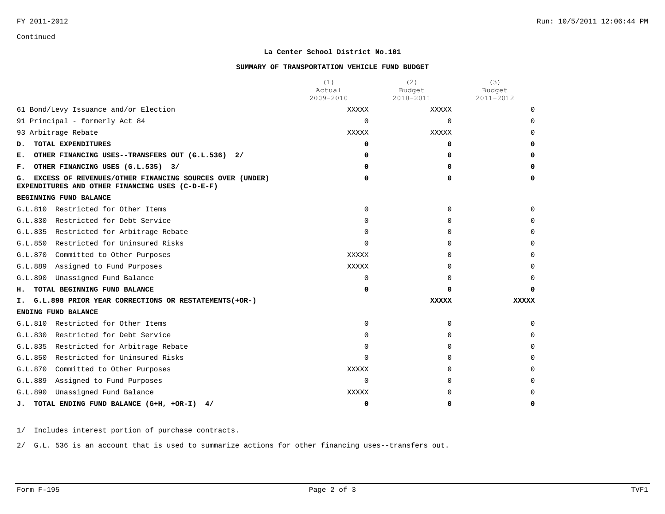Continued

## **La Center School District No.101**

#### **SUMMARY OF TRANSPORTATION VEHICLE FUND BUDGET**

|                                                                                                                  | (1)<br>Actual | (2)<br>Budget | (3)<br>Budget |
|------------------------------------------------------------------------------------------------------------------|---------------|---------------|---------------|
|                                                                                                                  | 2009-2010     | 2010-2011     | 2011-2012     |
| 61 Bond/Levy Issuance and/or Election                                                                            | <b>XXXXX</b>  | <b>XXXXX</b>  | $\Omega$      |
| 91 Principal - formerly Act 84                                                                                   | $\Omega$      | $\Omega$      | $\Omega$      |
| 93 Arbitrage Rebate                                                                                              | XXXXX         | XXXXX         | <sup>0</sup>  |
| TOTAL EXPENDITURES<br>D.                                                                                         | 0             | 0             | 0             |
| OTHER FINANCING USES--TRANSFERS OUT (G.L.536) 2/<br>Е.                                                           | n             | 0             | 0             |
| OTHER FINANCING USES (G.L.535) 3/<br>г.                                                                          | n             | 0             | 0             |
| EXCESS OF REVENUES/OTHER FINANCING SOURCES OVER (UNDER)<br>G.<br>EXPENDITURES AND OTHER FINANCING USES (C-D-E-F) | 0             | 0             | 0             |
| BEGINNING FUND BALANCE                                                                                           |               |               |               |
| Restricted for Other Items<br>G.L.810                                                                            | $\Omega$      | 0             | $\Omega$      |
| Restricted for Debt Service<br>G.L.830                                                                           | 0             | 0             | 0             |
| Restricted for Arbitrage Rebate<br>G.L.835                                                                       | 0             | 0             | 0             |
| Restricted for Uninsured Risks<br>G.L.850                                                                        | $\Omega$      | $\Omega$      | $\Omega$      |
| G.L.870<br>Committed to Other Purposes                                                                           | <b>XXXXX</b>  | 0             |               |
| Assigned to Fund Purposes<br>G.L.889                                                                             | <b>XXXXX</b>  | 0             | $\Omega$      |
| Unassigned Fund Balance<br>G.L.890                                                                               | $\Omega$      | 0             | 0             |
| TOTAL BEGINNING FUND BALANCE<br>н.                                                                               | 0             | 0             | O             |
| G.L.898 PRIOR YEAR CORRECTIONS OR RESTATEMENTS (+OR-)<br>Ι.                                                      |               | <b>XXXXX</b>  | XXXXX         |
| ENDING FUND BALANCE                                                                                              |               |               |               |
| Restricted for Other Items<br>G.L.810                                                                            | $\Omega$      | 0             | $\Omega$      |
| G.L.830<br>Restricted for Debt Service                                                                           | $\Omega$      | 0             | $\Omega$      |
| Restricted for Arbitrage Rebate<br>G.L.835                                                                       | $\Omega$      | 0             | $\Omega$      |
| Restricted for Uninsured Risks<br>G.L.850                                                                        | $\Omega$      | 0             | $\Omega$      |
| G.L.870<br>Committed to Other Purposes                                                                           | <b>XXXXX</b>  | 0             |               |
| G.L.889<br>Assigned to Fund Purposes                                                                             | $\Omega$      | 0             | $\Omega$      |
| Unassigned Fund Balance<br>G.L.890                                                                               | XXXXX         | 0             | 0             |
| TOTAL ENDING FUND BALANCE (G+H, +OR-I)<br>4/<br>J.                                                               | 0             | 0             | 0             |

1/ Includes interest portion of purchase contracts.

2/ G.L. 536 is an account that is used to summarize actions for other financing uses--transfers out.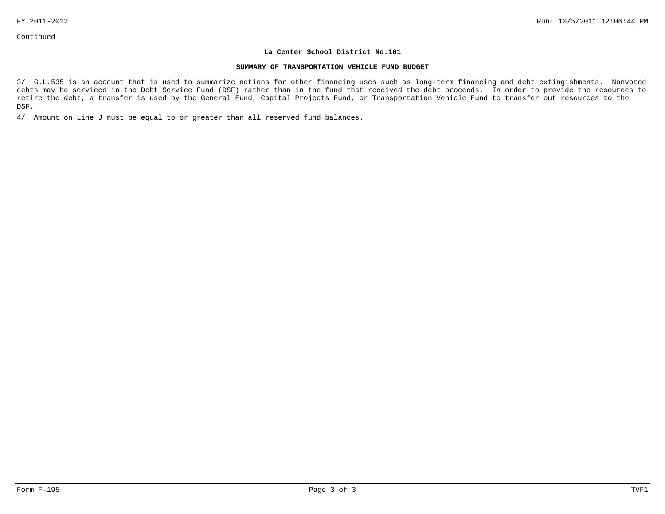#### **SUMMARY OF TRANSPORTATION VEHICLE FUND BUDGET**

3/ G.L.535 is an account that is used to summarize actions for other financing uses such as long-term financing and debt extingishments. Nonvoted debts may be serviced in the Debt Service Fund (DSF) rather than in the fund that received the debt proceeds. In order to provide the resources to retire the debt, a transfer is used by the General Fund, Capital Projects Fund, or Transportation Vehicle Fund to transfer out resources to the DSF.

4/ Amount on Line J must be equal to or greater than all reserved fund balances.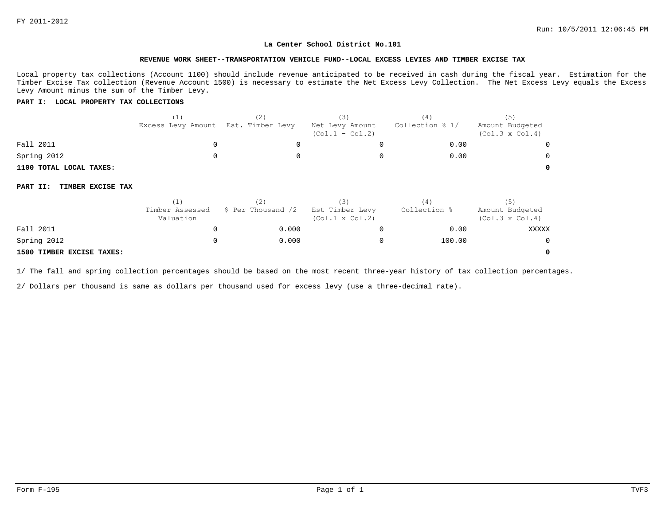**0**

#### **La Center School District No.101**

#### **REVENUE WORK SHEET--TRANSPORTATION VEHICLE FUND--LOCAL EXCESS LEVIES AND TIMBER EXCISE TAX**

Local property tax collections (Account 1100) should include revenue anticipated to be received in cash during the fiscal year. Estimation for the Timber Excise Tax collection (Revenue Account 1500) is necessary to estimate the Net Excess Levy Collection. The Net Excess Levy equals the Excess Levy Amount minus the sum of the Timber Levy.

#### **PART I: LOCAL PROPERTY TAX COLLECTIONS**

|                               | (1)<br>Excess Levy Amount    | (2)<br>Est. Timber Levy | (3)<br>Net Levy Amount<br>$(Col.1 - Col.2)$ | (4)<br>Collection % 1/ | (5)<br>Amount Budgeted<br>$(Col.3 \times Col.4)$ |
|-------------------------------|------------------------------|-------------------------|---------------------------------------------|------------------------|--------------------------------------------------|
| Fall 2011                     | 0                            |                         |                                             | 0.00                   |                                                  |
| Spring 2012                   |                              |                         |                                             | 0.00                   |                                                  |
| 1100 TOTAL LOCAL TAXES:       |                              |                         |                                             |                        |                                                  |
| TIMBER EXCISE TAX<br>PART II: |                              |                         |                                             |                        |                                                  |
|                               | (1)                          | (2)                     | (3)                                         | (4)                    | (5)                                              |
|                               | Timber Assessed<br>Valuation | \$ Per Thousand /2      | Est Timber Levy<br>$(Col.1 \times Col.2)$   | Collection %           | Amount Budgeted<br>$(Col.3 \times Col.4)$        |
| Fall 2011                     | O                            | 0.000                   | U                                           | 0.00                   | XXXXX                                            |
| Spring 2012                   |                              | 0.000                   |                                             | 100.00                 |                                                  |

#### **1500 TIMBER EXCISE TAXES:**

1/ The fall and spring collection percentages should be based on the most recent three-year history of tax collection percentages.

2/ Dollars per thousand is same as dollars per thousand used for excess levy (use a three-decimal rate).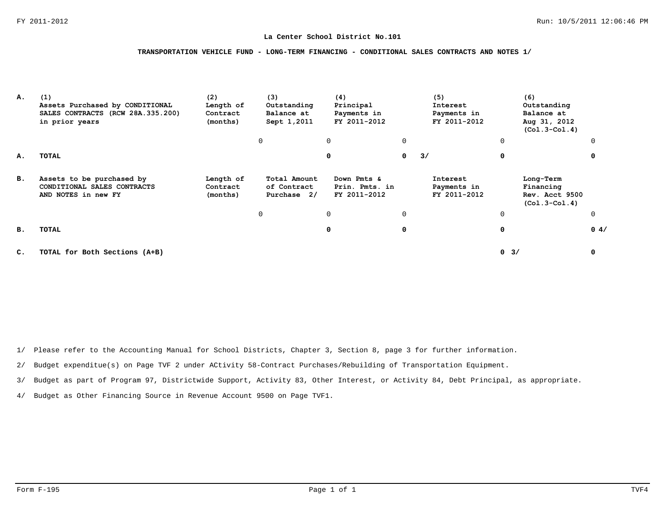#### **TRANSPORTATION VEHICLE FUND - LONG-TERM FINANCING - CONDITIONAL SALES CONTRACTS AND NOTES 1/**

| А.             | (1)<br>Assets Purchased by CONDITIONAL<br>SALES CONTRACTS (RCW 28A.335.200)<br>in prior years | (2)<br>Length of<br>Contract<br>(months) | (3)<br>Outstanding<br>Balance at<br>Sept 1,2011 | (4)<br>Principal<br>Payments in<br>FY 2011-2012 |   | (5)<br>Interest<br>Payments in<br>FY 2011-2012 | (6)<br>Outstanding<br>Balance at<br>Aug 31, 2012<br>$(Co1.3-Co1.4)$ |          |
|----------------|-----------------------------------------------------------------------------------------------|------------------------------------------|-------------------------------------------------|-------------------------------------------------|---|------------------------------------------------|---------------------------------------------------------------------|----------|
|                |                                                                                               |                                          | 0                                               | 0                                               | 0 |                                                | 0                                                                   |          |
| А.             | TOTAL                                                                                         |                                          |                                                 | 0                                               | 0 | 3/                                             | 0                                                                   |          |
| в.             | Assets to be purchased by<br>CONDITIONAL SALES CONTRACTS<br>AND NOTES in new FY               | Length of<br>Contract<br>(months)        | Total Amount<br>of Contract<br>Purchase 2/      | Down Pmts &<br>Prin. Pmts. in<br>FY 2011-2012   |   | Interest<br>Payments in<br>FY 2011-2012        | Long-Term<br>Financing<br>Rev. Acct 9500<br>$(Co1.3-Co1.4)$         |          |
|                |                                                                                               |                                          | 0                                               | 0                                               | 0 |                                                | 0                                                                   | $\Omega$ |
| <b>B.</b>      | TOTAL                                                                                         |                                          |                                                 | 0                                               | 0 |                                                | 0                                                                   | 0.4/     |
| $\mathbf{C}$ . | TOTAL for Both Sections (A+B)                                                                 |                                          |                                                 |                                                 |   |                                                | $0 \t3/$                                                            | 0        |

1/ Please refer to the Accounting Manual for School Districts, Chapter 3, Section 8, page 3 for further information.

2/ Budget expenditue(s) on Page TVF 2 under ACtivity 58-Contract Purchases/Rebuilding of Transportation Equipment.

3/ Budget as part of Program 97, Districtwide Support, Activity 83, Other Interest, or Activity 84, Debt Principal, as appropriate.

4/ Budget as Other Financing Source in Revenue Account 9500 on Page TVF1.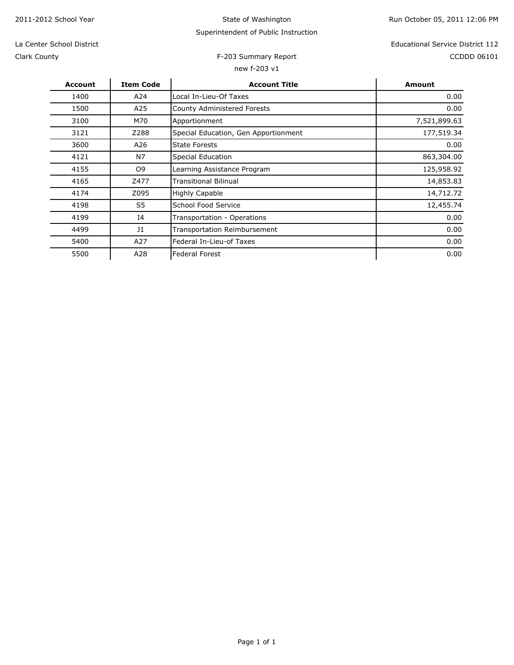State of Washington

# Superintendent of Public Instruction

Clark County

# new f-203 v1

F-203 Summary Report **CCDD** 06101 La Center School District Educational Service District 112

| <b>Account</b> | <b>Item Code</b> | <b>Account Title</b>                 | Amount       |
|----------------|------------------|--------------------------------------|--------------|
| 1400           | A24              | Local In-Lieu-Of Taxes               | 0.00         |
| 1500           | A25              | <b>County Administered Forests</b>   | 0.00         |
| 3100           | M70              | Apportionment                        | 7,521,899.63 |
| 3121           | Z288             | Special Education, Gen Apportionment | 177,519.34   |
| 3600           | A26              | <b>State Forests</b>                 | 0.00         |
| 4121           | N7               | Special Education                    | 863,304.00   |
| 4155           | O9               | Learning Assistance Program          | 125,958.92   |
| 4165           | Z477             | <b>Transitional Bilinual</b>         | 14,853.83    |
| 4174           | Z095             | <b>Highly Capable</b>                | 14,712.72    |
| 4198           | S5               | School Food Service                  | 12,455.74    |
| 4199           | 14               | Transportation - Operations          | 0.00         |
| 4499           | J <sub>1</sub>   | <b>Transportation Reimbursement</b>  | 0.00         |
| 5400           | A27              | Federal In-Lieu-of Taxes             | 0.00         |
| 5500           | A28              | <b>Federal Forest</b>                | 0.00         |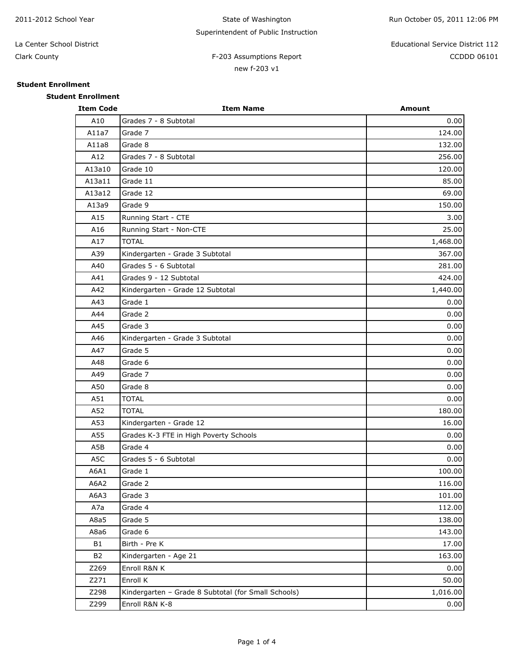# F-203 Assumptions Report CCDDD 06101 La Center School District Educational Service District 112

**Student Enrollment**

**Student Enrollment**

Clark County

# new f-203 v1

**Item Code Item Name Amount**

| A10         | Grades 7 - 8 Subtotal           | 0.00     |
|-------------|---------------------------------|----------|
| A11a7       | Grade 7                         | 124.00   |
| A11a8       | Grade 8                         | 132.00   |
| A12         | Grades 7 - 8 Subtotal           | 256.00   |
| A13a10      | Grade 10                        | 120.00   |
| A13a11      | Grade 11                        | 85.00    |
| A13a12      | Grade 12                        | 69.00    |
| A13a9       | Grade 9                         | 150.00   |
| A15         | Running Start - CTE             | 3.00     |
| A16         | Running Start - Non-CTE         | 25.00    |
| A17         | <b>TOTAL</b>                    | 1,468.00 |
| A39         | Kindergarten - Grade 3 Subtotal | 367.00   |
| A40         | Grades 5 - 6 Subtotal           | 281.00   |
| $\Delta$ 41 | Grades 9 - 12 Subtotal          | 424.00   |

| A13a10         | Grade 10                                            | 120.00   |
|----------------|-----------------------------------------------------|----------|
| A13a11         | Grade 11                                            | 85.00    |
| A13a12         | Grade 12                                            | 69.00    |
| A13a9          | Grade 9                                             | 150.00   |
| A15            | Running Start - CTE                                 | 3.00     |
| A16            | Running Start - Non-CTE                             | 25.00    |
| A17            | <b>TOTAL</b>                                        | 1,468.00 |
| A39            | Kindergarten - Grade 3 Subtotal                     | 367.00   |
| A40            | Grades 5 - 6 Subtotal                               | 281.00   |
| A41            | Grades 9 - 12 Subtotal                              | 424.00   |
| A42            | Kindergarten - Grade 12 Subtotal                    | 1,440.00 |
| A43            | Grade 1                                             | 0.00     |
| A44            | Grade 2                                             | 0.00     |
| A45            | Grade 3                                             | 0.00     |
| A46            | Kindergarten - Grade 3 Subtotal                     | 0.00     |
| A47            | Grade 5                                             | 0.00     |
| A48            | Grade 6                                             | 0.00     |
| A49            | Grade 7                                             | 0.00     |
| A50            | Grade 8                                             | 0.00     |
| A51            | <b>TOTAL</b>                                        | 0.00     |
| A52            | <b>TOTAL</b>                                        | 180.00   |
| A53            | Kindergarten - Grade 12                             | 16.00    |
| A55            | Grades K-3 FTE in High Poverty Schools              | 0.00     |
| A5B            | Grade 4                                             | 0.00     |
| A5C            | Grades 5 - 6 Subtotal                               | 0.00     |
| A6A1           | Grade 1                                             | 100.00   |
| A6A2           | Grade 2                                             | 116.00   |
| A6A3           | Grade 3                                             | 101.00   |
| A7a            | Grade 4                                             | 112.00   |
| A8a5           | Grade 5                                             | 138.00   |
| A8a6           | Grade 6                                             | 143.00   |
| B1             | Birth - Pre K                                       | 17.00    |
| B <sub>2</sub> | Kindergarten - Age 21                               | 163.00   |
| Z269           | Enroll R&N K                                        | 0.00     |
| Z271           | Enroll K                                            | 50.00    |
| Z298           | Kindergarten - Grade 8 Subtotal (for Small Schools) | 1,016.00 |
| Z299           | Enroll R&N K-8                                      | 0.00     |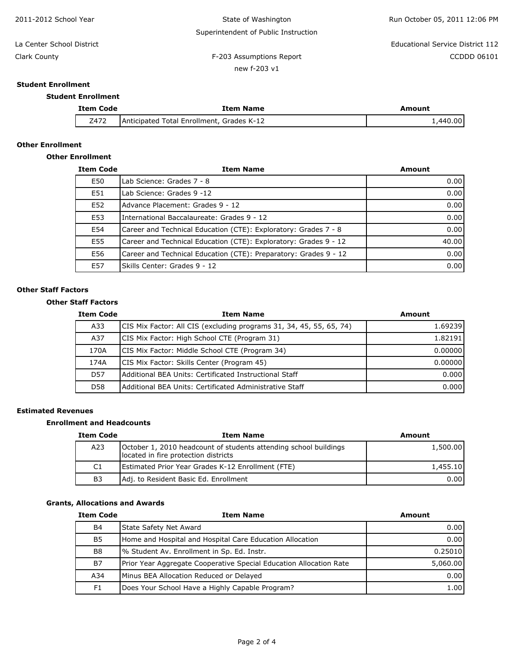| 2011-2012 School Year     | State of Washington                  | Run October 05, 2011 12:06 PM    |
|---------------------------|--------------------------------------|----------------------------------|
|                           | Superintendent of Public Instruction |                                  |
| La Center School District |                                      | Educational Service District 112 |
| Clark County              | F-203 Assumptions Report             | <b>CCDDD 06101</b>               |
|                           | new f-203 v1                         |                                  |

# **Student Enrollment**

## **Student Enrollment**

| <b>Item Code</b> | <b>Item Name</b>                          | Amount   |
|------------------|-------------------------------------------|----------|
| Z472             | Anticipated Total Enrollment. Grades K-12 | ا00.001. |

# **Other Enrollment**

# **Other Enrollment**

| <b>Item Code</b> | <b>Item Name</b>                                                 | <b>Amount</b>                         |
|------------------|------------------------------------------------------------------|---------------------------------------|
| E50              | Lab Science: Grades 7 - 8                                        | 0.00                                  |
| E51              | Lab Science: Grades 9 -12                                        | $0.00$ <sup><math>\prime</math></sup> |
| E52              | Advance Placement: Grades 9 - 12                                 | 0.00                                  |
| E53              | International Baccalaureate: Grades 9 - 12                       | 0.00                                  |
| E54              | Career and Technical Education (CTE): Exploratory: Grades 7 - 8  | 0.00                                  |
| E55              | Career and Technical Education (CTE): Exploratory: Grades 9 - 12 | 40.00                                 |
| E56              | Career and Technical Education (CTE): Preparatory: Grades 9 - 12 | 0.00                                  |
| E57              | Skills Center: Grades 9 - 12                                     | 0.00                                  |

## **Other Staff Factors**

## **Other Staff Factors**

| <b>Item Code</b> | <b>Item Name</b>                                                    | Amount  |
|------------------|---------------------------------------------------------------------|---------|
| A33              | CIS Mix Factor: All CIS (excluding programs 31, 34, 45, 55, 65, 74) | 1.69239 |
| A37              | <b>ICIS Mix Factor: High School CTE (Program 31)</b>                | 1.82191 |
| 170A             | CIS Mix Factor: Middle School CTE (Program 34)                      | 0.00000 |
| 174A             | <b>ICIS Mix Factor: Skills Center (Program 45)</b>                  | 0.00000 |
| D <sub>57</sub>  | lAdditional BEA Units: Certificated Instructional Staff             | 0.000   |
| D <sub>58</sub>  | lAdditional BEA Units: Certificated Administrative Staff            | 0.000   |

# **Estimated Revenues**

## **Enrollment and Headcounts**

| <b>Item Code</b> | <b>Item Name</b>                                                                                         | Amount   |
|------------------|----------------------------------------------------------------------------------------------------------|----------|
| A23              | October 1, 2010 headcount of students attending school buildings<br>located in fire protection districts | 1,500.00 |
| C1               | <b>Estimated Prior Year Grades K-12 Enrollment (FTE)</b>                                                 | 1,455.10 |
| B <sub>3</sub>   | Adj. to Resident Basic Ed. Enrollment                                                                    | 0.001    |

# **Grants, Allocations and Awards**

| <b>Item Code</b> | <b>Item Name</b>                                                   | Amount   |
|------------------|--------------------------------------------------------------------|----------|
| <b>B4</b>        | State Safety Net Award                                             | 0.00     |
| <b>B5</b>        | Home and Hospital and Hospital Care Education Allocation           | 0.00     |
| B8               | % Student Av. Enrollment in Sp. Ed. Instr.                         | 0.25010  |
| <b>B7</b>        | Prior Year Aggregate Cooperative Special Education Allocation Rate | 5,060.00 |
| A34              | Minus BEA Allocation Reduced or Delayed                            | 0.00     |
| F <sub>1</sub>   | Does Your School Have a Highly Capable Program?                    | 1.00     |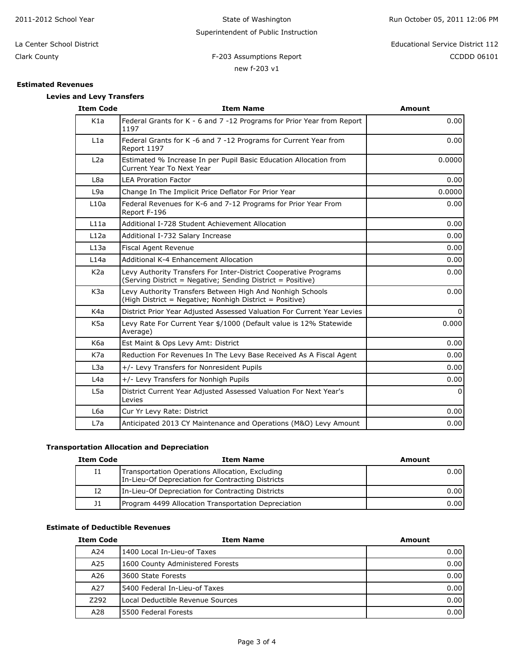| 2011-2012 School Year            | State of Washington                  | Run October 05, 2011 12:06 PM    |
|----------------------------------|--------------------------------------|----------------------------------|
|                                  | Superintendent of Public Instruction |                                  |
| La Center School District        |                                      | Educational Service District 112 |
| Clark County                     | F-203 Assumptions Report             | CCDDD 06101                      |
|                                  | new f-203 v1                         |                                  |
| <b>Estimated Revenues</b>        |                                      |                                  |
| <b>Levies and Levy Transfers</b> |                                      |                                  |

| <b>Item Code</b> | <b>Item Name</b>                                                                                                               | Amount   |
|------------------|--------------------------------------------------------------------------------------------------------------------------------|----------|
| K1a              | Federal Grants for K - 6 and 7 -12 Programs for Prior Year from Report<br>1197                                                 | 0.00     |
| L1a              | Federal Grants for K -6 and 7 -12 Programs for Current Year from<br>Report 1197                                                | 0.00     |
| L2a              | Estimated % Increase In per Pupil Basic Education Allocation from<br>Current Year To Next Year                                 | 0.0000   |
| L8a              | <b>LEA Proration Factor</b>                                                                                                    | 0.00     |
| L9a              | Change In The Implicit Price Deflator For Prior Year                                                                           | 0.0000   |
| L10a             | Federal Revenues for K-6 and 7-12 Programs for Prior Year From<br>Report F-196                                                 | 0.00     |
| L11a             | Additional I-728 Student Achievement Allocation                                                                                | 0.00     |
| L12a             | Additional I-732 Salary Increase                                                                                               | 0.00     |
| L13a             | Fiscal Agent Revenue                                                                                                           | 0.00     |
| L14a             | Additional K-4 Enhancement Allocation                                                                                          | 0.00     |
| K <sub>2</sub> a | Levy Authority Transfers For Inter-District Cooperative Programs<br>(Serving District = Negative; Sending District = Positive) | 0.00     |
| K <sub>3</sub> a | Levy Authority Transfers Between High And Nonhigh Schools<br>(High District = Negative; Nonhigh District = Positive)           | 0.00     |
| K4a              | District Prior Year Adjusted Assessed Valuation For Current Year Levies                                                        | $\Omega$ |
| K <sub>5</sub> a | Levy Rate For Current Year \$/1000 (Default value is 12% Statewide<br>Average)                                                 | 0.000    |
| K <sub>6</sub> a | Est Maint & Ops Levy Amt: District                                                                                             | 0.00     |
| K7a              | Reduction For Revenues In The Levy Base Received As A Fiscal Agent                                                             | 0.00     |
| L3a              | +/- Levy Transfers for Nonresident Pupils                                                                                      | 0.00     |
| L4a              | +/- Levy Transfers for Nonhigh Pupils                                                                                          | 0.00     |
| L5a              | District Current Year Adjusted Assessed Valuation For Next Year's<br>Levies                                                    | $\Omega$ |
| L6a              | Cur Yr Levy Rate: District                                                                                                     | 0.00     |
| L7a              | Anticipated 2013 CY Maintenance and Operations (M&O) Levy Amount                                                               | 0.00     |

# **Transportation Allocation and Depreciation**

| <b>Item Code</b> | <b>Item Name</b>                                                                                     | Amount |
|------------------|------------------------------------------------------------------------------------------------------|--------|
| 11               | Transportation Operations Allocation, Excluding<br>In-Lieu-Of Depreciation for Contracting Districts | 0.001  |
| 12               | In-Lieu-Of Depreciation for Contracting Districts                                                    | 0.001  |
| J <sub>1</sub>   | Program 4499 Allocation Transportation Depreciation                                                  | 0.001  |

# **Estimate of Deductible Revenues**

| <b>Item Code</b> | <b>Item Name</b>                 | Amount |
|------------------|----------------------------------|--------|
| A24              | 1400 Local In-Lieu-of Taxes      | 0.001  |
| A25              | 1600 County Administered Forests | 0.001  |
| A26              | 13600 State Forests              | 0.001  |
| A27              | 15400 Federal In-Lieu-of Taxes   | 0.00   |
| Z292             | Local Deductible Revenue Sources | 0.00   |
| A28              | <b>15500 Federal Forests</b>     | 0.00   |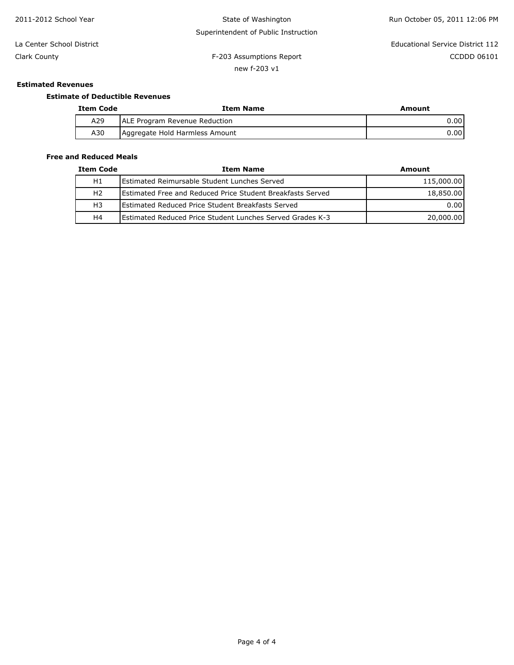| 2011-2012 School Year     | State of Washington<br>Run October 05, 2011 12:06 PM |                                  |
|---------------------------|------------------------------------------------------|----------------------------------|
|                           | Superintendent of Public Instruction                 |                                  |
| La Center School District |                                                      | Educational Service District 112 |
| Clark County              | F-203 Assumptions Report                             | CCDDD 06101                      |
|                           | new f-203 v1                                         |                                  |
|                           |                                                      |                                  |

# **Estimated Revenues**

# **Estimate of Deductible Revenues**

| <b>Item Code</b> | Item Name                             | Amount |  |  |
|------------------|---------------------------------------|--------|--|--|
| A29              | <b>JALE Program Revenue Reduction</b> | 0.00   |  |  |
| A30              | Aggregate Hold Harmless Amount        | 0.00   |  |  |

# **Free and Reduced Meals**

| <b>Item Code</b> | <b>Item Name</b>                                                   | Amount     |
|------------------|--------------------------------------------------------------------|------------|
| H1               | <b>IEstimated Reimursable Student Lunches Served</b>               | 115,000.00 |
| H <sub>2</sub>   | <b>IEstimated Free and Reduced Price Student Breakfasts Served</b> | 18,850.00  |
| H <sub>3</sub>   | <b>IEstimated Reduced Price Student Breakfasts Served</b>          | 0.001      |
| H4               | <b>IEstimated Reduced Price Student Lunches Served Grades K-3</b>  | 20,000.00  |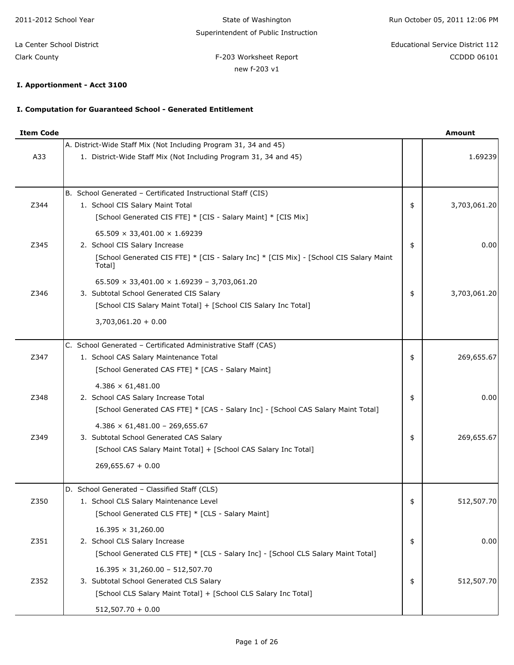State of Washington Superintendent of Public Instruction

F-203 Worksheet Report **CCDD** 06101 La Center School District Educational Service District 112

Clark County

# new f-203 v1

# **I. Apportionment - Acct 3100**

# **I. Computation for Guaranteed School - Generated Entitlement**

| <b>Item Code</b> |                                                                                                                                      | Amount             |
|------------------|--------------------------------------------------------------------------------------------------------------------------------------|--------------------|
| A33              | A. District-Wide Staff Mix (Not Including Program 31, 34 and 45)<br>1. District-Wide Staff Mix (Not Including Program 31, 34 and 45) | 1.69239            |
|                  |                                                                                                                                      |                    |
|                  | B. School Generated - Certificated Instructional Staff (CIS)                                                                         |                    |
| Z344             | 1. School CIS Salary Maint Total                                                                                                     | \$<br>3,703,061.20 |
|                  | [School Generated CIS FTE] * [CIS - Salary Maint] * [CIS Mix]                                                                        |                    |
|                  | $65.509 \times 33,401.00 \times 1.69239$                                                                                             |                    |
| Z345             | 2. School CIS Salary Increase                                                                                                        | \$<br>0.00         |
|                  | [School Generated CIS FTE] * [CIS - Salary Inc] * [CIS Mix] - [School CIS Salary Maint<br>Total]                                     |                    |
|                  | $65.509 \times 33,401.00 \times 1.69239 - 3,703,061.20$                                                                              |                    |
| Z346             | 3. Subtotal School Generated CIS Salary                                                                                              | \$<br>3,703,061.20 |
|                  | [School CIS Salary Maint Total] + [School CIS Salary Inc Total]                                                                      |                    |
|                  | $3,703,061.20 + 0.00$                                                                                                                |                    |
|                  | C. School Generated - Certificated Administrative Staff (CAS)                                                                        |                    |
| Z347             | 1. School CAS Salary Maintenance Total                                                                                               | \$<br>269,655.67   |
|                  | [School Generated CAS FTE] * [CAS - Salary Maint]                                                                                    |                    |
|                  | $4.386 \times 61,481.00$                                                                                                             |                    |
| Z348             | 2. School CAS Salary Increase Total                                                                                                  | \$<br>0.00         |
|                  | [School Generated CAS FTE] * [CAS - Salary Inc] - [School CAS Salary Maint Total]                                                    |                    |
|                  | $4.386 \times 61,481.00 - 269,655.67$                                                                                                |                    |
| Z349             | 3. Subtotal School Generated CAS Salary                                                                                              | \$<br>269,655.67   |
|                  | [School CAS Salary Maint Total] + [School CAS Salary Inc Total]                                                                      |                    |
|                  | $269,655.67 + 0.00$                                                                                                                  |                    |
|                  | D. School Generated - Classified Staff (CLS)                                                                                         |                    |
| Z350             | 1. School CLS Salary Maintenance Level                                                                                               | \$<br>512,507.70   |
|                  | [School Generated CLS FTE] * [CLS - Salary Maint]                                                                                    |                    |
|                  | $16.395 \times 31,260.00$                                                                                                            |                    |
| Z351             | 2. School CLS Salary Increase                                                                                                        | \$<br>0.00         |
|                  | [School Generated CLS FTE] * [CLS - Salary Inc] - [School CLS Salary Maint Total]                                                    |                    |
|                  | $16.395 \times 31,260.00 - 512,507.70$                                                                                               |                    |
| Z352             | 3. Subtotal School Generated CLS Salary                                                                                              | \$<br>512,507.70   |
|                  | [School CLS Salary Maint Total] + [School CLS Salary Inc Total]                                                                      |                    |
|                  | $512,507.70 + 0.00$                                                                                                                  |                    |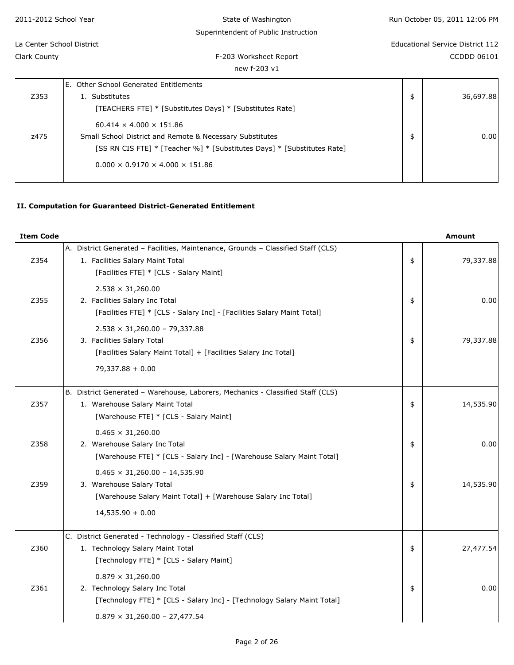| 2011-2012 School Year     | State of Washington                                                     | Run October 05, 2011 12:06 PM    |
|---------------------------|-------------------------------------------------------------------------|----------------------------------|
|                           | Superintendent of Public Instruction                                    |                                  |
| La Center School District |                                                                         | Educational Service District 112 |
| Clark County              | F-203 Worksheet Report                                                  | CCDDD 06101                      |
|                           | new f-203 v1                                                            |                                  |
|                           | E. Other School Generated Entitlements                                  |                                  |
| Z353                      | 1. Substitutes                                                          | \$<br>36,697.88                  |
|                           | [TEACHERS FTE] * [Substitutes Days] * [Substitutes Rate]                |                                  |
|                           | $60.414 \times 4.000 \times 151.86$                                     |                                  |
| z475                      | Small School District and Remote & Necessary Substitutes                | \$<br>0.00                       |
|                           | [SS RN CIS FTE] * [Teacher %] * [Substitutes Days] * [Substitutes Rate] |                                  |
|                           | $0.000 \times 0.9170 \times 4.000 \times 151.86$                        |                                  |
|                           |                                                                         |                                  |

# **II. Computation for Guaranteed District-Generated Entitlement**

| <b>Item Code</b> |                                                                                                                                                                  | <b>Amount</b>   |
|------------------|------------------------------------------------------------------------------------------------------------------------------------------------------------------|-----------------|
| Z354             | A. District Generated - Facilities, Maintenance, Grounds - Classified Staff (CLS)<br>1. Facilities Salary Maint Total<br>[Facilities FTE] * [CLS - Salary Maint] | \$<br>79,337.88 |
| Z355             | $2.538 \times 31,260.00$<br>2. Facilities Salary Inc Total<br>[Facilities FTE] * [CLS - Salary Inc] - [Facilities Salary Maint Total]                            | \$<br>0.00      |
| Z356             | $2.538 \times 31,260.00 - 79,337.88$<br>3. Facilities Salary Total<br>[Facilities Salary Maint Total] + [Facilities Salary Inc Total]<br>$79,337.88 + 0.00$      | \$<br>79,337.88 |
| Z357             | B. District Generated - Warehouse, Laborers, Mechanics - Classified Staff (CLS)<br>1. Warehouse Salary Maint Total<br>[Warehouse FTE] * [CLS - Salary Maint]     | \$<br>14,535.90 |
| Z358             | $0.465 \times 31,260.00$<br>2. Warehouse Salary Inc Total<br>[Warehouse FTE] * [CLS - Salary Inc] - [Warehouse Salary Maint Total]                               | \$<br>0.00      |
| Z359             | $0.465 \times 31,260.00 - 14,535.90$<br>3. Warehouse Salary Total<br>[Warehouse Salary Maint Total] + [Warehouse Salary Inc Total]<br>$14,535.90 + 0.00$         | \$<br>14,535.90 |
| Z360             | C. District Generated - Technology - Classified Staff (CLS)<br>1. Technology Salary Maint Total<br>[Technology FTE] * [CLS - Salary Maint]                       | \$<br>27,477.54 |
| Z361             | $0.879 \times 31,260.00$<br>2. Technology Salary Inc Total<br>[Technology FTE] * [CLS - Salary Inc] - [Technology Salary Maint Total]                            | \$<br>0.00      |
|                  | $0.879 \times 31,260.00 - 27,477.54$                                                                                                                             |                 |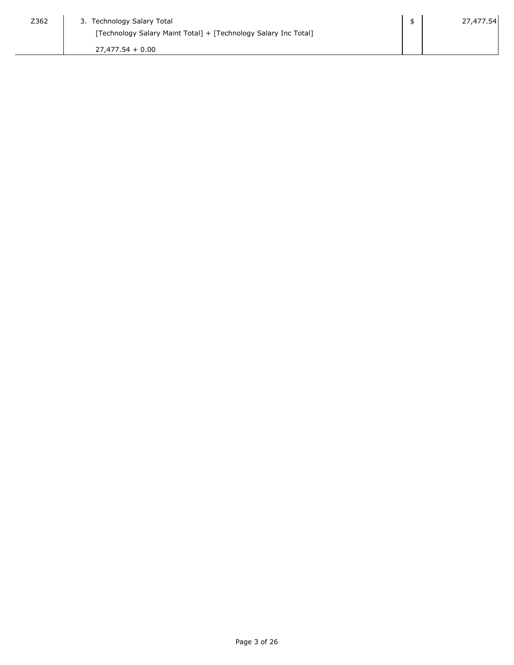| Z362 | 3. Technology Salary Total                                      | 27,477.54 |
|------|-----------------------------------------------------------------|-----------|
|      | [Technology Salary Maint Total] + [Technology Salary Inc Total] |           |
|      | $27.477.54 + 0.00$                                              |           |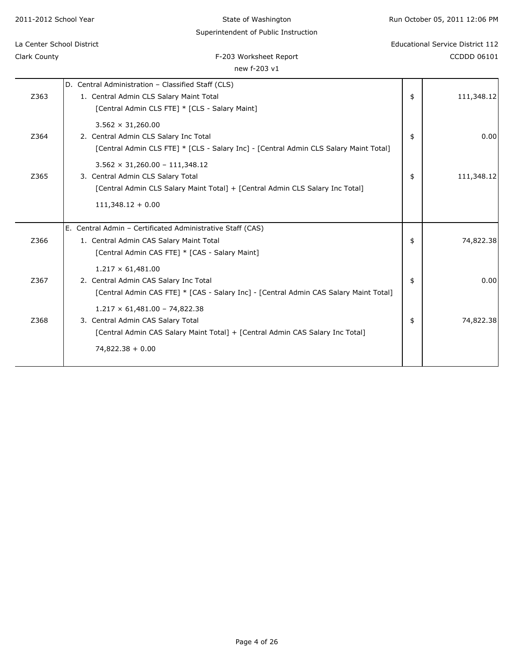| 2011-2012 School Year     | State of Washington                                                                   | Run October 05, 2011 12:06 PM           |
|---------------------------|---------------------------------------------------------------------------------------|-----------------------------------------|
|                           | Superintendent of Public Instruction                                                  |                                         |
| La Center School District |                                                                                       | <b>Educational Service District 112</b> |
| Clark County              | F-203 Worksheet Report                                                                | <b>CCDDD 06101</b>                      |
|                           | new f-203 v1                                                                          |                                         |
|                           | D. Central Administration - Classified Staff (CLS)                                    |                                         |
| Z363                      | 1. Central Admin CLS Salary Maint Total                                               | \$<br>111,348.12                        |
|                           | [Central Admin CLS FTE] * [CLS - Salary Maint]                                        |                                         |
|                           | $3.562 \times 31,260.00$                                                              |                                         |
| Z364                      | 2. Central Admin CLS Salary Inc Total                                                 | \$<br>0.00                              |
|                           | [Central Admin CLS FTE] * [CLS - Salary Inc] - [Central Admin CLS Salary Maint Total] |                                         |
|                           | $3.562 \times 31,260.00 - 111,348.12$                                                 |                                         |
| Z365                      | 3. Central Admin CLS Salary Total                                                     | \$<br>111,348.12                        |
|                           | [Central Admin CLS Salary Maint Total] + [Central Admin CLS Salary Inc Total]         |                                         |
|                           | $111,348.12 + 0.00$                                                                   |                                         |
|                           | E. Central Admin - Certificated Administrative Staff (CAS)                            |                                         |
| Z366                      | 1. Central Admin CAS Salary Maint Total                                               | \$<br>74,822.38                         |
|                           | [Central Admin CAS FTE] * [CAS - Salary Maint]                                        |                                         |
|                           | $1.217 \times 61,481.00$                                                              |                                         |
| Z367                      | 2. Central Admin CAS Salary Inc Total                                                 | \$<br>0.00                              |
|                           | [Central Admin CAS FTE] * [CAS - Salary Inc] - [Central Admin CAS Salary Maint Total] |                                         |
|                           | $1.217 \times 61,481.00 - 74,822.38$                                                  |                                         |
| Z368                      | 3. Central Admin CAS Salary Total                                                     | \$<br>74,822.38                         |
|                           | [Central Admin CAS Salary Maint Total] + [Central Admin CAS Salary Inc Total]         |                                         |
|                           | $74,822.38 + 0.00$                                                                    |                                         |
|                           |                                                                                       |                                         |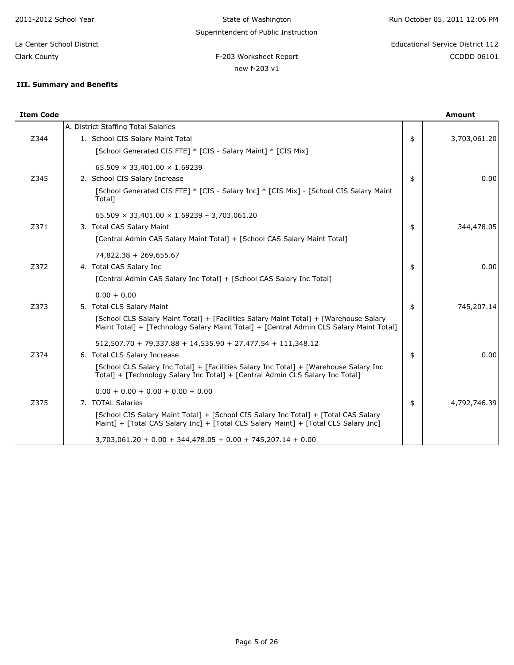State of Washington Superintendent of Public Instruction

new f-203 v1

Run October 05, 2011 12:06 PM

F-203 Worksheet Report **CCDD** 06101 La Center School District Educational Service District 112

Clark County

# **III. Summary and Benefits**

| <b>Item Code</b> |                                                                                                                                                                                                                                                                                                        | Amount             |
|------------------|--------------------------------------------------------------------------------------------------------------------------------------------------------------------------------------------------------------------------------------------------------------------------------------------------------|--------------------|
| Z344             | A. District Staffing Total Salaries<br>1. School CIS Salary Maint Total<br>[School Generated CIS FTE] * [CIS - Salary Maint] * [CIS Mix]                                                                                                                                                               | \$<br>3,703,061.20 |
| Z345             | $65.509 \times 33,401.00 \times 1.69239$<br>2. School CIS Salary Increase<br>[School Generated CIS FTE] * [CIS - Salary Inc] * [CIS Mix] - [School CIS Salary Maint<br>Total]                                                                                                                          | \$<br>0.00         |
| Z371             | $65.509 \times 33,401.00 \times 1.69239 - 3,703,061.20$<br>3. Total CAS Salary Maint<br>[Central Admin CAS Salary Maint Total] + [School CAS Salary Maint Total]                                                                                                                                       | \$<br>344,478.05   |
| Z372             | 74,822.38 + 269,655.67<br>4. Total CAS Salary Inc<br>[Central Admin CAS Salary Inc Total] + [School CAS Salary Inc Total]                                                                                                                                                                              | \$<br>0.00         |
| Z373             | $0.00 + 0.00$<br>5. Total CLS Salary Maint<br>[School CLS Salary Maint Total] + [Facilities Salary Maint Total] + [Warehouse Salary<br>Maint Total] + [Technology Salary Maint Total] + [Central Admin CLS Salary Maint Total]                                                                         | \$<br>745,207.14   |
| Z374             | $512,507.70 + 79,337.88 + 14,535.90 + 27,477.54 + 111,348.12$<br>6. Total CLS Salary Increase<br>[School CLS Salary Inc Total] + [Facilities Salary Inc Total] + [Warehouse Salary Inc<br>Total] + [Technology Salary Inc Total] + [Central Admin CLS Salary Inc Total]                                | \$<br>0.00         |
| Z375             | $0.00 + 0.00 + 0.00 + 0.00 + 0.00$<br>7. TOTAL Salaries<br>[School CIS Salary Maint Total] + [School CIS Salary Inc Total] + [Total CAS Salary<br>Maint] + [Total CAS Salary Inc] + [Total CLS Salary Maint] + [Total CLS Salary Inc]<br>$3,703,061.20 + 0.00 + 344,478.05 + 0.00 + 745,207.14 + 0.00$ | \$<br>4,792,746.39 |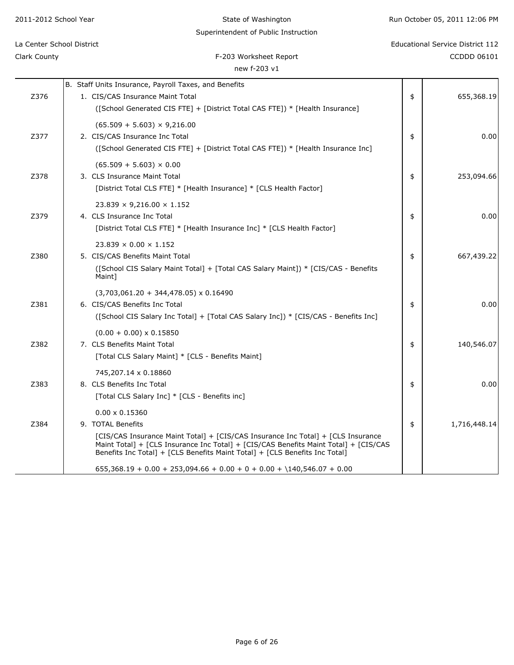| Superintendent of Public Instruction |                                                                                                                                                                                                                                                         |    |                                         |  |  |
|--------------------------------------|---------------------------------------------------------------------------------------------------------------------------------------------------------------------------------------------------------------------------------------------------------|----|-----------------------------------------|--|--|
| La Center School District            |                                                                                                                                                                                                                                                         |    | <b>Educational Service District 112</b> |  |  |
| Clark County                         | F-203 Worksheet Report                                                                                                                                                                                                                                  |    | CCDDD 06101                             |  |  |
|                                      | new f-203 v1                                                                                                                                                                                                                                            |    |                                         |  |  |
|                                      | B. Staff Units Insurance, Payroll Taxes, and Benefits                                                                                                                                                                                                   |    |                                         |  |  |
| Z376                                 | 1. CIS/CAS Insurance Maint Total                                                                                                                                                                                                                        | \$ | 655,368.19                              |  |  |
|                                      | ([School Generated CIS FTE] + [District Total CAS FTE]) * [Health Insurance]                                                                                                                                                                            |    |                                         |  |  |
|                                      | $(65.509 + 5.603) \times 9,216.00$                                                                                                                                                                                                                      |    |                                         |  |  |
| Z377                                 | 2. CIS/CAS Insurance Inc Total                                                                                                                                                                                                                          | \$ | 0.00                                    |  |  |
|                                      | ([School Generated CIS FTE] + [District Total CAS FTE]) * [Health Insurance Inc]                                                                                                                                                                        |    |                                         |  |  |
|                                      | $(65.509 + 5.603) \times 0.00$                                                                                                                                                                                                                          |    |                                         |  |  |
| Z378                                 | 3. CLS Insurance Maint Total                                                                                                                                                                                                                            | \$ | 253,094.66                              |  |  |
|                                      | [District Total CLS FTE] * [Health Insurance] * [CLS Health Factor]                                                                                                                                                                                     |    |                                         |  |  |
|                                      | $23.839 \times 9,216.00 \times 1.152$                                                                                                                                                                                                                   |    |                                         |  |  |
| Z379                                 | 4. CLS Insurance Inc Total                                                                                                                                                                                                                              | \$ | 0.00                                    |  |  |
|                                      | [District Total CLS FTE] * [Health Insurance Inc] * [CLS Health Factor]                                                                                                                                                                                 |    |                                         |  |  |
|                                      | $23.839 \times 0.00 \times 1.152$                                                                                                                                                                                                                       |    |                                         |  |  |
| Z380                                 | 5. CIS/CAS Benefits Maint Total                                                                                                                                                                                                                         | \$ | 667,439.22                              |  |  |
|                                      | ([School CIS Salary Maint Total] + [Total CAS Salary Maint]) * [CIS/CAS - Benefits<br>Maint]                                                                                                                                                            |    |                                         |  |  |
|                                      | $(3,703,061.20 + 344,478.05) \times 0.16490$                                                                                                                                                                                                            |    |                                         |  |  |
| Z381                                 | 6. CIS/CAS Benefits Inc Total                                                                                                                                                                                                                           | \$ | 0.00                                    |  |  |
|                                      | ([School CIS Salary Inc Total] + [Total CAS Salary Inc]) * [CIS/CAS - Benefits Inc]                                                                                                                                                                     |    |                                         |  |  |
|                                      | $(0.00 + 0.00) \times 0.15850$                                                                                                                                                                                                                          |    |                                         |  |  |
| Z382                                 | 7. CLS Benefits Maint Total                                                                                                                                                                                                                             | \$ | 140,546.07                              |  |  |
|                                      | [Total CLS Salary Maint] * [CLS - Benefits Maint]                                                                                                                                                                                                       |    |                                         |  |  |
|                                      | 745,207.14 x 0.18860                                                                                                                                                                                                                                    |    |                                         |  |  |
| Z383                                 | 8. CLS Benefits Inc Total                                                                                                                                                                                                                               | \$ | 0.00                                    |  |  |
|                                      | [Total CLS Salary Inc] * [CLS - Benefits inc]                                                                                                                                                                                                           |    |                                         |  |  |
|                                      | $0.00 \times 0.15360$                                                                                                                                                                                                                                   |    |                                         |  |  |
| Z384                                 | 9. TOTAL Benefits                                                                                                                                                                                                                                       | \$ | 1,716,448.14                            |  |  |
|                                      | [CIS/CAS Insurance Maint Total] + [CIS/CAS Insurance Inc Total] + [CLS Insurance<br>Maint Total] + [CLS Insurance Inc Total] + [CIS/CAS Benefits Maint Total] + [CIS/CAS<br>Benefits Inc Total] + [CLS Benefits Maint Total] + [CLS Benefits Inc Total] |    |                                         |  |  |
|                                      | $655,368.19 + 0.00 + 253,094.66 + 0.00 + 0 + 0.00 + \140,546.07 + 0.00$                                                                                                                                                                                 |    |                                         |  |  |
|                                      |                                                                                                                                                                                                                                                         |    |                                         |  |  |

State of Washington

2011-2012 School Year

Run October 05, 2011 12:06 PM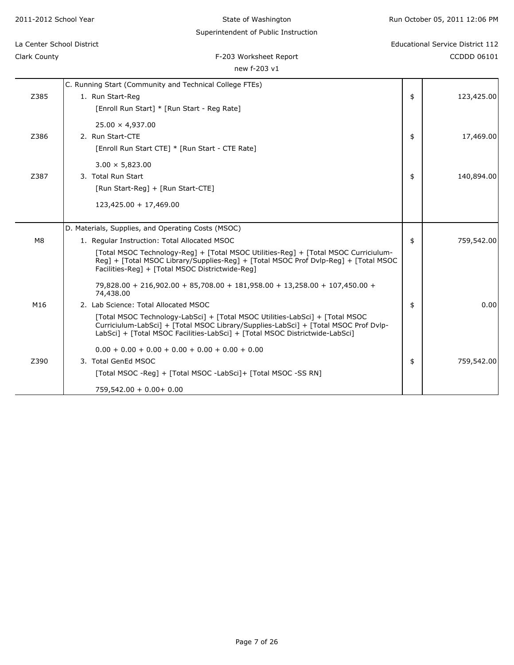| 2011-2012 School Year     |                                                               | State of Washington                                                                                                                                                                                                                                | Run October 05, 2011 12:06 PM    |
|---------------------------|---------------------------------------------------------------|----------------------------------------------------------------------------------------------------------------------------------------------------------------------------------------------------------------------------------------------------|----------------------------------|
|                           |                                                               | Superintendent of Public Instruction                                                                                                                                                                                                               |                                  |
| La Center School District |                                                               |                                                                                                                                                                                                                                                    | Educational Service District 112 |
| Clark County              |                                                               | F-203 Worksheet Report                                                                                                                                                                                                                             | CCDDD 06101                      |
|                           |                                                               | new f-203 v1                                                                                                                                                                                                                                       |                                  |
|                           | C. Running Start (Community and Technical College FTEs)       |                                                                                                                                                                                                                                                    |                                  |
| Z385                      | 1. Run Start-Reg                                              |                                                                                                                                                                                                                                                    | \$<br>123,425.00                 |
|                           | [Enroll Run Start] * [Run Start - Reg Rate]                   |                                                                                                                                                                                                                                                    |                                  |
|                           | $25.00 \times 4,937.00$                                       |                                                                                                                                                                                                                                                    |                                  |
| Z386                      | 2. Run Start-CTE                                              |                                                                                                                                                                                                                                                    | \$<br>17,469.00                  |
|                           | [Enroll Run Start CTE] * [Run Start - CTE Rate]               |                                                                                                                                                                                                                                                    |                                  |
|                           | $3.00 \times 5,823.00$                                        |                                                                                                                                                                                                                                                    |                                  |
| Z387                      | 3. Total Run Start                                            |                                                                                                                                                                                                                                                    | \$<br>140,894.00                 |
|                           | [Run Start-Reg] + [Run Start-CTE]                             |                                                                                                                                                                                                                                                    |                                  |
|                           | 123,425.00 + 17,469.00                                        |                                                                                                                                                                                                                                                    |                                  |
|                           | D. Materials, Supplies, and Operating Costs (MSOC)            |                                                                                                                                                                                                                                                    |                                  |
| M8                        | 1. Regular Instruction: Total Allocated MSOC                  |                                                                                                                                                                                                                                                    | \$<br>759,542.00                 |
|                           | Facilities-Reg] + [Total MSOC Districtwide-Reg]               | [Total MSOC Technology-Reg] + [Total MSOC Utilities-Reg] + [Total MSOC Curriciulum-<br>Reg] + [Total MSOC Library/Supplies-Reg] + [Total MSOC Prof Dvlp-Reg] + [Total MSOC                                                                         |                                  |
|                           | 74,438.00                                                     | 79,828.00 + 216,902.00 + 85,708.00 + 181,958.00 + 13,258.00 + 107,450.00 +                                                                                                                                                                         |                                  |
| M16                       | 2. Lab Science: Total Allocated MSOC                          |                                                                                                                                                                                                                                                    | \$<br>0.00                       |
|                           |                                                               | [Total MSOC Technology-LabSci] + [Total MSOC Utilities-LabSci] + [Total MSOC<br>Curriciulum-LabSci] + [Total MSOC Library/Supplies-LabSci] + [Total MSOC Prof Dvlp-<br>LabSci] + [Total MSOC Facilities-LabSci] + [Total MSOC Districtwide-LabSci] |                                  |
|                           | $0.00 + 0.00 + 0.00 + 0.00 + 0.00 + 0.00 + 0.00$              |                                                                                                                                                                                                                                                    |                                  |
| Z390                      | 3. Total GenEd MSOC                                           |                                                                                                                                                                                                                                                    | \$<br>759,542.00                 |
|                           | [Total MSOC -Reg] + [Total MSOC -LabSci]+ [Total MSOC -SS RN] |                                                                                                                                                                                                                                                    |                                  |
|                           | $759,542.00 + 0.00 + 0.00$                                    |                                                                                                                                                                                                                                                    |                                  |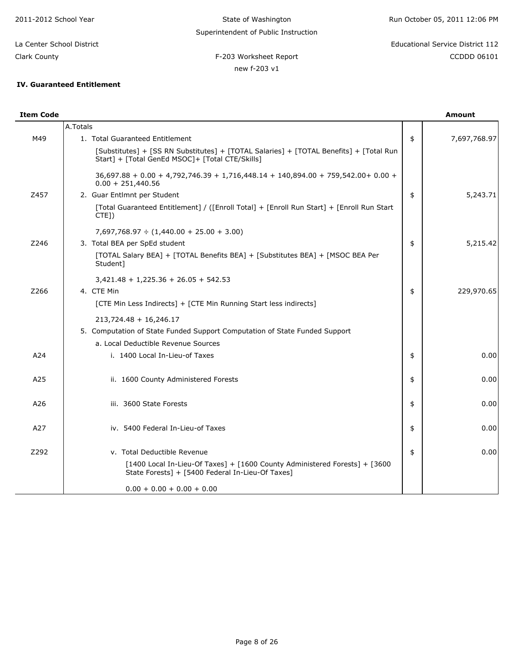new f-203 v1

# F-203 Worksheet Report **CCDD** 06101 La Center School District Educational Service District 112

Clark County

# **IV. Guaranteed Entitlement**

| <b>Item Code</b> |                                                                                                                                            | <b>Amount</b>      |
|------------------|--------------------------------------------------------------------------------------------------------------------------------------------|--------------------|
|                  | A.Totals                                                                                                                                   |                    |
| M49              | 1. Total Guaranteed Entitlement                                                                                                            | \$<br>7,697,768.97 |
|                  | [Substitutes] + [SS RN Substitutes] + [TOTAL Salaries] + [TOTAL Benefits] + [Total Run<br>Start] + [Total GenEd MSOC] + [Total CTE/Skills] |                    |
|                  | 36,697.88 + 0.00 + 4,792,746.39 + 1,716,448.14 + 140,894.00 + 759,542.00 + 0.00 +<br>$0.00 + 251,440.56$                                   |                    |
| Z457             | 2. Guar Entlmnt per Student                                                                                                                | \$<br>5,243.71     |
|                  | [Total Guaranteed Entitlement] / ([Enroll Total] + [Enroll Run Start] + [Enroll Run Start]<br>$CTE$ ])                                     |                    |
|                  | $7,697,768.97 \div (1,440.00 + 25.00 + 3.00)$                                                                                              |                    |
| Z246             | 3. Total BEA per SpEd student                                                                                                              | \$<br>5,215.42     |
|                  | [TOTAL Salary BEA] + [TOTAL Benefits BEA] + [Substitutes BEA] + [MSOC BEA Per<br>Student]                                                  |                    |
|                  | $3,421.48 + 1,225.36 + 26.05 + 542.53$                                                                                                     |                    |
| Z266             | 4. CTE Min                                                                                                                                 | \$<br>229,970.65   |
|                  | [CTE Min Less Indirects] + [CTE Min Running Start less indirects]                                                                          |                    |
|                  | $213,724.48 + 16,246.17$                                                                                                                   |                    |
|                  | 5. Computation of State Funded Support Computation of State Funded Support                                                                 |                    |
|                  | a. Local Deductible Revenue Sources                                                                                                        |                    |
| A24              | i. 1400 Local In-Lieu-of Taxes                                                                                                             | \$<br>0.00         |
| A25              | ii. 1600 County Administered Forests                                                                                                       | \$<br>0.00         |
| A26              | iii. 3600 State Forests                                                                                                                    | \$<br>0.00         |
| A27              | iv. 5400 Federal In-Lieu-of Taxes                                                                                                          | \$<br>0.00         |
| Z292             | v. Total Deductible Revenue                                                                                                                | \$<br>0.00         |
|                  | [1400 Local In-Lieu-Of Taxes] + [1600 County Administered Forests] + [3600<br>State Forests] + [5400 Federal In-Lieu-Of Taxes]             |                    |
|                  | $0.00 + 0.00 + 0.00 + 0.00$                                                                                                                |                    |
|                  |                                                                                                                                            |                    |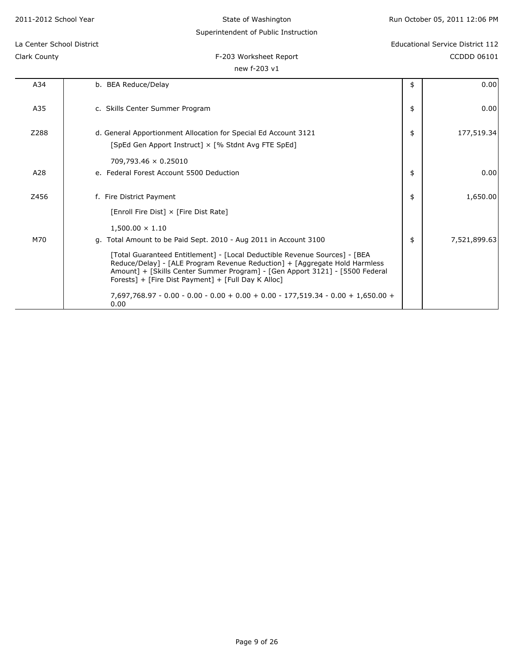State of Washington

# Superintendent of Public Instruction

# Clark County

0.00

# F-203 Worksheet Report CCDDD 06101 La Center School District Educational Service District 112

new f-203 v1

A34 b. BEA Reduce/Delay 3. a control of the set of the set of the set of the set of the set of the set of the set of the set of the set of the set of the set of the set of the set of the set of the set of the set of the se

| A35  | c. Skills Center Summer Program                                                                                                                                                                                                                                                                 | \$<br>0.00         |
|------|-------------------------------------------------------------------------------------------------------------------------------------------------------------------------------------------------------------------------------------------------------------------------------------------------|--------------------|
| Z288 | d. General Apportionment Allocation for Special Ed Account 3121<br>[SpEd Gen Apport Instruct] × [% Stdnt Avg FTE SpEd]                                                                                                                                                                          | \$<br>177,519.34   |
|      | $709,793.46 \times 0.25010$                                                                                                                                                                                                                                                                     |                    |
| A28  | e. Federal Forest Account 5500 Deduction                                                                                                                                                                                                                                                        | \$<br>0.00         |
| Z456 | f. Fire District Payment                                                                                                                                                                                                                                                                        | \$<br>1,650.00     |
|      | [Enroll Fire Dist] × [Fire Dist Rate]                                                                                                                                                                                                                                                           |                    |
|      | $1,500.00 \times 1.10$                                                                                                                                                                                                                                                                          |                    |
| M70  | g. Total Amount to be Paid Sept. 2010 - Aug 2011 in Account 3100                                                                                                                                                                                                                                | \$<br>7,521,899.63 |
|      | [Total Guaranteed Entitlement] - [Local Deductible Revenue Sources] - [BEA<br>Reduce/Delay] - [ALE Program Revenue Reduction] + [Aggregate Hold Harmless<br>Amount] + [Skills Center Summer Program] - [Gen Apport 3121] - [5500 Federal<br>Forests] + [Fire Dist Payment] + [Full Day K Alloc] |                    |

7,697,768.97 - 0.00 - 0.00 - 0.00 + 0.00 + 0.00 - 177,519.34 - 0.00 + 1,650.00 +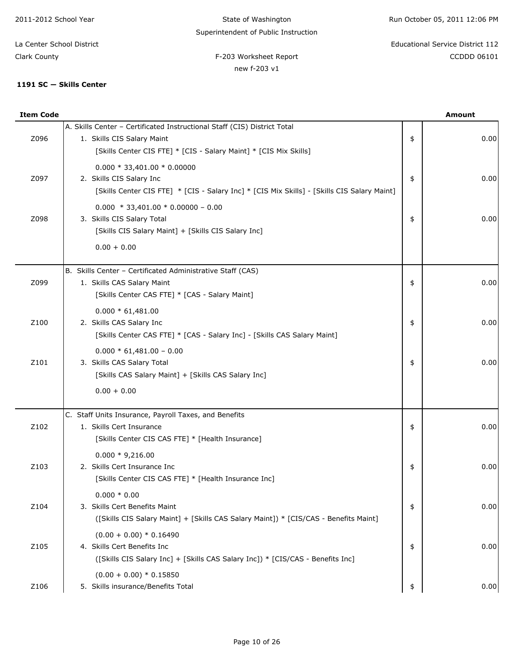State of Washington Superintendent of Public Instruction

new f-203 v1

Run October 05, 2011 12:06 PM

F-203 Worksheet Report **CCDD** 06101 La Center School District Educational Service District 112

Clark County

# 1191 SC - Skills Center

| <b>Item Code</b> |                                                                                                                                                                             | <b>Amount</b> |
|------------------|-----------------------------------------------------------------------------------------------------------------------------------------------------------------------------|---------------|
| Z096             | A. Skills Center - Certificated Instructional Staff (CIS) District Total<br>1. Skills CIS Salary Maint<br>[Skills Center CIS FTE] * [CIS - Salary Maint] * [CIS Mix Skills] | \$<br>0.00    |
| Z097             | $0.000 * 33,401.00 * 0.00000$<br>2. Skills CIS Salary Inc<br>[Skills Center CIS FTE] * [CIS - Salary Inc] * [CIS Mix Skills] - [Skills CIS Salary Maint]                    | \$<br>0.00    |
| Z098             | $0.000 * 33,401.00 * 0.00000 - 0.00$<br>3. Skills CIS Salary Total<br>[Skills CIS Salary Maint] + [Skills CIS Salary Inc]<br>$0.00 + 0.00$                                  | \$<br>0.00    |
|                  |                                                                                                                                                                             |               |
| Z099             | B. Skills Center - Certificated Administrative Staff (CAS)<br>1. Skills CAS Salary Maint<br>[Skills Center CAS FTE] * [CAS - Salary Maint]                                  | \$<br>0.00    |
| Z100             | $0.000 * 61,481.00$<br>2. Skills CAS Salary Inc<br>[Skills Center CAS FTE] * [CAS - Salary Inc] - [Skills CAS Salary Maint]                                                 | \$<br>0.00    |
| Z101             | $0.000 * 61,481.00 - 0.00$<br>3. Skills CAS Salary Total<br>[Skills CAS Salary Maint] + [Skills CAS Salary Inc]                                                             | \$<br>0.00    |
|                  | $0.00 + 0.00$                                                                                                                                                               |               |
| Z102             | C. Staff Units Insurance, Payroll Taxes, and Benefits<br>1. Skills Cert Insurance<br>[Skills Center CIS CAS FTE] * [Health Insurance]                                       | \$<br>0.00    |
| Z103             | $0.000 * 9,216.00$<br>2. Skills Cert Insurance Inc<br>[Skills Center CIS CAS FTE] * [Health Insurance Inc]                                                                  | \$<br>0.00    |
| Z104             | $0.000 * 0.00$<br>3. Skills Cert Benefits Maint<br>([Skills CIS Salary Maint] + [Skills CAS Salary Maint]) * [CIS/CAS - Benefits Maint]                                     | \$<br>0.00    |
| Z105             | $(0.00 + 0.00) * 0.16490$<br>4. Skills Cert Benefits Inc<br>([Skills CIS Salary Inc] + [Skills CAS Salary Inc]) * [CIS/CAS - Benefits Inc]                                  | \$<br>0.00    |
| Z106             | $(0.00 + 0.00) * 0.15850$<br>5. Skills insurance/Benefits Total                                                                                                             | \$<br>0.00    |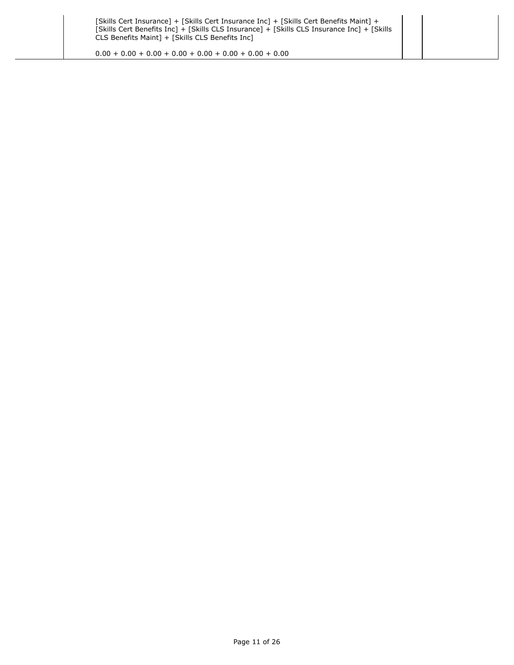$0.00 + 0.00 + 0.00 + 0.00 + 0.00 + 0.00 + 0.00 + 0.00$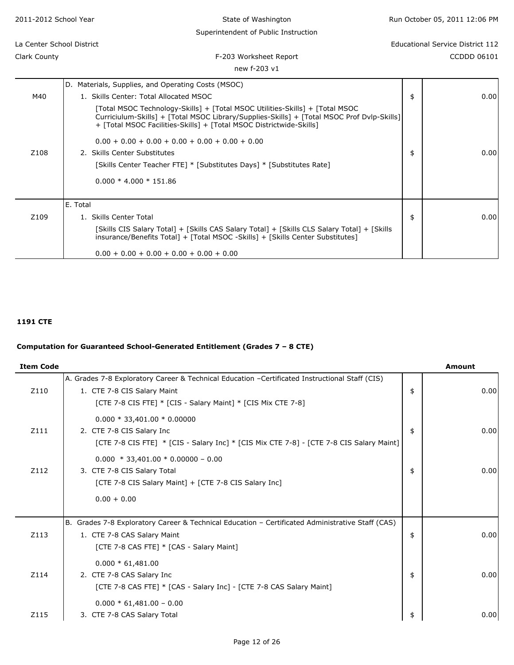| 2011-2012 School Year     | State of Washington                                                                                                                                                                                                                                                                                                                                                                                                                         | Run October 05, 2011 12:06 PM |                                         |
|---------------------------|---------------------------------------------------------------------------------------------------------------------------------------------------------------------------------------------------------------------------------------------------------------------------------------------------------------------------------------------------------------------------------------------------------------------------------------------|-------------------------------|-----------------------------------------|
|                           | Superintendent of Public Instruction                                                                                                                                                                                                                                                                                                                                                                                                        |                               |                                         |
| La Center School District |                                                                                                                                                                                                                                                                                                                                                                                                                                             |                               | <b>Educational Service District 112</b> |
| Clark County              | F-203 Worksheet Report                                                                                                                                                                                                                                                                                                                                                                                                                      |                               | CCDDD 06101                             |
|                           | new f-203 v1                                                                                                                                                                                                                                                                                                                                                                                                                                |                               |                                         |
|                           | D. Materials, Supplies, and Operating Costs (MSOC)                                                                                                                                                                                                                                                                                                                                                                                          |                               |                                         |
| M40                       | 1. Skills Center: Total Allocated MSOC                                                                                                                                                                                                                                                                                                                                                                                                      | \$                            | 0.00                                    |
| Z <sub>108</sub>          | [Total MSOC Technology-Skills] + [Total MSOC Utilities-Skills] + [Total MSOC<br>Curriciulum-Skills] + [Total MSOC Library/Supplies-Skills] + [Total MSOC Prof Dvlp-Skills]]<br>+ [Total MSOC Facilities-Skills] + [Total MSOC Districtwide-Skills]<br>$0.00 + 0.00 + 0.00 + 0.00 + 0.00 + 0.00 + 0.00$<br>2. Skills Center Substitutes<br>[Skills Center Teacher FTE] * [Substitutes Days] * [Substitutes Rate]<br>$0.000 * 4.000 * 151.86$ | \$                            | 0.00                                    |
| Z109                      | E. Total<br>1. Skills Center Total<br>[Skills CIS Salary Total] + [Skills CAS Salary Total] + [Skills CLS Salary Total] + [Skills<br>insurance/Benefits Total] + [Total MSOC -Skills] + [Skills Center Substitutes]                                                                                                                                                                                                                         | \$                            | 0.00                                    |
|                           | $0.00 + 0.00 + 0.00 + 0.00 + 0.00 + 0.00$                                                                                                                                                                                                                                                                                                                                                                                                   |                               |                                         |

## **1191 CTE**

# **Computation for Guaranteed School-Generated Entitlement (Grades 7 – 8 CTE)**

| <b>Item Code</b> |                                                                                                                                                                                               | <b>Amount</b> |
|------------------|-----------------------------------------------------------------------------------------------------------------------------------------------------------------------------------------------|---------------|
| Z110             | A. Grades 7-8 Exploratory Career & Technical Education -Certificated Instructional Staff (CIS)<br>1. CTE 7-8 CIS Salary Maint<br>[CTE 7-8 CIS FTE] * [CIS - Salary Maint] * [CIS Mix CTE 7-8] | \$<br>0.00    |
| Z111             | $0.000 * 33,401.00 * 0.00000$<br>2. CTE 7-8 CIS Salary Inc<br>[CTE 7-8 CIS FTE] * [CIS - Salary Inc] * [CIS Mix CTE 7-8] - [CTE 7-8 CIS Salary Maint]                                         | \$<br>0.00    |
| Z112             | $0.000 * 33,401.00 * 0.00000 - 0.00$<br>3. CTE 7-8 CIS Salary Total<br>[CTE 7-8 CIS Salary Maint] + [CTE 7-8 CIS Salary Inc]                                                                  | \$<br>0.00    |
|                  | $0.00 + 0.00$                                                                                                                                                                                 |               |
| Z113             | B. Grades 7-8 Exploratory Career & Technical Education - Certificated Administrative Staff (CAS)<br>1. CTE 7-8 CAS Salary Maint<br>[CTE 7-8 CAS FTE] * [CAS - Salary Maint]                   | \$<br>0.00    |
| Z114             | $0.000 * 61,481.00$<br>2. CTE 7-8 CAS Salary Inc<br>[CTE 7-8 CAS FTE] * [CAS - Salary Inc] - [CTE 7-8 CAS Salary Maint]                                                                       | \$<br>0.00    |
| Z115             | $0.000 * 61,481.00 - 0.00$<br>3. CTE 7-8 CAS Salary Total                                                                                                                                     | \$<br>0.00    |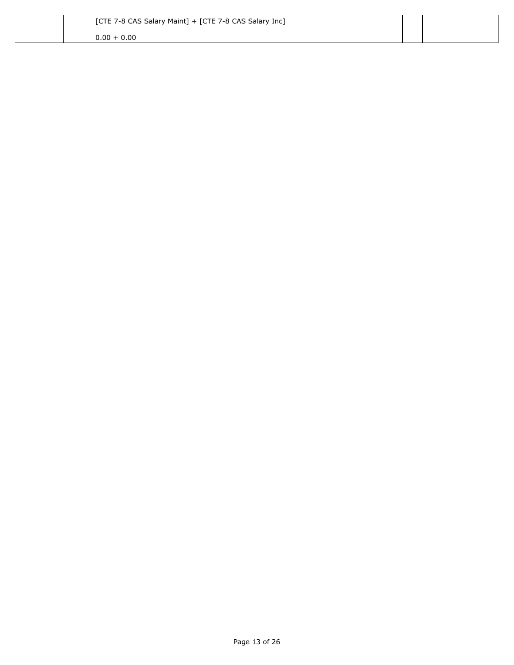$0.00 + 0.00$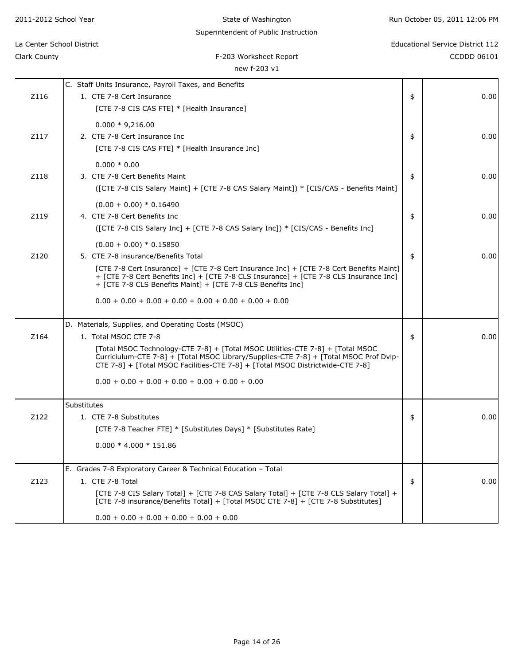| Clark County | F-203 Worksheet Report                                                                                                                                                                                                                                    | <b>CCDDD 06101</b> |
|--------------|-----------------------------------------------------------------------------------------------------------------------------------------------------------------------------------------------------------------------------------------------------------|--------------------|
|              | new f-203 v1                                                                                                                                                                                                                                              |                    |
|              | C. Staff Units Insurance, Payroll Taxes, and Benefits                                                                                                                                                                                                     |                    |
| Z116         | 1. CTE 7-8 Cert Insurance                                                                                                                                                                                                                                 | \$<br>0.00         |
|              | [CTE 7-8 CIS CAS FTE] * [Health Insurance]                                                                                                                                                                                                                |                    |
|              | $0.000 * 9,216.00$                                                                                                                                                                                                                                        |                    |
| Z117         | 2. CTE 7-8 Cert Insurance Inc                                                                                                                                                                                                                             | \$<br>0.00         |
|              | [CTE 7-8 CIS CAS FTE] * [Health Insurance Inc]                                                                                                                                                                                                            |                    |
|              | $0.000 * 0.00$                                                                                                                                                                                                                                            |                    |
| Z118         | 3. CTE 7-8 Cert Benefits Maint                                                                                                                                                                                                                            | \$<br>0.00         |
|              | (CTE 7-8 CIS Salary Maint] + [CTE 7-8 CAS Salary Maint]) * [CIS/CAS - Benefits Maint]                                                                                                                                                                     |                    |
|              | $(0.00 + 0.00) * 0.16490$                                                                                                                                                                                                                                 |                    |
| Z119         | 4. CTE 7-8 Cert Benefits Inc                                                                                                                                                                                                                              | \$<br>0.00         |
|              | ([CTE 7-8 CIS Salary Inc] + [CTE 7-8 CAS Salary Inc]) * [CIS/CAS - Benefits Inc]                                                                                                                                                                          |                    |
|              | $(0.00 + 0.00) * 0.15850$                                                                                                                                                                                                                                 |                    |
| Z120         | 5. CTE 7-8 insurance/Benefits Total                                                                                                                                                                                                                       | \$<br>0.00         |
|              | [CTE 7-8 Cert Insurance] + [CTE 7-8 Cert Insurance Inc] + [CTE 7-8 Cert Benefits Maint]<br>+ [CTE 7-8 Cert Benefits Inc] + [CTE 7-8 CLS Insurance] + [CTE 7-8 CLS Insurance Inc]<br>+ [CTE 7-8 CLS Benefits Maint] + [CTE 7-8 CLS Benefits Inc]           |                    |
|              | $0.00 + 0.00 + 0.00 + 0.00 + 0.00 + 0.00 + 0.00 + 0.00$                                                                                                                                                                                                   |                    |
|              | D. Materials, Supplies, and Operating Costs (MSOC)                                                                                                                                                                                                        |                    |
| Z164         | 1. Total MSOC CTE 7-8                                                                                                                                                                                                                                     | \$<br>0.00         |
|              | [Total MSOC Technology-CTE 7-8] + [Total MSOC Utilities-CTE 7-8] + [Total MSOC<br>Curriciulum-CTE 7-8] + [Total MSOC Library/Supplies-CTE 7-8] + [Total MSOC Prof Dvlp-<br>CTE 7-8] + [Total MSOC Facilities-CTE 7-8] + [Total MSOC Districtwide-CTE 7-8] |                    |
|              | $0.00 + 0.00 + 0.00 + 0.00 + 0.00 + 0.00 + 0.00$                                                                                                                                                                                                          |                    |
|              | Substitutes                                                                                                                                                                                                                                               |                    |
| Z122         | 1. CTE 7-8 Substitutes                                                                                                                                                                                                                                    | \$<br>0.00         |
|              | [CTE 7-8 Teacher FTE] * [Substitutes Days] * [Substitutes Rate]                                                                                                                                                                                           |                    |
|              | $0.000 * 4.000 * 151.86$                                                                                                                                                                                                                                  |                    |
|              | E. Grades 7-8 Exploratory Career & Technical Education - Total                                                                                                                                                                                            |                    |
| Z123         | 1. CTE 7-8 Total                                                                                                                                                                                                                                          | \$<br>0.00         |
|              | [CTE 7-8 CIS Salary Total] + [CTE 7-8 CAS Salary Total] + [CTE 7-8 CLS Salary Total] +<br>[CTE 7-8 insurance/Benefits Total] + [Total MSOC CTE 7-8] + [CTE 7-8 Substitutes]                                                                               |                    |

State of Washington Superintendent of Public Instruction Run October 05, 2011 12:06 PM

# La Center School District Educational Service District 112

 $0.00 + 0.00 + 0.00 + 0.00 + 0.00 + 0.00$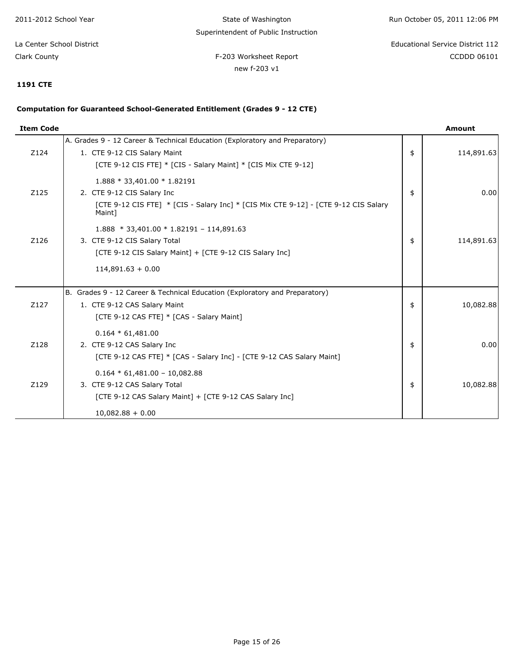State of Washington Superintendent of Public Instruction Run October 05, 2011 12:06 PM

F-203 Worksheet Report **CCDD** 06101 La Center School District Educational Service District 112

Clark County

new f-203 v1

#### **1191 CTE**

### **Computation for Guaranteed School-Generated Entitlement (Grades 9 - 12 CTE)**

| <b>Item Code</b> |                                                                                                                                                                               | <b>Amount</b>    |
|------------------|-------------------------------------------------------------------------------------------------------------------------------------------------------------------------------|------------------|
| Z124             | A. Grades 9 - 12 Career & Technical Education (Exploratory and Preparatory)<br>1. CTE 9-12 CIS Salary Maint<br>[CTE 9-12 CIS FTE] * [CIS - Salary Maint] * [CIS Mix CTE 9-12] | \$<br>114,891.63 |
| Z125             | 1.888 * 33,401.00 * 1.82191<br>2. CTE 9-12 CIS Salary Inc<br>[CTE 9-12 CIS FTE] $*$ [CIS - Salary Inc] $*$ [CIS Mix CTE 9-12] - [CTE 9-12 CIS Salary<br>Maint]                | \$<br>0.00       |
| Z126             | $1.888 * 33,401.00 * 1.82191 - 114,891.63$<br>3. CTE 9-12 CIS Salary Total<br>[CTE 9-12 CIS Salary Maint] + [CTE 9-12 CIS Salary Inc]<br>$114,891.63 + 0.00$                  | \$<br>114,891.63 |
| Z127             | B. Grades 9 - 12 Career & Technical Education (Exploratory and Preparatory)<br>1. CTE 9-12 CAS Salary Maint<br>[CTE 9-12 CAS FTE] * [CAS - Salary Maint]                      | \$<br>10,082.88  |
| Z128             | $0.164 * 61,481.00$<br>2. CTE 9-12 CAS Salary Inc<br>[CTE 9-12 CAS FTE] * [CAS - Salary Inc] - [CTE 9-12 CAS Salary Maint]                                                    | \$<br>0.00       |
| Z129             | $0.164 * 61,481.00 - 10,082.88$<br>3. CTE 9-12 CAS Salary Total<br>[CTE 9-12 CAS Salary Maint] + [CTE 9-12 CAS Salary Inc]                                                    | \$<br>10,082.88  |
|                  | $10,082.88 + 0.00$                                                                                                                                                            |                  |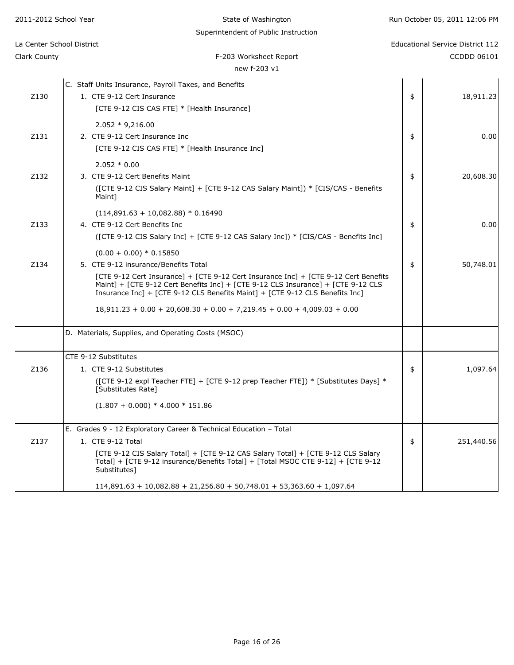| 2011-2012 School Year     | State of Washington                                                                                                                                                                                                                                     | Run October 05, 2011 12:06 PM           |
|---------------------------|---------------------------------------------------------------------------------------------------------------------------------------------------------------------------------------------------------------------------------------------------------|-----------------------------------------|
| La Center School District | Superintendent of Public Instruction                                                                                                                                                                                                                    | <b>Educational Service District 112</b> |
| Clark County              | F-203 Worksheet Report<br>new f-203 v1                                                                                                                                                                                                                  | CCDDD 06101                             |
|                           | C. Staff Units Insurance, Payroll Taxes, and Benefits                                                                                                                                                                                                   |                                         |
| Z130                      | 1. CTE 9-12 Cert Insurance                                                                                                                                                                                                                              | \$<br>18,911.23                         |
|                           | [CTE 9-12 CIS CAS FTE] * [Health Insurance]                                                                                                                                                                                                             |                                         |
|                           | $2.052 * 9,216.00$                                                                                                                                                                                                                                      |                                         |
| Z131                      | 2. CTE 9-12 Cert Insurance Inc                                                                                                                                                                                                                          | \$<br>0.00                              |
|                           | [CTE 9-12 CIS CAS FTE] * [Health Insurance Inc]                                                                                                                                                                                                         |                                         |
|                           | $2.052 * 0.00$                                                                                                                                                                                                                                          |                                         |
| Z132                      | 3. CTE 9-12 Cert Benefits Maint                                                                                                                                                                                                                         | \$<br>20,608.30                         |
|                           | ([CTE 9-12 CIS Salary Maint] + [CTE 9-12 CAS Salary Maint]) * [CIS/CAS - Benefits<br>Maint]                                                                                                                                                             |                                         |
|                           | $(114,891.63 + 10,082.88) * 0.16490$                                                                                                                                                                                                                    |                                         |
| Z133                      | 4. CTE 9-12 Cert Benefits Inc                                                                                                                                                                                                                           | \$<br>0.00                              |
|                           | ([CTE 9-12 CIS Salary Inc] + [CTE 9-12 CAS Salary Inc]) * [CIS/CAS - Benefits Inc]                                                                                                                                                                      |                                         |
|                           | $(0.00 + 0.00) * 0.15850$                                                                                                                                                                                                                               |                                         |
| Z134                      | 5. CTE 9-12 insurance/Benefits Total                                                                                                                                                                                                                    | \$<br>50,748.01                         |
|                           | [CTE 9-12 Cert Insurance] + [CTE 9-12 Cert Insurance Inc] + [CTE 9-12 Cert Benefits<br>Maint] + [CTE 9-12 Cert Benefits Inc] + [CTE 9-12 CLS Insurance] + [CTE 9-12 CLS<br>Insurance Inc] + [CTE 9-12 CLS Benefits Maint] + [CTE 9-12 CLS Benefits Inc] |                                         |
|                           | $18,911.23 + 0.00 + 20,608.30 + 0.00 + 7,219.45 + 0.00 + 4,009.03 + 0.00$                                                                                                                                                                               |                                         |
|                           | D. Materials, Supplies, and Operating Costs (MSOC)                                                                                                                                                                                                      |                                         |
|                           | CTE 9-12 Substitutes                                                                                                                                                                                                                                    |                                         |
| Z136                      | 1. CTE 9-12 Substitutes                                                                                                                                                                                                                                 | \$<br>1,097.64                          |
|                           | ([CTE 9-12 expl Teacher FTE] + [CTE 9-12 prep Teacher FTE]) * [Substitutes Days] *<br>[Substitutes Rate]                                                                                                                                                |                                         |
|                           | $(1.807 + 0.000) * 4.000 * 151.86$                                                                                                                                                                                                                      |                                         |
|                           | E. Grades 9 - 12 Exploratory Career & Technical Education - Total                                                                                                                                                                                       |                                         |
| Z137                      | 1. CTE 9-12 Total                                                                                                                                                                                                                                       | \$<br>251,440.56                        |
|                           | [CTE 9-12 CIS Salary Total] + [CTE 9-12 CAS Salary Total] + [CTE 9-12 CLS Salary<br>Total] + [CTE 9-12 insurance/Benefits Total] + [Total MSOC CTE 9-12] + [CTE 9-12]<br>Substitutes]                                                                   |                                         |
|                           | $114,891.63 + 10,082.88 + 21,256.80 + 50,748.01 + 53,363.60 + 1,097.64$                                                                                                                                                                                 |                                         |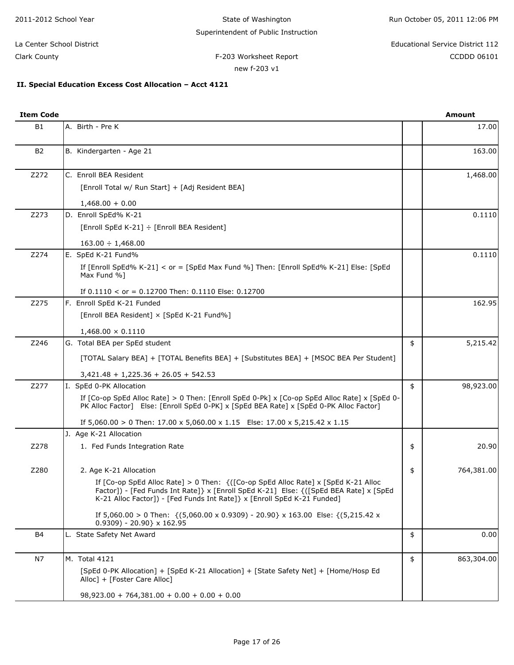#### **II. Special Education Excess Cost Allocation – Acct 4121**

| <b>Item Code</b> |                                                                                                                                                                                                                                                                                                                                                                                                                                                                                                                                                                                                                                                                      | <b>Amount</b>    |
|------------------|----------------------------------------------------------------------------------------------------------------------------------------------------------------------------------------------------------------------------------------------------------------------------------------------------------------------------------------------------------------------------------------------------------------------------------------------------------------------------------------------------------------------------------------------------------------------------------------------------------------------------------------------------------------------|------------------|
| B1               | A. Birth - Pre K                                                                                                                                                                                                                                                                                                                                                                                                                                                                                                                                                                                                                                                     | 17.00            |
| B <sub>2</sub>   | B. Kindergarten - Age 21                                                                                                                                                                                                                                                                                                                                                                                                                                                                                                                                                                                                                                             | 163.00           |
| Z272             | C. Enroll BEA Resident<br>[Enroll Total w/ Run Start] + [Adj Resident BEA]                                                                                                                                                                                                                                                                                                                                                                                                                                                                                                                                                                                           | 1,468.00         |
|                  | $1,468.00 + 0.00$                                                                                                                                                                                                                                                                                                                                                                                                                                                                                                                                                                                                                                                    |                  |
| Z273             | D. Enroll SpEd% K-21                                                                                                                                                                                                                                                                                                                                                                                                                                                                                                                                                                                                                                                 | 0.1110           |
|                  | [Enroll SpEd K-21] ÷ [Enroll BEA Resident]                                                                                                                                                                                                                                                                                                                                                                                                                                                                                                                                                                                                                           |                  |
|                  | $163.00 \div 1,468.00$                                                                                                                                                                                                                                                                                                                                                                                                                                                                                                                                                                                                                                               |                  |
| Z274             | E. SpEd K-21 Fund%                                                                                                                                                                                                                                                                                                                                                                                                                                                                                                                                                                                                                                                   | 0.1110           |
|                  | If [Enroll SpEd% K-21] < or = [SpEd Max Fund %] Then: [Enroll SpEd% K-21] Else: [SpEd<br>Max Fund %]                                                                                                                                                                                                                                                                                                                                                                                                                                                                                                                                                                 |                  |
|                  | If $0.1110 <$ or = 0.12700 Then: 0.1110 Else: 0.12700                                                                                                                                                                                                                                                                                                                                                                                                                                                                                                                                                                                                                |                  |
| Z275             | F. Enroll SpEd K-21 Funded                                                                                                                                                                                                                                                                                                                                                                                                                                                                                                                                                                                                                                           | 162.95           |
|                  | [Enroll BEA Resident] × [SpEd K-21 Fund%]                                                                                                                                                                                                                                                                                                                                                                                                                                                                                                                                                                                                                            |                  |
|                  | $1,468.00 \times 0.1110$                                                                                                                                                                                                                                                                                                                                                                                                                                                                                                                                                                                                                                             |                  |
| Z246             | G. Total BEA per SpEd student                                                                                                                                                                                                                                                                                                                                                                                                                                                                                                                                                                                                                                        | \$<br>5,215.42   |
|                  | [TOTAL Salary BEA] + [TOTAL Benefits BEA] + [Substitutes BEA] + [MSOC BEA Per Student]                                                                                                                                                                                                                                                                                                                                                                                                                                                                                                                                                                               |                  |
|                  | $3,421.48 + 1,225.36 + 26.05 + 542.53$                                                                                                                                                                                                                                                                                                                                                                                                                                                                                                                                                                                                                               |                  |
| Z277             | I. SpEd 0-PK Allocation                                                                                                                                                                                                                                                                                                                                                                                                                                                                                                                                                                                                                                              | \$<br>98,923.00  |
|                  | If [Co-op SpEd Alloc Rate] > 0 Then: [Enroll SpEd 0-Pk] x [Co-op SpEd Alloc Rate] x [SpEd 0-<br>PK Alloc Factor] Else: [Enroll SpEd 0-PK] x [SpEd BEA Rate] x [SpEd 0-PK Alloc Factor]                                                                                                                                                                                                                                                                                                                                                                                                                                                                               |                  |
|                  | If $5,060.00 > 0$ Then: $17.00 \times 5,060.00 \times 1.15$ Else: $17.00 \times 5,215.42 \times 1.15$                                                                                                                                                                                                                                                                                                                                                                                                                                                                                                                                                                |                  |
|                  | J. Age K-21 Allocation                                                                                                                                                                                                                                                                                                                                                                                                                                                                                                                                                                                                                                               |                  |
| Z278             | 1. Fed Funds Integration Rate                                                                                                                                                                                                                                                                                                                                                                                                                                                                                                                                                                                                                                        | \$<br>20.90      |
| Z280             | 2. Age K-21 Allocation                                                                                                                                                                                                                                                                                                                                                                                                                                                                                                                                                                                                                                               | \$<br>764,381.00 |
|                  | If [Co-op SpEd Alloc Rate] > 0 Then: $\{([Co-op SpEd \; Alice \; Rate] \times [SpEd \; K-21 \; Alice \; Note \; Note \; for \; the \; model \; and \; the \; model \; is \; the \; model \; and \; the \; model \; is \; the \; model \; is \; the \; model \; is \; the \; model \; is \; the \; model \; is \; the \; model \; is \; the \; model \; is \; the \; model \; is \; the \; model \; is \; the \; model \; is \; the \; model \; is \; the \; model \; is \; the \; model \; is \$<br>Factor]) - [Fed Funds Int Rate]} x [Enroll SpEd K-21] Else: {([SpEd BEA Rate] x [SpEd<br>K-21 Alloc Factor]) - [Fed Funds Int Rate]} x [Enroll SpEd K-21 Funded] |                  |
|                  | If 5,060.00 > 0 Then: {(5,060.00 x 0.9309) - 20.90} x 163.00 Else: {(5,215.42 x<br>$0.9309$ - 20.90} x 162.95                                                                                                                                                                                                                                                                                                                                                                                                                                                                                                                                                        |                  |
| B4               | L. State Safety Net Award                                                                                                                                                                                                                                                                                                                                                                                                                                                                                                                                                                                                                                            | \$<br>0.00       |
| N7               | M. Total 4121                                                                                                                                                                                                                                                                                                                                                                                                                                                                                                                                                                                                                                                        | \$<br>863,304.00 |
|                  | [SpEd 0-PK Allocation] + [SpEd K-21 Allocation] + [State Safety Net] + [Home/Hosp Ed<br>Alloc] + [Foster Care Alloc]                                                                                                                                                                                                                                                                                                                                                                                                                                                                                                                                                 |                  |
|                  | $98,923.00 + 764,381.00 + 0.00 + 0.00 + 0.00$                                                                                                                                                                                                                                                                                                                                                                                                                                                                                                                                                                                                                        |                  |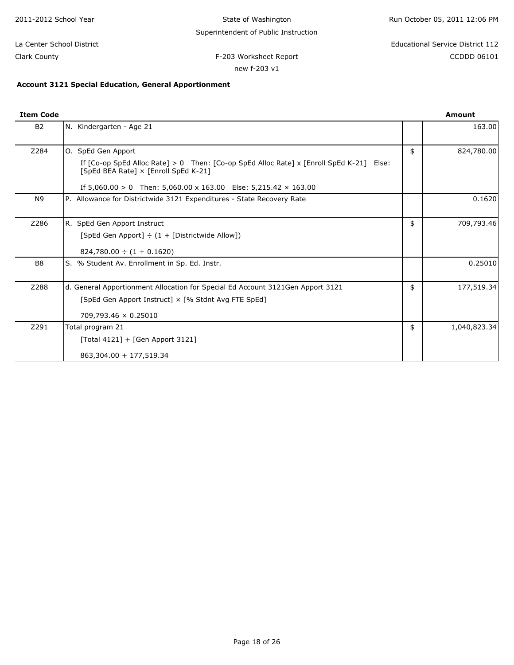| 2011-2012 School Year                                                                                                                                                                                                             | State of Washington                  | Run October 05, 2011 12:06 PM    |  |  |
|-----------------------------------------------------------------------------------------------------------------------------------------------------------------------------------------------------------------------------------|--------------------------------------|----------------------------------|--|--|
|                                                                                                                                                                                                                                   | Superintendent of Public Instruction |                                  |  |  |
| La Center School District                                                                                                                                                                                                         |                                      | Educational Service District 112 |  |  |
| Clark County                                                                                                                                                                                                                      | F-203 Worksheet Report               | CCDDD 06101                      |  |  |
|                                                                                                                                                                                                                                   | new f-203 v1                         |                                  |  |  |
| $\mathbf{A}$ . The contract of the contract of the contract of the contract of the contract of the contract of the contract of the contract of the contract of the contract of the contract of the contract of the contract of th |                                      |                                  |  |  |

#### **Account 3121 Special Education, General Apportionment**

| <b>Item Code</b> |                                                                                                                                                    | <b>Amount</b>      |
|------------------|----------------------------------------------------------------------------------------------------------------------------------------------------|--------------------|
| <b>B2</b>        | N. Kindergarten - Age 21                                                                                                                           | 163.00             |
| Z284             | O. SpEd Gen Apport                                                                                                                                 | \$<br>824,780.00   |
|                  | If $[Co$ -op SpEd Alloc Rate $] > 0$ Then: $[Co$ -op SpEd Alloc Rate $] \times$ $[Enroll SpEd K-21]$ Else:<br>[SpEd BEA Rate] x [Enroll SpEd K-21] |                    |
|                  | If $5,060.00 > 0$ Then: $5,060.00 \times 163.00$ Else: $5,215.42 \times 163.00$                                                                    |                    |
| N <sub>9</sub>   | P. Allowance for Districtwide 3121 Expenditures - State Recovery Rate                                                                              | 0.1620             |
| Z286             | R. SpEd Gen Apport Instruct                                                                                                                        | \$<br>709,793.46   |
|                  | [SpEd Gen Apport] $\div$ (1 + [Districtwide Allow])                                                                                                |                    |
|                  | $824,780.00 \div (1 + 0.1620)$                                                                                                                     |                    |
| B8               | S. % Student Av. Enrollment in Sp. Ed. Instr.                                                                                                      | 0.25010            |
| Z288             | d. General Apportionment Allocation for Special Ed Account 3121Gen Apport 3121                                                                     | \$<br>177,519.34   |
|                  | [SpEd Gen Apport Instruct] × [% Stdnt Avg FTE SpEd]                                                                                                |                    |
|                  | 709,793.46 × 0.25010                                                                                                                               |                    |
| Z291             | Total program 21                                                                                                                                   | \$<br>1,040,823.34 |
|                  | [Total 4121] + [Gen Apport 3121]                                                                                                                   |                    |
|                  | 863,304.00 + 177,519.34                                                                                                                            |                    |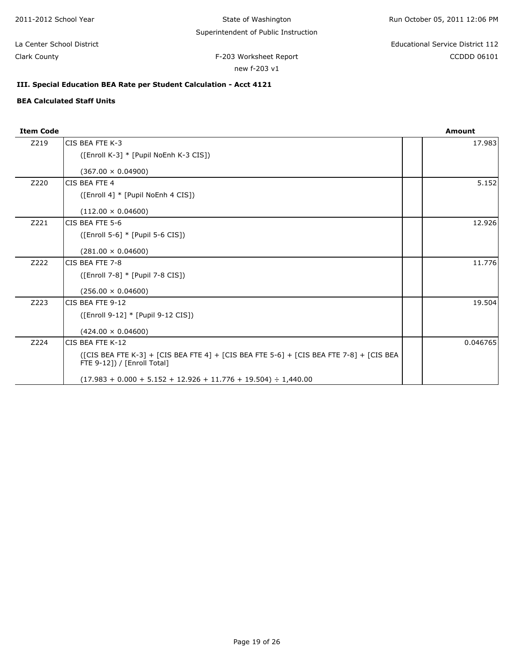F-203 Worksheet Report **CCDD** 06101 La Center School District Educational Service District 112

Clark County

new f-203 v1

### **III. Special Education BEA Rate per Student Calculation - Acct 4121**

#### **BEA Calculated Staff Units**

| <b>Item Code</b> |                                                                                                                        | <b>Amount</b> |
|------------------|------------------------------------------------------------------------------------------------------------------------|---------------|
| Z219             | CIS BEA FTE K-3                                                                                                        | 17.983        |
|                  | ([Enroll K-3] * [Pupil NoEnh K-3 CIS])                                                                                 |               |
|                  | $(367.00 \times 0.04900)$                                                                                              |               |
| Z220             | CIS BEA FTE 4                                                                                                          | 5.152         |
|                  | ([Enroll 4] * [Pupil NoEnh 4 CIS])                                                                                     |               |
|                  | $(112.00 \times 0.04600)$                                                                                              |               |
| Z221             | CIS BEA FTE 5-6                                                                                                        | 12.926        |
|                  | ([Enroll 5-6] * [Pupil 5-6 CIS])                                                                                       |               |
|                  | $(281.00 \times 0.04600)$                                                                                              |               |
| Z222             | CIS BEA FTE 7-8                                                                                                        | 11.776        |
|                  | ([Enroll 7-8] * [Pupil 7-8 CIS])                                                                                       |               |
|                  | $(256.00 \times 0.04600)$                                                                                              |               |
| Z223             | CIS BEA FTE 9-12                                                                                                       | 19.504        |
|                  | ([Enroll 9-12] * [Pupil 9-12 CIS])                                                                                     |               |
|                  | $(424.00 \times 0.04600)$                                                                                              |               |
| Z224             | CIS BEA FTE K-12                                                                                                       | 0.046765      |
|                  | ([CIS BEA FTE K-3] + [CIS BEA FTE 4] + [CIS BEA FTE 5-6] + [CIS BEA FTE 7-8] + [CIS BEA<br>FTE 9-121) / [Enroll Total] |               |
|                  | $(17.983 + 0.000 + 5.152 + 12.926 + 11.776 + 19.504) \div 1,440.00$                                                    |               |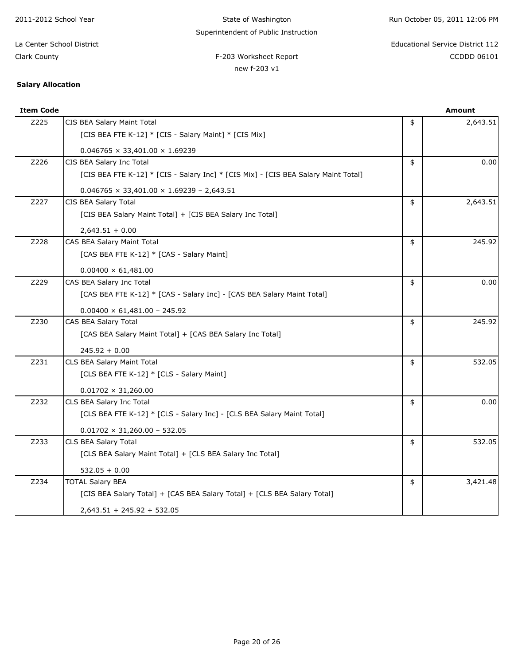| 2011-2012 School Year     | State of Washington                                                                | Run October 05, 2011 12:06 PM |                                  |
|---------------------------|------------------------------------------------------------------------------------|-------------------------------|----------------------------------|
|                           | Superintendent of Public Instruction                                               |                               |                                  |
| La Center School District |                                                                                    |                               | Educational Service District 112 |
| Clark County              | F-203 Worksheet Report                                                             |                               | <b>CCDDD 06101</b>               |
|                           | new f-203 v1                                                                       |                               |                                  |
| <b>Salary Allocation</b>  |                                                                                    |                               |                                  |
| <b>Item Code</b>          |                                                                                    |                               | <b>Amount</b>                    |
| Z225                      | CIS BEA Salary Maint Total                                                         | \$                            | 2,643.51                         |
|                           | [CIS BEA FTE K-12] * [CIS - Salary Maint] * [CIS Mix]                              |                               |                                  |
|                           | $0.046765 \times 33,401.00 \times 1.69239$                                         |                               |                                  |
| Z226                      | CIS BEA Salary Inc Total                                                           | \$                            | 0.00                             |
|                           | [CIS BEA FTE K-12] * [CIS - Salary Inc] * [CIS Mix] - [CIS BEA Salary Maint Total] |                               |                                  |
|                           | $0.046765 \times 33,401.00 \times 1.69239 - 2,643.51$                              |                               |                                  |

z227 CIS BEA Salary Total 2014 2015 12:04 2.643.51

z228 CAS BEA Salary Maint Total \$ 245.92

Z229 CAS BEA Salary Inc Total \$ 0.00

 $\begin{array}{|c|c|c|c|c|}\n\hline\n\text{Z230} & \text{CAS BEA Salary Total} \end{array}$ 

z231 CLS BEA Salary Maint Total **\$** 532.05

Z232 CLS BEA Salary Inc Total 6.000 and the set of the set of the set of the set of the set of the set of the set of the set of the set of the set of the set of the set of the set of the set of the set of the set of the se

z233 CLS BEA Salary Total 532.05

z234 TOTAL Salary BEA  $\parallel$  \$  $\parallel$  3,421.48

Page 20 of 26

[CIS BEA Salary Maint Total] + [CIS BEA Salary Inc Total]

[CAS BEA Salary Maint Total] + [CAS BEA Salary Inc Total]

[CLS BEA Salary Maint Total] + [CLS BEA Salary Inc Total]

[CAS BEA FTE K-12] \* [CAS - Salary Inc] - [CAS BEA Salary Maint Total]

[CLS BEA FTE K-12] \* [CLS - Salary Inc] - [CLS BEA Salary Maint Total]

[CIS BEA Salary Total] + [CAS BEA Salary Total] + [CLS BEA Salary Total]

[CAS BEA FTE K-12] \* [CAS - Salary Maint]

[CLS BEA FTE K-12] \* [CLS - Salary Maint]

2,643.51 + 0.00

245.92 + 0.00

532.05 + 0.00

 $0.01702 \times 31,260.00$ 

 $0.00400 \times 61,481.00$ 

 $0.00400 \times 61,481.00 - 245.92$ 

 $0.01702 \times 31,260.00 - 532.05$ 

2,643.51 + 245.92 + 532.05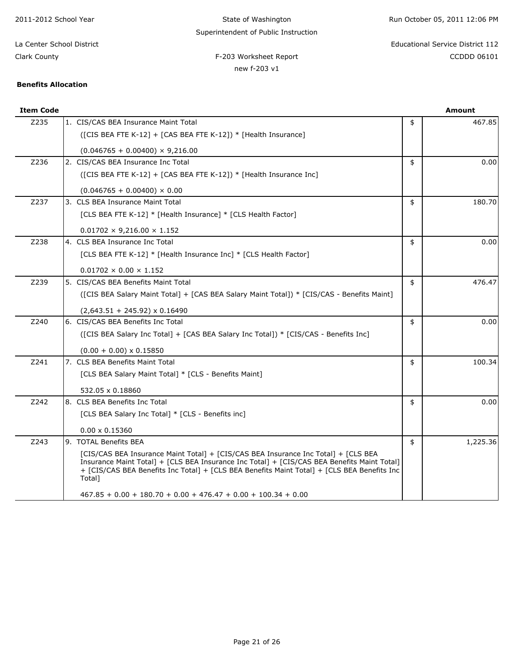| 2011-2012 School Year      | State of Washington                                                                        | Run October 05, 2011 12:06 PM |                                         |
|----------------------------|--------------------------------------------------------------------------------------------|-------------------------------|-----------------------------------------|
|                            | Superintendent of Public Instruction                                                       |                               |                                         |
| La Center School District  |                                                                                            |                               | <b>Educational Service District 112</b> |
| Clark County               | F-203 Worksheet Report                                                                     |                               | CCDDD 06101                             |
|                            | new f-203 v1                                                                               |                               |                                         |
| <b>Benefits Allocation</b> |                                                                                            |                               |                                         |
|                            |                                                                                            |                               |                                         |
| <b>Item Code</b>           |                                                                                            |                               | <b>Amount</b>                           |
| Z235                       | 1. CIS/CAS BEA Insurance Maint Total                                                       | \$                            | 467.85                                  |
|                            | ( $[CIS BEA FTE K-12] + [CAS BEA FTE K-12]) * [Health Insurance]$                          |                               |                                         |
|                            | $(0.046765 + 0.00400) \times 9,216.00$                                                     |                               |                                         |
| Z236                       | 2. CIS/CAS BEA Insurance Inc Total                                                         | \$                            | 0.00                                    |
|                            | (CIS BEA FTE K-12] + [CAS BEA FTE K-12]) * [Health Insurance Inc]                          |                               |                                         |
|                            | $(0.046765 + 0.00400) \times 0.00$                                                         |                               |                                         |
| Z237                       | 3. CLS BEA Insurance Maint Total                                                           | \$                            | 180.70                                  |
|                            | [CLS BEA FTE K-12] * [Health Insurance] * [CLS Health Factor]                              |                               |                                         |
|                            | $0.01702 \times 9.216.00 \times 1.152$                                                     |                               |                                         |
| Z238                       | 4. CLS BEA Insurance Inc Total                                                             | \$                            | 0.00                                    |
|                            | [CLS BEA FTE K-12] * [Health Insurance Inc] * [CLS Health Factor]                          |                               |                                         |
|                            | $0.01702 \times 0.00 \times 1.152$                                                         |                               |                                         |
| Z239                       | 5. CIS/CAS BEA Benefits Maint Total                                                        | \$                            | 476.47                                  |
|                            | ([CIS BEA Salary Maint Total] + [CAS BEA Salary Maint Total]) * [CIS/CAS - Benefits Maint] |                               |                                         |

Z240 6. CIS/CAS BEA Benefits Inc Total **1998** COD 2000 1 COD 3 0.00

z241 7. CLS BEA Benefits Maint Total **100.34** 100.34

z242 8. CLS BEA Benefits Inc Total **\$** 0.00

 $Z243$  9. TOTAL Benefits BEA  $\vert$  9. TOTAL Benefits BEA

([CIS BEA Salary Inc Total] + [CAS BEA Salary Inc Total]) \* [CIS/CAS - Benefits Inc]

[CIS/CAS BEA Insurance Maint Total] + [CIS/CAS BEA Insurance Inc Total] + [CLS BEA Insurance Maint Total] + [CLS BEA Insurance Inc Total] + [CIS/CAS BEA Benefits Maint Total] + [CIS/CAS BEA Benefits Inc Total] + [CLS BEA Benefits Maint Total] + [CLS BEA Benefits Inc

467.85 + 0.00 + 180.70 + 0.00 + 476.47 + 0.00 + 100.34 + 0.00

 $(2,643.51 + 245.92) \times 0.16490$ 

[CLS BEA Salary Maint Total] \* [CLS - Benefits Maint]

[CLS BEA Salary Inc Total] \* [CLS - Benefits inc]

 $(0.00 + 0.00) \times 0.15850$ 

532.05 x 0.18860

0.00 x 0.15360

Total]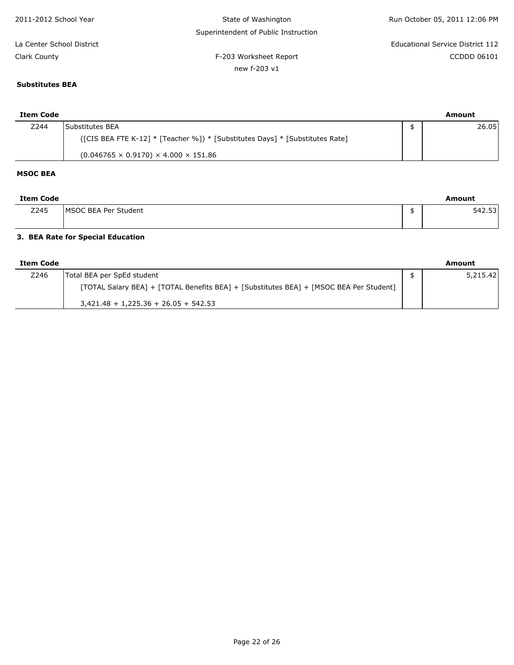| 2011-2012 School Year     | State of Washington                  | Run October 05, 2011 12:06 PM    |
|---------------------------|--------------------------------------|----------------------------------|
|                           | Superintendent of Public Instruction |                                  |
| La Center School District |                                      | Educational Service District 112 |
| Clark County              | F-203 Worksheet Report               | CCDDD 06101                      |
|                           | new f-203 v1                         |                                  |

# **Substitutes BEA**

| Item Code |                                                                              | Amount |
|-----------|------------------------------------------------------------------------------|--------|
| Z244      | Substitutes BEA                                                              | 26.05  |
|           | ([CIS BEA FTE K-12] * [Teacher %]) * [Substitutes Days] * [Substitutes Rate] |        |
|           | $(0.046765 \times 0.9170) \times 4.000 \times 151.86$                        |        |

### **MSOC BEA**

| Item Code |                      | Amount |
|-----------|----------------------|--------|
| Z245      | MSOC BEA Per Student | 542.53 |
|           |                      |        |

### **3. BEA Rate for Special Education**

| Item Code |                                                                                        | Amount   |
|-----------|----------------------------------------------------------------------------------------|----------|
| Z246      | Total BEA per SpEd student                                                             | 5.215.42 |
|           | [TOTAL Salary BEA] + [TOTAL Benefits BEA] + [Substitutes BEA] + [MSOC BEA Per Student] |          |
|           | $3,421.48 + 1,225.36 + 26.05 + 542.53$                                                 |          |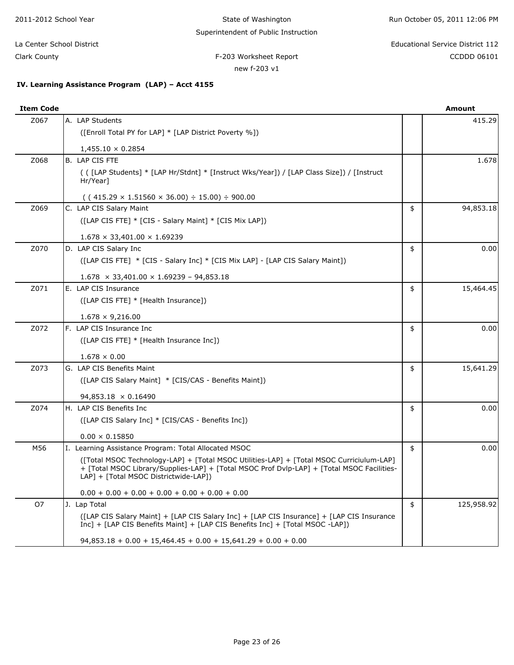| 2011-2012 School Year     |                                                   | State of Washington                  | Run October 05, 2011 12:06 PM |                                  |  |  |
|---------------------------|---------------------------------------------------|--------------------------------------|-------------------------------|----------------------------------|--|--|
|                           |                                                   | Superintendent of Public Instruction |                               |                                  |  |  |
| La Center School District |                                                   |                                      |                               | Educational Service District 112 |  |  |
| Clark County              |                                                   | F-203 Worksheet Report               |                               | CCDDD 06101                      |  |  |
|                           |                                                   | new f-203 v1                         |                               |                                  |  |  |
|                           | IV. Learning Assistance Program (LAP) - Acct 4155 |                                      |                               |                                  |  |  |
| <b>Item Code</b>          |                                                   |                                      |                               | Amount                           |  |  |
| Z067                      | A. LAP Students                                   |                                      |                               | 415.29                           |  |  |

| Z067 | A. LAP Students                                                                                                                                                                                                                 | 415.29           |
|------|---------------------------------------------------------------------------------------------------------------------------------------------------------------------------------------------------------------------------------|------------------|
|      | ([Enroll Total PY for LAP] * [LAP District Poverty %])                                                                                                                                                                          |                  |
|      | $1,455.10 \times 0.2854$                                                                                                                                                                                                        |                  |
| Z068 | <b>B. LAP CIS FTE</b>                                                                                                                                                                                                           | 1.678            |
|      | (([LAP Students] * [LAP Hr/Stdnt] * [Instruct Wks/Year]) / [LAP Class Size]) / [Instruct<br>Hr/Year]                                                                                                                            |                  |
|      | $((415.29 \times 1.51560 \times 36.00) \div 15.00) \div 900.00$                                                                                                                                                                 |                  |
| Z069 | C. LAP CIS Salary Maint                                                                                                                                                                                                         | \$<br>94,853.18  |
|      | ([LAP CIS FTE] * [CIS - Salary Maint] * [CIS Mix LAP])                                                                                                                                                                          |                  |
|      | $1.678 \times 33,401.00 \times 1.69239$                                                                                                                                                                                         |                  |
| Z070 | D. LAP CIS Salary Inc                                                                                                                                                                                                           | \$<br>0.00       |
|      | ([LAP CIS FTE] * [CIS - Salary Inc] * [CIS Mix LAP] - [LAP CIS Salary Maint])                                                                                                                                                   |                  |
|      | $1.678 \times 33,401.00 \times 1.69239 - 94,853.18$                                                                                                                                                                             |                  |
| Z071 | E. LAP CIS Insurance                                                                                                                                                                                                            | \$<br>15,464.45  |
|      | ([LAP CIS FTE] * [Health Insurance])                                                                                                                                                                                            |                  |
|      | $1.678 \times 9,216.00$                                                                                                                                                                                                         |                  |
| Z072 | F. LAP CIS Insurance Inc                                                                                                                                                                                                        | \$<br>0.00       |
|      | ([LAP CIS FTE] * [Health Insurance Inc])                                                                                                                                                                                        |                  |
|      | $1.678 \times 0.00$                                                                                                                                                                                                             |                  |
| Z073 | G. LAP CIS Benefits Maint                                                                                                                                                                                                       | \$<br>15,641.29  |
|      | ([LAP CIS Salary Maint] * [CIS/CAS - Benefits Maint])                                                                                                                                                                           |                  |
|      | 94,853.18 × 0.16490                                                                                                                                                                                                             |                  |
| Z074 | H. LAP CIS Benefits Inc                                                                                                                                                                                                         | \$<br>0.00       |
|      | ([LAP CIS Salary Inc] * [CIS/CAS - Benefits Inc])                                                                                                                                                                               |                  |
|      | $0.00 \times 0.15850$                                                                                                                                                                                                           |                  |
| M56  | I. Learning Assistance Program: Total Allocated MSOC                                                                                                                                                                            | \$<br>0.00       |
|      | ([Total MSOC Technology-LAP] + [Total MSOC Utilities-LAP] + [Total MSOC Curriciulum-LAP]<br>+ [Total MSOC Library/Supplies-LAP] + [Total MSOC Prof Dvlp-LAP] + [Total MSOC Facilities-<br>LAP] + [Total MSOC Districtwide-LAP]) |                  |
|      | $0.00 + 0.00 + 0.00 + 0.00 + 0.00 + 0.00 + 0.00$                                                                                                                                                                                |                  |
| O7   | J. Lap Total                                                                                                                                                                                                                    | \$<br>125,958.92 |
|      | ([LAP CIS Salary Maint] + [LAP CIS Salary Inc] + [LAP CIS Insurance] + [LAP CIS Insurance<br>Inc] + [LAP CIS Benefits Maint] + [LAP CIS Benefits Inc] + [Total MSOC -LAP])                                                      |                  |
|      | $94,853.18 + 0.00 + 15,464.45 + 0.00 + 15,641.29 + 0.00 + 0.00$                                                                                                                                                                 |                  |
|      |                                                                                                                                                                                                                                 |                  |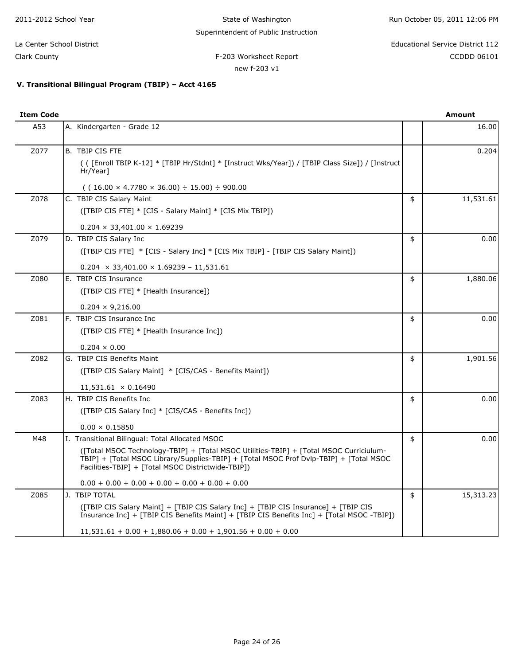| 2011-2012 School Year     | State of Washington                                  | Run October 05, 2011 12:06 PM    |
|---------------------------|------------------------------------------------------|----------------------------------|
|                           | Superintendent of Public Instruction                 |                                  |
| La Center School District |                                                      | Educational Service District 112 |
| Clark County              | F-203 Worksheet Report                               | CCDDD 06101                      |
|                           | new f-203 v1                                         |                                  |
|                           | V. Transitional Bilingual Program (TBIP) - Acct 4165 |                                  |
|                           |                                                      |                                  |
| <b>Item Code</b>          |                                                      | <b>Amount</b>                    |
| A53                       | A. Kindergarten - Grade 12                           | 16.00                            |
|                           |                                                      |                                  |
| Z077                      | B. TBIP CIS FTE                                      | 0.204                            |

| 20/7 | B. IBIP CIS FIE                                                                                                                                                                                                                        | 0.ZU4           |
|------|----------------------------------------------------------------------------------------------------------------------------------------------------------------------------------------------------------------------------------------|-----------------|
|      | (([Enroll TBIP K-12] * [TBIP Hr/Stdnt] * [Instruct Wks/Year]) / [TBIP Class Size]) / [Instruct<br>Hr/Year]                                                                                                                             |                 |
|      | $( (16.00 \times 4.7780 \times 36.00) \div 15.00) \div 900.00$                                                                                                                                                                         |                 |
| Z078 | C. TBIP CIS Salary Maint                                                                                                                                                                                                               | \$<br>11,531.61 |
|      | ([TBIP CIS FTE] * [CIS - Salary Maint] * [CIS Mix TBIP])                                                                                                                                                                               |                 |
|      | $0.204 \times 33,401.00 \times 1.69239$                                                                                                                                                                                                |                 |
| Z079 | D. TBIP CIS Salary Inc                                                                                                                                                                                                                 | \$<br>0.00      |
|      | ([TBIP CIS FTE] * [CIS - Salary Inc] * [CIS Mix TBIP] - [TBIP CIS Salary Maint])                                                                                                                                                       |                 |
|      | $0.204 \times 33,401.00 \times 1.69239 - 11,531.61$                                                                                                                                                                                    |                 |
| Z080 | E. TBIP CIS Insurance                                                                                                                                                                                                                  | \$<br>1,880.06  |
|      | ([TBIP CIS FTE] * [Health Insurance])                                                                                                                                                                                                  |                 |
|      | $0.204 \times 9,216.00$                                                                                                                                                                                                                |                 |
| Z081 | F. TBIP CIS Insurance Inc.                                                                                                                                                                                                             | \$<br>0.00      |
|      | ([TBIP CIS FTE] * [Health Insurance Inc])                                                                                                                                                                                              |                 |
|      | $0.204 \times 0.00$                                                                                                                                                                                                                    |                 |
| Z082 | G. TBIP CIS Benefits Maint                                                                                                                                                                                                             | \$<br>1,901.56  |
|      | ([TBIP CIS Salary Maint] * [CIS/CAS - Benefits Maint])                                                                                                                                                                                 |                 |
|      | $11,531.61 \times 0.16490$                                                                                                                                                                                                             |                 |
| Z083 | H. TBIP CIS Benefits Inc                                                                                                                                                                                                               | \$<br>0.00      |
|      | ([TBIP CIS Salary Inc] * [CIS/CAS - Benefits Inc])                                                                                                                                                                                     |                 |
|      | $0.00 \times 0.15850$                                                                                                                                                                                                                  |                 |
| M48  | I. Transitional Bilingual: Total Allocated MSOC                                                                                                                                                                                        | \$<br>0.00      |
|      | ([Total MSOC Technology-TBIP] + [Total MSOC Utilities-TBIP] + [Total MSOC Curriciulum-<br>TBIP] + [Total MSOC Library/Supplies-TBIP] + [Total MSOC Prof Dvlp-TBIP] + [Total MSOC<br>Facilities-TBIP] + [Total MSOC Districtwide-TBIP]) |                 |
|      | $0.00 + 0.00 + 0.00 + 0.00 + 0.00 + 0.00 + 0.00$                                                                                                                                                                                       |                 |
| Z085 | IJ. TBIP TOTAL                                                                                                                                                                                                                         | \$<br>15,313.23 |
|      | ([TBIP CIS Salary Maint] + [TBIP CIS Salary Inc] + [TBIP CIS Insurance] + [TBIP CIS<br>Insurance Inc] + [TBIP CIS Benefits Maint] + [TBIP CIS Benefits Inc] + [Total MSOC -TBIP])                                                      |                 |
|      | $11,531.61 + 0.00 + 1,880.06 + 0.00 + 1,901.56 + 0.00 + 0.00$                                                                                                                                                                          |                 |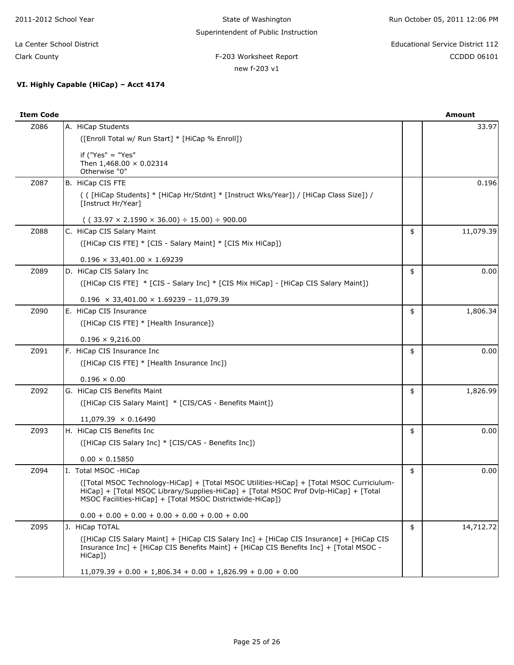State of Washington Superintendent of Public Instruction Run October 05, 2011 12:06 PM

F-203 Worksheet Report **CCDD** 06101 La Center School District Educational Service District 112

Clark County

**VI. Highly Capable (HiCap) – Acct 4174**

# new f-203 v1

| <b>Item Code</b> |                                                                                                              | Amount |
|------------------|--------------------------------------------------------------------------------------------------------------|--------|
| Z086             | IA. HiCap Students                                                                                           | 33.97  |
|                  | ([Enroll Total w/ Run Start] * [HiCap % Enroll])                                                             |        |
|                  | if ("Yes" $=$ "Yes"<br>Then $1,468.00 \times 0.02314$<br>Otherwise "0"                                       |        |
| Z087             | B. HiCap CIS FTE                                                                                             | 0.196  |
|                  | ( ( [HiCap Students] * [HiCap Hr/Stdnt] * [Instruct Wks/Year]) / [HiCap Class Size]) /<br>[Instruct Hr/Year] |        |
|                  | $(122.07 \times 2.1500 \times 26.00)$ : $15.00$ ) : 000.00                                                   |        |

|      | Otherwise "0"                                                                                                                                                                                                                                 |                 |
|------|-----------------------------------------------------------------------------------------------------------------------------------------------------------------------------------------------------------------------------------------------|-----------------|
| Z087 | B. HiCap CIS FTE                                                                                                                                                                                                                              | 0.196           |
|      | ( ( [HiCap Students] * [HiCap Hr/Stdnt] * [Instruct Wks/Year]) / [HiCap Class Size]) /<br>[Instruct Hr/Year]                                                                                                                                  |                 |
|      | $( (33.97 \times 2.1590 \times 36.00) \div 15.00) \div 900.00$                                                                                                                                                                                |                 |
| Z088 | C. HiCap CIS Salary Maint                                                                                                                                                                                                                     | \$<br>11,079.39 |
|      | ([HiCap CIS FTE] * [CIS - Salary Maint] * [CIS Mix HiCap])                                                                                                                                                                                    |                 |
|      | $0.196 \times 33,401.00 \times 1.69239$                                                                                                                                                                                                       |                 |
| Z089 | D. HiCap CIS Salary Inc                                                                                                                                                                                                                       | \$<br>0.00      |
|      | ([HiCap CIS FTE] * [CIS - Salary Inc] * [CIS Mix HiCap] - [HiCap CIS Salary Maint])                                                                                                                                                           |                 |
|      | $0.196 \times 33,401.00 \times 1.69239 - 11,079.39$                                                                                                                                                                                           |                 |
| Z090 | E. HiCap CIS Insurance                                                                                                                                                                                                                        | \$<br>1,806.34  |
|      | ([HiCap CIS FTE] * [Health Insurance])                                                                                                                                                                                                        |                 |
|      | $0.196 \times 9,216.00$                                                                                                                                                                                                                       |                 |
| Z091 | F. HiCap CIS Insurance Inc.                                                                                                                                                                                                                   | \$<br>0.00      |
|      | ([HiCap CIS FTE] * [Health Insurance Inc])                                                                                                                                                                                                    |                 |
|      | $0.196 \times 0.00$                                                                                                                                                                                                                           |                 |
| Z092 | G. HiCap CIS Benefits Maint                                                                                                                                                                                                                   | \$<br>1,826.99  |
|      | ([HiCap CIS Salary Maint] * [CIS/CAS - Benefits Maint])                                                                                                                                                                                       |                 |
|      | $11,079.39 \times 0.16490$                                                                                                                                                                                                                    |                 |
| Z093 | H. HiCap CIS Benefits Inc                                                                                                                                                                                                                     | \$<br>0.00      |
|      | ([HiCap CIS Salary Inc] * [CIS/CAS - Benefits Inc])                                                                                                                                                                                           |                 |
|      | $0.00 \times 0.15850$                                                                                                                                                                                                                         |                 |
| Z094 | I. Total MSOC - HiCap                                                                                                                                                                                                                         | \$<br>0.00      |
|      | ([Total MSOC Technology-HiCap] + [Total MSOC Utilities-HiCap] + [Total MSOC Curriciulum-<br>HiCap] + [Total MSOC Library/Supplies-HiCap] + [Total MSOC Prof Dvlp-HiCap] + [Total<br>MSOC Facilities-HiCap] + [Total MSOC Districtwide-HiCap]) |                 |
|      | $0.00 + 0.00 + 0.00 + 0.00 + 0.00 + 0.00 + 0.00$                                                                                                                                                                                              |                 |
| Z095 | J. HiCap TOTAL                                                                                                                                                                                                                                | \$<br>14,712.72 |
|      | ([HiCap CIS Salary Maint] + [HiCap CIS Salary Inc] + [HiCap CIS Insurance] + [HiCap CIS<br>Insurance Inc] + [HiCap CIS Benefits Maint] + [HiCap CIS Benefits Inc] + [Total MSOC -<br>HiCap])                                                  |                 |
|      | $11,079.39 + 0.00 + 1,806.34 + 0.00 + 1,826.99 + 0.00 + 0.00$                                                                                                                                                                                 |                 |